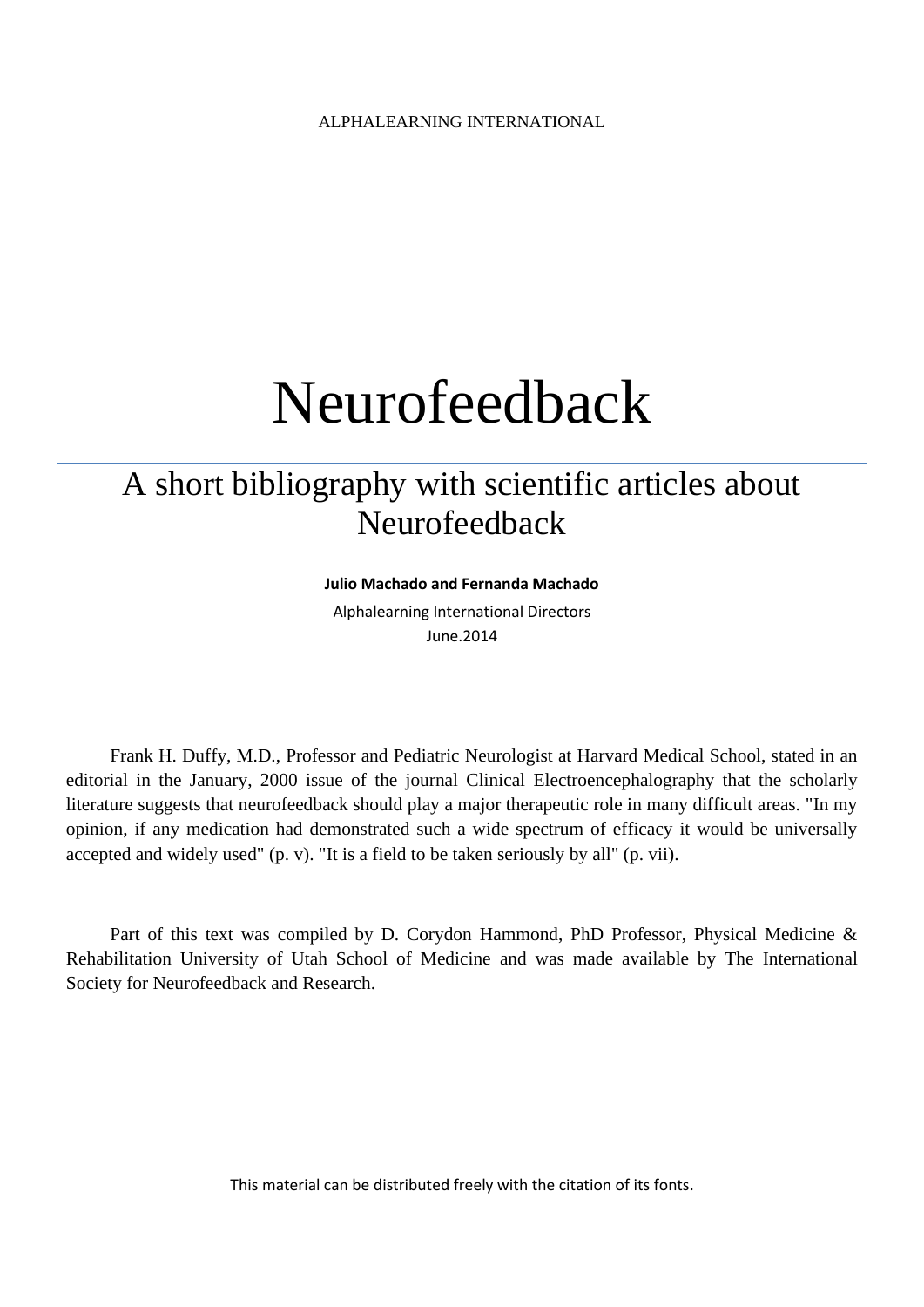# Neurofeedback

## A short bibliography with scientific articles about Neurofeedback

#### **Julio Machado and Fernanda Machado**

Alphalearning International Directors June.2014

Frank H. Duffy, M.D., Professor and Pediatric Neurologist at Harvard Medical School, stated in an editorial in the January, 2000 issue of the journal Clinical Electroencephalography that the scholarly literature suggests that neurofeedback should play a major therapeutic role in many difficult areas. "In my opinion, if any medication had demonstrated such a wide spectrum of efficacy it would be universally accepted and widely used" (p. v). "It is a field to be taken seriously by all" (p. vii).

Part of this text was compiled by D. Corydon Hammond, PhD Professor, Physical Medicine & Rehabilitation University of Utah School of Medicine and was made available by The International Society for Neurofeedback and Research.

This material can be distributed freely with the citation of its fonts.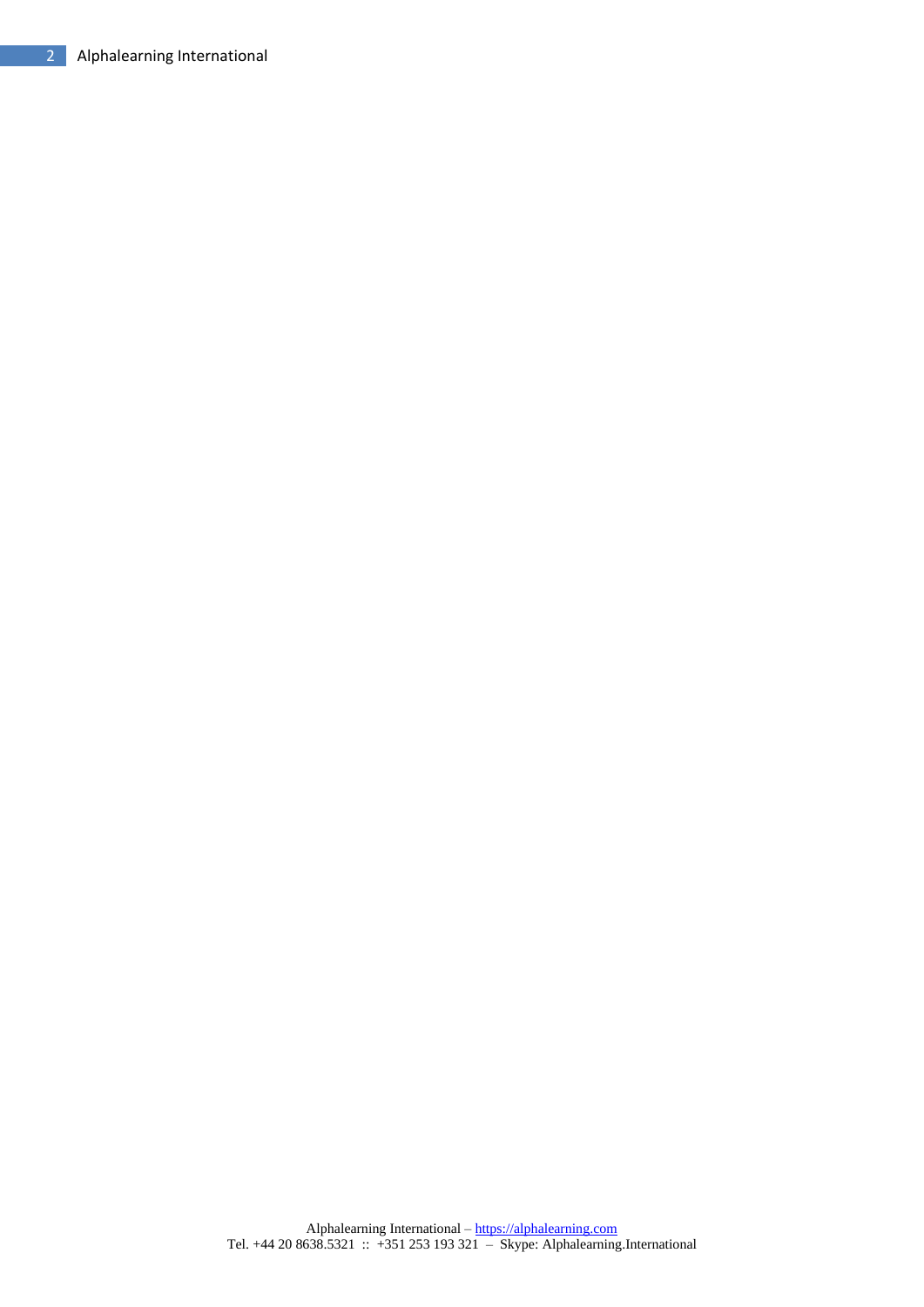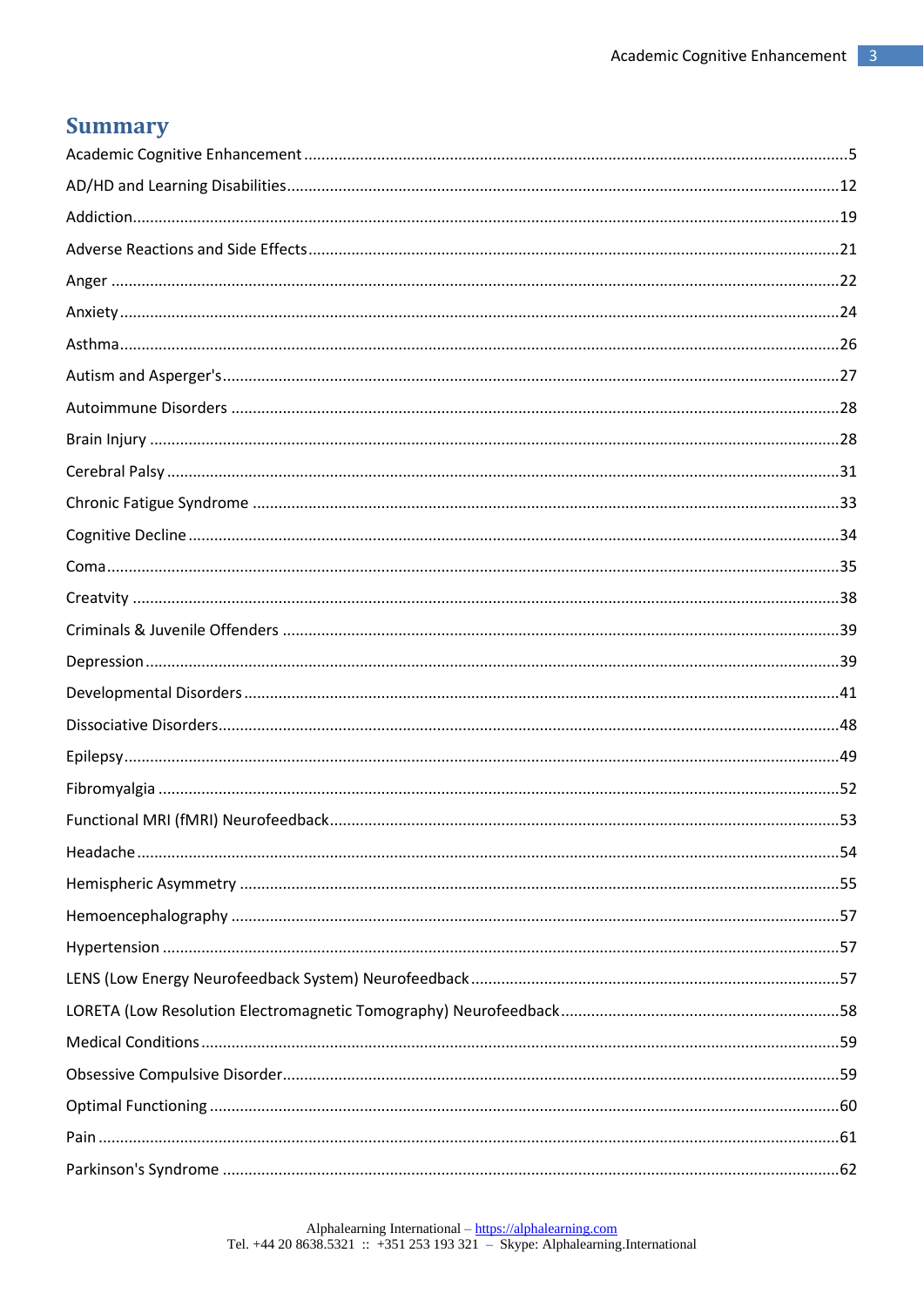### **Summary**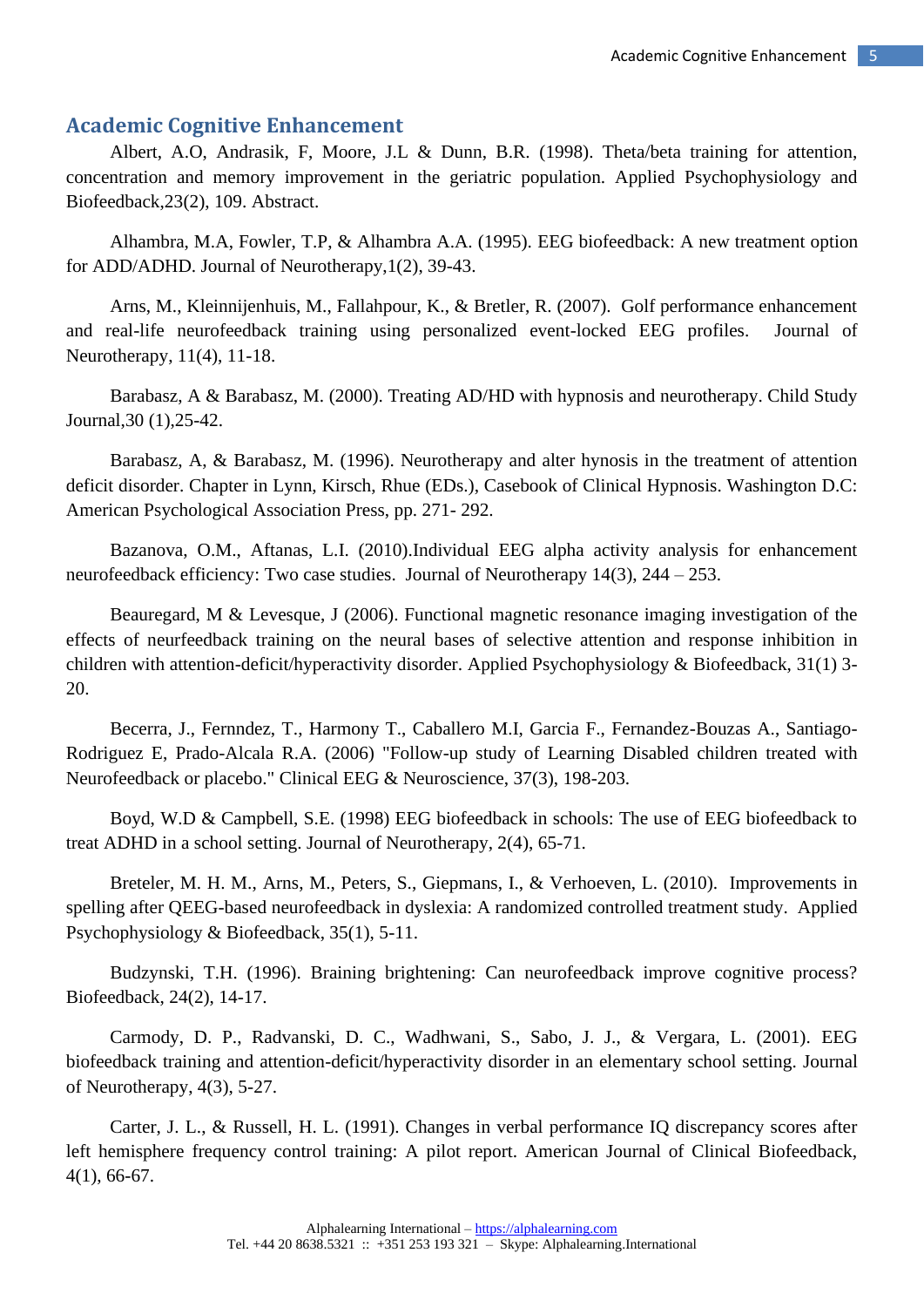#### <span id="page-4-0"></span>**Academic Cognitive Enhancement**

Albert, A.O, Andrasik, F, Moore, J.L & Dunn, B.R. (1998). Theta/beta training for attention, concentration and memory improvement in the geriatric population. Applied Psychophysiology and Biofeedback,23(2), 109. Abstract.

Alhambra, M.A, Fowler, T.P, & Alhambra A.A. (1995). EEG biofeedback: A new treatment option for ADD/ADHD. Journal of Neurotherapy,1(2), 39-43.

Arns, M., Kleinnijenhuis, M., Fallahpour, K., & Bretler, R. (2007). Golf performance enhancement and real-life neurofeedback training using personalized event-locked EEG profiles. Journal of Neurotherapy, 11(4), 11-18.

Barabasz, A & Barabasz, M. (2000). Treating AD/HD with hypnosis and neurotherapy. Child Study Journal,30 (1),25-42.

Barabasz, A, & Barabasz, M. (1996). Neurotherapy and alter hynosis in the treatment of attention deficit disorder. Chapter in Lynn, Kirsch, Rhue (EDs.), Casebook of Clinical Hypnosis. Washington D.C: American Psychological Association Press, pp. 271- 292.

Bazanova, O.M., Aftanas, L.I. (2010).Individual EEG alpha activity analysis for enhancement neurofeedback efficiency: Two case studies. Journal of Neurotherapy 14(3), 244 – 253.

Beauregard, M & Levesque, J (2006). Functional magnetic resonance imaging investigation of the effects of neurfeedback training on the neural bases of selective attention and response inhibition in children with attention-deficit/hyperactivity disorder. Applied Psychophysiology & Biofeedback, 31(1) 3- 20.

Becerra, J., Fernndez, T., Harmony T., Caballero M.I, Garcia F., Fernandez-Bouzas A., Santiago-Rodriguez E, Prado-Alcala R.A. (2006) "Follow-up study of Learning Disabled children treated with Neurofeedback or placebo." Clinical EEG & Neuroscience, 37(3), 198-203.

Boyd, W.D & Campbell, S.E. (1998) EEG biofeedback in schools: The use of EEG biofeedback to treat ADHD in a school setting. Journal of Neurotherapy, 2(4), 65-71.

Breteler, M. H. M., Arns, M., Peters, S., Giepmans, I., & Verhoeven, L. (2010). Improvements in spelling after QEEG-based neurofeedback in dyslexia: A randomized controlled treatment study. Applied Psychophysiology & Biofeedback, 35(1), 5-11.

Budzynski, T.H. (1996). Braining brightening: Can neurofeedback improve cognitive process? Biofeedback, 24(2), 14-17.

Carmody, D. P., Radvanski, D. C., Wadhwani, S., Sabo, J. J., & Vergara, L. (2001). EEG biofeedback training and attention-deficit/hyperactivity disorder in an elementary school setting. Journal of Neurotherapy, 4(3), 5-27.

Carter, J. L., & Russell, H. L. (1991). Changes in verbal performance IQ discrepancy scores after left hemisphere frequency control training: A pilot report. American Journal of Clinical Biofeedback, 4(1), 66-67.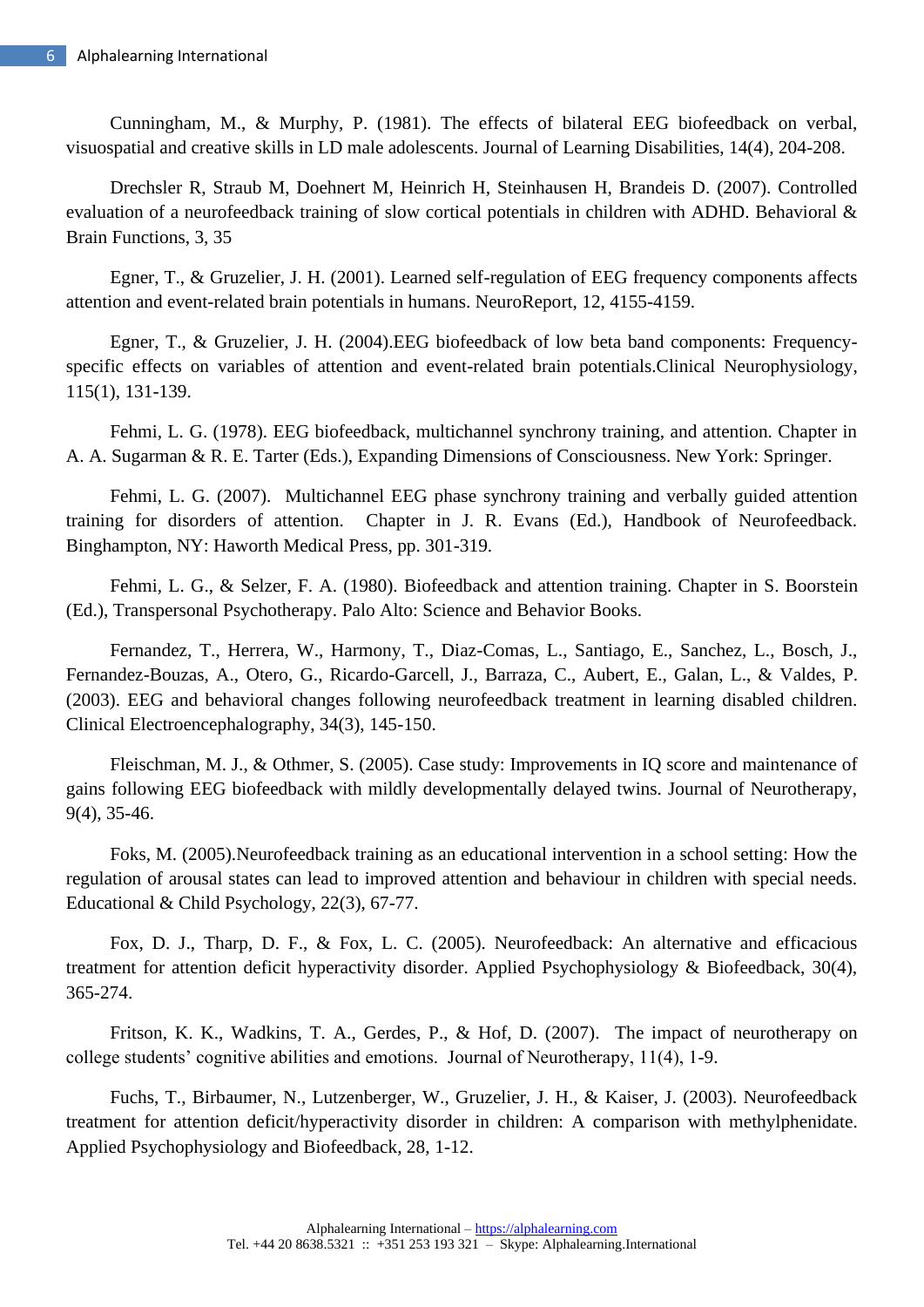Cunningham, M., & Murphy, P. (1981). The effects of bilateral EEG biofeedback on verbal, visuospatial and creative skills in LD male adolescents. Journal of Learning Disabilities, 14(4), 204-208.

Drechsler R, Straub M, Doehnert M, Heinrich H, Steinhausen H, Brandeis D. (2007). Controlled evaluation of a neurofeedback training of slow cortical potentials in children with ADHD. Behavioral & Brain Functions, 3, 35

Egner, T., & Gruzelier, J. H. (2001). Learned self-regulation of EEG frequency components affects attention and event-related brain potentials in humans. NeuroReport, 12, 4155-4159.

Egner, T., & Gruzelier, J. H. (2004).EEG biofeedback of low beta band components: Frequencyspecific effects on variables of attention and event-related brain potentials.Clinical Neurophysiology, 115(1), 131-139.

Fehmi, L. G. (1978). EEG biofeedback, multichannel synchrony training, and attention. Chapter in A. A. Sugarman & R. E. Tarter (Eds.), Expanding Dimensions of Consciousness. New York: Springer.

Fehmi, L. G. (2007). Multichannel EEG phase synchrony training and verbally guided attention training for disorders of attention. Chapter in J. R. Evans (Ed.), Handbook of Neurofeedback. Binghampton, NY: Haworth Medical Press, pp. 301-319.

Fehmi, L. G., & Selzer, F. A. (1980). Biofeedback and attention training. Chapter in S. Boorstein (Ed.), Transpersonal Psychotherapy. Palo Alto: Science and Behavior Books.

Fernandez, T., Herrera, W., Harmony, T., Diaz-Comas, L., Santiago, E., Sanchez, L., Bosch, J., Fernandez-Bouzas, A., Otero, G., Ricardo-Garcell, J., Barraza, C., Aubert, E., Galan, L., & Valdes, P. (2003). EEG and behavioral changes following neurofeedback treatment in learning disabled children. Clinical Electroencephalography, 34(3), 145-150.

Fleischman, M. J., & Othmer, S. (2005). Case study: Improvements in IQ score and maintenance of gains following EEG biofeedback with mildly developmentally delayed twins. Journal of Neurotherapy, 9(4), 35-46.

Foks, M. (2005).Neurofeedback training as an educational intervention in a school setting: How the regulation of arousal states can lead to improved attention and behaviour in children with special needs. Educational & Child Psychology, 22(3), 67-77.

Fox, D. J., Tharp, D. F., & Fox, L. C. (2005). Neurofeedback: An alternative and efficacious treatment for attention deficit hyperactivity disorder. Applied Psychophysiology & Biofeedback, 30(4), 365-274.

Fritson, K. K., Wadkins, T. A., Gerdes, P., & Hof, D. (2007). The impact of neurotherapy on college students' cognitive abilities and emotions. Journal of Neurotherapy, 11(4), 1-9.

Fuchs, T., Birbaumer, N., Lutzenberger, W., Gruzelier, J. H., & Kaiser, J. (2003). Neurofeedback treatment for attention deficit/hyperactivity disorder in children: A comparison with methylphenidate. Applied Psychophysiology and Biofeedback, 28, 1-12.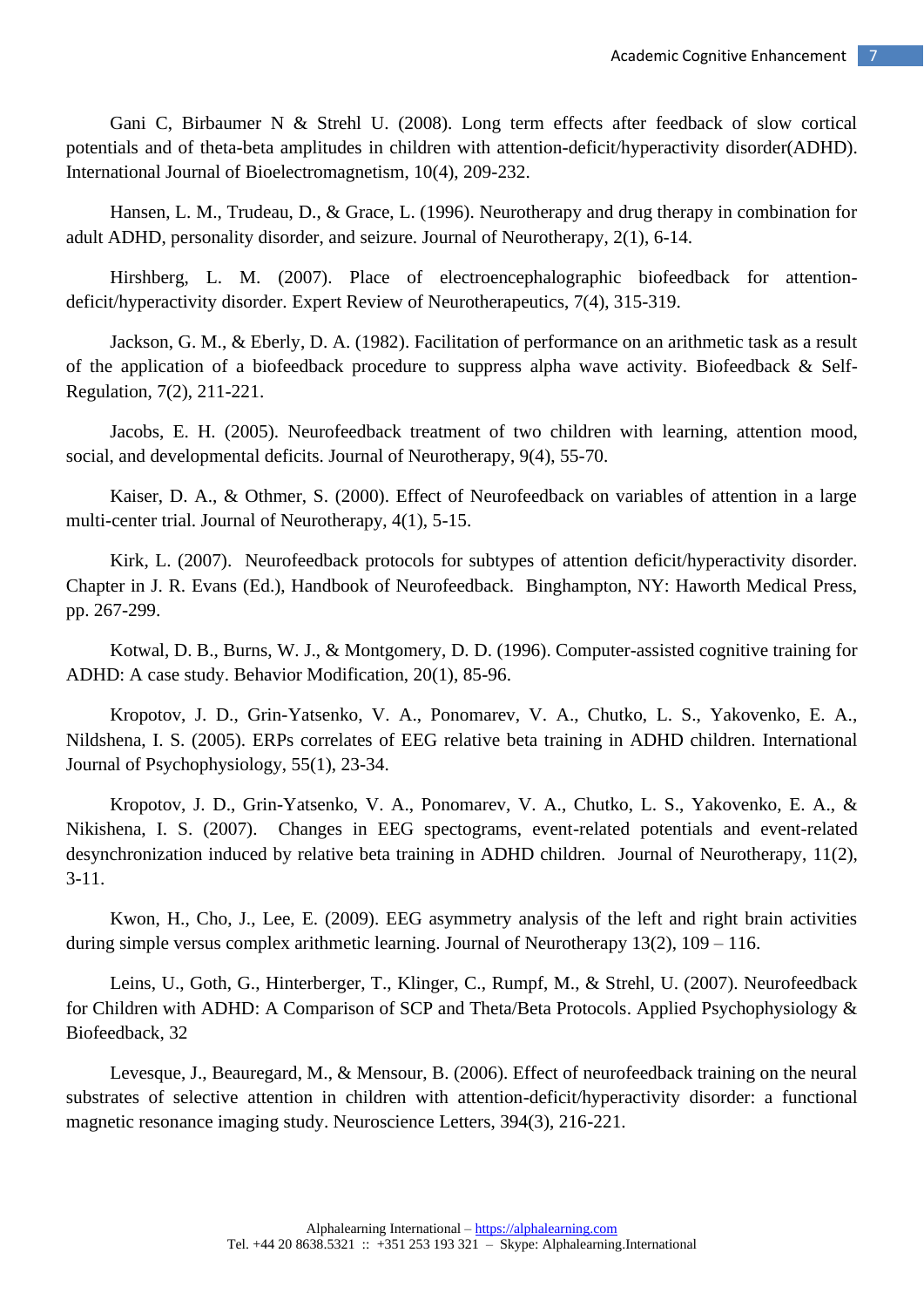Gani C, Birbaumer N & Strehl U. (2008). Long term effects after feedback of slow cortical potentials and of theta-beta amplitudes in children with attention-deficit/hyperactivity disorder(ADHD). International Journal of Bioelectromagnetism, 10(4), 209-232.

Hansen, L. M., Trudeau, D., & Grace, L. (1996). Neurotherapy and drug therapy in combination for adult ADHD, personality disorder, and seizure. Journal of Neurotherapy, 2(1), 6-14.

Hirshberg, L. M. (2007). Place of electroencephalographic biofeedback for attentiondeficit/hyperactivity disorder. Expert Review of Neurotherapeutics, 7(4), 315-319.

Jackson, G. M., & Eberly, D. A. (1982). Facilitation of performance on an arithmetic task as a result of the application of a biofeedback procedure to suppress alpha wave activity. Biofeedback & Self-Regulation, 7(2), 211-221.

Jacobs, E. H. (2005). Neurofeedback treatment of two children with learning, attention mood, social, and developmental deficits. Journal of Neurotherapy, 9(4), 55-70.

Kaiser, D. A., & Othmer, S. (2000). Effect of Neurofeedback on variables of attention in a large multi-center trial. Journal of Neurotherapy, 4(1), 5-15.

Kirk, L. (2007). Neurofeedback protocols for subtypes of attention deficit/hyperactivity disorder. Chapter in J. R. Evans (Ed.), Handbook of Neurofeedback. Binghampton, NY: Haworth Medical Press, pp. 267-299.

Kotwal, D. B., Burns, W. J., & Montgomery, D. D. (1996). Computer-assisted cognitive training for ADHD: A case study. Behavior Modification, 20(1), 85-96.

Kropotov, J. D., Grin-Yatsenko, V. A., Ponomarev, V. A., Chutko, L. S., Yakovenko, E. A., Nildshena, I. S. (2005). ERPs correlates of EEG relative beta training in ADHD children. International Journal of Psychophysiology, 55(1), 23-34.

Kropotov, J. D., Grin-Yatsenko, V. A., Ponomarev, V. A., Chutko, L. S., Yakovenko, E. A., & Nikishena, I. S. (2007). Changes in EEG spectograms, event-related potentials and event-related desynchronization induced by relative beta training in ADHD children. Journal of Neurotherapy, 11(2), 3-11.

Kwon, H., Cho, J., Lee, E. (2009). EEG asymmetry analysis of the left and right brain activities during simple versus complex arithmetic learning. Journal of Neurotherapy 13(2), 109 – 116.

Leins, U., Goth, G., Hinterberger, T., Klinger, C., Rumpf, M., & Strehl, U. (2007). Neurofeedback for Children with ADHD: A Comparison of SCP and Theta/Beta Protocols. Applied Psychophysiology & Biofeedback, 32

Levesque, J., Beauregard, M., & Mensour, B. (2006). Effect of neurofeedback training on the neural substrates of selective attention in children with attention-deficit/hyperactivity disorder: a functional magnetic resonance imaging study. Neuroscience Letters, 394(3), 216-221.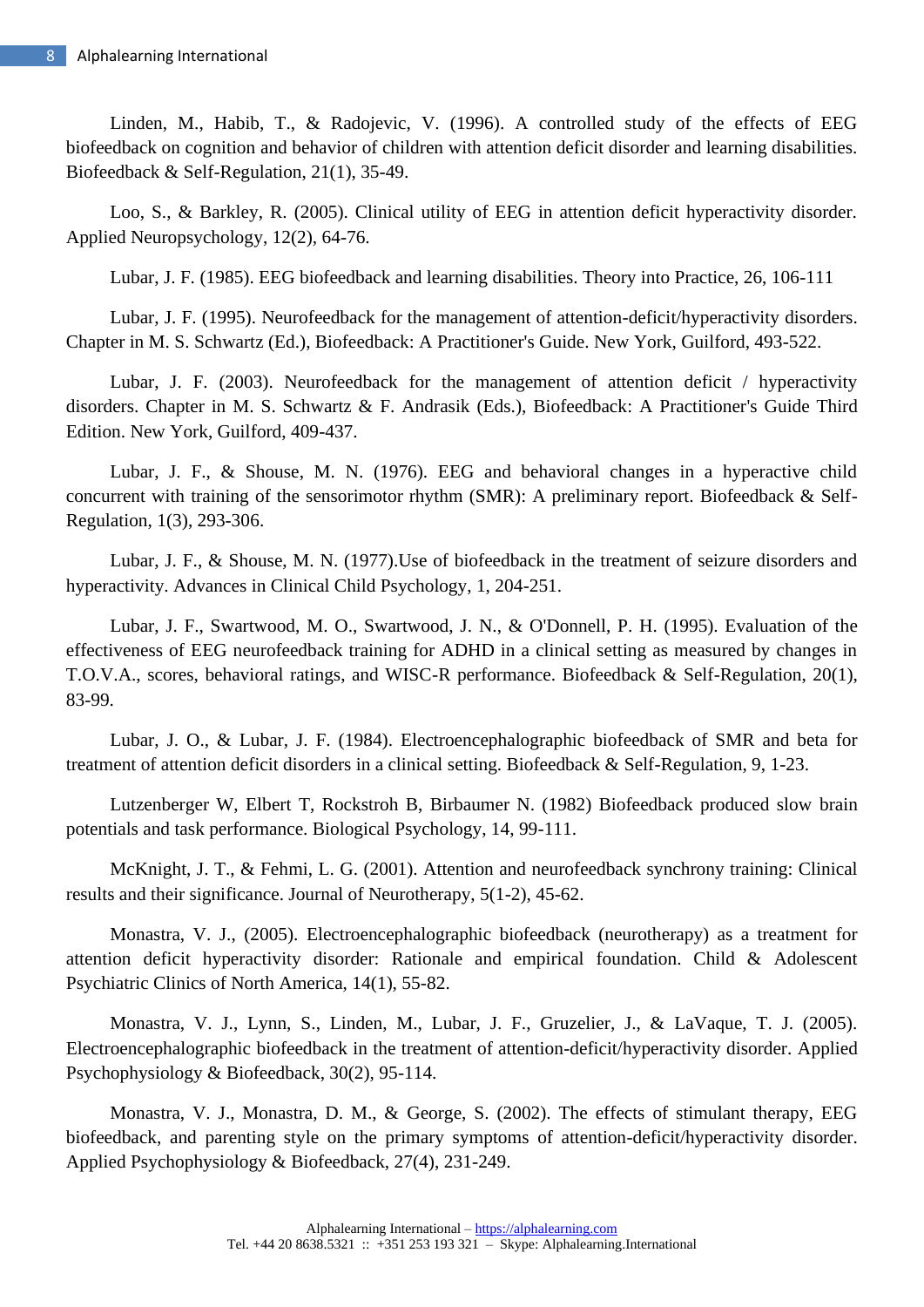Linden, M., Habib, T., & Radojevic, V. (1996). A controlled study of the effects of EEG biofeedback on cognition and behavior of children with attention deficit disorder and learning disabilities. Biofeedback & Self-Regulation, 21(1), 35-49.

Loo, S., & Barkley, R. (2005). Clinical utility of EEG in attention deficit hyperactivity disorder. Applied Neuropsychology, 12(2), 64-76.

Lubar, J. F. (1985). EEG biofeedback and learning disabilities. Theory into Practice, 26, 106-111

Lubar, J. F. (1995). Neurofeedback for the management of attention-deficit/hyperactivity disorders. Chapter in M. S. Schwartz (Ed.), Biofeedback: A Practitioner's Guide. New York, Guilford, 493-522.

Lubar, J. F. (2003). Neurofeedback for the management of attention deficit / hyperactivity disorders. Chapter in M. S. Schwartz & F. Andrasik (Eds.), Biofeedback: A Practitioner's Guide Third Edition. New York, Guilford, 409-437.

Lubar, J. F., & Shouse, M. N. (1976). EEG and behavioral changes in a hyperactive child concurrent with training of the sensorimotor rhythm (SMR): A preliminary report. Biofeedback & Self-Regulation, 1(3), 293-306.

Lubar, J. F., & Shouse, M. N. (1977).Use of biofeedback in the treatment of seizure disorders and hyperactivity. Advances in Clinical Child Psychology, 1, 204-251.

Lubar, J. F., Swartwood, M. O., Swartwood, J. N., & O'Donnell, P. H. (1995). Evaluation of the effectiveness of EEG neurofeedback training for ADHD in a clinical setting as measured by changes in T.O.V.A., scores, behavioral ratings, and WISC-R performance. Biofeedback & Self-Regulation, 20(1), 83-99.

Lubar, J. O., & Lubar, J. F. (1984). Electroencephalographic biofeedback of SMR and beta for treatment of attention deficit disorders in a clinical setting. Biofeedback & Self-Regulation, 9, 1-23.

Lutzenberger W, Elbert T, Rockstroh B, Birbaumer N. (1982) Biofeedback produced slow brain potentials and task performance. Biological Psychology, 14, 99-111.

McKnight, J. T., & Fehmi, L. G. (2001). Attention and neurofeedback synchrony training: Clinical results and their significance. Journal of Neurotherapy, 5(1-2), 45-62.

Monastra, V. J., (2005). Electroencephalographic biofeedback (neurotherapy) as a treatment for attention deficit hyperactivity disorder: Rationale and empirical foundation. Child & Adolescent Psychiatric Clinics of North America, 14(1), 55-82.

Monastra, V. J., Lynn, S., Linden, M., Lubar, J. F., Gruzelier, J., & LaVaque, T. J. (2005). Electroencephalographic biofeedback in the treatment of attention-deficit/hyperactivity disorder. Applied Psychophysiology & Biofeedback, 30(2), 95-114.

Monastra, V. J., Monastra, D. M., & George, S. (2002). The effects of stimulant therapy, EEG biofeedback, and parenting style on the primary symptoms of attention-deficit/hyperactivity disorder. Applied Psychophysiology & Biofeedback, 27(4), 231-249.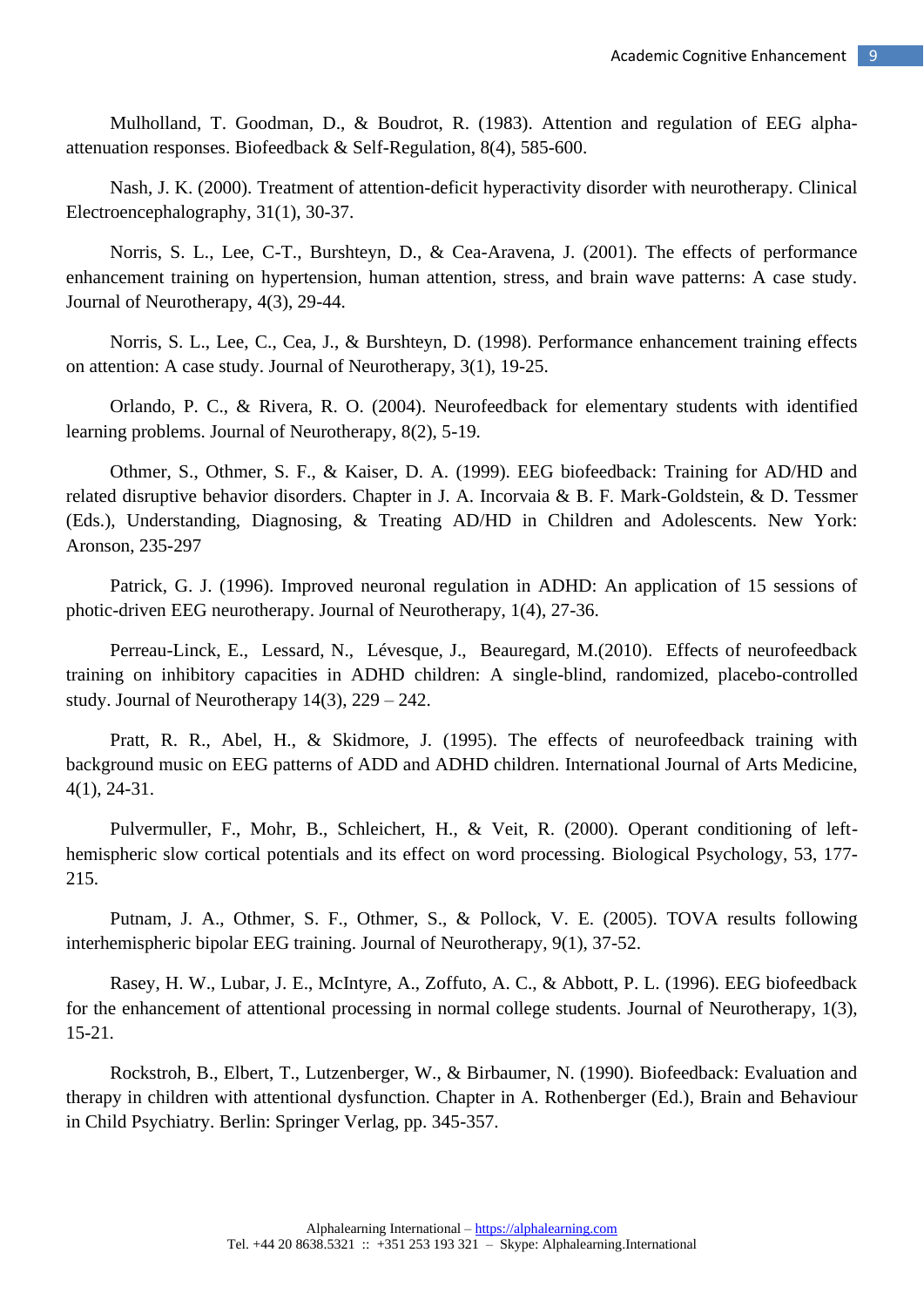Mulholland, T. Goodman, D., & Boudrot, R. (1983). Attention and regulation of EEG alphaattenuation responses. Biofeedback & Self-Regulation, 8(4), 585-600.

Nash, J. K. (2000). Treatment of attention-deficit hyperactivity disorder with neurotherapy. Clinical Electroencephalography, 31(1), 30-37.

Norris, S. L., Lee, C-T., Burshteyn, D., & Cea-Aravena, J. (2001). The effects of performance enhancement training on hypertension, human attention, stress, and brain wave patterns: A case study. Journal of Neurotherapy, 4(3), 29-44.

Norris, S. L., Lee, C., Cea, J., & Burshteyn, D. (1998). Performance enhancement training effects on attention: A case study. Journal of Neurotherapy, 3(1), 19-25.

Orlando, P. C., & Rivera, R. O. (2004). Neurofeedback for elementary students with identified learning problems. Journal of Neurotherapy, 8(2), 5-19.

Othmer, S., Othmer, S. F., & Kaiser, D. A. (1999). EEG biofeedback: Training for AD/HD and related disruptive behavior disorders. Chapter in J. A. Incorvaia & B. F. Mark-Goldstein, & D. Tessmer (Eds.), Understanding, Diagnosing, & Treating AD/HD in Children and Adolescents. New York: Aronson, 235-297

Patrick, G. J. (1996). Improved neuronal regulation in ADHD: An application of 15 sessions of photic-driven EEG neurotherapy. Journal of Neurotherapy, 1(4), 27-36.

Perreau-Linck, E., Lessard, N., Lévesque, J., Beauregard, M.(2010). Effects of neurofeedback training on inhibitory capacities in ADHD children: A single-blind, randomized, placebo-controlled study. Journal of Neurotherapy 14(3), 229 – 242.

Pratt, R. R., Abel, H., & Skidmore, J. (1995). The effects of neurofeedback training with background music on EEG patterns of ADD and ADHD children. International Journal of Arts Medicine, 4(1), 24-31.

Pulvermuller, F., Mohr, B., Schleichert, H., & Veit, R. (2000). Operant conditioning of lefthemispheric slow cortical potentials and its effect on word processing. Biological Psychology, 53, 177- 215.

Putnam, J. A., Othmer, S. F., Othmer, S., & Pollock, V. E. (2005). TOVA results following interhemispheric bipolar EEG training. Journal of Neurotherapy, 9(1), 37-52.

Rasey, H. W., Lubar, J. E., McIntyre, A., Zoffuto, A. C., & Abbott, P. L. (1996). EEG biofeedback for the enhancement of attentional processing in normal college students. Journal of Neurotherapy, 1(3), 15-21.

Rockstroh, B., Elbert, T., Lutzenberger, W., & Birbaumer, N. (1990). Biofeedback: Evaluation and therapy in children with attentional dysfunction. Chapter in A. Rothenberger (Ed.), Brain and Behaviour in Child Psychiatry. Berlin: Springer Verlag, pp. 345-357.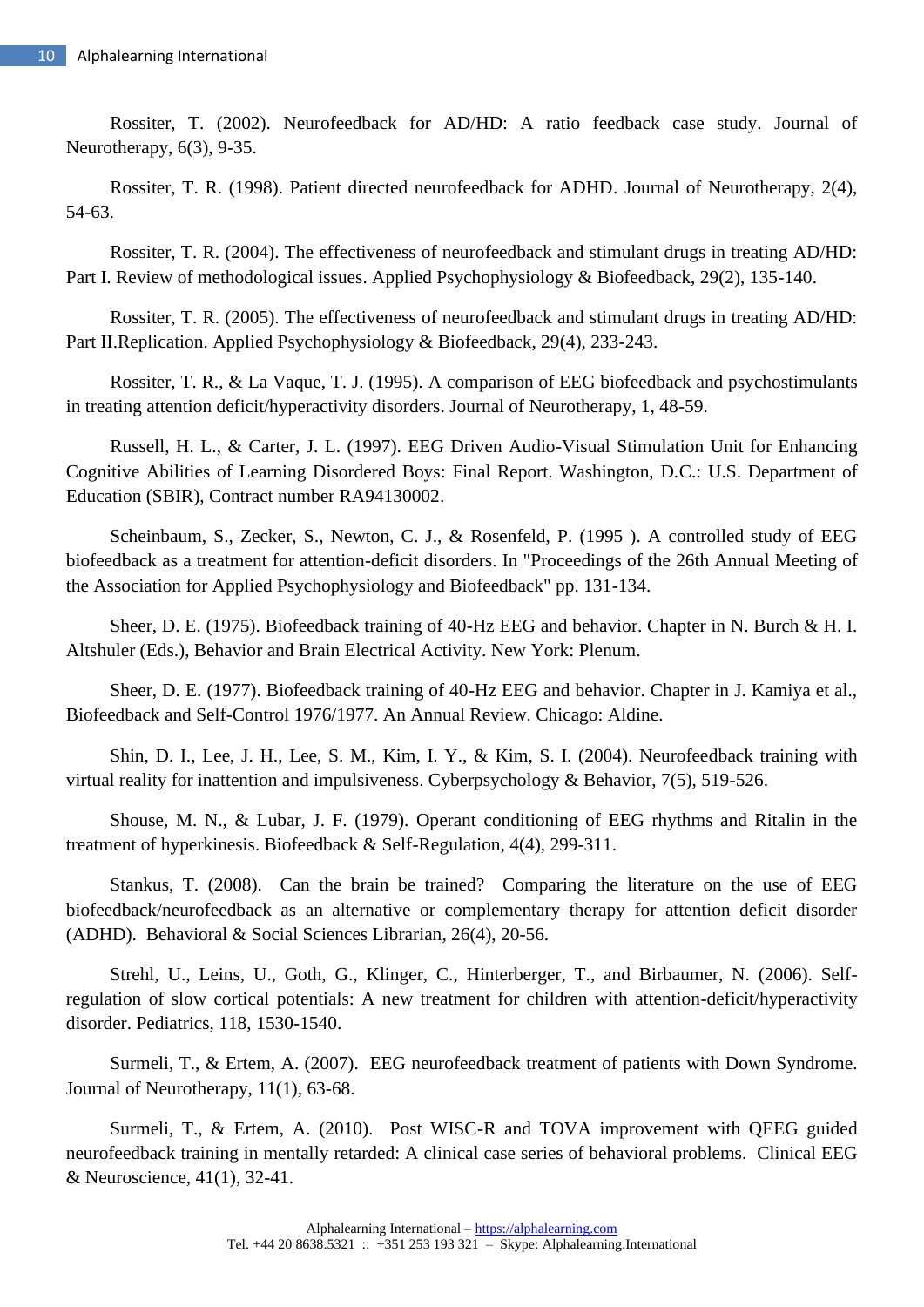Rossiter, T. (2002). Neurofeedback for AD/HD: A ratio feedback case study. Journal of Neurotherapy, 6(3), 9-35.

Rossiter, T. R. (1998). Patient directed neurofeedback for ADHD. Journal of Neurotherapy, 2(4), 54-63.

Rossiter, T. R. (2004). The effectiveness of neurofeedback and stimulant drugs in treating AD/HD: Part I. Review of methodological issues. Applied Psychophysiology & Biofeedback, 29(2), 135-140.

Rossiter, T. R. (2005). The effectiveness of neurofeedback and stimulant drugs in treating AD/HD: Part II.Replication. Applied Psychophysiology & Biofeedback, 29(4), 233-243.

Rossiter, T. R., & La Vaque, T. J. (1995). A comparison of EEG biofeedback and psychostimulants in treating attention deficit/hyperactivity disorders. Journal of Neurotherapy, 1, 48-59.

Russell, H. L., & Carter, J. L. (1997). EEG Driven Audio-Visual Stimulation Unit for Enhancing Cognitive Abilities of Learning Disordered Boys: Final Report. Washington, D.C.: U.S. Department of Education (SBIR), Contract number RA94130002.

Scheinbaum, S., Zecker, S., Newton, C. J., & Rosenfeld, P. (1995 ). A controlled study of EEG biofeedback as a treatment for attention-deficit disorders. In "Proceedings of the 26th Annual Meeting of the Association for Applied Psychophysiology and Biofeedback" pp. 131-134.

Sheer, D. E. (1975). Biofeedback training of 40-Hz EEG and behavior. Chapter in N. Burch & H. I. Altshuler (Eds.), Behavior and Brain Electrical Activity. New York: Plenum.

Sheer, D. E. (1977). Biofeedback training of 40-Hz EEG and behavior. Chapter in J. Kamiya et al., Biofeedback and Self-Control 1976/1977. An Annual Review. Chicago: Aldine.

Shin, D. I., Lee, J. H., Lee, S. M., Kim, I. Y., & Kim, S. I. (2004). Neurofeedback training with virtual reality for inattention and impulsiveness. Cyberpsychology & Behavior, 7(5), 519-526.

Shouse, M. N., & Lubar, J. F. (1979). Operant conditioning of EEG rhythms and Ritalin in the treatment of hyperkinesis. Biofeedback & Self-Regulation, 4(4), 299-311.

Stankus, T. (2008). Can the brain be trained? Comparing the literature on the use of EEG biofeedback/neurofeedback as an alternative or complementary therapy for attention deficit disorder (ADHD). Behavioral & Social Sciences Librarian, 26(4), 20-56.

Strehl, U., Leins, U., Goth, G., Klinger, C., Hinterberger, T., and Birbaumer, N. (2006). Selfregulation of slow cortical potentials: A new treatment for children with attention-deficit/hyperactivity disorder. Pediatrics, 118, 1530-1540.

Surmeli, T., & Ertem, A. (2007). EEG neurofeedback treatment of patients with Down Syndrome. Journal of Neurotherapy, 11(1), 63-68.

Surmeli, T., & Ertem, A. (2010). Post WISC-R and TOVA improvement with QEEG guided neurofeedback training in mentally retarded: A clinical case series of behavioral problems. Clinical EEG & Neuroscience, 41(1), 32-41.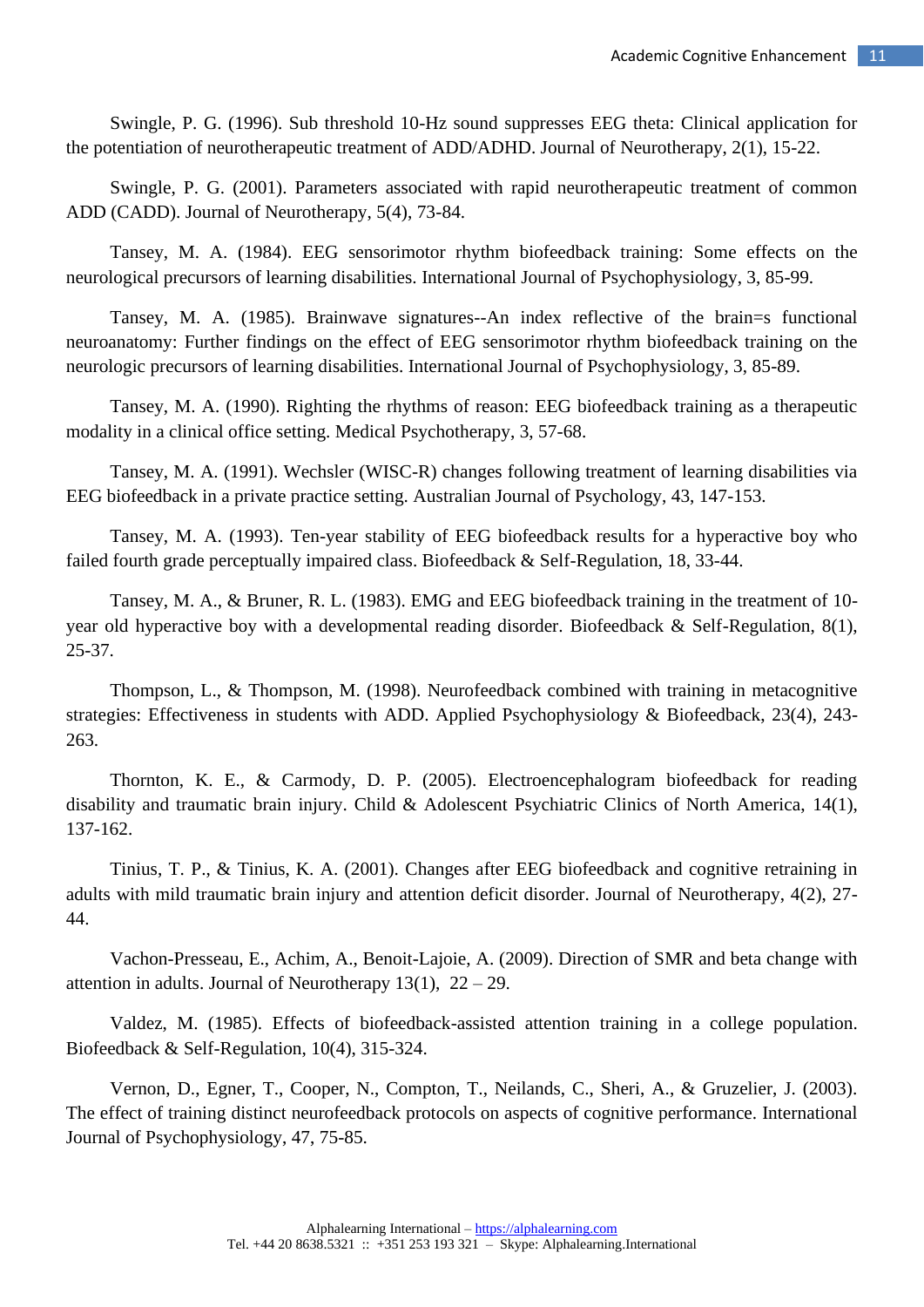Swingle, P. G. (1996). Sub threshold 10-Hz sound suppresses EEG theta: Clinical application for the potentiation of neurotherapeutic treatment of ADD/ADHD. Journal of Neurotherapy, 2(1), 15-22.

Swingle, P. G. (2001). Parameters associated with rapid neurotherapeutic treatment of common ADD (CADD). Journal of Neurotherapy, 5(4), 73-84.

Tansey, M. A. (1984). EEG sensorimotor rhythm biofeedback training: Some effects on the neurological precursors of learning disabilities. International Journal of Psychophysiology, 3, 85-99.

Tansey, M. A. (1985). Brainwave signatures--An index reflective of the brain=s functional neuroanatomy: Further findings on the effect of EEG sensorimotor rhythm biofeedback training on the neurologic precursors of learning disabilities. International Journal of Psychophysiology, 3, 85-89.

Tansey, M. A. (1990). Righting the rhythms of reason: EEG biofeedback training as a therapeutic modality in a clinical office setting. Medical Psychotherapy, 3, 57-68.

Tansey, M. A. (1991). Wechsler (WISC-R) changes following treatment of learning disabilities via EEG biofeedback in a private practice setting. Australian Journal of Psychology, 43, 147-153.

Tansey, M. A. (1993). Ten-year stability of EEG biofeedback results for a hyperactive boy who failed fourth grade perceptually impaired class. Biofeedback & Self-Regulation, 18, 33-44.

Tansey, M. A., & Bruner, R. L. (1983). EMG and EEG biofeedback training in the treatment of 10 year old hyperactive boy with a developmental reading disorder. Biofeedback & Self-Regulation, 8(1), 25-37.

Thompson, L., & Thompson, M. (1998). Neurofeedback combined with training in metacognitive strategies: Effectiveness in students with ADD. Applied Psychophysiology & Biofeedback, 23(4), 243- 263.

Thornton, K. E., & Carmody, D. P. (2005). Electroencephalogram biofeedback for reading disability and traumatic brain injury. Child & Adolescent Psychiatric Clinics of North America, 14(1), 137-162.

Tinius, T. P., & Tinius, K. A. (2001). Changes after EEG biofeedback and cognitive retraining in adults with mild traumatic brain injury and attention deficit disorder. Journal of Neurotherapy, 4(2), 27- 44.

Vachon-Presseau, E., Achim, A., Benoit-Lajoie, A. (2009). Direction of SMR and beta change with attention in adults. Journal of Neurotherapy  $13(1)$ ,  $22 - 29$ .

Valdez, M. (1985). Effects of biofeedback-assisted attention training in a college population. Biofeedback & Self-Regulation, 10(4), 315-324.

Vernon, D., Egner, T., Cooper, N., Compton, T., Neilands, C., Sheri, A., & Gruzelier, J. (2003). The effect of training distinct neurofeedback protocols on aspects of cognitive performance. International Journal of Psychophysiology, 47, 75-85.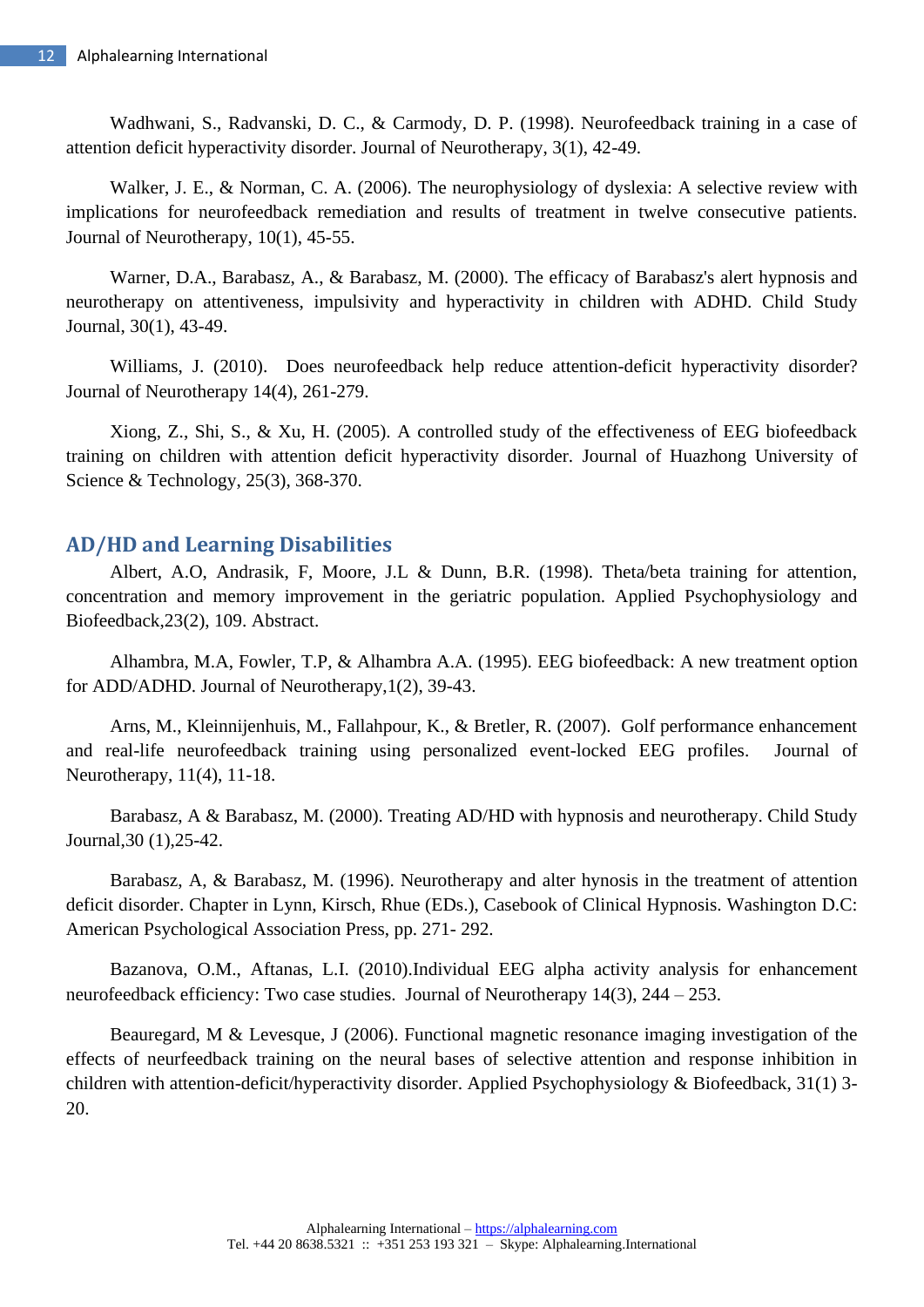Wadhwani, S., Radvanski, D. C., & Carmody, D. P. (1998). Neurofeedback training in a case of attention deficit hyperactivity disorder. Journal of Neurotherapy, 3(1), 42-49.

Walker, J. E., & Norman, C. A. (2006). The neurophysiology of dyslexia: A selective review with implications for neurofeedback remediation and results of treatment in twelve consecutive patients. Journal of Neurotherapy, 10(1), 45-55.

Warner, D.A., Barabasz, A., & Barabasz, M. (2000). The efficacy of Barabasz's alert hypnosis and neurotherapy on attentiveness, impulsivity and hyperactivity in children with ADHD. Child Study Journal, 30(1), 43-49.

Williams, J. (2010). Does neurofeedback help reduce attention-deficit hyperactivity disorder? Journal of Neurotherapy 14(4), 261-279.

Xiong, Z., Shi, S., & Xu, H. (2005). A controlled study of the effectiveness of EEG biofeedback training on children with attention deficit hyperactivity disorder. Journal of Huazhong University of Science & Technology, 25(3), 368-370.

#### <span id="page-11-0"></span>**AD/HD and Learning Disabilities**

Albert, A.O, Andrasik, F, Moore, J.L & Dunn, B.R. (1998). Theta/beta training for attention, concentration and memory improvement in the geriatric population. Applied Psychophysiology and Biofeedback,23(2), 109. Abstract.

Alhambra, M.A, Fowler, T.P, & Alhambra A.A. (1995). EEG biofeedback: A new treatment option for ADD/ADHD. Journal of Neurotherapy,1(2), 39-43.

Arns, M., Kleinnijenhuis, M., Fallahpour, K., & Bretler, R. (2007). Golf performance enhancement and real-life neurofeedback training using personalized event-locked EEG profiles. Journal of Neurotherapy, 11(4), 11-18.

Barabasz, A & Barabasz, M. (2000). Treating AD/HD with hypnosis and neurotherapy. Child Study Journal,30 (1),25-42.

Barabasz, A, & Barabasz, M. (1996). Neurotherapy and alter hynosis in the treatment of attention deficit disorder. Chapter in Lynn, Kirsch, Rhue (EDs.), Casebook of Clinical Hypnosis. Washington D.C: American Psychological Association Press, pp. 271- 292.

Bazanova, O.M., Aftanas, L.I. (2010).Individual EEG alpha activity analysis for enhancement neurofeedback efficiency: Two case studies. Journal of Neurotherapy 14(3), 244 – 253.

Beauregard, M & Levesque, J (2006). Functional magnetic resonance imaging investigation of the effects of neurfeedback training on the neural bases of selective attention and response inhibition in children with attention-deficit/hyperactivity disorder. Applied Psychophysiology & Biofeedback, 31(1) 3- 20.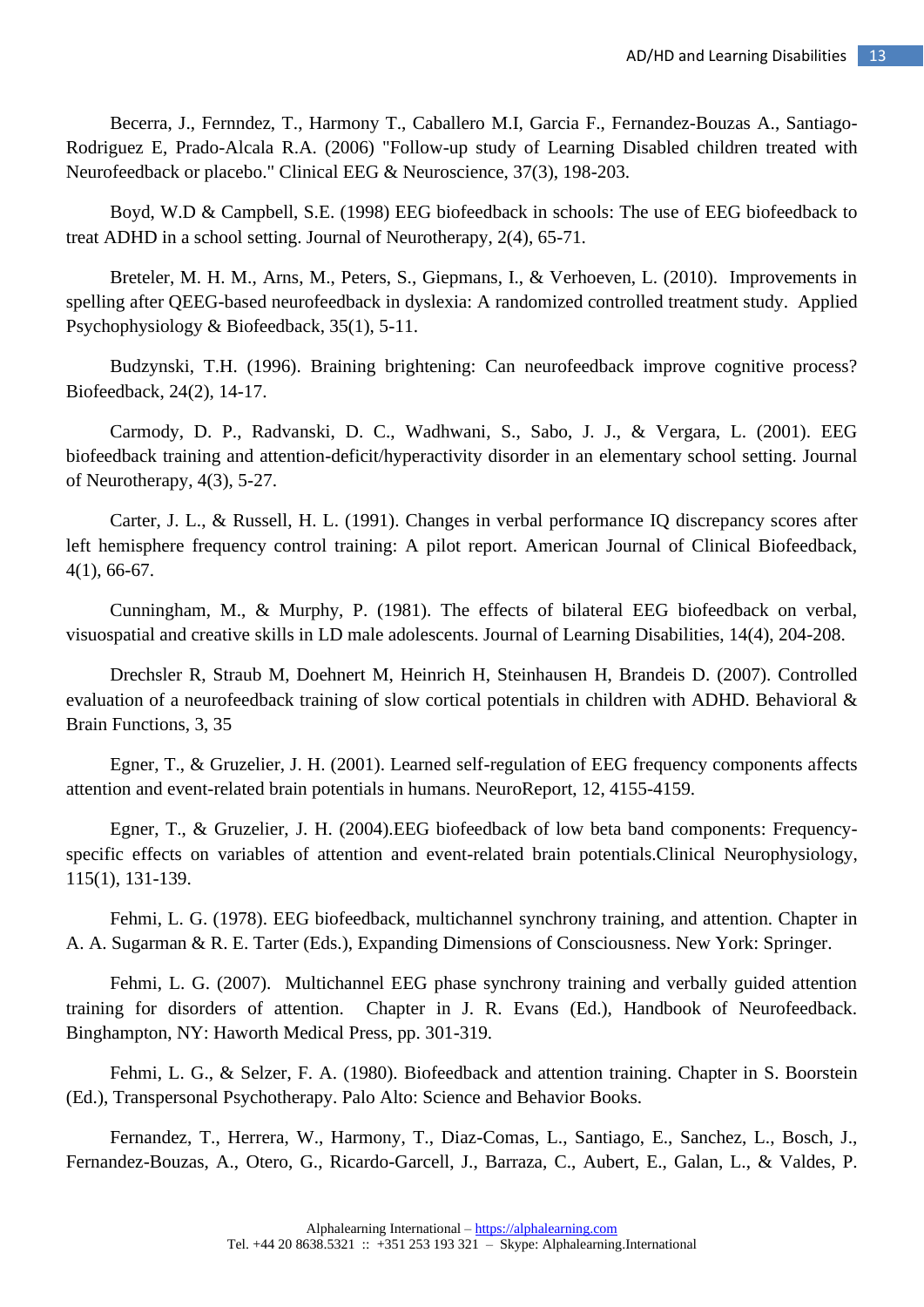Becerra, J., Fernndez, T., Harmony T., Caballero M.I, Garcia F., Fernandez-Bouzas A., Santiago-Rodriguez E, Prado-Alcala R.A. (2006) "Follow-up study of Learning Disabled children treated with Neurofeedback or placebo." Clinical EEG & Neuroscience, 37(3), 198-203.

Boyd, W.D & Campbell, S.E. (1998) EEG biofeedback in schools: The use of EEG biofeedback to treat ADHD in a school setting. Journal of Neurotherapy, 2(4), 65-71.

Breteler, M. H. M., Arns, M., Peters, S., Giepmans, I., & Verhoeven, L. (2010). Improvements in spelling after QEEG-based neurofeedback in dyslexia: A randomized controlled treatment study. Applied Psychophysiology & Biofeedback, 35(1), 5-11.

Budzynski, T.H. (1996). Braining brightening: Can neurofeedback improve cognitive process? Biofeedback, 24(2), 14-17.

Carmody, D. P., Radvanski, D. C., Wadhwani, S., Sabo, J. J., & Vergara, L. (2001). EEG biofeedback training and attention-deficit/hyperactivity disorder in an elementary school setting. Journal of Neurotherapy, 4(3), 5-27.

Carter, J. L., & Russell, H. L. (1991). Changes in verbal performance IQ discrepancy scores after left hemisphere frequency control training: A pilot report. American Journal of Clinical Biofeedback, 4(1), 66-67.

Cunningham, M., & Murphy, P. (1981). The effects of bilateral EEG biofeedback on verbal, visuospatial and creative skills in LD male adolescents. Journal of Learning Disabilities, 14(4), 204-208.

Drechsler R, Straub M, Doehnert M, Heinrich H, Steinhausen H, Brandeis D. (2007). Controlled evaluation of a neurofeedback training of slow cortical potentials in children with ADHD. Behavioral & Brain Functions, 3, 35

Egner, T., & Gruzelier, J. H. (2001). Learned self-regulation of EEG frequency components affects attention and event-related brain potentials in humans. NeuroReport, 12, 4155-4159.

Egner, T., & Gruzelier, J. H. (2004).EEG biofeedback of low beta band components: Frequencyspecific effects on variables of attention and event-related brain potentials.Clinical Neurophysiology, 115(1), 131-139.

Fehmi, L. G. (1978). EEG biofeedback, multichannel synchrony training, and attention. Chapter in A. A. Sugarman & R. E. Tarter (Eds.), Expanding Dimensions of Consciousness. New York: Springer.

Fehmi, L. G. (2007). Multichannel EEG phase synchrony training and verbally guided attention training for disorders of attention. Chapter in J. R. Evans (Ed.), Handbook of Neurofeedback. Binghampton, NY: Haworth Medical Press, pp. 301-319.

Fehmi, L. G., & Selzer, F. A. (1980). Biofeedback and attention training. Chapter in S. Boorstein (Ed.), Transpersonal Psychotherapy. Palo Alto: Science and Behavior Books.

Fernandez, T., Herrera, W., Harmony, T., Diaz-Comas, L., Santiago, E., Sanchez, L., Bosch, J., Fernandez-Bouzas, A., Otero, G., Ricardo-Garcell, J., Barraza, C., Aubert, E., Galan, L., & Valdes, P.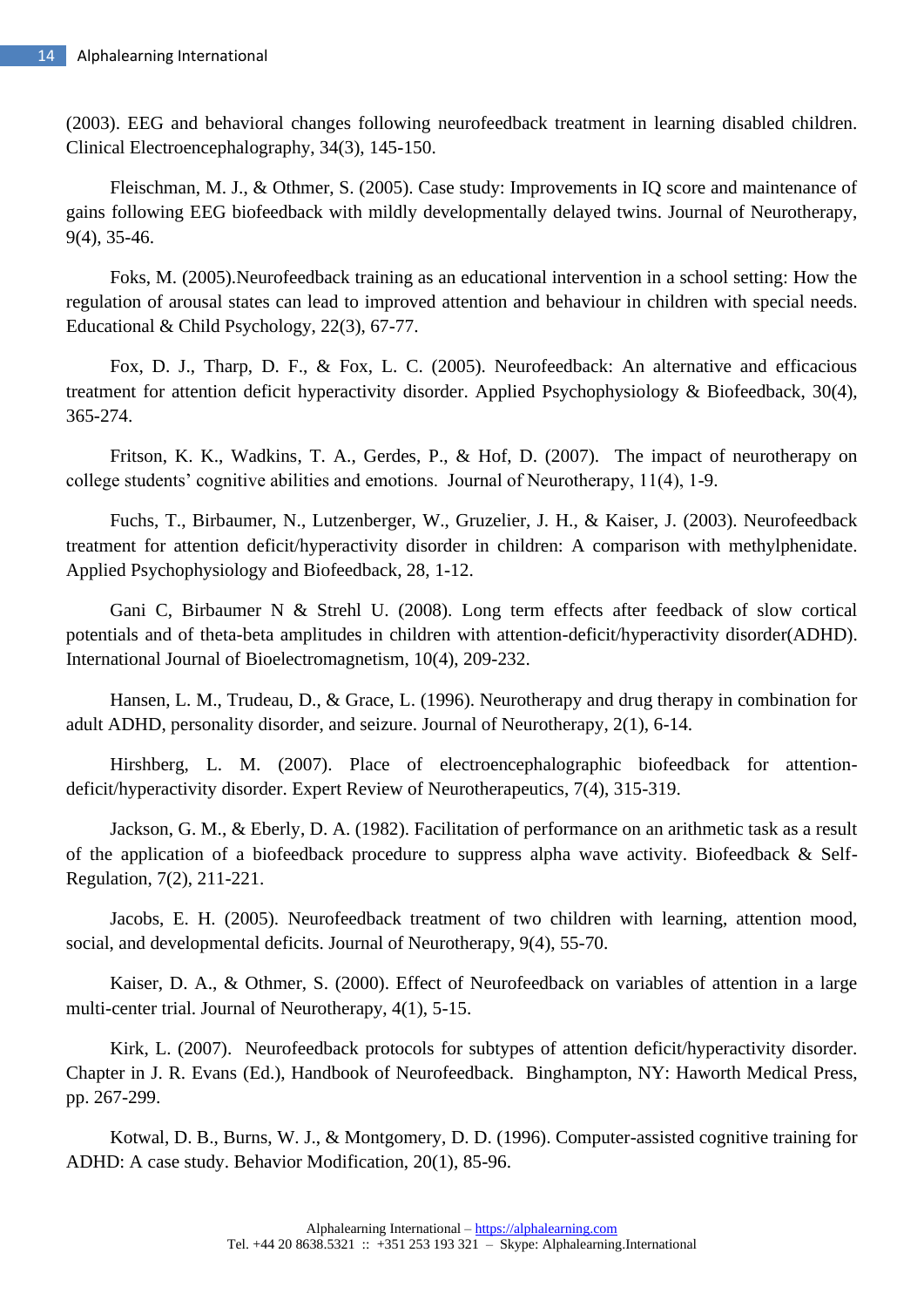(2003). EEG and behavioral changes following neurofeedback treatment in learning disabled children. Clinical Electroencephalography, 34(3), 145-150.

Fleischman, M. J., & Othmer, S. (2005). Case study: Improvements in IQ score and maintenance of gains following EEG biofeedback with mildly developmentally delayed twins. Journal of Neurotherapy, 9(4), 35-46.

Foks, M. (2005).Neurofeedback training as an educational intervention in a school setting: How the regulation of arousal states can lead to improved attention and behaviour in children with special needs. Educational & Child Psychology, 22(3), 67-77.

Fox, D. J., Tharp, D. F., & Fox, L. C. (2005). Neurofeedback: An alternative and efficacious treatment for attention deficit hyperactivity disorder. Applied Psychophysiology & Biofeedback, 30(4), 365-274.

Fritson, K. K., Wadkins, T. A., Gerdes, P., & Hof, D. (2007). The impact of neurotherapy on college students' cognitive abilities and emotions. Journal of Neurotherapy, 11(4), 1-9.

Fuchs, T., Birbaumer, N., Lutzenberger, W., Gruzelier, J. H., & Kaiser, J. (2003). Neurofeedback treatment for attention deficit/hyperactivity disorder in children: A comparison with methylphenidate. Applied Psychophysiology and Biofeedback, 28, 1-12.

Gani C, Birbaumer N & Strehl U. (2008). Long term effects after feedback of slow cortical potentials and of theta-beta amplitudes in children with attention-deficit/hyperactivity disorder(ADHD). International Journal of Bioelectromagnetism, 10(4), 209-232.

Hansen, L. M., Trudeau, D., & Grace, L. (1996). Neurotherapy and drug therapy in combination for adult ADHD, personality disorder, and seizure. Journal of Neurotherapy, 2(1), 6-14.

Hirshberg, L. M. (2007). Place of electroencephalographic biofeedback for attentiondeficit/hyperactivity disorder. Expert Review of Neurotherapeutics, 7(4), 315-319.

Jackson, G. M., & Eberly, D. A. (1982). Facilitation of performance on an arithmetic task as a result of the application of a biofeedback procedure to suppress alpha wave activity. Biofeedback & Self-Regulation, 7(2), 211-221.

Jacobs, E. H. (2005). Neurofeedback treatment of two children with learning, attention mood, social, and developmental deficits. Journal of Neurotherapy, 9(4), 55-70.

Kaiser, D. A., & Othmer, S. (2000). Effect of Neurofeedback on variables of attention in a large multi-center trial. Journal of Neurotherapy, 4(1), 5-15.

Kirk, L. (2007). Neurofeedback protocols for subtypes of attention deficit/hyperactivity disorder. Chapter in J. R. Evans (Ed.), Handbook of Neurofeedback. Binghampton, NY: Haworth Medical Press, pp. 267-299.

Kotwal, D. B., Burns, W. J., & Montgomery, D. D. (1996). Computer-assisted cognitive training for ADHD: A case study. Behavior Modification, 20(1), 85-96.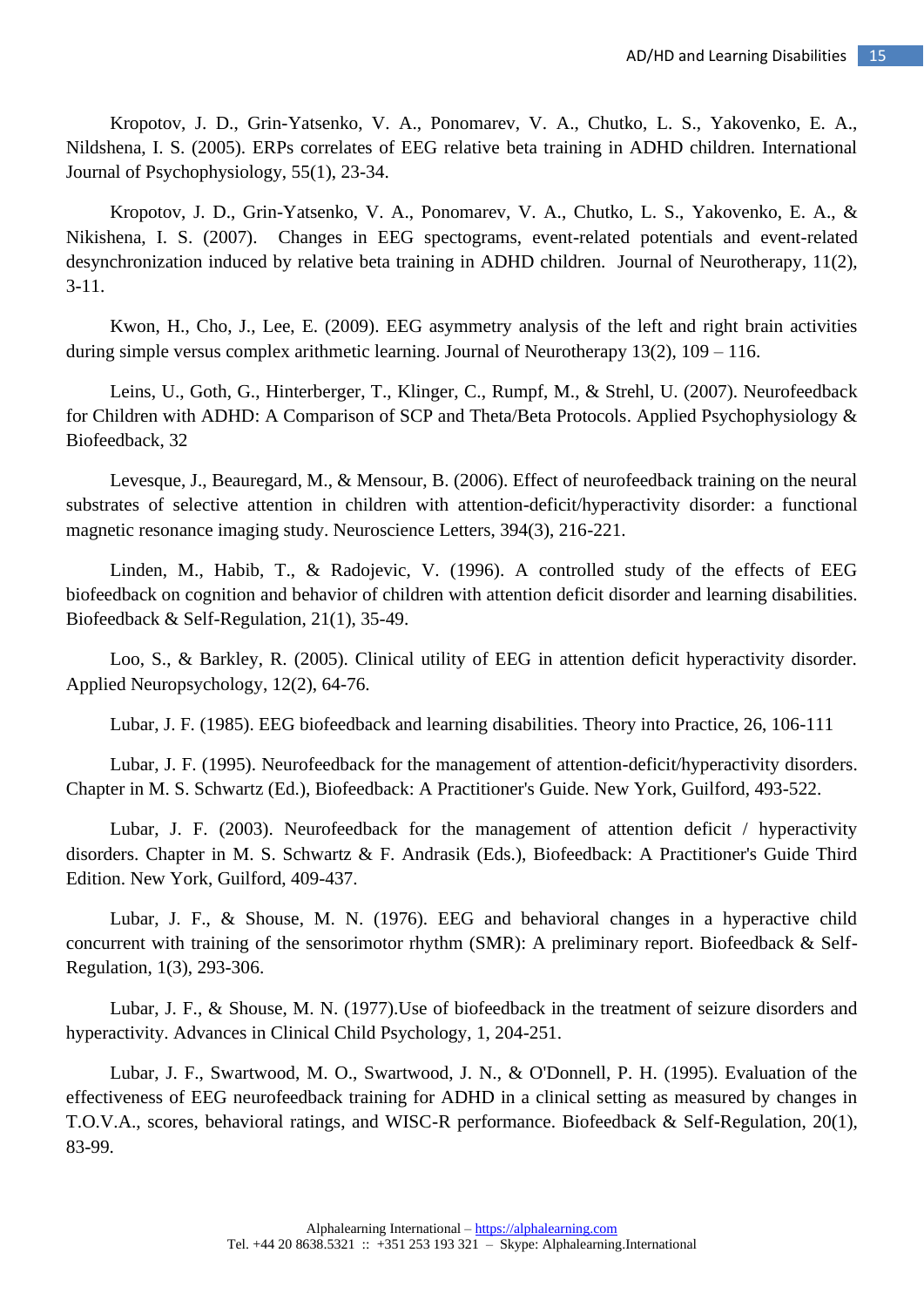Kropotov, J. D., Grin-Yatsenko, V. A., Ponomarev, V. A., Chutko, L. S., Yakovenko, E. A., Nildshena, I. S. (2005). ERPs correlates of EEG relative beta training in ADHD children. International Journal of Psychophysiology, 55(1), 23-34.

Kropotov, J. D., Grin-Yatsenko, V. A., Ponomarev, V. A., Chutko, L. S., Yakovenko, E. A., & Nikishena, I. S. (2007). Changes in EEG spectograms, event-related potentials and event-related desynchronization induced by relative beta training in ADHD children. Journal of Neurotherapy, 11(2),  $3-11.$ 

Kwon, H., Cho, J., Lee, E. (2009). EEG asymmetry analysis of the left and right brain activities during simple versus complex arithmetic learning. Journal of Neurotherapy 13(2), 109 – 116.

Leins, U., Goth, G., Hinterberger, T., Klinger, C., Rumpf, M., & Strehl, U. (2007). Neurofeedback for Children with ADHD: A Comparison of SCP and Theta/Beta Protocols. Applied Psychophysiology & Biofeedback, 32

Levesque, J., Beauregard, M., & Mensour, B. (2006). Effect of neurofeedback training on the neural substrates of selective attention in children with attention-deficit/hyperactivity disorder: a functional magnetic resonance imaging study. Neuroscience Letters, 394(3), 216-221.

Linden, M., Habib, T., & Radojevic, V. (1996). A controlled study of the effects of EEG biofeedback on cognition and behavior of children with attention deficit disorder and learning disabilities. Biofeedback & Self-Regulation, 21(1), 35-49.

Loo, S., & Barkley, R. (2005). Clinical utility of EEG in attention deficit hyperactivity disorder. Applied Neuropsychology, 12(2), 64-76.

Lubar, J. F. (1985). EEG biofeedback and learning disabilities. Theory into Practice, 26, 106-111

Lubar, J. F. (1995). Neurofeedback for the management of attention-deficit/hyperactivity disorders. Chapter in M. S. Schwartz (Ed.), Biofeedback: A Practitioner's Guide. New York, Guilford, 493-522.

Lubar, J. F. (2003). Neurofeedback for the management of attention deficit / hyperactivity disorders. Chapter in M. S. Schwartz & F. Andrasik (Eds.), Biofeedback: A Practitioner's Guide Third Edition. New York, Guilford, 409-437.

Lubar, J. F., & Shouse, M. N. (1976). EEG and behavioral changes in a hyperactive child concurrent with training of the sensorimotor rhythm (SMR): A preliminary report. Biofeedback & Self-Regulation, 1(3), 293-306.

Lubar, J. F., & Shouse, M. N. (1977).Use of biofeedback in the treatment of seizure disorders and hyperactivity. Advances in Clinical Child Psychology, 1, 204-251.

Lubar, J. F., Swartwood, M. O., Swartwood, J. N., & O'Donnell, P. H. (1995). Evaluation of the effectiveness of EEG neurofeedback training for ADHD in a clinical setting as measured by changes in T.O.V.A., scores, behavioral ratings, and WISC-R performance. Biofeedback & Self-Regulation, 20(1), 83-99.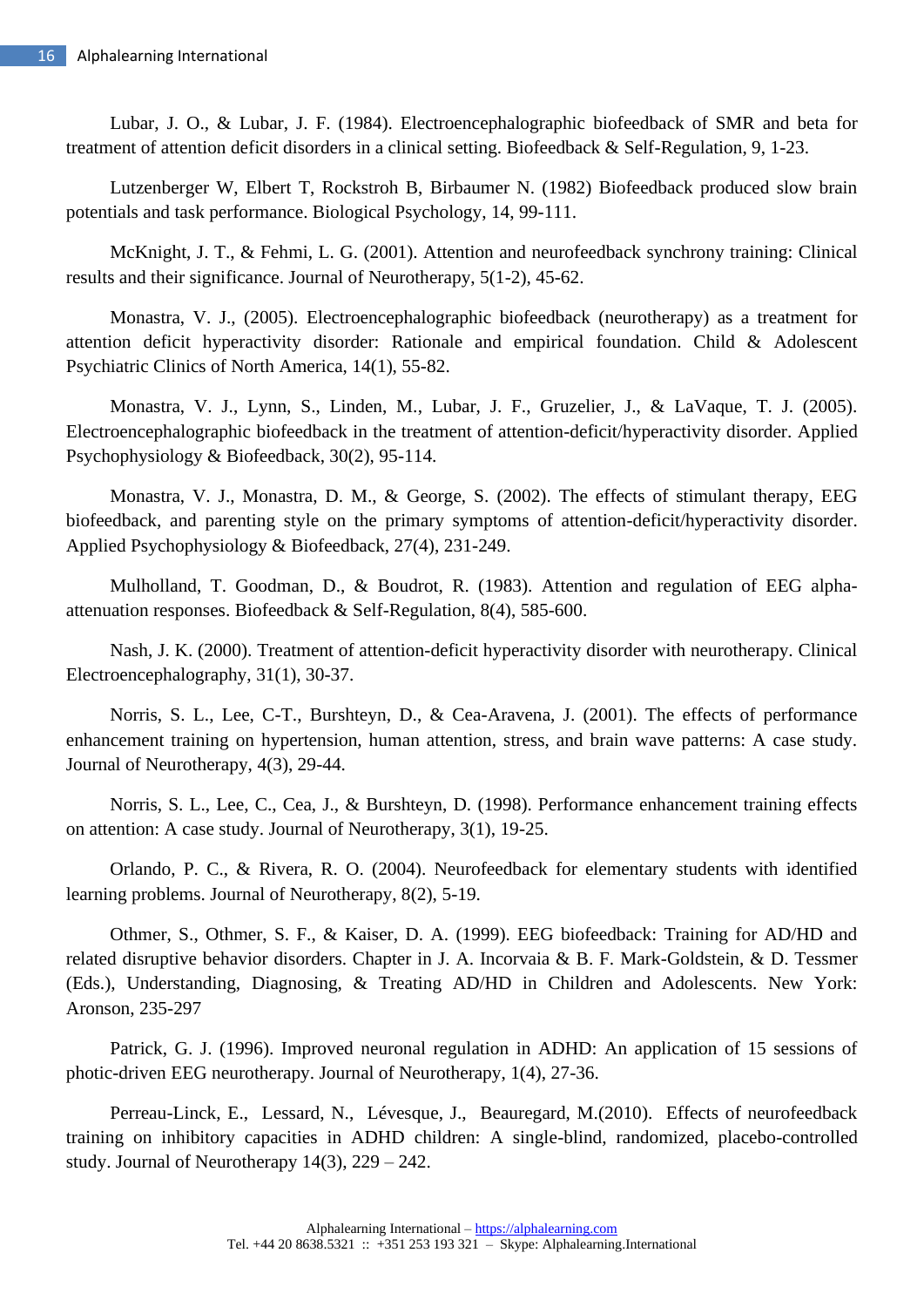Lubar, J. O., & Lubar, J. F. (1984). Electroencephalographic biofeedback of SMR and beta for treatment of attention deficit disorders in a clinical setting. Biofeedback & Self-Regulation, 9, 1-23.

Lutzenberger W, Elbert T, Rockstroh B, Birbaumer N. (1982) Biofeedback produced slow brain potentials and task performance. Biological Psychology, 14, 99-111.

McKnight, J. T., & Fehmi, L. G. (2001). Attention and neurofeedback synchrony training: Clinical results and their significance. Journal of Neurotherapy, 5(1-2), 45-62.

Monastra, V. J., (2005). Electroencephalographic biofeedback (neurotherapy) as a treatment for attention deficit hyperactivity disorder: Rationale and empirical foundation. Child & Adolescent Psychiatric Clinics of North America, 14(1), 55-82.

Monastra, V. J., Lynn, S., Linden, M., Lubar, J. F., Gruzelier, J., & LaVaque, T. J. (2005). Electroencephalographic biofeedback in the treatment of attention-deficit/hyperactivity disorder. Applied Psychophysiology & Biofeedback, 30(2), 95-114.

Monastra, V. J., Monastra, D. M., & George, S. (2002). The effects of stimulant therapy, EEG biofeedback, and parenting style on the primary symptoms of attention-deficit/hyperactivity disorder. Applied Psychophysiology & Biofeedback, 27(4), 231-249.

Mulholland, T. Goodman, D., & Boudrot, R. (1983). Attention and regulation of EEG alphaattenuation responses. Biofeedback & Self-Regulation, 8(4), 585-600.

Nash, J. K. (2000). Treatment of attention-deficit hyperactivity disorder with neurotherapy. Clinical Electroencephalography, 31(1), 30-37.

Norris, S. L., Lee, C-T., Burshteyn, D., & Cea-Aravena, J. (2001). The effects of performance enhancement training on hypertension, human attention, stress, and brain wave patterns: A case study. Journal of Neurotherapy, 4(3), 29-44.

Norris, S. L., Lee, C., Cea, J., & Burshteyn, D. (1998). Performance enhancement training effects on attention: A case study. Journal of Neurotherapy, 3(1), 19-25.

Orlando, P. C., & Rivera, R. O. (2004). Neurofeedback for elementary students with identified learning problems. Journal of Neurotherapy, 8(2), 5-19.

Othmer, S., Othmer, S. F., & Kaiser, D. A. (1999). EEG biofeedback: Training for AD/HD and related disruptive behavior disorders. Chapter in J. A. Incorvaia & B. F. Mark-Goldstein, & D. Tessmer (Eds.), Understanding, Diagnosing, & Treating AD/HD in Children and Adolescents. New York: Aronson, 235-297

Patrick, G. J. (1996). Improved neuronal regulation in ADHD: An application of 15 sessions of photic-driven EEG neurotherapy. Journal of Neurotherapy, 1(4), 27-36.

Perreau-Linck, E., Lessard, N., Lévesque, J., Beauregard, M.(2010). Effects of neurofeedback training on inhibitory capacities in ADHD children: A single-blind, randomized, placebo-controlled study. Journal of Neurotherapy 14(3), 229 – 242.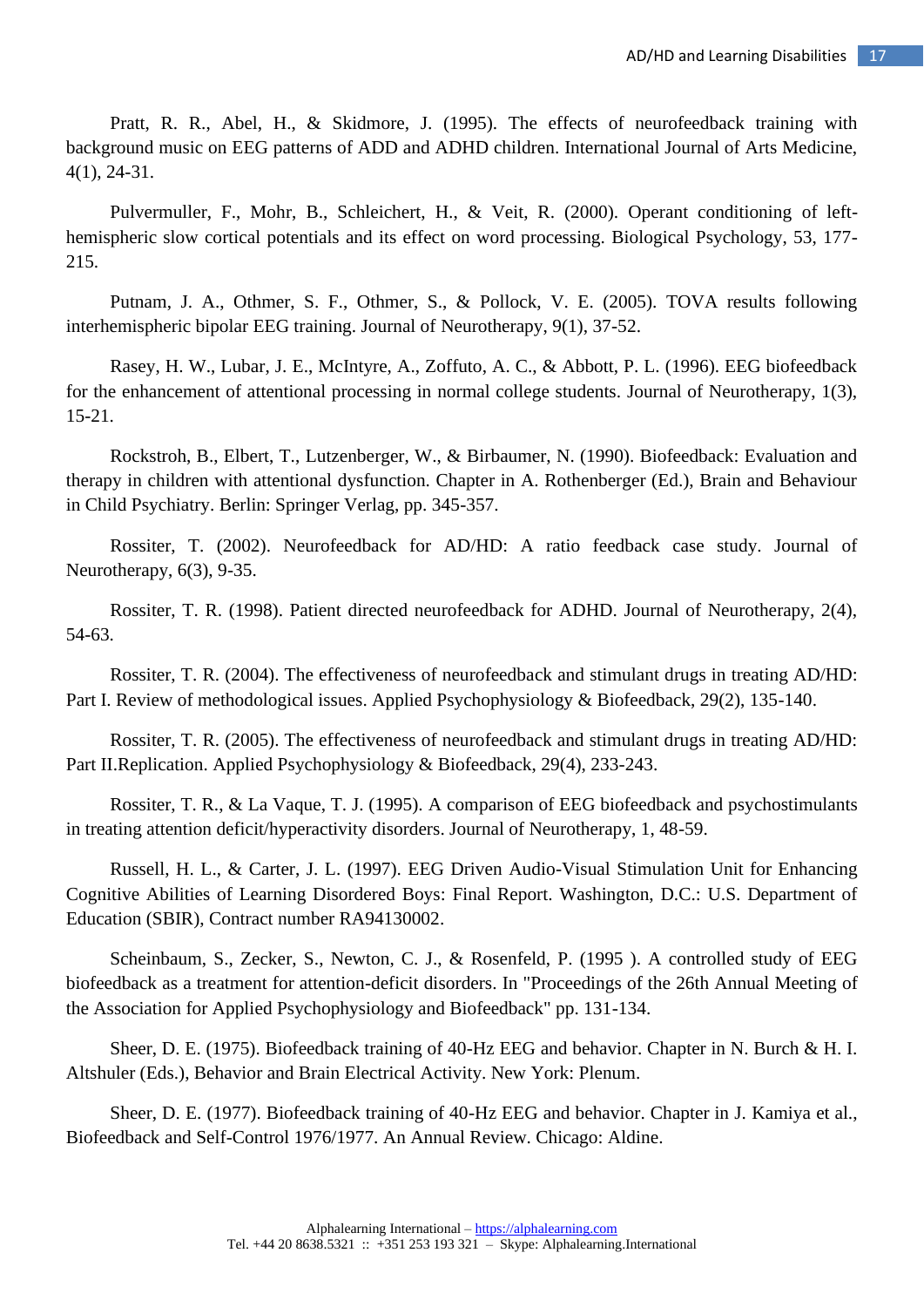Pratt, R. R., Abel, H., & Skidmore, J. (1995). The effects of neurofeedback training with background music on EEG patterns of ADD and ADHD children. International Journal of Arts Medicine, 4(1), 24-31.

Pulvermuller, F., Mohr, B., Schleichert, H., & Veit, R. (2000). Operant conditioning of lefthemispheric slow cortical potentials and its effect on word processing. Biological Psychology, 53, 177- 215.

Putnam, J. A., Othmer, S. F., Othmer, S., & Pollock, V. E. (2005). TOVA results following interhemispheric bipolar EEG training. Journal of Neurotherapy, 9(1), 37-52.

Rasey, H. W., Lubar, J. E., McIntyre, A., Zoffuto, A. C., & Abbott, P. L. (1996). EEG biofeedback for the enhancement of attentional processing in normal college students. Journal of Neurotherapy, 1(3), 15-21.

Rockstroh, B., Elbert, T., Lutzenberger, W., & Birbaumer, N. (1990). Biofeedback: Evaluation and therapy in children with attentional dysfunction. Chapter in A. Rothenberger (Ed.), Brain and Behaviour in Child Psychiatry. Berlin: Springer Verlag, pp. 345-357.

Rossiter, T. (2002). Neurofeedback for AD/HD: A ratio feedback case study. Journal of Neurotherapy, 6(3), 9-35.

Rossiter, T. R. (1998). Patient directed neurofeedback for ADHD. Journal of Neurotherapy, 2(4), 54-63.

Rossiter, T. R. (2004). The effectiveness of neurofeedback and stimulant drugs in treating AD/HD: Part I. Review of methodological issues. Applied Psychophysiology & Biofeedback, 29(2), 135-140.

Rossiter, T. R. (2005). The effectiveness of neurofeedback and stimulant drugs in treating AD/HD: Part II.Replication. Applied Psychophysiology & Biofeedback, 29(4), 233-243.

Rossiter, T. R., & La Vaque, T. J. (1995). A comparison of EEG biofeedback and psychostimulants in treating attention deficit/hyperactivity disorders. Journal of Neurotherapy, 1, 48-59.

Russell, H. L., & Carter, J. L. (1997). EEG Driven Audio-Visual Stimulation Unit for Enhancing Cognitive Abilities of Learning Disordered Boys: Final Report. Washington, D.C.: U.S. Department of Education (SBIR), Contract number RA94130002.

Scheinbaum, S., Zecker, S., Newton, C. J., & Rosenfeld, P. (1995 ). A controlled study of EEG biofeedback as a treatment for attention-deficit disorders. In "Proceedings of the 26th Annual Meeting of the Association for Applied Psychophysiology and Biofeedback" pp. 131-134.

Sheer, D. E. (1975). Biofeedback training of 40-Hz EEG and behavior. Chapter in N. Burch & H. I. Altshuler (Eds.), Behavior and Brain Electrical Activity. New York: Plenum.

Sheer, D. E. (1977). Biofeedback training of 40-Hz EEG and behavior. Chapter in J. Kamiya et al., Biofeedback and Self-Control 1976/1977. An Annual Review. Chicago: Aldine.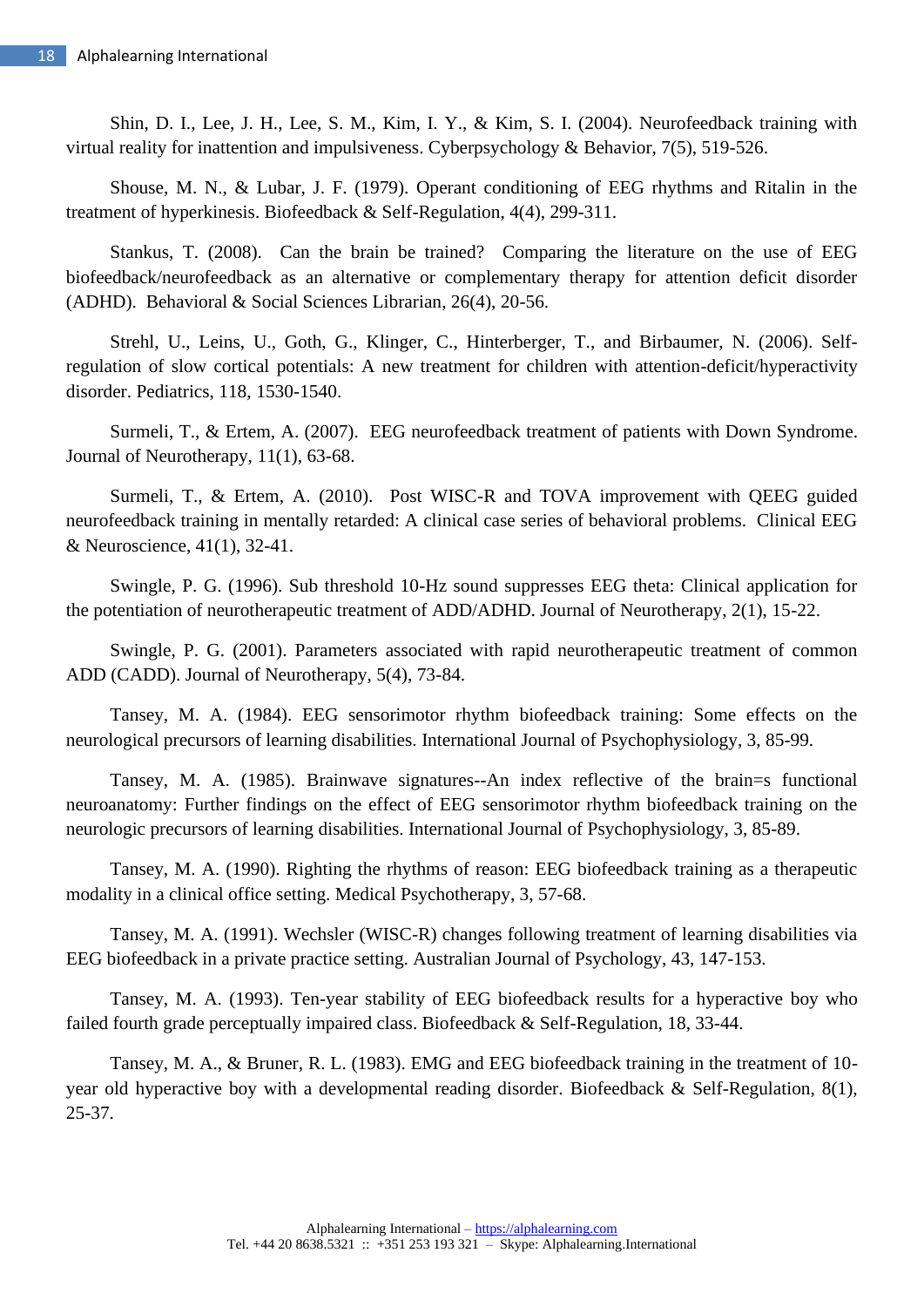Shin, D. I., Lee, J. H., Lee, S. M., Kim, I. Y., & Kim, S. I. (2004). Neurofeedback training with virtual reality for inattention and impulsiveness. Cyberpsychology & Behavior, 7(5), 519-526.

Shouse, M. N., & Lubar, J. F. (1979). Operant conditioning of EEG rhythms and Ritalin in the treatment of hyperkinesis. Biofeedback & Self-Regulation, 4(4), 299-311.

Stankus, T. (2008). Can the brain be trained? Comparing the literature on the use of EEG biofeedback/neurofeedback as an alternative or complementary therapy for attention deficit disorder (ADHD). Behavioral & Social Sciences Librarian, 26(4), 20-56.

Strehl, U., Leins, U., Goth, G., Klinger, C., Hinterberger, T., and Birbaumer, N. (2006). Selfregulation of slow cortical potentials: A new treatment for children with attention-deficit/hyperactivity disorder. Pediatrics, 118, 1530-1540.

Surmeli, T., & Ertem, A. (2007). EEG neurofeedback treatment of patients with Down Syndrome. Journal of Neurotherapy, 11(1), 63-68.

Surmeli, T., & Ertem, A. (2010). Post WISC-R and TOVA improvement with QEEG guided neurofeedback training in mentally retarded: A clinical case series of behavioral problems. Clinical EEG & Neuroscience, 41(1), 32-41.

Swingle, P. G. (1996). Sub threshold 10-Hz sound suppresses EEG theta: Clinical application for the potentiation of neurotherapeutic treatment of ADD/ADHD. Journal of Neurotherapy, 2(1), 15-22.

Swingle, P. G. (2001). Parameters associated with rapid neurotherapeutic treatment of common ADD (CADD). Journal of Neurotherapy, 5(4), 73-84.

Tansey, M. A. (1984). EEG sensorimotor rhythm biofeedback training: Some effects on the neurological precursors of learning disabilities. International Journal of Psychophysiology, 3, 85-99.

Tansey, M. A. (1985). Brainwave signatures--An index reflective of the brain=s functional neuroanatomy: Further findings on the effect of EEG sensorimotor rhythm biofeedback training on the neurologic precursors of learning disabilities. International Journal of Psychophysiology, 3, 85-89.

Tansey, M. A. (1990). Righting the rhythms of reason: EEG biofeedback training as a therapeutic modality in a clinical office setting. Medical Psychotherapy, 3, 57-68.

Tansey, M. A. (1991). Wechsler (WISC-R) changes following treatment of learning disabilities via EEG biofeedback in a private practice setting. Australian Journal of Psychology, 43, 147-153.

Tansey, M. A. (1993). Ten-year stability of EEG biofeedback results for a hyperactive boy who failed fourth grade perceptually impaired class. Biofeedback & Self-Regulation, 18, 33-44.

Tansey, M. A., & Bruner, R. L. (1983). EMG and EEG biofeedback training in the treatment of 10 year old hyperactive boy with a developmental reading disorder. Biofeedback & Self-Regulation, 8(1), 25-37.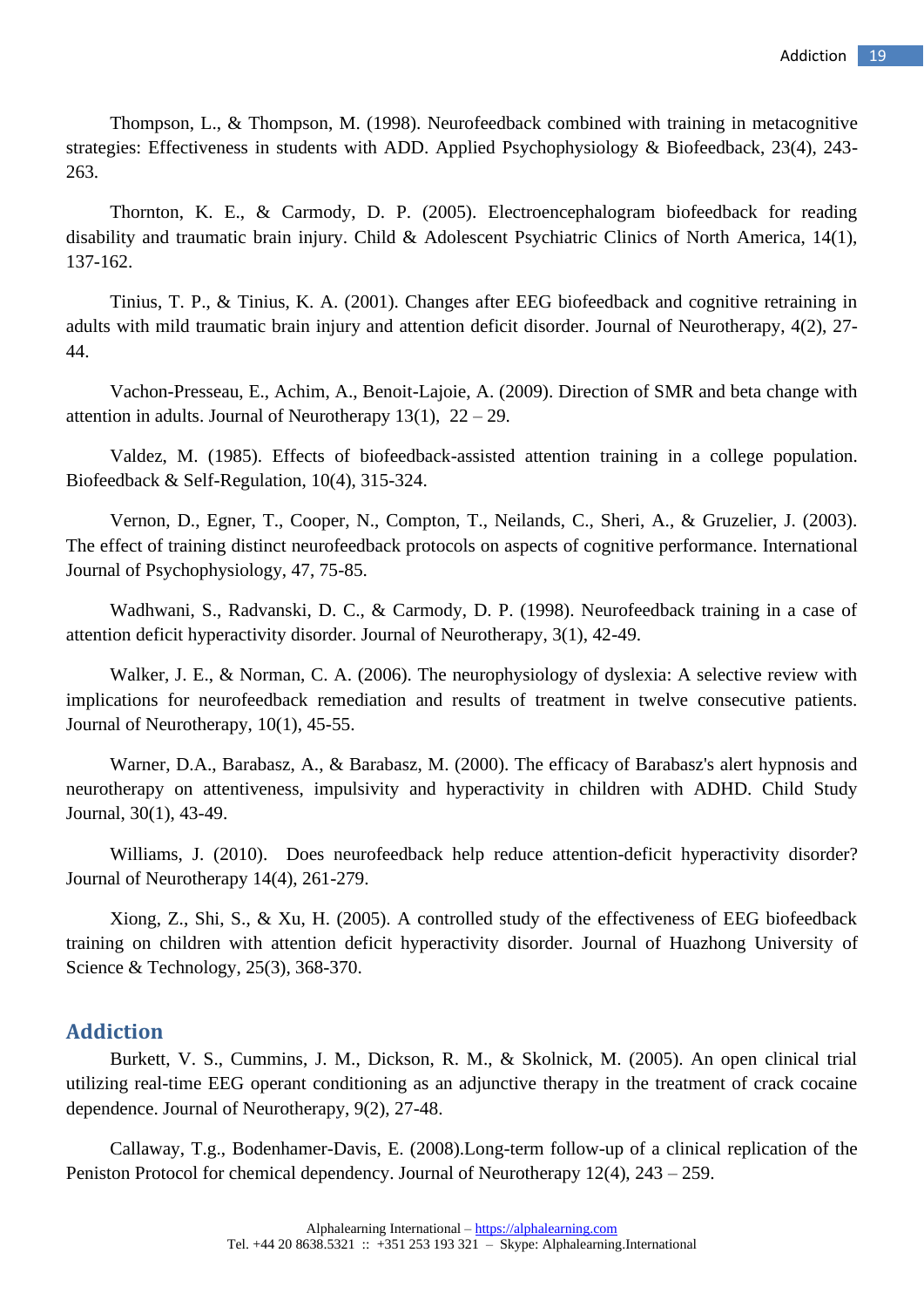Thompson, L., & Thompson, M. (1998). Neurofeedback combined with training in metacognitive strategies: Effectiveness in students with ADD. Applied Psychophysiology & Biofeedback, 23(4), 243- 263.

Thornton, K. E., & Carmody, D. P. (2005). Electroencephalogram biofeedback for reading disability and traumatic brain injury. Child & Adolescent Psychiatric Clinics of North America, 14(1), 137-162.

Tinius, T. P., & Tinius, K. A. (2001). Changes after EEG biofeedback and cognitive retraining in adults with mild traumatic brain injury and attention deficit disorder. Journal of Neurotherapy, 4(2), 27- 44.

Vachon-Presseau, E., Achim, A., Benoit-Lajoie, A. (2009). Direction of SMR and beta change with attention in adults. Journal of Neurotherapy 13(1),  $22 - 29$ .

Valdez, M. (1985). Effects of biofeedback-assisted attention training in a college population. Biofeedback & Self-Regulation, 10(4), 315-324.

Vernon, D., Egner, T., Cooper, N., Compton, T., Neilands, C., Sheri, A., & Gruzelier, J. (2003). The effect of training distinct neurofeedback protocols on aspects of cognitive performance. International Journal of Psychophysiology, 47, 75-85.

Wadhwani, S., Radvanski, D. C., & Carmody, D. P. (1998). Neurofeedback training in a case of attention deficit hyperactivity disorder. Journal of Neurotherapy, 3(1), 42-49.

Walker, J. E., & Norman, C. A. (2006). The neurophysiology of dyslexia: A selective review with implications for neurofeedback remediation and results of treatment in twelve consecutive patients. Journal of Neurotherapy, 10(1), 45-55.

Warner, D.A., Barabasz, A., & Barabasz, M. (2000). The efficacy of Barabasz's alert hypnosis and neurotherapy on attentiveness, impulsivity and hyperactivity in children with ADHD. Child Study Journal, 30(1), 43-49.

Williams, J. (2010). Does neurofeedback help reduce attention-deficit hyperactivity disorder? Journal of Neurotherapy 14(4), 261-279.

Xiong, Z., Shi, S., & Xu, H. (2005). A controlled study of the effectiveness of EEG biofeedback training on children with attention deficit hyperactivity disorder. Journal of Huazhong University of Science & Technology, 25(3), 368-370.

#### <span id="page-18-0"></span>**Addiction**

Burkett, V. S., Cummins, J. M., Dickson, R. M., & Skolnick, M. (2005). An open clinical trial utilizing real-time EEG operant conditioning as an adjunctive therapy in the treatment of crack cocaine dependence. Journal of Neurotherapy, 9(2), 27-48.

Callaway, T.g., Bodenhamer-Davis, E. (2008).Long-term follow-up of a clinical replication of the Peniston Protocol for chemical dependency. Journal of Neurotherapy 12(4), 243 – 259.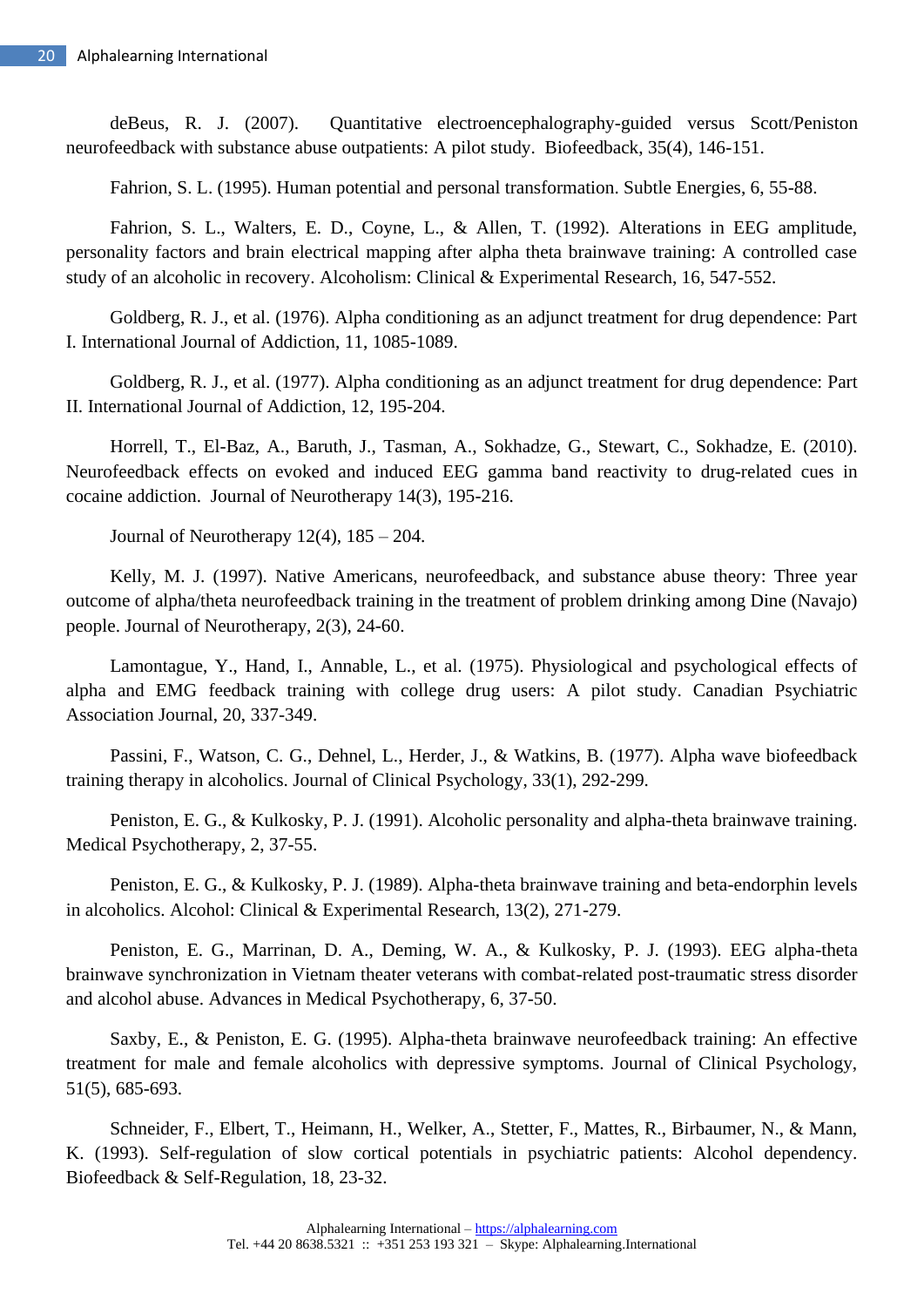deBeus, R. J. (2007). Quantitative electroencephalography-guided versus Scott/Peniston neurofeedback with substance abuse outpatients: A pilot study. Biofeedback, 35(4), 146-151.

Fahrion, S. L. (1995). Human potential and personal transformation. Subtle Energies, 6, 55-88.

Fahrion, S. L., Walters, E. D., Coyne, L., & Allen, T. (1992). Alterations in EEG amplitude, personality factors and brain electrical mapping after alpha theta brainwave training: A controlled case study of an alcoholic in recovery. Alcoholism: Clinical & Experimental Research, 16, 547-552.

Goldberg, R. J., et al. (1976). Alpha conditioning as an adjunct treatment for drug dependence: Part I. International Journal of Addiction, 11, 1085-1089.

Goldberg, R. J., et al. (1977). Alpha conditioning as an adjunct treatment for drug dependence: Part II. International Journal of Addiction, 12, 195-204.

Horrell, T., El-Baz, A., Baruth, J., Tasman, A., Sokhadze, G., Stewart, C., Sokhadze, E. (2010). Neurofeedback effects on evoked and induced EEG gamma band reactivity to drug-related cues in cocaine addiction. Journal of Neurotherapy 14(3), 195-216.

Journal of Neurotherapy  $12(4)$ ,  $185 - 204$ .

Kelly, M. J. (1997). Native Americans, neurofeedback, and substance abuse theory: Three year outcome of alpha/theta neurofeedback training in the treatment of problem drinking among Dine (Navajo) people. Journal of Neurotherapy, 2(3), 24-60.

Lamontague, Y., Hand, I., Annable, L., et al. (1975). Physiological and psychological effects of alpha and EMG feedback training with college drug users: A pilot study. Canadian Psychiatric Association Journal, 20, 337-349.

Passini, F., Watson, C. G., Dehnel, L., Herder, J., & Watkins, B. (1977). Alpha wave biofeedback training therapy in alcoholics. Journal of Clinical Psychology, 33(1), 292-299.

Peniston, E. G., & Kulkosky, P. J. (1991). Alcoholic personality and alpha-theta brainwave training. Medical Psychotherapy, 2, 37-55.

Peniston, E. G., & Kulkosky, P. J. (1989). Alpha-theta brainwave training and beta-endorphin levels in alcoholics. Alcohol: Clinical & Experimental Research, 13(2), 271-279.

Peniston, E. G., Marrinan, D. A., Deming, W. A., & Kulkosky, P. J. (1993). EEG alpha-theta brainwave synchronization in Vietnam theater veterans with combat-related post-traumatic stress disorder and alcohol abuse. Advances in Medical Psychotherapy, 6, 37-50.

Saxby, E., & Peniston, E. G. (1995). Alpha-theta brainwave neurofeedback training: An effective treatment for male and female alcoholics with depressive symptoms. Journal of Clinical Psychology, 51(5), 685-693.

Schneider, F., Elbert, T., Heimann, H., Welker, A., Stetter, F., Mattes, R., Birbaumer, N., & Mann, K. (1993). Self-regulation of slow cortical potentials in psychiatric patients: Alcohol dependency. Biofeedback & Self-Regulation, 18, 23-32.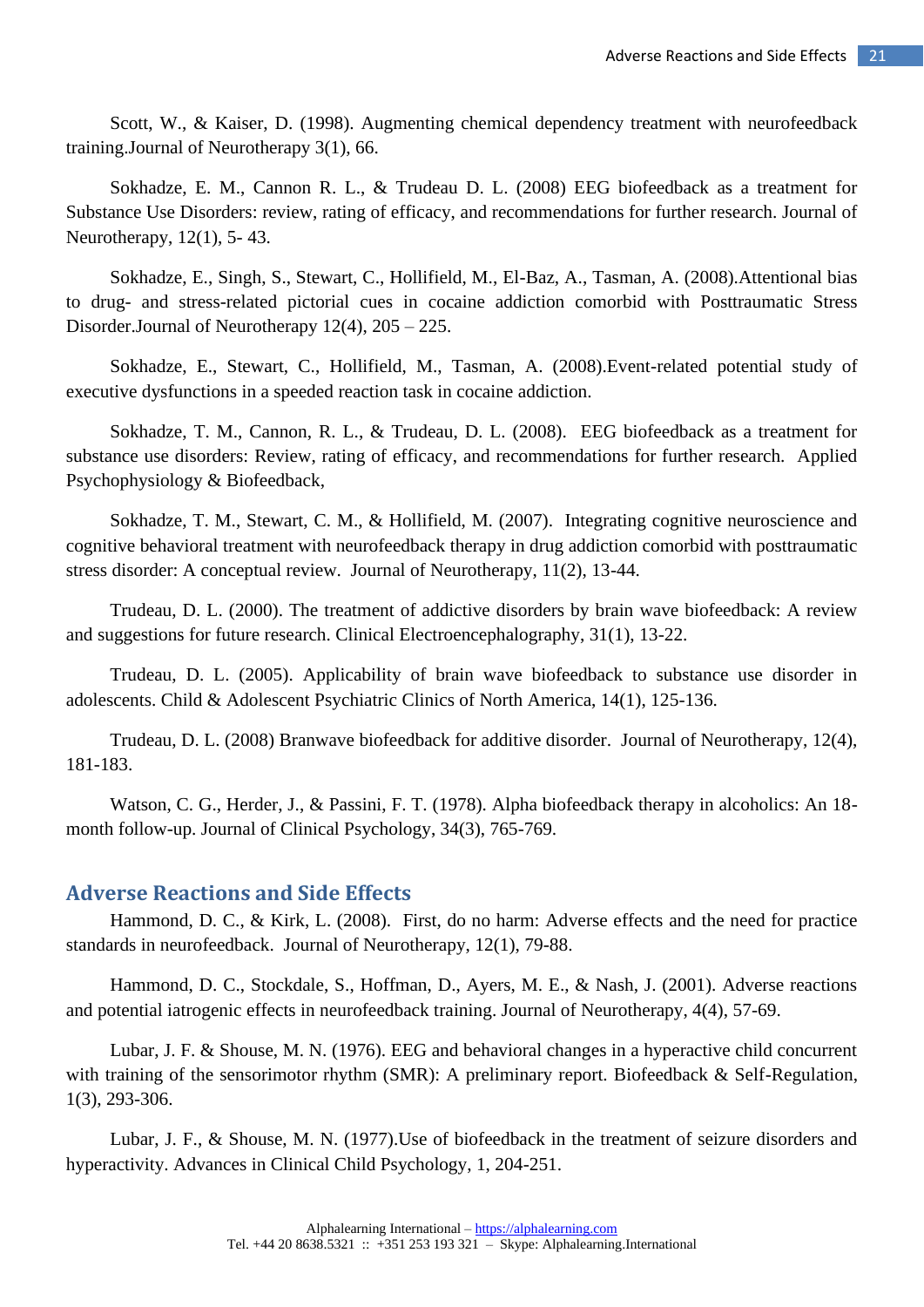Scott, W., & Kaiser, D. (1998). Augmenting chemical dependency treatment with neurofeedback training.Journal of Neurotherapy 3(1), 66.

Sokhadze, E. M., Cannon R. L., & Trudeau D. L. (2008) EEG biofeedback as a treatment for Substance Use Disorders: review, rating of efficacy, and recommendations for further research. Journal of Neurotherapy, 12(1), 5- 43.

Sokhadze, E., Singh, S., Stewart, C., Hollifield, M., El-Baz, A., Tasman, A. (2008).Attentional bias to drug- and stress-related pictorial cues in cocaine addiction comorbid with Posttraumatic Stress Disorder.Journal of Neurotherapy 12(4), 205 – 225.

Sokhadze, E., Stewart, C., Hollifield, M., Tasman, A. (2008).Event-related potential study of executive dysfunctions in a speeded reaction task in cocaine addiction.

Sokhadze, T. M., Cannon, R. L., & Trudeau, D. L. (2008). EEG biofeedback as a treatment for substance use disorders: Review, rating of efficacy, and recommendations for further research. Applied Psychophysiology & Biofeedback,

Sokhadze, T. M., Stewart, C. M., & Hollifield, M. (2007). Integrating cognitive neuroscience and cognitive behavioral treatment with neurofeedback therapy in drug addiction comorbid with posttraumatic stress disorder: A conceptual review. Journal of Neurotherapy, 11(2), 13-44.

Trudeau, D. L. (2000). The treatment of addictive disorders by brain wave biofeedback: A review and suggestions for future research. Clinical Electroencephalography, 31(1), 13-22.

Trudeau, D. L. (2005). Applicability of brain wave biofeedback to substance use disorder in adolescents. Child & Adolescent Psychiatric Clinics of North America, 14(1), 125-136.

Trudeau, D. L. (2008) Branwave biofeedback for additive disorder. Journal of Neurotherapy, 12(4), 181-183.

Watson, C. G., Herder, J., & Passini, F. T. (1978). Alpha biofeedback therapy in alcoholics: An 18 month follow-up. Journal of Clinical Psychology, 34(3), 765-769.

#### <span id="page-20-0"></span>**Adverse Reactions and Side Effects**

Hammond, D. C., & Kirk, L. (2008). First, do no harm: Adverse effects and the need for practice standards in neurofeedback. Journal of Neurotherapy, 12(1), 79-88.

Hammond, D. C., Stockdale, S., Hoffman, D., Ayers, M. E., & Nash, J. (2001). Adverse reactions and potential iatrogenic effects in neurofeedback training. Journal of Neurotherapy, 4(4), 57-69.

Lubar, J. F. & Shouse, M. N. (1976). EEG and behavioral changes in a hyperactive child concurrent with training of the sensorimotor rhythm (SMR): A preliminary report. Biofeedback & Self-Regulation, 1(3), 293-306.

Lubar, J. F., & Shouse, M. N. (1977).Use of biofeedback in the treatment of seizure disorders and hyperactivity. Advances in Clinical Child Psychology, 1, 204-251.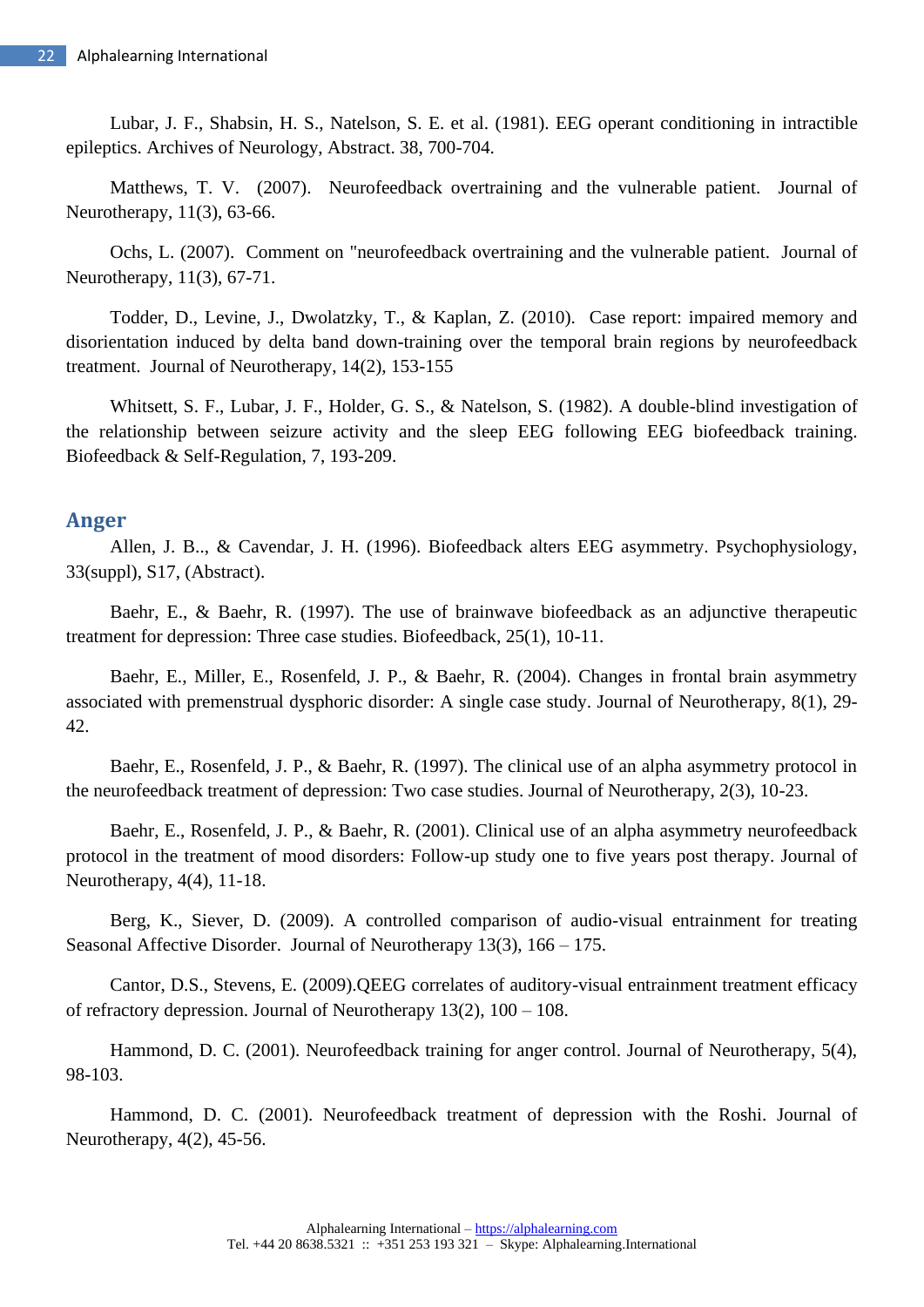Lubar, J. F., Shabsin, H. S., Natelson, S. E. et al. (1981). EEG operant conditioning in intractible epileptics. Archives of Neurology, Abstract. 38, 700-704.

Matthews, T. V. (2007). Neurofeedback overtraining and the vulnerable patient. Journal of Neurotherapy, 11(3), 63-66.

Ochs, L. (2007). Comment on "neurofeedback overtraining and the vulnerable patient. Journal of Neurotherapy, 11(3), 67-71.

Todder, D., Levine, J., Dwolatzky, T., & Kaplan, Z. (2010). Case report: impaired memory and disorientation induced by delta band down-training over the temporal brain regions by neurofeedback treatment. Journal of Neurotherapy, 14(2), 153-155

Whitsett, S. F., Lubar, J. F., Holder, G. S., & Natelson, S. (1982). A double-blind investigation of the relationship between seizure activity and the sleep EEG following EEG biofeedback training. Biofeedback & Self-Regulation, 7, 193-209.

#### <span id="page-21-0"></span>**Anger**

Allen, J. B.., & Cavendar, J. H. (1996). Biofeedback alters EEG asymmetry. Psychophysiology, 33(suppl), S17, (Abstract).

Baehr, E., & Baehr, R. (1997). The use of brainwave biofeedback as an adjunctive therapeutic treatment for depression: Three case studies. Biofeedback, 25(1), 10-11.

Baehr, E., Miller, E., Rosenfeld, J. P., & Baehr, R. (2004). Changes in frontal brain asymmetry associated with premenstrual dysphoric disorder: A single case study. Journal of Neurotherapy, 8(1), 29- 42.

Baehr, E., Rosenfeld, J. P., & Baehr, R. (1997). The clinical use of an alpha asymmetry protocol in the neurofeedback treatment of depression: Two case studies. Journal of Neurotherapy, 2(3), 10-23.

Baehr, E., Rosenfeld, J. P., & Baehr, R. (2001). Clinical use of an alpha asymmetry neurofeedback protocol in the treatment of mood disorders: Follow-up study one to five years post therapy. Journal of Neurotherapy, 4(4), 11-18.

Berg, K., Siever, D. (2009). A controlled comparison of audio-visual entrainment for treating Seasonal Affective Disorder. Journal of Neurotherapy 13(3), 166 – 175.

Cantor, D.S., Stevens, E. (2009).QEEG correlates of auditory-visual entrainment treatment efficacy of refractory depression. Journal of Neurotherapy 13(2), 100 – 108.

Hammond, D. C. (2001). Neurofeedback training for anger control. Journal of Neurotherapy, 5(4), 98-103.

Hammond, D. C. (2001). Neurofeedback treatment of depression with the Roshi. Journal of Neurotherapy, 4(2), 45-56.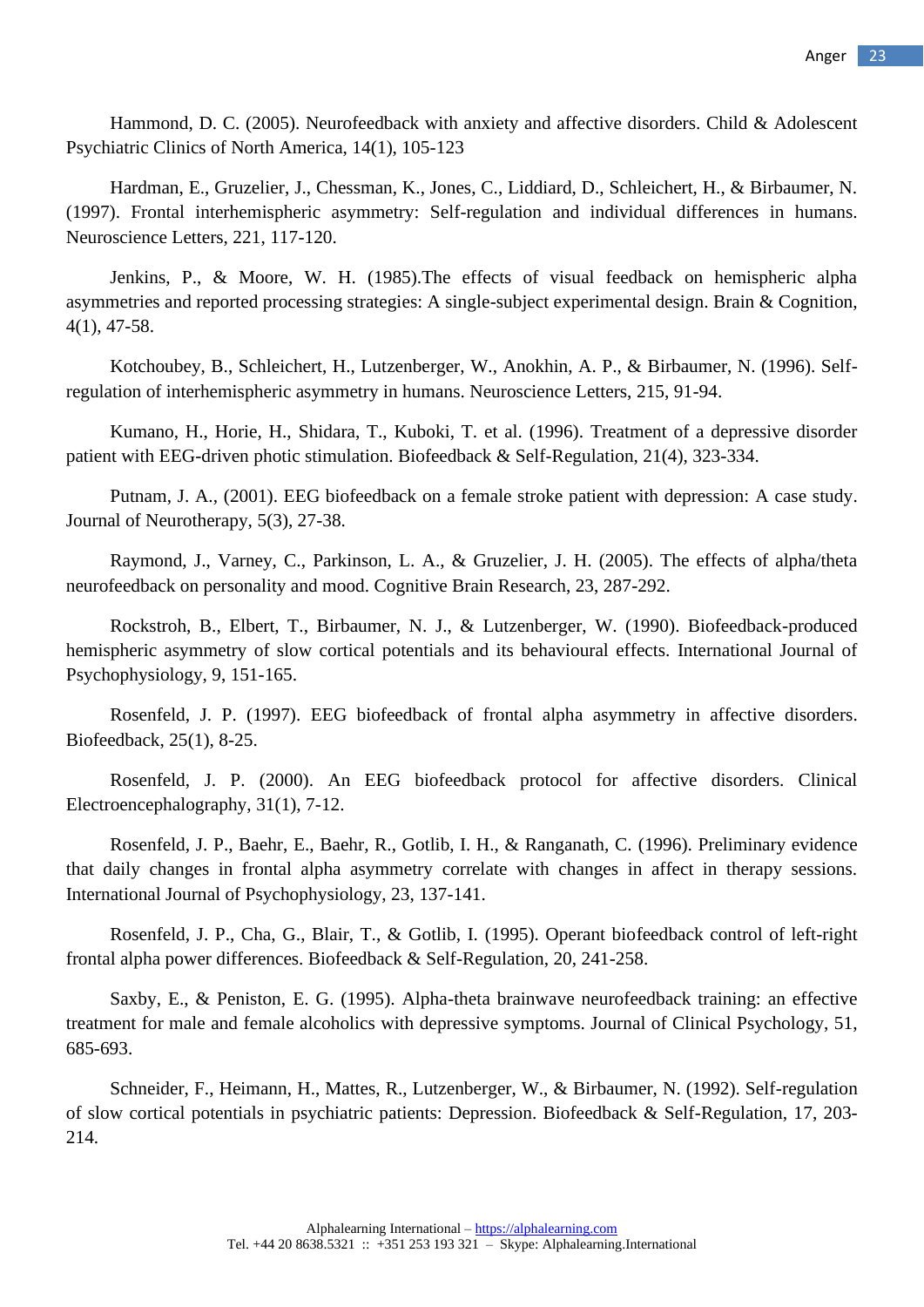Hammond, D. C. (2005). Neurofeedback with anxiety and affective disorders. Child & Adolescent Psychiatric Clinics of North America, 14(1), 105-123

Hardman, E., Gruzelier, J., Chessman, K., Jones, C., Liddiard, D., Schleichert, H., & Birbaumer, N. (1997). Frontal interhemispheric asymmetry: Self-regulation and individual differences in humans. Neuroscience Letters, 221, 117-120.

Jenkins, P., & Moore, W. H. (1985).The effects of visual feedback on hemispheric alpha asymmetries and reported processing strategies: A single-subject experimental design. Brain & Cognition, 4(1), 47-58.

Kotchoubey, B., Schleichert, H., Lutzenberger, W., Anokhin, A. P., & Birbaumer, N. (1996). Selfregulation of interhemispheric asymmetry in humans. Neuroscience Letters, 215, 91-94.

Kumano, H., Horie, H., Shidara, T., Kuboki, T. et al. (1996). Treatment of a depressive disorder patient with EEG-driven photic stimulation. Biofeedback & Self-Regulation, 21(4), 323-334.

Putnam, J. A., (2001). EEG biofeedback on a female stroke patient with depression: A case study. Journal of Neurotherapy, 5(3), 27-38.

Raymond, J., Varney, C., Parkinson, L. A., & Gruzelier, J. H. (2005). The effects of alpha/theta neurofeedback on personality and mood. Cognitive Brain Research, 23, 287-292.

Rockstroh, B., Elbert, T., Birbaumer, N. J., & Lutzenberger, W. (1990). Biofeedback-produced hemispheric asymmetry of slow cortical potentials and its behavioural effects. International Journal of Psychophysiology, 9, 151-165.

Rosenfeld, J. P. (1997). EEG biofeedback of frontal alpha asymmetry in affective disorders. Biofeedback, 25(1), 8-25.

Rosenfeld, J. P. (2000). An EEG biofeedback protocol for affective disorders. Clinical Electroencephalography, 31(1), 7-12.

Rosenfeld, J. P., Baehr, E., Baehr, R., Gotlib, I. H., & Ranganath, C. (1996). Preliminary evidence that daily changes in frontal alpha asymmetry correlate with changes in affect in therapy sessions. International Journal of Psychophysiology, 23, 137-141.

Rosenfeld, J. P., Cha, G., Blair, T., & Gotlib, I. (1995). Operant biofeedback control of left-right frontal alpha power differences. Biofeedback & Self-Regulation, 20, 241-258.

Saxby, E., & Peniston, E. G. (1995). Alpha-theta brainwave neurofeedback training: an effective treatment for male and female alcoholics with depressive symptoms. Journal of Clinical Psychology, 51, 685-693.

Schneider, F., Heimann, H., Mattes, R., Lutzenberger, W., & Birbaumer, N. (1992). Self-regulation of slow cortical potentials in psychiatric patients: Depression. Biofeedback & Self-Regulation, 17, 203- 214.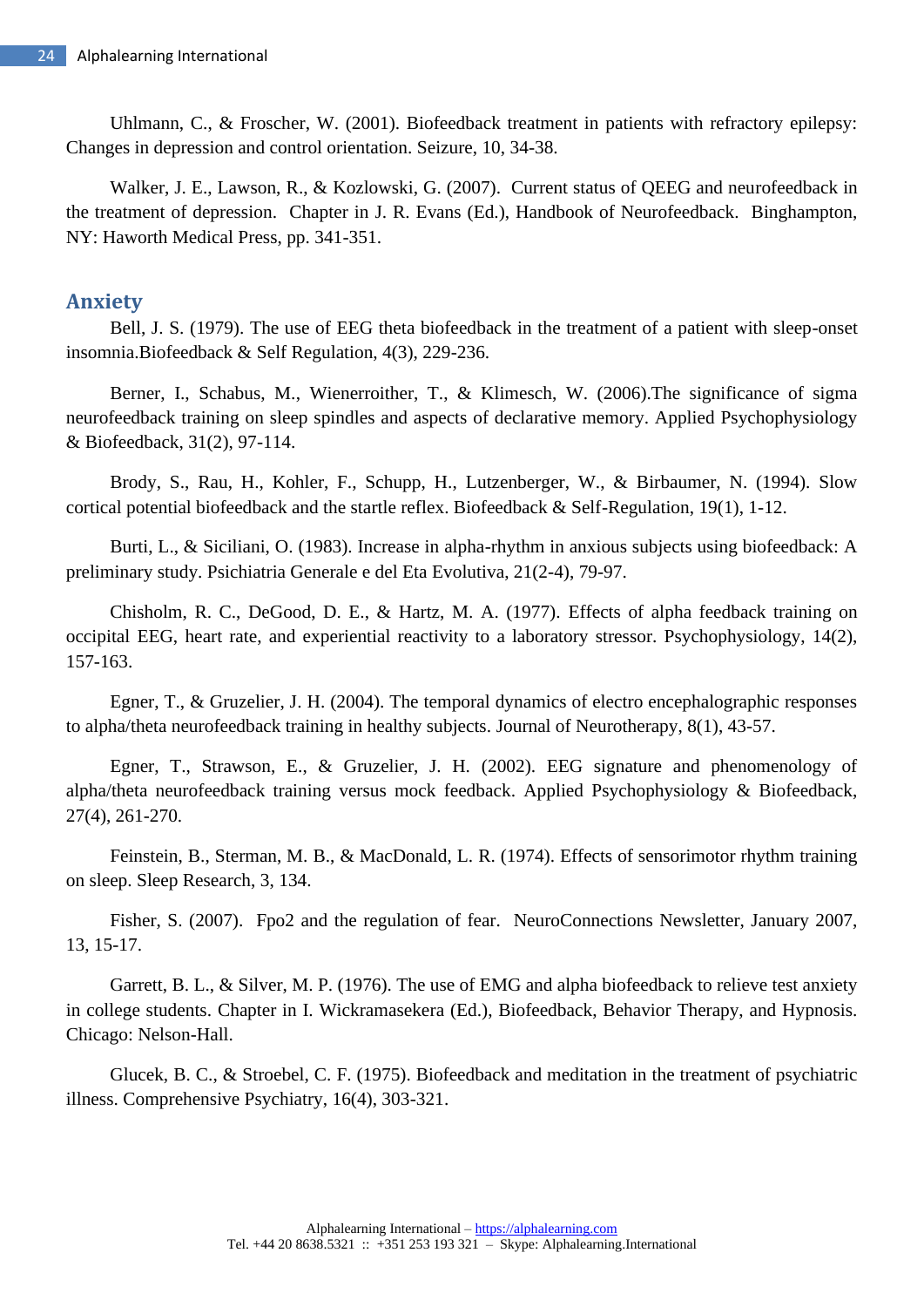Uhlmann, C., & Froscher, W. (2001). Biofeedback treatment in patients with refractory epilepsy: Changes in depression and control orientation. Seizure, 10, 34-38.

Walker, J. E., Lawson, R., & Kozlowski, G. (2007). Current status of QEEG and neurofeedback in the treatment of depression. Chapter in J. R. Evans (Ed.), Handbook of Neurofeedback. Binghampton, NY: Haworth Medical Press, pp. 341-351.

#### <span id="page-23-0"></span>**Anxiety**

Bell, J. S. (1979). The use of EEG theta biofeedback in the treatment of a patient with sleep-onset insomnia.Biofeedback & Self Regulation, 4(3), 229-236.

Berner, I., Schabus, M., Wienerroither, T., & Klimesch, W. (2006).The significance of sigma neurofeedback training on sleep spindles and aspects of declarative memory. Applied Psychophysiology & Biofeedback, 31(2), 97-114.

Brody, S., Rau, H., Kohler, F., Schupp, H., Lutzenberger, W., & Birbaumer, N. (1994). Slow cortical potential biofeedback and the startle reflex. Biofeedback & Self-Regulation, 19(1), 1-12.

Burti, L., & Siciliani, O. (1983). Increase in alpha-rhythm in anxious subjects using biofeedback: A preliminary study. Psichiatria Generale e del Eta Evolutiva, 21(2-4), 79-97.

Chisholm, R. C., DeGood, D. E., & Hartz, M. A. (1977). Effects of alpha feedback training on occipital EEG, heart rate, and experiential reactivity to a laboratory stressor. Psychophysiology, 14(2), 157-163.

Egner, T., & Gruzelier, J. H. (2004). The temporal dynamics of electro encephalographic responses to alpha/theta neurofeedback training in healthy subjects. Journal of Neurotherapy, 8(1), 43-57.

Egner, T., Strawson, E., & Gruzelier, J. H. (2002). EEG signature and phenomenology of alpha/theta neurofeedback training versus mock feedback. Applied Psychophysiology & Biofeedback, 27(4), 261-270.

Feinstein, B., Sterman, M. B., & MacDonald, L. R. (1974). Effects of sensorimotor rhythm training on sleep. Sleep Research, 3, 134.

Fisher, S. (2007). Fpo2 and the regulation of fear. NeuroConnections Newsletter, January 2007, 13, 15-17.

Garrett, B. L., & Silver, M. P. (1976). The use of EMG and alpha biofeedback to relieve test anxiety in college students. Chapter in I. Wickramasekera (Ed.), Biofeedback, Behavior Therapy, and Hypnosis. Chicago: Nelson-Hall.

Glucek, B. C., & Stroebel, C. F. (1975). Biofeedback and meditation in the treatment of psychiatric illness. Comprehensive Psychiatry, 16(4), 303-321.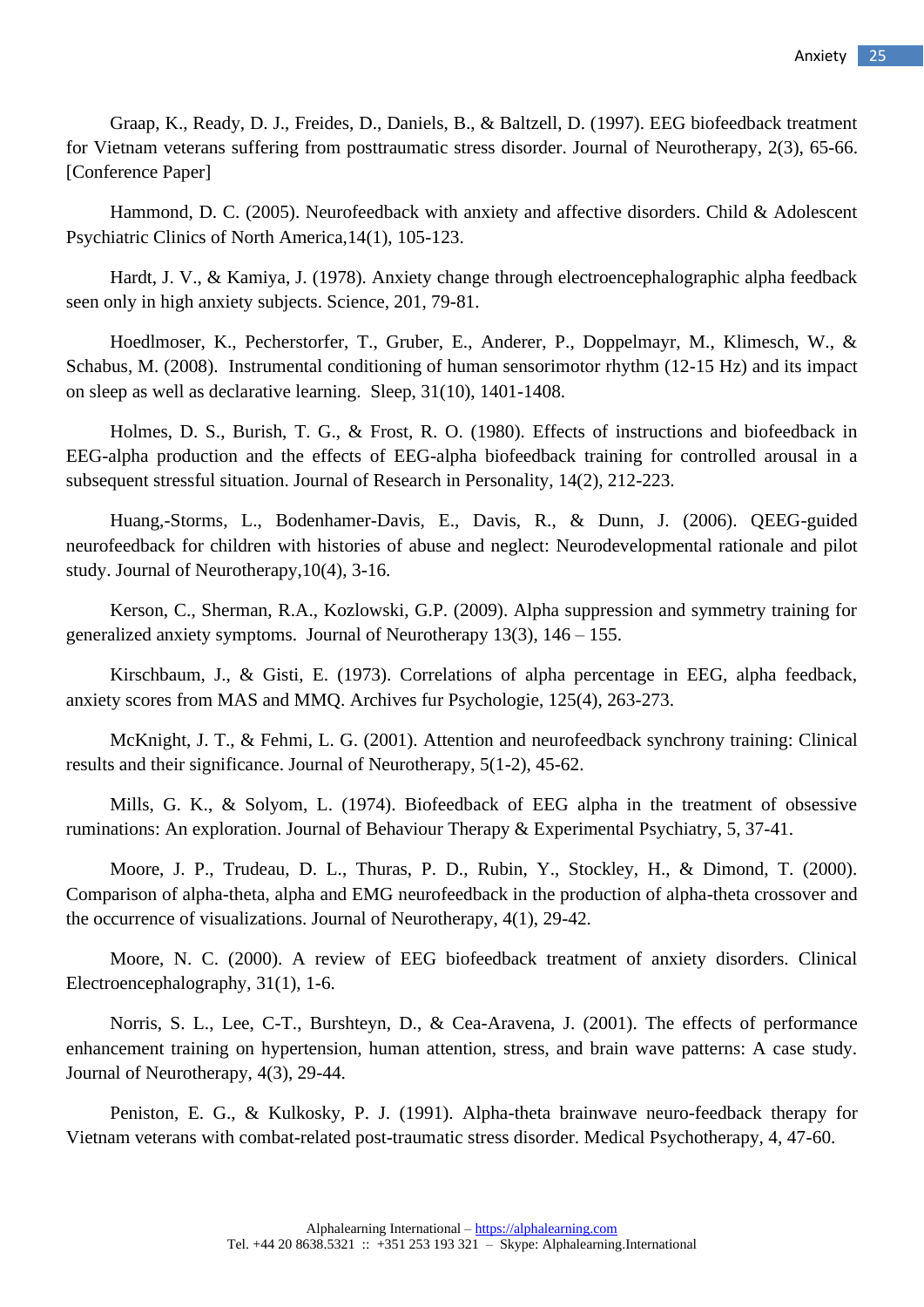Graap, K., Ready, D. J., Freides, D., Daniels, B., & Baltzell, D. (1997). EEG biofeedback treatment for Vietnam veterans suffering from posttraumatic stress disorder. Journal of Neurotherapy, 2(3), 65-66. [Conference Paper]

Hammond, D. C. (2005). Neurofeedback with anxiety and affective disorders. Child & Adolescent Psychiatric Clinics of North America,14(1), 105-123.

Hardt, J. V., & Kamiya, J. (1978). Anxiety change through electroencephalographic alpha feedback seen only in high anxiety subjects. Science, 201, 79-81.

Hoedlmoser, K., Pecherstorfer, T., Gruber, E., Anderer, P., Doppelmayr, M., Klimesch, W., & Schabus, M. (2008). Instrumental conditioning of human sensorimotor rhythm (12-15 Hz) and its impact on sleep as well as declarative learning. Sleep, 31(10), 1401-1408.

Holmes, D. S., Burish, T. G., & Frost, R. O. (1980). Effects of instructions and biofeedback in EEG-alpha production and the effects of EEG-alpha biofeedback training for controlled arousal in a subsequent stressful situation. Journal of Research in Personality, 14(2), 212-223.

Huang,-Storms, L., Bodenhamer-Davis, E., Davis, R., & Dunn, J. (2006). QEEG-guided neurofeedback for children with histories of abuse and neglect: Neurodevelopmental rationale and pilot study. Journal of Neurotherapy,10(4), 3-16.

Kerson, C., Sherman, R.A., Kozlowski, G.P. (2009). Alpha suppression and symmetry training for generalized anxiety symptoms. Journal of Neurotherapy 13(3), 146 – 155.

Kirschbaum, J., & Gisti, E. (1973). Correlations of alpha percentage in EEG, alpha feedback, anxiety scores from MAS and MMQ. Archives fur Psychologie, 125(4), 263-273.

McKnight, J. T., & Fehmi, L. G. (2001). Attention and neurofeedback synchrony training: Clinical results and their significance. Journal of Neurotherapy, 5(1-2), 45-62.

Mills, G. K., & Solyom, L. (1974). Biofeedback of EEG alpha in the treatment of obsessive ruminations: An exploration. Journal of Behaviour Therapy & Experimental Psychiatry, 5, 37-41.

Moore, J. P., Trudeau, D. L., Thuras, P. D., Rubin, Y., Stockley, H., & Dimond, T. (2000). Comparison of alpha-theta, alpha and EMG neurofeedback in the production of alpha-theta crossover and the occurrence of visualizations. Journal of Neurotherapy, 4(1), 29-42.

Moore, N. C. (2000). A review of EEG biofeedback treatment of anxiety disorders. Clinical Electroencephalography, 31(1), 1-6.

Norris, S. L., Lee, C-T., Burshteyn, D., & Cea-Aravena, J. (2001). The effects of performance enhancement training on hypertension, human attention, stress, and brain wave patterns: A case study. Journal of Neurotherapy, 4(3), 29-44.

Peniston, E. G., & Kulkosky, P. J. (1991). Alpha-theta brainwave neuro-feedback therapy for Vietnam veterans with combat-related post-traumatic stress disorder. Medical Psychotherapy, 4, 47-60.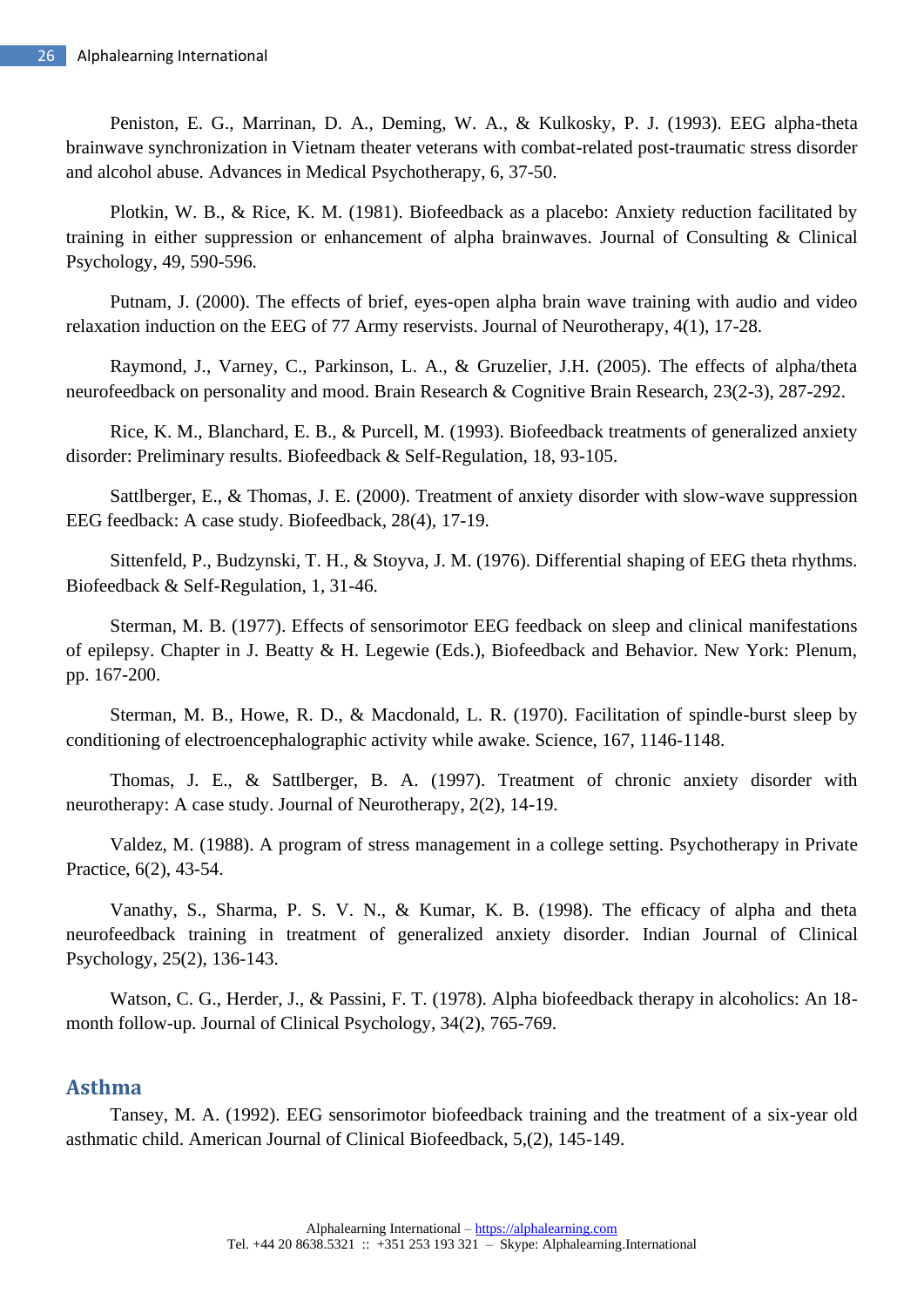Peniston, E. G., Marrinan, D. A., Deming, W. A., & Kulkosky, P. J. (1993). EEG alpha-theta brainwave synchronization in Vietnam theater veterans with combat-related post-traumatic stress disorder and alcohol abuse. Advances in Medical Psychotherapy, 6, 37-50.

Plotkin, W. B., & Rice, K. M. (1981). Biofeedback as a placebo: Anxiety reduction facilitated by training in either suppression or enhancement of alpha brainwaves. Journal of Consulting & Clinical Psychology, 49, 590-596.

Putnam, J. (2000). The effects of brief, eyes-open alpha brain wave training with audio and video relaxation induction on the EEG of 77 Army reservists. Journal of Neurotherapy, 4(1), 17-28.

Raymond, J., Varney, C., Parkinson, L. A., & Gruzelier, J.H. (2005). The effects of alpha/theta neurofeedback on personality and mood. Brain Research & Cognitive Brain Research, 23(2-3), 287-292.

Rice, K. M., Blanchard, E. B., & Purcell, M. (1993). Biofeedback treatments of generalized anxiety disorder: Preliminary results. Biofeedback & Self-Regulation, 18, 93-105.

Sattlberger, E., & Thomas, J. E. (2000). Treatment of anxiety disorder with slow-wave suppression EEG feedback: A case study. Biofeedback, 28(4), 17-19.

Sittenfeld, P., Budzynski, T. H., & Stoyva, J. M. (1976). Differential shaping of EEG theta rhythms. Biofeedback & Self-Regulation, 1, 31-46.

Sterman, M. B. (1977). Effects of sensorimotor EEG feedback on sleep and clinical manifestations of epilepsy. Chapter in J. Beatty & H. Legewie (Eds.), Biofeedback and Behavior. New York: Plenum, pp. 167-200.

Sterman, M. B., Howe, R. D., & Macdonald, L. R. (1970). Facilitation of spindle-burst sleep by conditioning of electroencephalographic activity while awake. Science, 167, 1146-1148.

Thomas, J. E., & Sattlberger, B. A. (1997). Treatment of chronic anxiety disorder with neurotherapy: A case study. Journal of Neurotherapy, 2(2), 14-19.

Valdez, M. (1988). A program of stress management in a college setting. Psychotherapy in Private Practice, 6(2), 43-54.

Vanathy, S., Sharma, P. S. V. N., & Kumar, K. B. (1998). The efficacy of alpha and theta neurofeedback training in treatment of generalized anxiety disorder. Indian Journal of Clinical Psychology, 25(2), 136-143.

Watson, C. G., Herder, J., & Passini, F. T. (1978). Alpha biofeedback therapy in alcoholics: An 18 month follow-up. Journal of Clinical Psychology, 34(2), 765-769.

#### <span id="page-25-0"></span>**Asthma**

Tansey, M. A. (1992). EEG sensorimotor biofeedback training and the treatment of a six-year old asthmatic child. American Journal of Clinical Biofeedback, 5,(2), 145-149.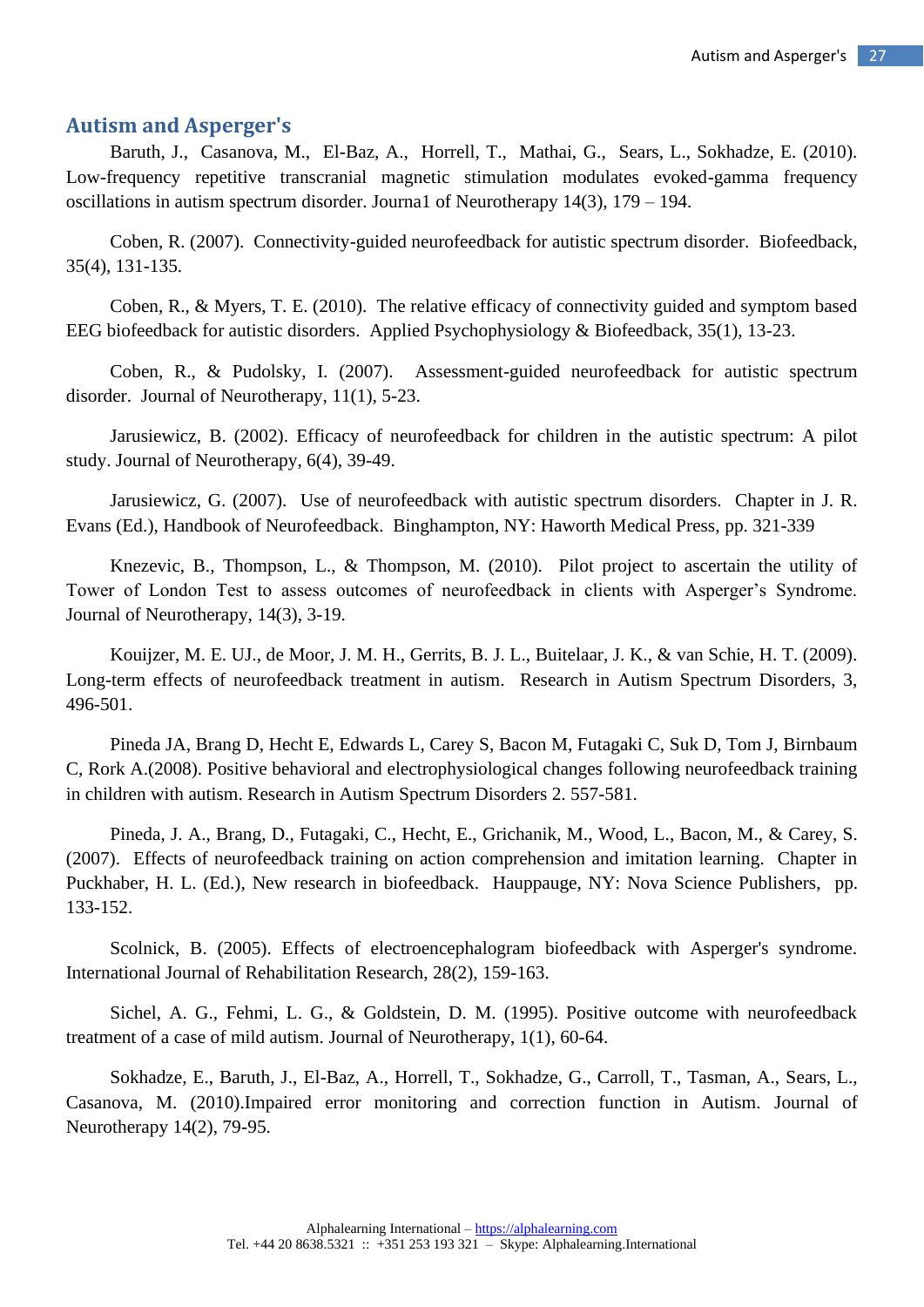#### <span id="page-26-0"></span>**Autism and Asperger's**

Baruth, J., Casanova, M., El-Baz, A., Horrell, T., Mathai, G., Sears, L., Sokhadze, E. (2010). Low-frequency repetitive transcranial magnetic stimulation modulates evoked-gamma frequency oscillations in autism spectrum disorder. Journa1 of Neurotherapy 14(3), 179 – 194.

Coben, R. (2007). Connectivity-guided neurofeedback for autistic spectrum disorder. Biofeedback, 35(4), 131-135.

Coben, R., & Myers, T. E. (2010). The relative efficacy of connectivity guided and symptom based EEG biofeedback for autistic disorders. Applied Psychophysiology & Biofeedback, 35(1), 13-23.

Coben, R., & Pudolsky, I. (2007). Assessment-guided neurofeedback for autistic spectrum disorder. Journal of Neurotherapy, 11(1), 5-23.

Jarusiewicz, B. (2002). Efficacy of neurofeedback for children in the autistic spectrum: A pilot study. Journal of Neurotherapy, 6(4), 39-49.

Jarusiewicz, G. (2007). Use of neurofeedback with autistic spectrum disorders. Chapter in J. R. Evans (Ed.), Handbook of Neurofeedback. Binghampton, NY: Haworth Medical Press, pp. 321-339

Knezevic, B., Thompson, L., & Thompson, M. (2010). Pilot project to ascertain the utility of Tower of London Test to assess outcomes of neurofeedback in clients with Asperger's Syndrome. Journal of Neurotherapy, 14(3), 3-19.

Kouijzer, M. E. UJ., de Moor, J. M. H., Gerrits, B. J. L., Buitelaar, J. K., & van Schie, H. T. (2009). Long-term effects of neurofeedback treatment in autism. Research in Autism Spectrum Disorders, 3, 496-501.

Pineda JA, Brang D, Hecht E, Edwards L, Carey S, Bacon M, Futagaki C, Suk D, Tom J, Birnbaum C, Rork A.(2008). Positive behavioral and electrophysiological changes following neurofeedback training in children with autism. Research in Autism Spectrum Disorders 2. 557-581.

Pineda, J. A., Brang, D., Futagaki, C., Hecht, E., Grichanik, M., Wood, L., Bacon, M., & Carey, S. (2007). Effects of neurofeedback training on action comprehension and imitation learning. Chapter in Puckhaber, H. L. (Ed.), New research in biofeedback. Hauppauge, NY: Nova Science Publishers, pp. 133-152.

Scolnick, B. (2005). Effects of electroencephalogram biofeedback with Asperger's syndrome. International Journal of Rehabilitation Research, 28(2), 159-163.

Sichel, A. G., Fehmi, L. G., & Goldstein, D. M. (1995). Positive outcome with neurofeedback treatment of a case of mild autism. Journal of Neurotherapy, 1(1), 60-64.

Sokhadze, E., Baruth, J., El-Baz, A., Horrell, T., Sokhadze, G., Carroll, T., Tasman, A., Sears, L., Casanova, M. (2010).Impaired error monitoring and correction function in Autism. Journal of Neurotherapy 14(2), 79-95.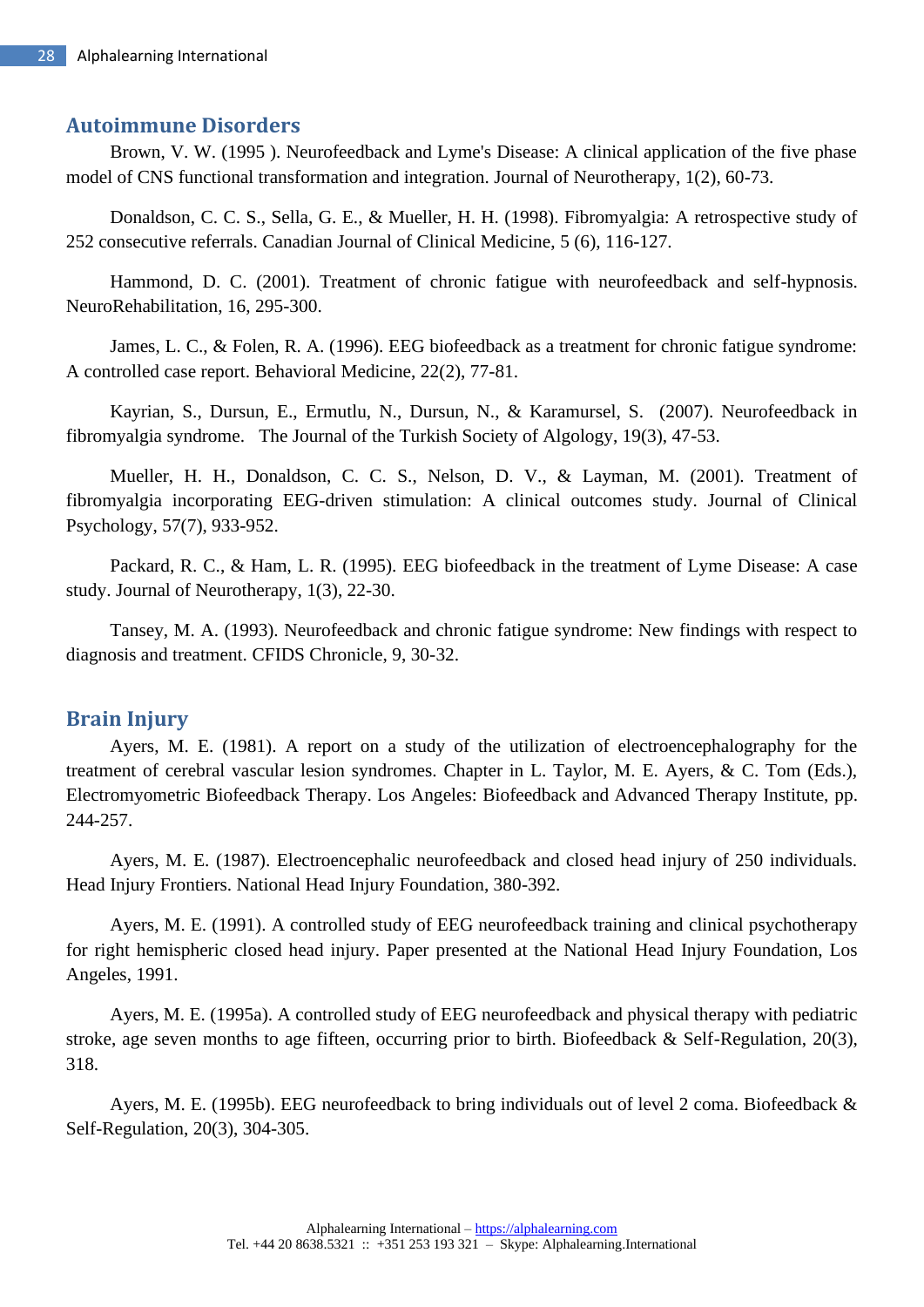#### <span id="page-27-0"></span>**Autoimmune Disorders**

Brown, V. W. (1995 ). Neurofeedback and Lyme's Disease: A clinical application of the five phase model of CNS functional transformation and integration. Journal of Neurotherapy, 1(2), 60-73.

Donaldson, C. C. S., Sella, G. E., & Mueller, H. H. (1998). Fibromyalgia: A retrospective study of 252 consecutive referrals. Canadian Journal of Clinical Medicine, 5 (6), 116-127.

Hammond, D. C. (2001). Treatment of chronic fatigue with neurofeedback and self-hypnosis. NeuroRehabilitation, 16, 295-300.

James, L. C., & Folen, R. A. (1996). EEG biofeedback as a treatment for chronic fatigue syndrome: A controlled case report. Behavioral Medicine, 22(2), 77-81.

Kayrian, S., Dursun, E., Ermutlu, N., Dursun, N., & Karamursel, S. (2007). Neurofeedback in fibromyalgia syndrome. The Journal of the Turkish Society of Algology, 19(3), 47-53.

Mueller, H. H., Donaldson, C. C. S., Nelson, D. V., & Layman, M. (2001). Treatment of fibromyalgia incorporating EEG-driven stimulation: A clinical outcomes study. Journal of Clinical Psychology, 57(7), 933-952.

Packard, R. C., & Ham, L. R. (1995). EEG biofeedback in the treatment of Lyme Disease: A case study. Journal of Neurotherapy, 1(3), 22-30.

Tansey, M. A. (1993). Neurofeedback and chronic fatigue syndrome: New findings with respect to diagnosis and treatment. CFIDS Chronicle, 9, 30-32.

#### <span id="page-27-1"></span>**Brain Injury**

Ayers, M. E. (1981). A report on a study of the utilization of electroencephalography for the treatment of cerebral vascular lesion syndromes. Chapter in L. Taylor, M. E. Ayers, & C. Tom (Eds.), Electromyometric Biofeedback Therapy. Los Angeles: Biofeedback and Advanced Therapy Institute, pp. 244-257.

Ayers, M. E. (1987). Electroencephalic neurofeedback and closed head injury of 250 individuals. Head Injury Frontiers. National Head Injury Foundation, 380-392.

Ayers, M. E. (1991). A controlled study of EEG neurofeedback training and clinical psychotherapy for right hemispheric closed head injury. Paper presented at the National Head Injury Foundation, Los Angeles, 1991.

Ayers, M. E. (1995a). A controlled study of EEG neurofeedback and physical therapy with pediatric stroke, age seven months to age fifteen, occurring prior to birth. Biofeedback & Self-Regulation, 20(3), 318.

Ayers, M. E. (1995b). EEG neurofeedback to bring individuals out of level 2 coma. Biofeedback & Self-Regulation, 20(3), 304-305.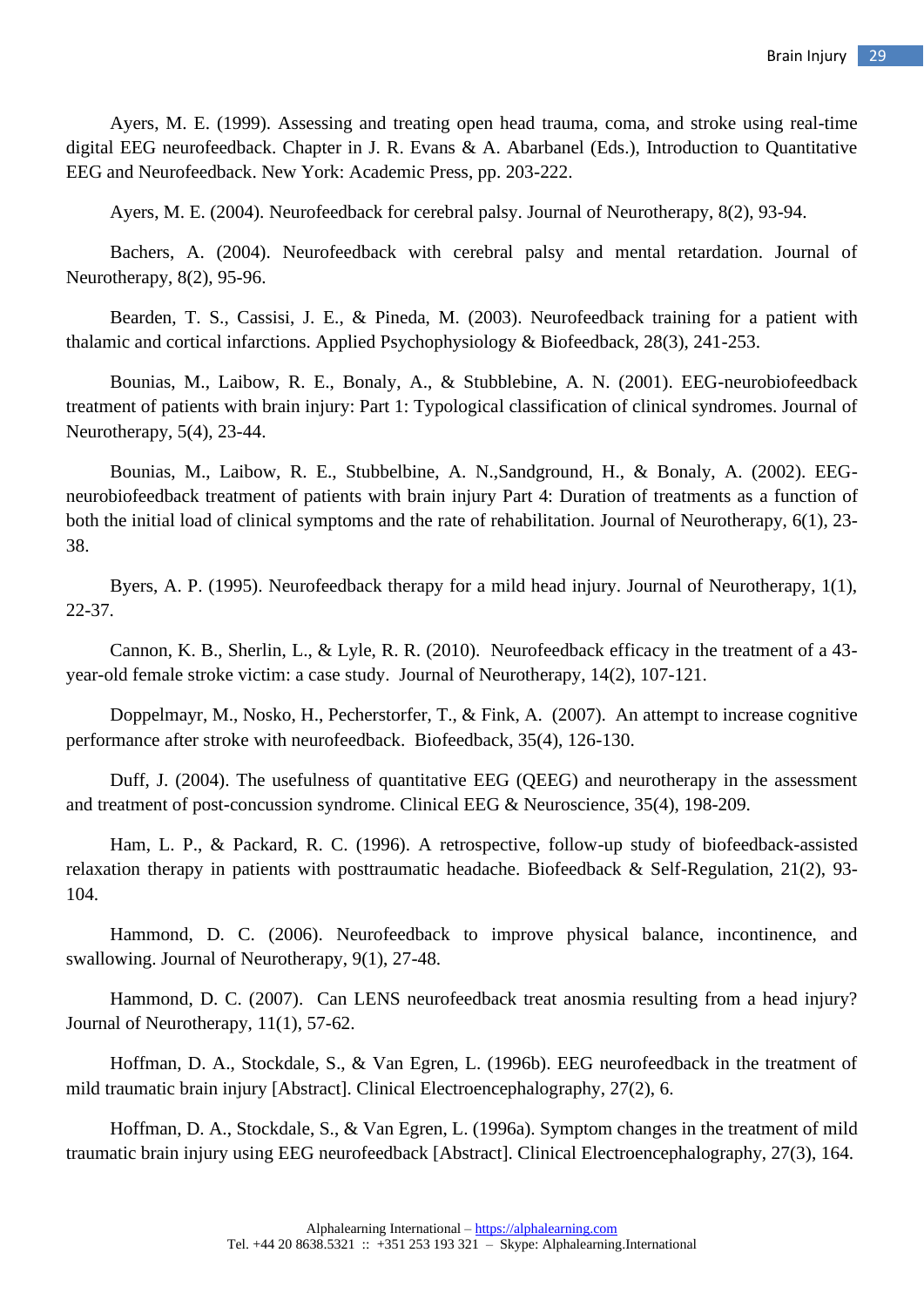Ayers, M. E. (1999). Assessing and treating open head trauma, coma, and stroke using real-time digital EEG neurofeedback. Chapter in J. R. Evans & A. Abarbanel (Eds.), Introduction to Quantitative EEG and Neurofeedback. New York: Academic Press, pp. 203-222.

Ayers, M. E. (2004). Neurofeedback for cerebral palsy. Journal of Neurotherapy, 8(2), 93-94.

Bachers, A. (2004). Neurofeedback with cerebral palsy and mental retardation. Journal of Neurotherapy, 8(2), 95-96.

Bearden, T. S., Cassisi, J. E., & Pineda, M. (2003). Neurofeedback training for a patient with thalamic and cortical infarctions. Applied Psychophysiology & Biofeedback, 28(3), 241-253.

Bounias, M., Laibow, R. E., Bonaly, A., & Stubblebine, A. N. (2001). EEG-neurobiofeedback treatment of patients with brain injury: Part 1: Typological classification of clinical syndromes. Journal of Neurotherapy, 5(4), 23-44.

Bounias, M., Laibow, R. E., Stubbelbine, A. N.,Sandground, H., & Bonaly, A. (2002). EEGneurobiofeedback treatment of patients with brain injury Part 4: Duration of treatments as a function of both the initial load of clinical symptoms and the rate of rehabilitation. Journal of Neurotherapy, 6(1), 23- 38.

Byers, A. P. (1995). Neurofeedback therapy for a mild head injury. Journal of Neurotherapy, 1(1), 22-37.

Cannon, K. B., Sherlin, L., & Lyle, R. R. (2010). Neurofeedback efficacy in the treatment of a 43 year-old female stroke victim: a case study. Journal of Neurotherapy, 14(2), 107-121.

Doppelmayr, M., Nosko, H., Pecherstorfer, T., & Fink, A. (2007). An attempt to increase cognitive performance after stroke with neurofeedback. Biofeedback, 35(4), 126-130.

Duff, J. (2004). The usefulness of quantitative EEG (QEEG) and neurotherapy in the assessment and treatment of post-concussion syndrome. Clinical EEG & Neuroscience, 35(4), 198-209.

Ham, L. P., & Packard, R. C. (1996). A retrospective, follow-up study of biofeedback-assisted relaxation therapy in patients with posttraumatic headache. Biofeedback & Self-Regulation, 21(2), 93- 104.

Hammond, D. C. (2006). Neurofeedback to improve physical balance, incontinence, and swallowing. Journal of Neurotherapy, 9(1), 27-48.

Hammond, D. C. (2007). Can LENS neurofeedback treat anosmia resulting from a head injury? Journal of Neurotherapy, 11(1), 57-62.

Hoffman, D. A., Stockdale, S., & Van Egren, L. (1996b). EEG neurofeedback in the treatment of mild traumatic brain injury [Abstract]. Clinical Electroencephalography, 27(2), 6.

Hoffman, D. A., Stockdale, S., & Van Egren, L. (1996a). Symptom changes in the treatment of mild traumatic brain injury using EEG neurofeedback [Abstract]. Clinical Electroencephalography, 27(3), 164.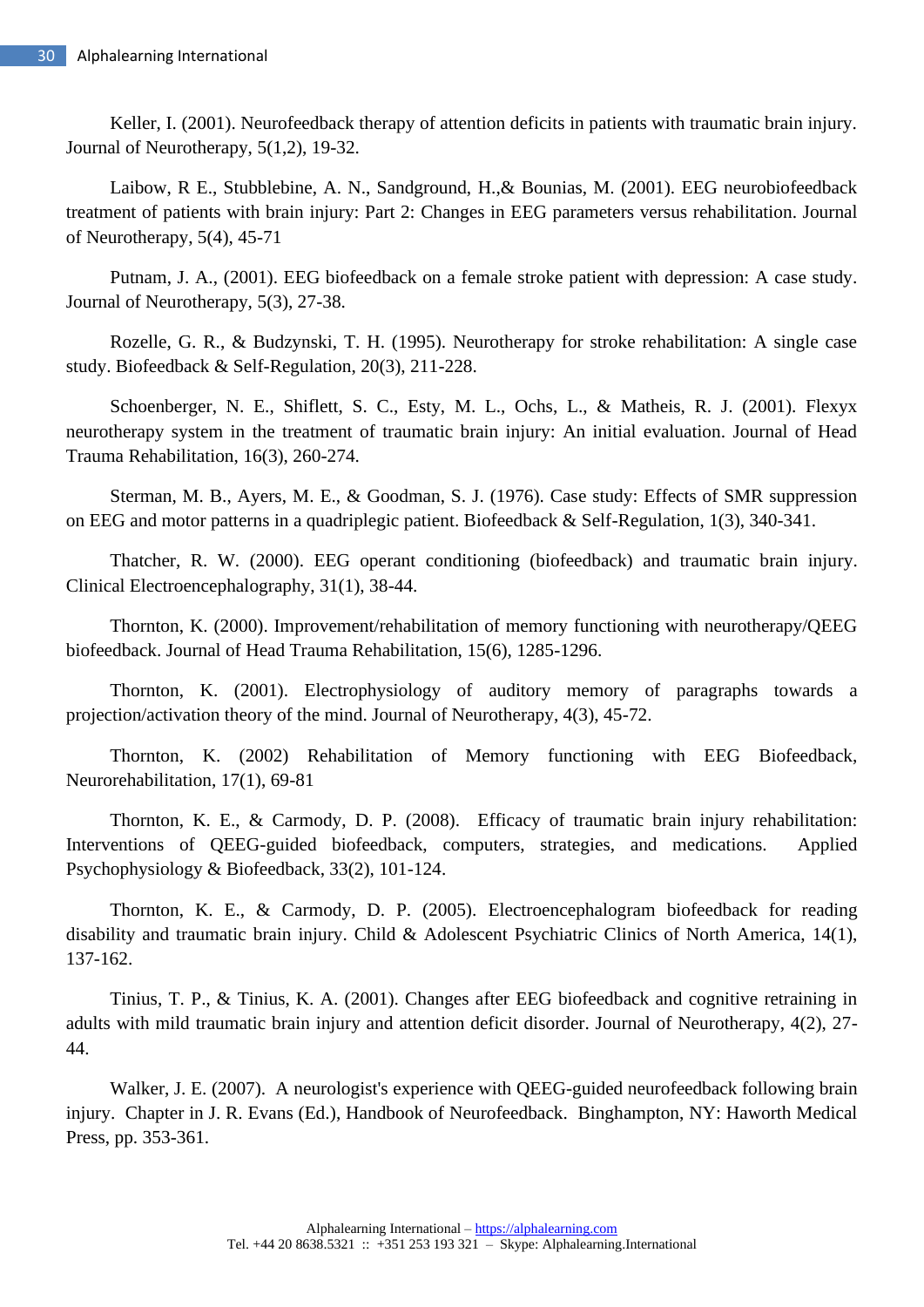Keller, I. (2001). Neurofeedback therapy of attention deficits in patients with traumatic brain injury. Journal of Neurotherapy, 5(1,2), 19-32.

Laibow, R E., Stubblebine, A. N., Sandground, H.,& Bounias, M. (2001). EEG neurobiofeedback treatment of patients with brain injury: Part 2: Changes in EEG parameters versus rehabilitation. Journal of Neurotherapy, 5(4), 45-71

Putnam, J. A., (2001). EEG biofeedback on a female stroke patient with depression: A case study. Journal of Neurotherapy, 5(3), 27-38.

Rozelle, G. R., & Budzynski, T. H. (1995). Neurotherapy for stroke rehabilitation: A single case study. Biofeedback & Self-Regulation, 20(3), 211-228.

Schoenberger, N. E., Shiflett, S. C., Esty, M. L., Ochs, L., & Matheis, R. J. (2001). Flexyx neurotherapy system in the treatment of traumatic brain injury: An initial evaluation. Journal of Head Trauma Rehabilitation, 16(3), 260-274.

Sterman, M. B., Ayers, M. E., & Goodman, S. J. (1976). Case study: Effects of SMR suppression on EEG and motor patterns in a quadriplegic patient. Biofeedback & Self-Regulation, 1(3), 340-341.

Thatcher, R. W. (2000). EEG operant conditioning (biofeedback) and traumatic brain injury. Clinical Electroencephalography, 31(1), 38-44.

Thornton, K. (2000). Improvement/rehabilitation of memory functioning with neurotherapy/QEEG biofeedback. Journal of Head Trauma Rehabilitation, 15(6), 1285-1296.

Thornton, K. (2001). Electrophysiology of auditory memory of paragraphs towards a projection/activation theory of the mind. Journal of Neurotherapy, 4(3), 45-72.

Thornton, K. (2002) Rehabilitation of Memory functioning with EEG Biofeedback, Neurorehabilitation, 17(1), 69-81

Thornton, K. E., & Carmody, D. P. (2008). Efficacy of traumatic brain injury rehabilitation: Interventions of QEEG-guided biofeedback, computers, strategies, and medications. Applied Psychophysiology & Biofeedback, 33(2), 101-124.

Thornton, K. E., & Carmody, D. P. (2005). Electroencephalogram biofeedback for reading disability and traumatic brain injury. Child & Adolescent Psychiatric Clinics of North America, 14(1), 137-162.

Tinius, T. P., & Tinius, K. A. (2001). Changes after EEG biofeedback and cognitive retraining in adults with mild traumatic brain injury and attention deficit disorder. Journal of Neurotherapy, 4(2), 27- 44.

Walker, J. E. (2007). A neurologist's experience with QEEG-guided neurofeedback following brain injury. Chapter in J. R. Evans (Ed.), Handbook of Neurofeedback. Binghampton, NY: Haworth Medical Press, pp. 353-361.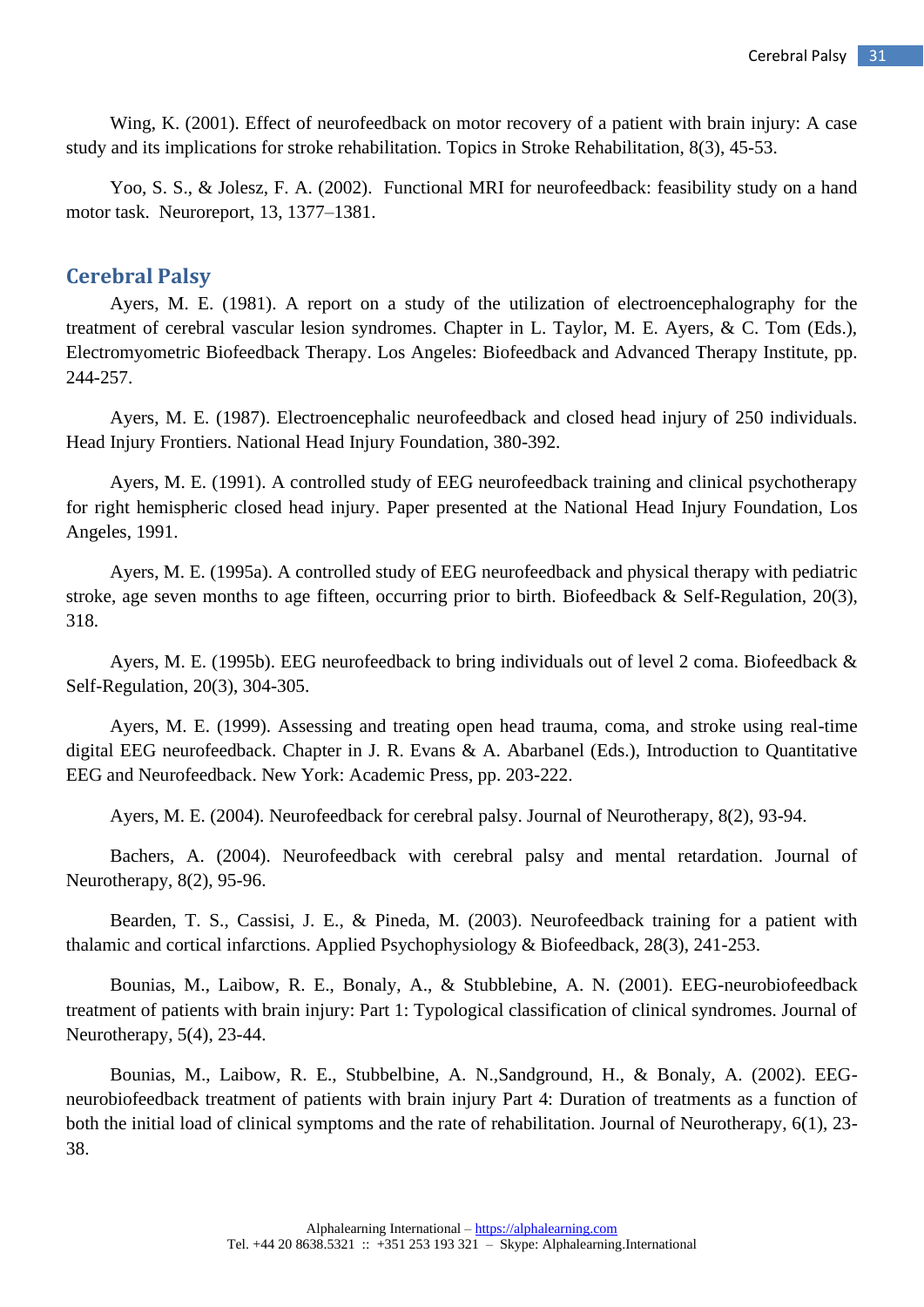Wing, K. (2001). Effect of neurofeedback on motor recovery of a patient with brain injury: A case study and its implications for stroke rehabilitation. Topics in Stroke Rehabilitation, 8(3), 45-53.

Yoo, S. S., & Jolesz, F. A. (2002). Functional MRI for neurofeedback: feasibility study on a hand motor task. Neuroreport, 13, 1377–1381.

#### <span id="page-30-0"></span>**Cerebral Palsy**

Ayers, M. E. (1981). A report on a study of the utilization of electroencephalography for the treatment of cerebral vascular lesion syndromes. Chapter in L. Taylor, M. E. Ayers, & C. Tom (Eds.), Electromyometric Biofeedback Therapy. Los Angeles: Biofeedback and Advanced Therapy Institute, pp. 244-257.

Ayers, M. E. (1987). Electroencephalic neurofeedback and closed head injury of 250 individuals. Head Injury Frontiers. National Head Injury Foundation, 380-392.

Ayers, M. E. (1991). A controlled study of EEG neurofeedback training and clinical psychotherapy for right hemispheric closed head injury. Paper presented at the National Head Injury Foundation, Los Angeles, 1991.

Ayers, M. E. (1995a). A controlled study of EEG neurofeedback and physical therapy with pediatric stroke, age seven months to age fifteen, occurring prior to birth. Biofeedback & Self-Regulation, 20(3), 318.

Ayers, M. E. (1995b). EEG neurofeedback to bring individuals out of level 2 coma. Biofeedback & Self-Regulation, 20(3), 304-305.

Ayers, M. E. (1999). Assessing and treating open head trauma, coma, and stroke using real-time digital EEG neurofeedback. Chapter in J. R. Evans & A. Abarbanel (Eds.), Introduction to Quantitative EEG and Neurofeedback. New York: Academic Press, pp. 203-222.

Ayers, M. E. (2004). Neurofeedback for cerebral palsy. Journal of Neurotherapy, 8(2), 93-94.

Bachers, A. (2004). Neurofeedback with cerebral palsy and mental retardation. Journal of Neurotherapy, 8(2), 95-96.

Bearden, T. S., Cassisi, J. E., & Pineda, M. (2003). Neurofeedback training for a patient with thalamic and cortical infarctions. Applied Psychophysiology & Biofeedback, 28(3), 241-253.

Bounias, M., Laibow, R. E., Bonaly, A., & Stubblebine, A. N. (2001). EEG-neurobiofeedback treatment of patients with brain injury: Part 1: Typological classification of clinical syndromes. Journal of Neurotherapy, 5(4), 23-44.

Bounias, M., Laibow, R. E., Stubbelbine, A. N.,Sandground, H., & Bonaly, A. (2002). EEGneurobiofeedback treatment of patients with brain injury Part 4: Duration of treatments as a function of both the initial load of clinical symptoms and the rate of rehabilitation. Journal of Neurotherapy, 6(1), 23- 38.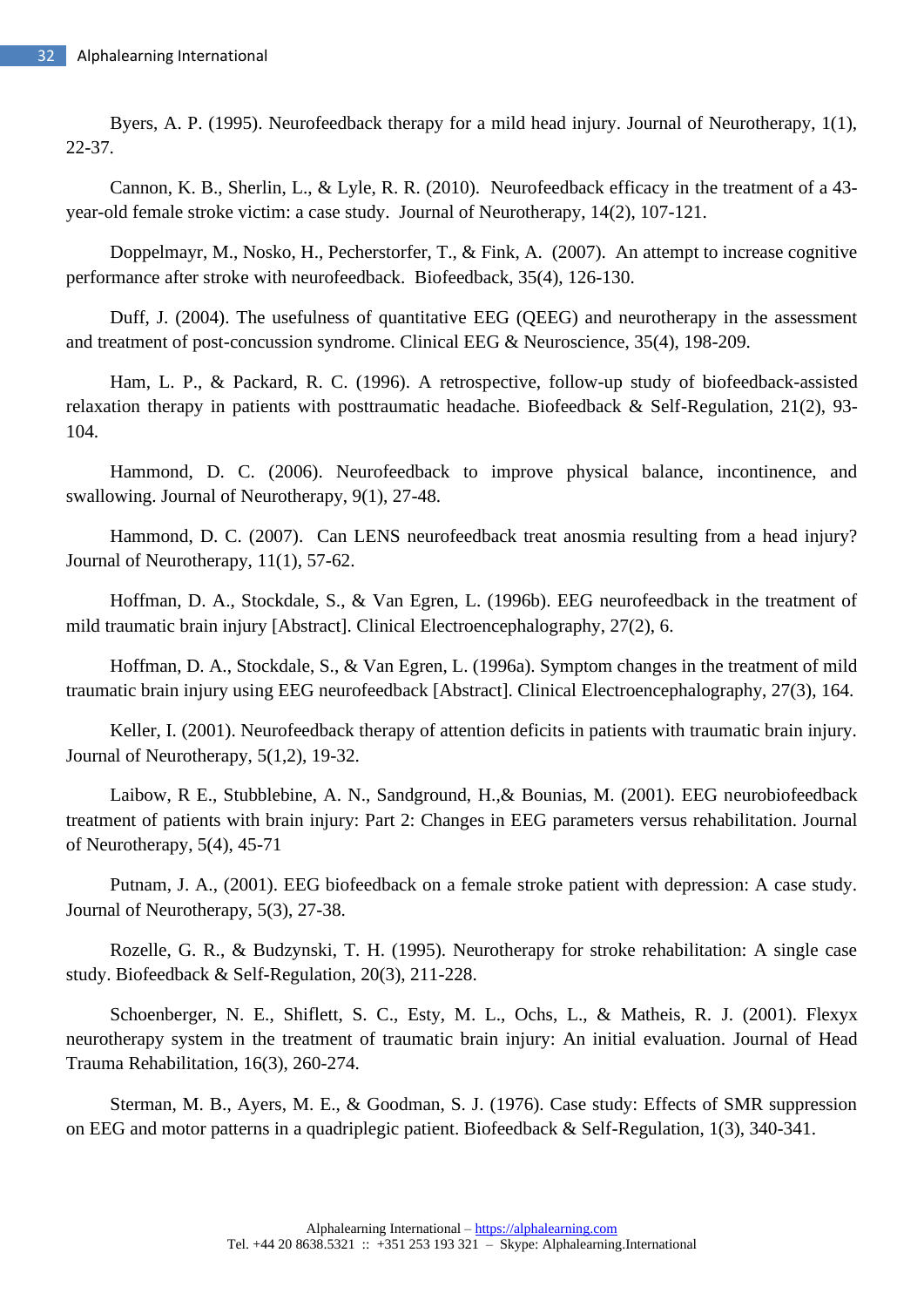Byers, A. P. (1995). Neurofeedback therapy for a mild head injury. Journal of Neurotherapy, 1(1), 22-37.

Cannon, K. B., Sherlin, L., & Lyle, R. R. (2010). Neurofeedback efficacy in the treatment of a 43 year-old female stroke victim: a case study. Journal of Neurotherapy, 14(2), 107-121.

Doppelmayr, M., Nosko, H., Pecherstorfer, T., & Fink, A. (2007). An attempt to increase cognitive performance after stroke with neurofeedback. Biofeedback, 35(4), 126-130.

Duff, J. (2004). The usefulness of quantitative EEG (QEEG) and neurotherapy in the assessment and treatment of post-concussion syndrome. Clinical EEG & Neuroscience, 35(4), 198-209.

Ham, L. P., & Packard, R. C. (1996). A retrospective, follow-up study of biofeedback-assisted relaxation therapy in patients with posttraumatic headache. Biofeedback & Self-Regulation, 21(2), 93- 104.

Hammond, D. C. (2006). Neurofeedback to improve physical balance, incontinence, and swallowing. Journal of Neurotherapy, 9(1), 27-48.

Hammond, D. C. (2007). Can LENS neurofeedback treat anosmia resulting from a head injury? Journal of Neurotherapy, 11(1), 57-62.

Hoffman, D. A., Stockdale, S., & Van Egren, L. (1996b). EEG neurofeedback in the treatment of mild traumatic brain injury [Abstract]. Clinical Electroencephalography, 27(2), 6.

Hoffman, D. A., Stockdale, S., & Van Egren, L. (1996a). Symptom changes in the treatment of mild traumatic brain injury using EEG neurofeedback [Abstract]. Clinical Electroencephalography, 27(3), 164.

Keller, I. (2001). Neurofeedback therapy of attention deficits in patients with traumatic brain injury. Journal of Neurotherapy, 5(1,2), 19-32.

Laibow, R E., Stubblebine, A. N., Sandground, H.,& Bounias, M. (2001). EEG neurobiofeedback treatment of patients with brain injury: Part 2: Changes in EEG parameters versus rehabilitation. Journal of Neurotherapy, 5(4), 45-71

Putnam, J. A., (2001). EEG biofeedback on a female stroke patient with depression: A case study. Journal of Neurotherapy, 5(3), 27-38.

Rozelle, G. R., & Budzynski, T. H. (1995). Neurotherapy for stroke rehabilitation: A single case study. Biofeedback & Self-Regulation, 20(3), 211-228.

Schoenberger, N. E., Shiflett, S. C., Esty, M. L., Ochs, L., & Matheis, R. J. (2001). Flexyx neurotherapy system in the treatment of traumatic brain injury: An initial evaluation. Journal of Head Trauma Rehabilitation, 16(3), 260-274.

Sterman, M. B., Ayers, M. E., & Goodman, S. J. (1976). Case study: Effects of SMR suppression on EEG and motor patterns in a quadriplegic patient. Biofeedback & Self-Regulation, 1(3), 340-341.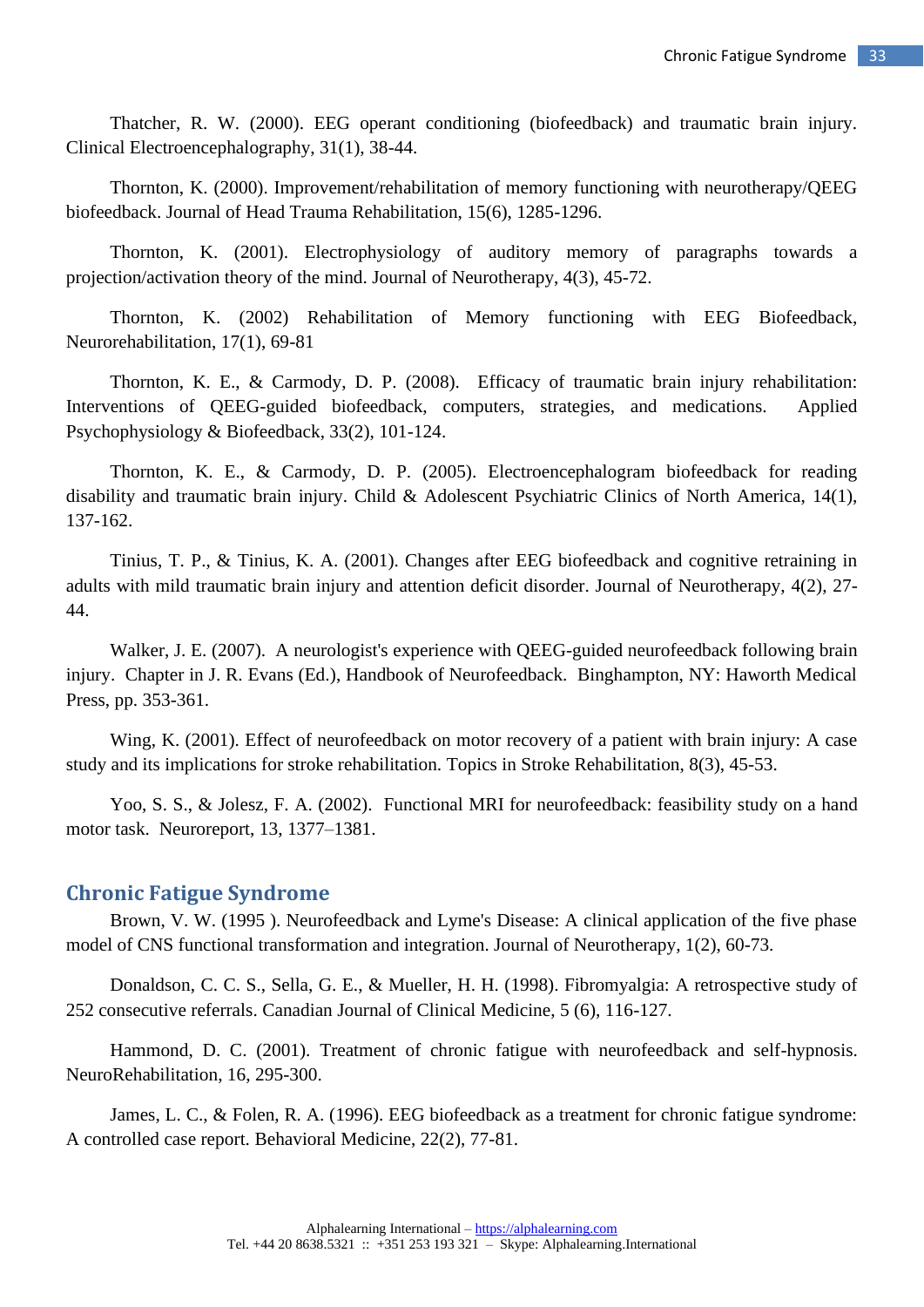Thatcher, R. W. (2000). EEG operant conditioning (biofeedback) and traumatic brain injury. Clinical Electroencephalography, 31(1), 38-44.

Thornton, K. (2000). Improvement/rehabilitation of memory functioning with neurotherapy/QEEG biofeedback. Journal of Head Trauma Rehabilitation, 15(6), 1285-1296.

Thornton, K. (2001). Electrophysiology of auditory memory of paragraphs towards a projection/activation theory of the mind. Journal of Neurotherapy, 4(3), 45-72.

Thornton, K. (2002) Rehabilitation of Memory functioning with EEG Biofeedback, Neurorehabilitation, 17(1), 69-81

Thornton, K. E., & Carmody, D. P. (2008). Efficacy of traumatic brain injury rehabilitation: Interventions of QEEG-guided biofeedback, computers, strategies, and medications. Applied Psychophysiology & Biofeedback, 33(2), 101-124.

Thornton, K. E., & Carmody, D. P. (2005). Electroencephalogram biofeedback for reading disability and traumatic brain injury. Child & Adolescent Psychiatric Clinics of North America, 14(1), 137-162.

Tinius, T. P., & Tinius, K. A. (2001). Changes after EEG biofeedback and cognitive retraining in adults with mild traumatic brain injury and attention deficit disorder. Journal of Neurotherapy, 4(2), 27- 44.

Walker, J. E. (2007). A neurologist's experience with QEEG-guided neurofeedback following brain injury. Chapter in J. R. Evans (Ed.), Handbook of Neurofeedback. Binghampton, NY: Haworth Medical Press, pp. 353-361.

Wing, K. (2001). Effect of neurofeedback on motor recovery of a patient with brain injury: A case study and its implications for stroke rehabilitation. Topics in Stroke Rehabilitation, 8(3), 45-53.

Yoo, S. S., & Jolesz, F. A. (2002). Functional MRI for neurofeedback: feasibility study on a hand motor task. Neuroreport, 13, 1377–1381.

#### <span id="page-32-0"></span>**Chronic Fatigue Syndrome**

Brown, V. W. (1995 ). Neurofeedback and Lyme's Disease: A clinical application of the five phase model of CNS functional transformation and integration. Journal of Neurotherapy, 1(2), 60-73.

Donaldson, C. C. S., Sella, G. E., & Mueller, H. H. (1998). Fibromyalgia: A retrospective study of 252 consecutive referrals. Canadian Journal of Clinical Medicine, 5 (6), 116-127.

Hammond, D. C. (2001). Treatment of chronic fatigue with neurofeedback and self-hypnosis. NeuroRehabilitation, 16, 295-300.

James, L. C., & Folen, R. A. (1996). EEG biofeedback as a treatment for chronic fatigue syndrome: A controlled case report. Behavioral Medicine, 22(2), 77-81.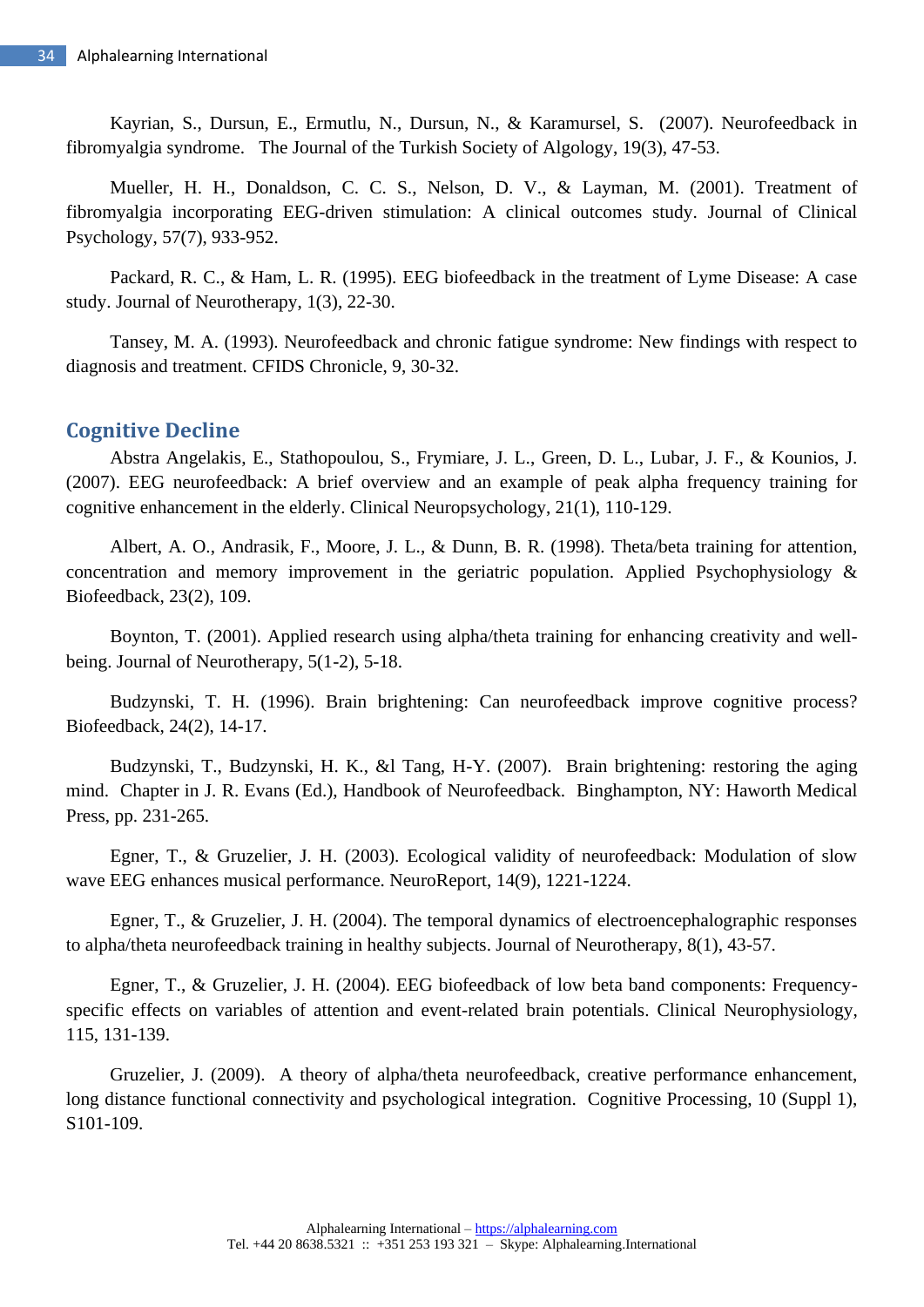Kayrian, S., Dursun, E., Ermutlu, N., Dursun, N., & Karamursel, S. (2007). Neurofeedback in fibromyalgia syndrome. The Journal of the Turkish Society of Algology, 19(3), 47-53.

Mueller, H. H., Donaldson, C. C. S., Nelson, D. V., & Layman, M. (2001). Treatment of fibromyalgia incorporating EEG-driven stimulation: A clinical outcomes study. Journal of Clinical Psychology, 57(7), 933-952.

Packard, R. C., & Ham, L. R. (1995). EEG biofeedback in the treatment of Lyme Disease: A case study. Journal of Neurotherapy, 1(3), 22-30.

Tansey, M. A. (1993). Neurofeedback and chronic fatigue syndrome: New findings with respect to diagnosis and treatment. CFIDS Chronicle, 9, 30-32.

#### <span id="page-33-0"></span>**Cognitive Decline**

Abstra Angelakis, E., Stathopoulou, S., Frymiare, J. L., Green, D. L., Lubar, J. F., & Kounios, J. (2007). EEG neurofeedback: A brief overview and an example of peak alpha frequency training for cognitive enhancement in the elderly. Clinical Neuropsychology, 21(1), 110-129.

Albert, A. O., Andrasik, F., Moore, J. L., & Dunn, B. R. (1998). Theta/beta training for attention, concentration and memory improvement in the geriatric population. Applied Psychophysiology & Biofeedback, 23(2), 109.

Boynton, T. (2001). Applied research using alpha/theta training for enhancing creativity and wellbeing. Journal of Neurotherapy, 5(1-2), 5-18.

Budzynski, T. H. (1996). Brain brightening: Can neurofeedback improve cognitive process? Biofeedback, 24(2), 14-17.

Budzynski, T., Budzynski, H. K., &l Tang, H-Y. (2007). Brain brightening: restoring the aging mind. Chapter in J. R. Evans (Ed.), Handbook of Neurofeedback. Binghampton, NY: Haworth Medical Press, pp. 231-265.

Egner, T., & Gruzelier, J. H. (2003). Ecological validity of neurofeedback: Modulation of slow wave EEG enhances musical performance. NeuroReport, 14(9), 1221-1224.

Egner, T., & Gruzelier, J. H. (2004). The temporal dynamics of electroencephalographic responses to alpha/theta neurofeedback training in healthy subjects. Journal of Neurotherapy, 8(1), 43-57.

Egner, T., & Gruzelier, J. H. (2004). EEG biofeedback of low beta band components: Frequencyspecific effects on variables of attention and event-related brain potentials. Clinical Neurophysiology, 115, 131-139.

Gruzelier, J. (2009). A theory of alpha/theta neurofeedback, creative performance enhancement, long distance functional connectivity and psychological integration. Cognitive Processing, 10 (Suppl 1), S101-109.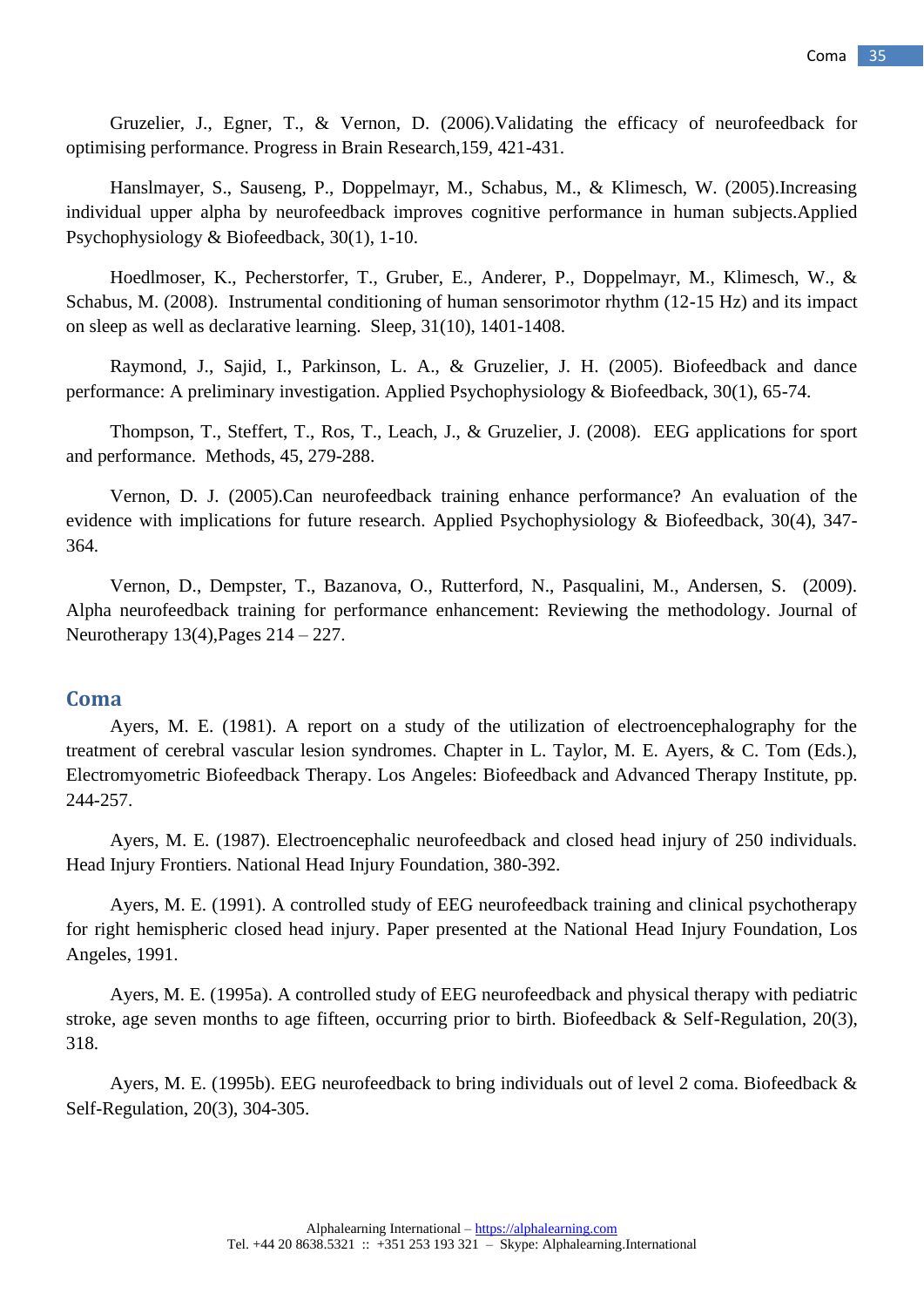Gruzelier, J., Egner, T., & Vernon, D. (2006).Validating the efficacy of neurofeedback for optimising performance. Progress in Brain Research,159, 421-431.

Hanslmayer, S., Sauseng, P., Doppelmayr, M., Schabus, M., & Klimesch, W. (2005).Increasing individual upper alpha by neurofeedback improves cognitive performance in human subjects.Applied Psychophysiology & Biofeedback, 30(1), 1-10.

Hoedlmoser, K., Pecherstorfer, T., Gruber, E., Anderer, P., Doppelmayr, M., Klimesch, W., & Schabus, M. (2008). Instrumental conditioning of human sensorimotor rhythm (12-15 Hz) and its impact on sleep as well as declarative learning. Sleep, 31(10), 1401-1408.

Raymond, J., Sajid, I., Parkinson, L. A., & Gruzelier, J. H. (2005). Biofeedback and dance performance: A preliminary investigation. Applied Psychophysiology & Biofeedback, 30(1), 65-74.

Thompson, T., Steffert, T., Ros, T., Leach, J., & Gruzelier, J. (2008). EEG applications for sport and performance. Methods, 45, 279-288.

Vernon, D. J. (2005).Can neurofeedback training enhance performance? An evaluation of the evidence with implications for future research. Applied Psychophysiology & Biofeedback, 30(4), 347- 364.

Vernon, D., Dempster, T., Bazanova, O., Rutterford, N., Pasqualini, M., Andersen, S. (2009). Alpha neurofeedback training for performance enhancement: Reviewing the methodology. Journal of Neurotherapy 13(4),Pages 214 – 227.

#### <span id="page-34-0"></span>**Coma**

Ayers, M. E. (1981). A report on a study of the utilization of electroencephalography for the treatment of cerebral vascular lesion syndromes. Chapter in L. Taylor, M. E. Ayers, & C. Tom (Eds.), Electromyometric Biofeedback Therapy. Los Angeles: Biofeedback and Advanced Therapy Institute, pp. 244-257.

Ayers, M. E. (1987). Electroencephalic neurofeedback and closed head injury of 250 individuals. Head Injury Frontiers. National Head Injury Foundation, 380-392.

Ayers, M. E. (1991). A controlled study of EEG neurofeedback training and clinical psychotherapy for right hemispheric closed head injury. Paper presented at the National Head Injury Foundation, Los Angeles, 1991.

Ayers, M. E. (1995a). A controlled study of EEG neurofeedback and physical therapy with pediatric stroke, age seven months to age fifteen, occurring prior to birth. Biofeedback & Self-Regulation, 20(3), 318.

Ayers, M. E. (1995b). EEG neurofeedback to bring individuals out of level 2 coma. Biofeedback & Self-Regulation, 20(3), 304-305.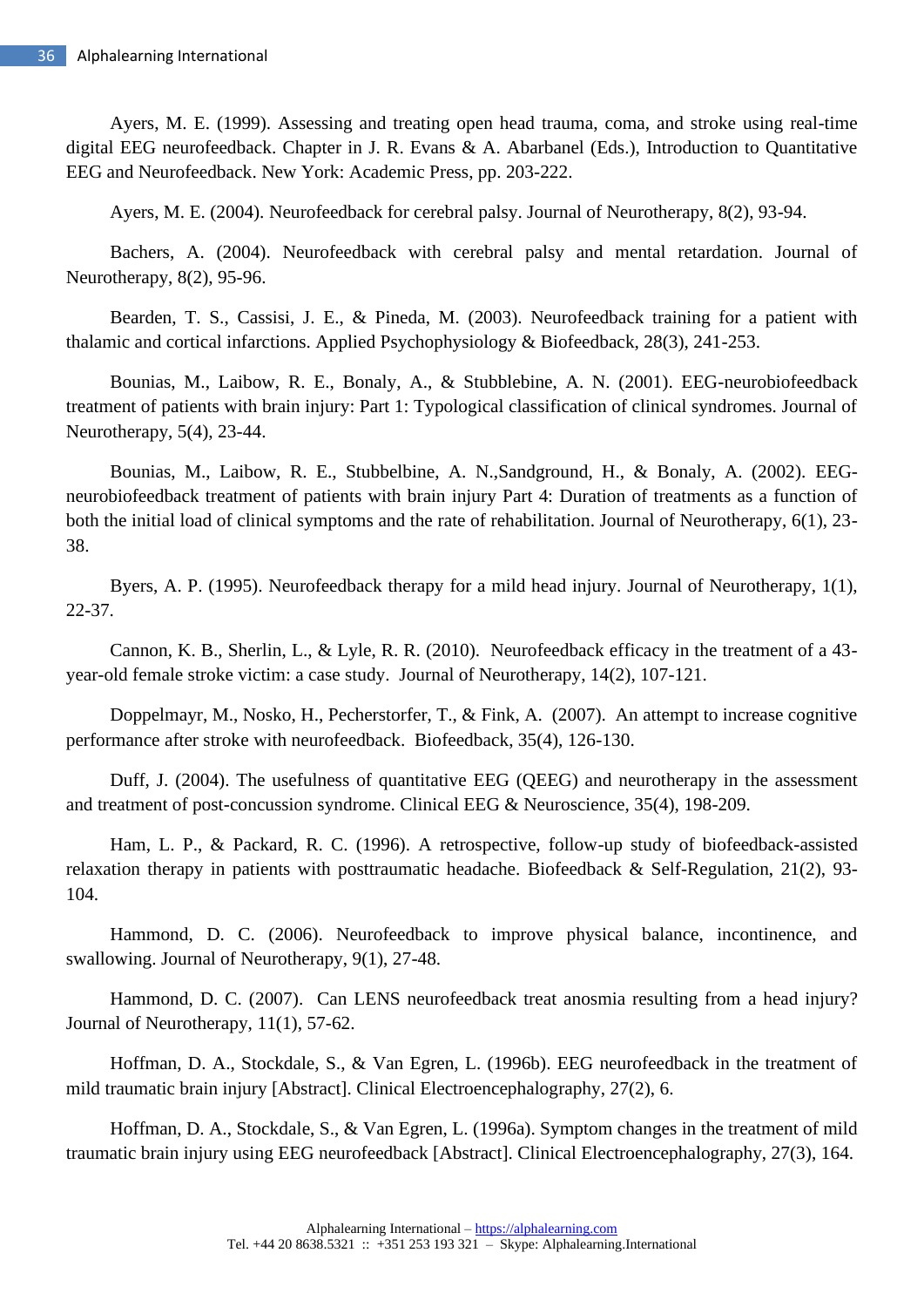Ayers, M. E. (1999). Assessing and treating open head trauma, coma, and stroke using real-time digital EEG neurofeedback. Chapter in J. R. Evans & A. Abarbanel (Eds.), Introduction to Quantitative EEG and Neurofeedback. New York: Academic Press, pp. 203-222.

Ayers, M. E. (2004). Neurofeedback for cerebral palsy. Journal of Neurotherapy, 8(2), 93-94.

Bachers, A. (2004). Neurofeedback with cerebral palsy and mental retardation. Journal of Neurotherapy, 8(2), 95-96.

Bearden, T. S., Cassisi, J. E., & Pineda, M. (2003). Neurofeedback training for a patient with thalamic and cortical infarctions. Applied Psychophysiology & Biofeedback, 28(3), 241-253.

Bounias, M., Laibow, R. E., Bonaly, A., & Stubblebine, A. N. (2001). EEG-neurobiofeedback treatment of patients with brain injury: Part 1: Typological classification of clinical syndromes. Journal of Neurotherapy, 5(4), 23-44.

Bounias, M., Laibow, R. E., Stubbelbine, A. N.,Sandground, H., & Bonaly, A. (2002). EEGneurobiofeedback treatment of patients with brain injury Part 4: Duration of treatments as a function of both the initial load of clinical symptoms and the rate of rehabilitation. Journal of Neurotherapy, 6(1), 23- 38.

Byers, A. P. (1995). Neurofeedback therapy for a mild head injury. Journal of Neurotherapy, 1(1), 22-37.

Cannon, K. B., Sherlin, L., & Lyle, R. R. (2010). Neurofeedback efficacy in the treatment of a 43 year-old female stroke victim: a case study. Journal of Neurotherapy, 14(2), 107-121.

Doppelmayr, M., Nosko, H., Pecherstorfer, T., & Fink, A. (2007). An attempt to increase cognitive performance after stroke with neurofeedback. Biofeedback, 35(4), 126-130.

Duff, J. (2004). The usefulness of quantitative EEG (QEEG) and neurotherapy in the assessment and treatment of post-concussion syndrome. Clinical EEG & Neuroscience, 35(4), 198-209.

Ham, L. P., & Packard, R. C. (1996). A retrospective, follow-up study of biofeedback-assisted relaxation therapy in patients with posttraumatic headache. Biofeedback & Self-Regulation, 21(2), 93- 104.

Hammond, D. C. (2006). Neurofeedback to improve physical balance, incontinence, and swallowing. Journal of Neurotherapy, 9(1), 27-48.

Hammond, D. C. (2007). Can LENS neurofeedback treat anosmia resulting from a head injury? Journal of Neurotherapy, 11(1), 57-62.

Hoffman, D. A., Stockdale, S., & Van Egren, L. (1996b). EEG neurofeedback in the treatment of mild traumatic brain injury [Abstract]. Clinical Electroencephalography, 27(2), 6.

Hoffman, D. A., Stockdale, S., & Van Egren, L. (1996a). Symptom changes in the treatment of mild traumatic brain injury using EEG neurofeedback [Abstract]. Clinical Electroencephalography, 27(3), 164.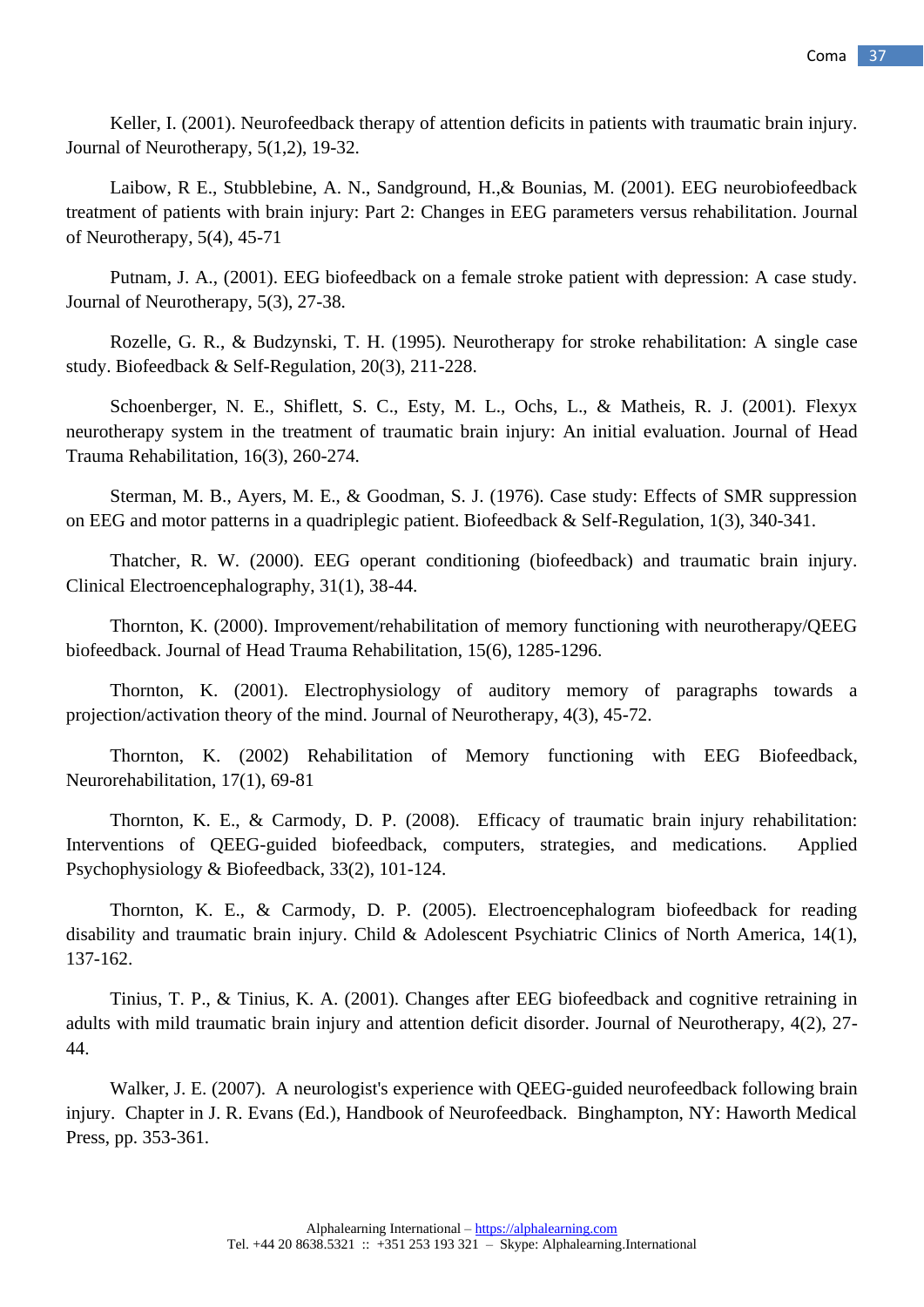Keller, I. (2001). Neurofeedback therapy of attention deficits in patients with traumatic brain injury. Journal of Neurotherapy, 5(1,2), 19-32.

Laibow, R E., Stubblebine, A. N., Sandground, H.,& Bounias, M. (2001). EEG neurobiofeedback treatment of patients with brain injury: Part 2: Changes in EEG parameters versus rehabilitation. Journal of Neurotherapy, 5(4), 45-71

Putnam, J. A., (2001). EEG biofeedback on a female stroke patient with depression: A case study. Journal of Neurotherapy, 5(3), 27-38.

Rozelle, G. R., & Budzynski, T. H. (1995). Neurotherapy for stroke rehabilitation: A single case study. Biofeedback & Self-Regulation, 20(3), 211-228.

Schoenberger, N. E., Shiflett, S. C., Esty, M. L., Ochs, L., & Matheis, R. J. (2001). Flexyx neurotherapy system in the treatment of traumatic brain injury: An initial evaluation. Journal of Head Trauma Rehabilitation, 16(3), 260-274.

Sterman, M. B., Ayers, M. E., & Goodman, S. J. (1976). Case study: Effects of SMR suppression on EEG and motor patterns in a quadriplegic patient. Biofeedback & Self-Regulation, 1(3), 340-341.

Thatcher, R. W. (2000). EEG operant conditioning (biofeedback) and traumatic brain injury. Clinical Electroencephalography, 31(1), 38-44.

Thornton, K. (2000). Improvement/rehabilitation of memory functioning with neurotherapy/QEEG biofeedback. Journal of Head Trauma Rehabilitation, 15(6), 1285-1296.

Thornton, K. (2001). Electrophysiology of auditory memory of paragraphs towards a projection/activation theory of the mind. Journal of Neurotherapy, 4(3), 45-72.

Thornton, K. (2002) Rehabilitation of Memory functioning with EEG Biofeedback, Neurorehabilitation, 17(1), 69-81

Thornton, K. E., & Carmody, D. P. (2008). Efficacy of traumatic brain injury rehabilitation: Interventions of QEEG-guided biofeedback, computers, strategies, and medications. Applied Psychophysiology & Biofeedback, 33(2), 101-124.

Thornton, K. E., & Carmody, D. P. (2005). Electroencephalogram biofeedback for reading disability and traumatic brain injury. Child & Adolescent Psychiatric Clinics of North America, 14(1), 137-162.

Tinius, T. P., & Tinius, K. A. (2001). Changes after EEG biofeedback and cognitive retraining in adults with mild traumatic brain injury and attention deficit disorder. Journal of Neurotherapy, 4(2), 27- 44.

Walker, J. E. (2007). A neurologist's experience with QEEG-guided neurofeedback following brain injury. Chapter in J. R. Evans (Ed.), Handbook of Neurofeedback. Binghampton, NY: Haworth Medical Press, pp. 353-361.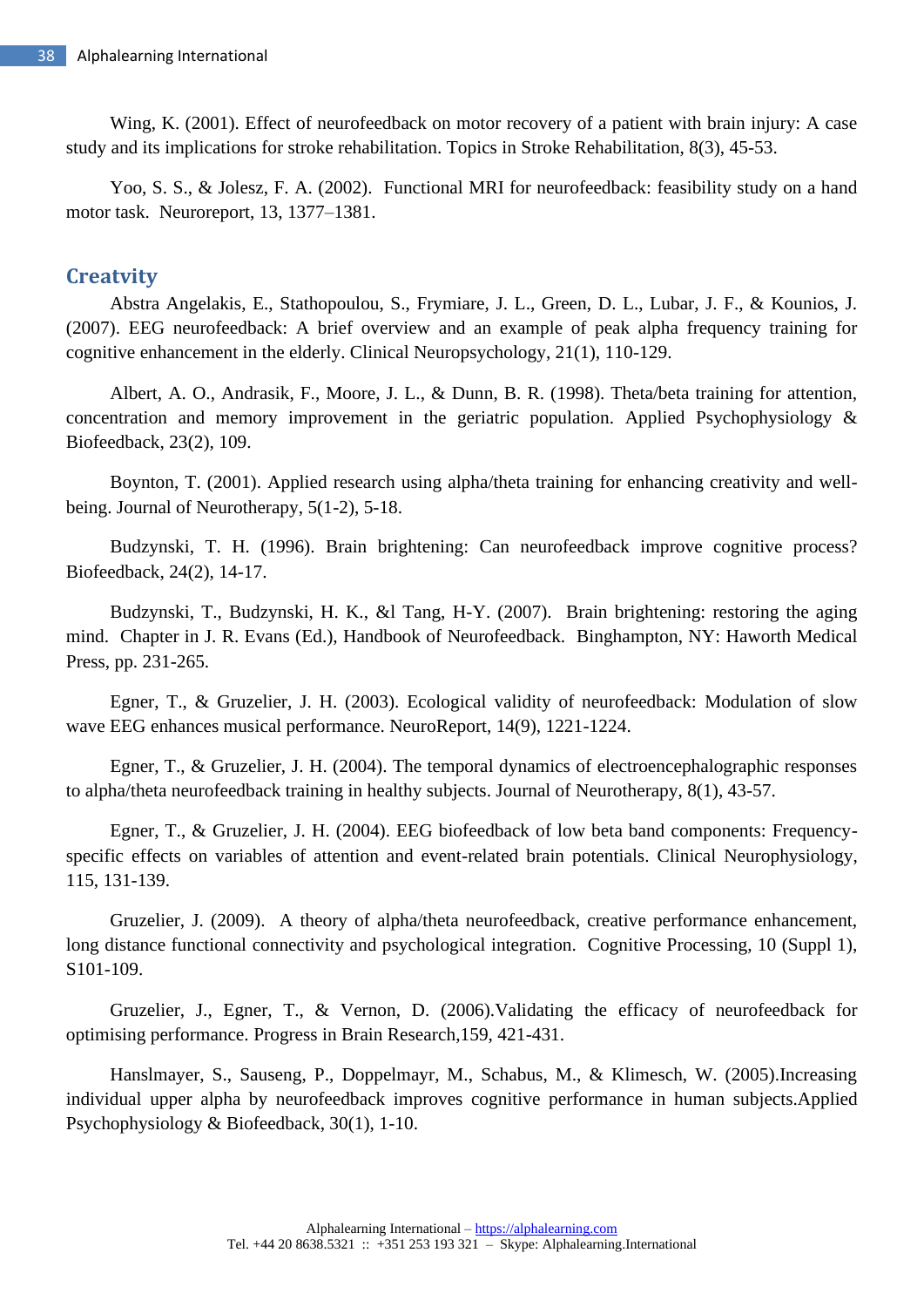Wing, K. (2001). Effect of neurofeedback on motor recovery of a patient with brain injury: A case study and its implications for stroke rehabilitation. Topics in Stroke Rehabilitation, 8(3), 45-53.

Yoo, S. S., & Jolesz, F. A. (2002). Functional MRI for neurofeedback: feasibility study on a hand motor task. Neuroreport, 13, 1377–1381.

#### **Creatvity**

Abstra Angelakis, E., Stathopoulou, S., Frymiare, J. L., Green, D. L., Lubar, J. F., & Kounios, J. (2007). EEG neurofeedback: A brief overview and an example of peak alpha frequency training for cognitive enhancement in the elderly. Clinical Neuropsychology, 21(1), 110-129.

Albert, A. O., Andrasik, F., Moore, J. L., & Dunn, B. R. (1998). Theta/beta training for attention, concentration and memory improvement in the geriatric population. Applied Psychophysiology & Biofeedback, 23(2), 109.

Boynton, T. (2001). Applied research using alpha/theta training for enhancing creativity and wellbeing. Journal of Neurotherapy, 5(1-2), 5-18.

Budzynski, T. H. (1996). Brain brightening: Can neurofeedback improve cognitive process? Biofeedback, 24(2), 14-17.

Budzynski, T., Budzynski, H. K., &l Tang, H-Y. (2007). Brain brightening: restoring the aging mind. Chapter in J. R. Evans (Ed.), Handbook of Neurofeedback. Binghampton, NY: Haworth Medical Press, pp. 231-265.

Egner, T., & Gruzelier, J. H. (2003). Ecological validity of neurofeedback: Modulation of slow wave EEG enhances musical performance. NeuroReport, 14(9), 1221-1224.

Egner, T., & Gruzelier, J. H. (2004). The temporal dynamics of electroencephalographic responses to alpha/theta neurofeedback training in healthy subjects. Journal of Neurotherapy, 8(1), 43-57.

Egner, T., & Gruzelier, J. H. (2004). EEG biofeedback of low beta band components: Frequencyspecific effects on variables of attention and event-related brain potentials. Clinical Neurophysiology, 115, 131-139.

Gruzelier, J. (2009). A theory of alpha/theta neurofeedback, creative performance enhancement, long distance functional connectivity and psychological integration. Cognitive Processing, 10 (Suppl 1), S101-109.

Gruzelier, J., Egner, T., & Vernon, D. (2006).Validating the efficacy of neurofeedback for optimising performance. Progress in Brain Research,159, 421-431.

Hanslmayer, S., Sauseng, P., Doppelmayr, M., Schabus, M., & Klimesch, W. (2005).Increasing individual upper alpha by neurofeedback improves cognitive performance in human subjects.Applied Psychophysiology & Biofeedback, 30(1), 1-10.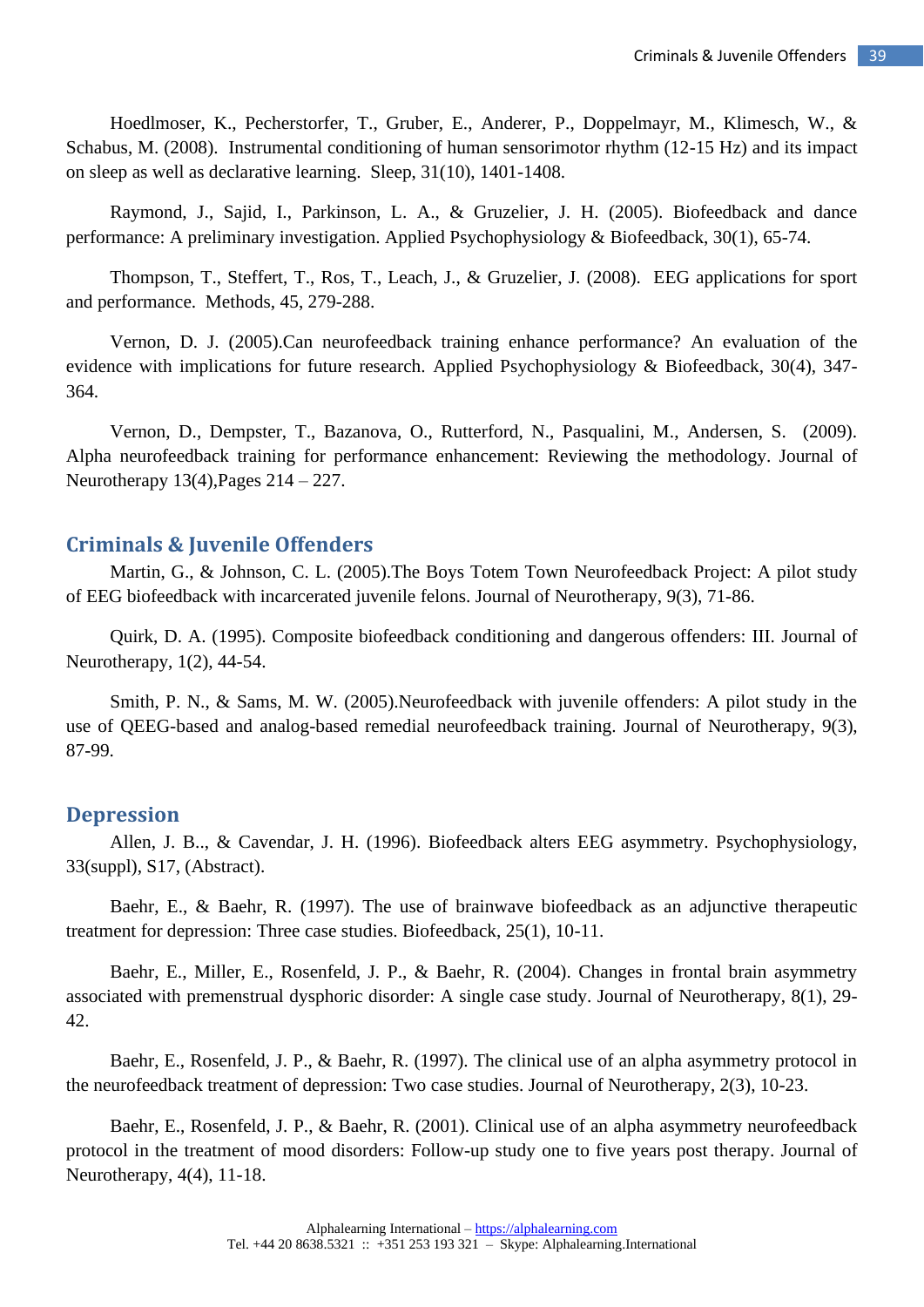Hoedlmoser, K., Pecherstorfer, T., Gruber, E., Anderer, P., Doppelmayr, M., Klimesch, W., & Schabus, M. (2008). Instrumental conditioning of human sensorimotor rhythm (12-15 Hz) and its impact on sleep as well as declarative learning. Sleep, 31(10), 1401-1408.

Raymond, J., Sajid, I., Parkinson, L. A., & Gruzelier, J. H. (2005). Biofeedback and dance performance: A preliminary investigation. Applied Psychophysiology & Biofeedback, 30(1), 65-74.

Thompson, T., Steffert, T., Ros, T., Leach, J., & Gruzelier, J. (2008). EEG applications for sport and performance. Methods, 45, 279-288.

Vernon, D. J. (2005).Can neurofeedback training enhance performance? An evaluation of the evidence with implications for future research. Applied Psychophysiology & Biofeedback, 30(4), 347- 364.

Vernon, D., Dempster, T., Bazanova, O., Rutterford, N., Pasqualini, M., Andersen, S. (2009). Alpha neurofeedback training for performance enhancement: Reviewing the methodology. Journal of Neurotherapy 13(4),Pages 214 – 227.

# **Criminals & Juvenile Offenders**

Martin, G., & Johnson, C. L. (2005).The Boys Totem Town Neurofeedback Project: A pilot study of EEG biofeedback with incarcerated juvenile felons. Journal of Neurotherapy, 9(3), 71-86.

Quirk, D. A. (1995). Composite biofeedback conditioning and dangerous offenders: III. Journal of Neurotherapy, 1(2), 44-54.

Smith, P. N., & Sams, M. W. (2005).Neurofeedback with juvenile offenders: A pilot study in the use of QEEG-based and analog-based remedial neurofeedback training. Journal of Neurotherapy, 9(3), 87-99.

# **Depression**

Allen, J. B.., & Cavendar, J. H. (1996). Biofeedback alters EEG asymmetry. Psychophysiology, 33(suppl), S17, (Abstract).

Baehr, E., & Baehr, R. (1997). The use of brainwave biofeedback as an adjunctive therapeutic treatment for depression: Three case studies. Biofeedback, 25(1), 10-11.

Baehr, E., Miller, E., Rosenfeld, J. P., & Baehr, R. (2004). Changes in frontal brain asymmetry associated with premenstrual dysphoric disorder: A single case study. Journal of Neurotherapy, 8(1), 29- 42.

Baehr, E., Rosenfeld, J. P., & Baehr, R. (1997). The clinical use of an alpha asymmetry protocol in the neurofeedback treatment of depression: Two case studies. Journal of Neurotherapy, 2(3), 10-23.

Baehr, E., Rosenfeld, J. P., & Baehr, R. (2001). Clinical use of an alpha asymmetry neurofeedback protocol in the treatment of mood disorders: Follow-up study one to five years post therapy. Journal of Neurotherapy, 4(4), 11-18.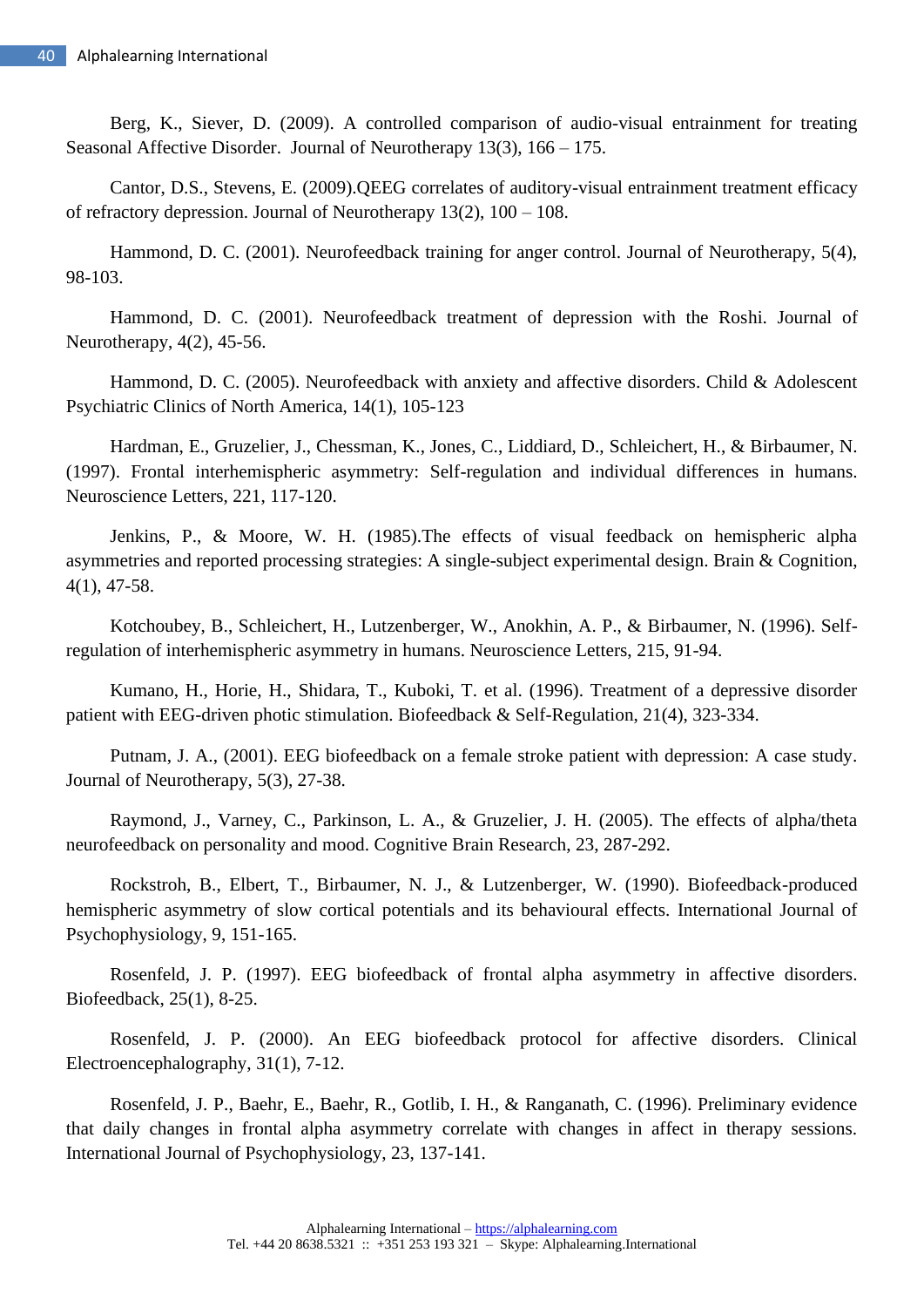Berg, K., Siever, D. (2009). A controlled comparison of audio-visual entrainment for treating Seasonal Affective Disorder. Journal of Neurotherapy 13(3), 166 – 175.

Cantor, D.S., Stevens, E. (2009).QEEG correlates of auditory-visual entrainment treatment efficacy of refractory depression. Journal of Neurotherapy 13(2), 100 – 108.

Hammond, D. C. (2001). Neurofeedback training for anger control. Journal of Neurotherapy, 5(4), 98-103.

Hammond, D. C. (2001). Neurofeedback treatment of depression with the Roshi. Journal of Neurotherapy, 4(2), 45-56.

Hammond, D. C. (2005). Neurofeedback with anxiety and affective disorders. Child & Adolescent Psychiatric Clinics of North America, 14(1), 105-123

Hardman, E., Gruzelier, J., Chessman, K., Jones, C., Liddiard, D., Schleichert, H., & Birbaumer, N. (1997). Frontal interhemispheric asymmetry: Self-regulation and individual differences in humans. Neuroscience Letters, 221, 117-120.

Jenkins, P., & Moore, W. H. (1985).The effects of visual feedback on hemispheric alpha asymmetries and reported processing strategies: A single-subject experimental design. Brain & Cognition, 4(1), 47-58.

Kotchoubey, B., Schleichert, H., Lutzenberger, W., Anokhin, A. P., & Birbaumer, N. (1996). Selfregulation of interhemispheric asymmetry in humans. Neuroscience Letters, 215, 91-94.

Kumano, H., Horie, H., Shidara, T., Kuboki, T. et al. (1996). Treatment of a depressive disorder patient with EEG-driven photic stimulation. Biofeedback & Self-Regulation, 21(4), 323-334.

Putnam, J. A., (2001). EEG biofeedback on a female stroke patient with depression: A case study. Journal of Neurotherapy, 5(3), 27-38.

Raymond, J., Varney, C., Parkinson, L. A., & Gruzelier, J. H. (2005). The effects of alpha/theta neurofeedback on personality and mood. Cognitive Brain Research, 23, 287-292.

Rockstroh, B., Elbert, T., Birbaumer, N. J., & Lutzenberger, W. (1990). Biofeedback-produced hemispheric asymmetry of slow cortical potentials and its behavioural effects. International Journal of Psychophysiology, 9, 151-165.

Rosenfeld, J. P. (1997). EEG biofeedback of frontal alpha asymmetry in affective disorders. Biofeedback, 25(1), 8-25.

Rosenfeld, J. P. (2000). An EEG biofeedback protocol for affective disorders. Clinical Electroencephalography, 31(1), 7-12.

Rosenfeld, J. P., Baehr, E., Baehr, R., Gotlib, I. H., & Ranganath, C. (1996). Preliminary evidence that daily changes in frontal alpha asymmetry correlate with changes in affect in therapy sessions. International Journal of Psychophysiology, 23, 137-141.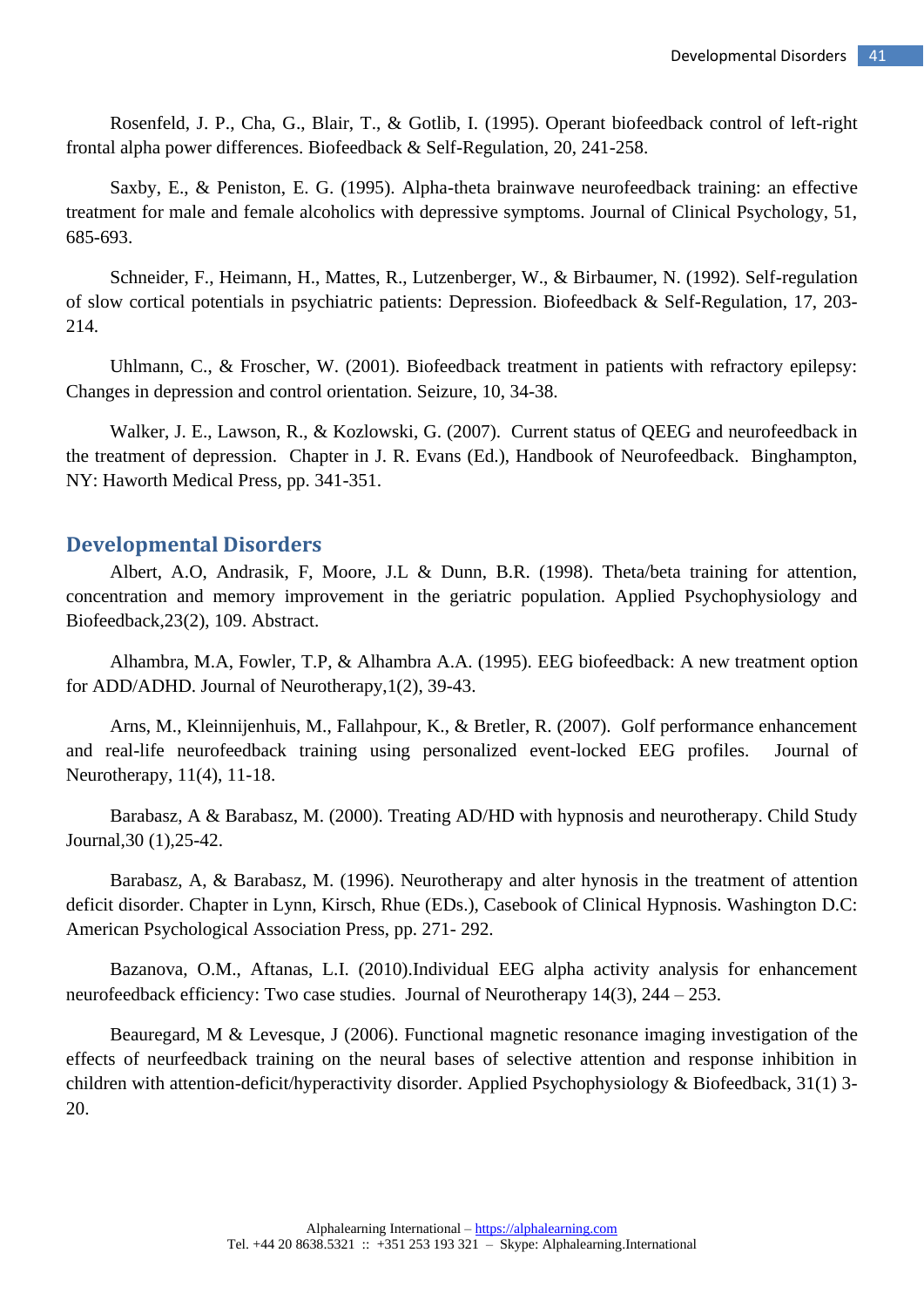Rosenfeld, J. P., Cha, G., Blair, T., & Gotlib, I. (1995). Operant biofeedback control of left-right frontal alpha power differences. Biofeedback & Self-Regulation, 20, 241-258.

Saxby, E., & Peniston, E. G. (1995). Alpha-theta brainwave neurofeedback training: an effective treatment for male and female alcoholics with depressive symptoms. Journal of Clinical Psychology, 51, 685-693.

Schneider, F., Heimann, H., Mattes, R., Lutzenberger, W., & Birbaumer, N. (1992). Self-regulation of slow cortical potentials in psychiatric patients: Depression. Biofeedback & Self-Regulation, 17, 203- 214.

Uhlmann, C., & Froscher, W. (2001). Biofeedback treatment in patients with refractory epilepsy: Changes in depression and control orientation. Seizure, 10, 34-38.

Walker, J. E., Lawson, R., & Kozlowski, G. (2007). Current status of QEEG and neurofeedback in the treatment of depression. Chapter in J. R. Evans (Ed.), Handbook of Neurofeedback. Binghampton, NY: Haworth Medical Press, pp. 341-351.

#### **Developmental Disorders**

Albert, A.O, Andrasik, F, Moore, J.L & Dunn, B.R. (1998). Theta/beta training for attention, concentration and memory improvement in the geriatric population. Applied Psychophysiology and Biofeedback,23(2), 109. Abstract.

Alhambra, M.A, Fowler, T.P, & Alhambra A.A. (1995). EEG biofeedback: A new treatment option for ADD/ADHD. Journal of Neurotherapy,1(2), 39-43.

Arns, M., Kleinnijenhuis, M., Fallahpour, K., & Bretler, R. (2007). Golf performance enhancement and real-life neurofeedback training using personalized event-locked EEG profiles. Journal of Neurotherapy, 11(4), 11-18.

Barabasz, A & Barabasz, M. (2000). Treating AD/HD with hypnosis and neurotherapy. Child Study Journal,30 (1),25-42.

Barabasz, A, & Barabasz, M. (1996). Neurotherapy and alter hynosis in the treatment of attention deficit disorder. Chapter in Lynn, Kirsch, Rhue (EDs.), Casebook of Clinical Hypnosis. Washington D.C: American Psychological Association Press, pp. 271- 292.

Bazanova, O.M., Aftanas, L.I. (2010).Individual EEG alpha activity analysis for enhancement neurofeedback efficiency: Two case studies. Journal of Neurotherapy 14(3), 244 – 253.

Beauregard, M & Levesque, J (2006). Functional magnetic resonance imaging investigation of the effects of neurfeedback training on the neural bases of selective attention and response inhibition in children with attention-deficit/hyperactivity disorder. Applied Psychophysiology & Biofeedback, 31(1) 3- 20.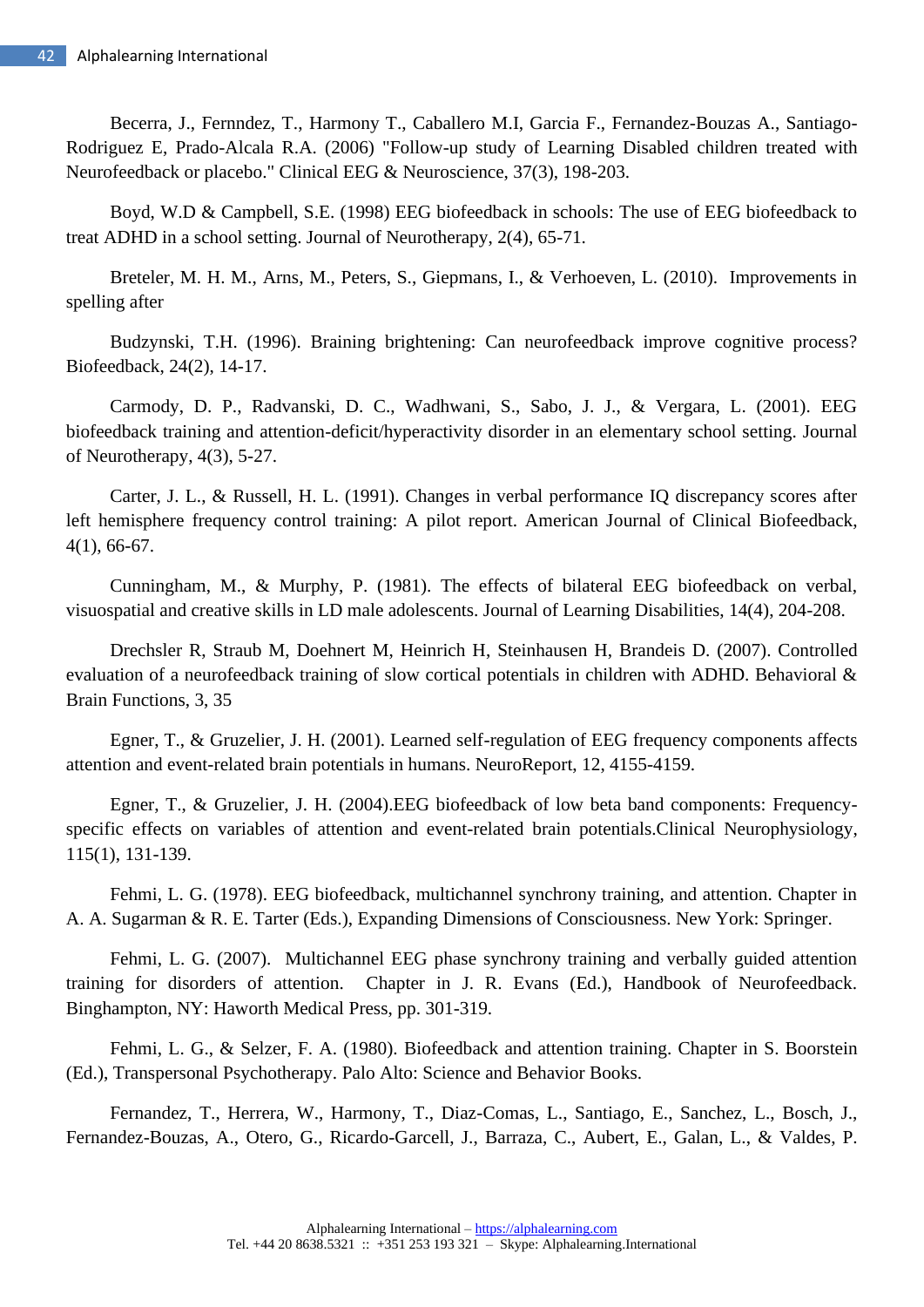Becerra, J., Fernndez, T., Harmony T., Caballero M.I, Garcia F., Fernandez-Bouzas A., Santiago-Rodriguez E, Prado-Alcala R.A. (2006) "Follow-up study of Learning Disabled children treated with Neurofeedback or placebo." Clinical EEG & Neuroscience, 37(3), 198-203.

Boyd, W.D & Campbell, S.E. (1998) EEG biofeedback in schools: The use of EEG biofeedback to treat ADHD in a school setting. Journal of Neurotherapy, 2(4), 65-71.

Breteler, M. H. M., Arns, M., Peters, S., Giepmans, I., & Verhoeven, L. (2010). Improvements in spelling after

Budzynski, T.H. (1996). Braining brightening: Can neurofeedback improve cognitive process? Biofeedback, 24(2), 14-17.

Carmody, D. P., Radvanski, D. C., Wadhwani, S., Sabo, J. J., & Vergara, L. (2001). EEG biofeedback training and attention-deficit/hyperactivity disorder in an elementary school setting. Journal of Neurotherapy, 4(3), 5-27.

Carter, J. L., & Russell, H. L. (1991). Changes in verbal performance IQ discrepancy scores after left hemisphere frequency control training: A pilot report. American Journal of Clinical Biofeedback, 4(1), 66-67.

Cunningham, M., & Murphy, P. (1981). The effects of bilateral EEG biofeedback on verbal, visuospatial and creative skills in LD male adolescents. Journal of Learning Disabilities, 14(4), 204-208.

Drechsler R, Straub M, Doehnert M, Heinrich H, Steinhausen H, Brandeis D. (2007). Controlled evaluation of a neurofeedback training of slow cortical potentials in children with ADHD. Behavioral & Brain Functions, 3, 35

Egner, T., & Gruzelier, J. H. (2001). Learned self-regulation of EEG frequency components affects attention and event-related brain potentials in humans. NeuroReport, 12, 4155-4159.

Egner, T., & Gruzelier, J. H. (2004).EEG biofeedback of low beta band components: Frequencyspecific effects on variables of attention and event-related brain potentials.Clinical Neurophysiology, 115(1), 131-139.

Fehmi, L. G. (1978). EEG biofeedback, multichannel synchrony training, and attention. Chapter in A. A. Sugarman & R. E. Tarter (Eds.), Expanding Dimensions of Consciousness. New York: Springer.

Fehmi, L. G. (2007). Multichannel EEG phase synchrony training and verbally guided attention training for disorders of attention. Chapter in J. R. Evans (Ed.), Handbook of Neurofeedback. Binghampton, NY: Haworth Medical Press, pp. 301-319.

Fehmi, L. G., & Selzer, F. A. (1980). Biofeedback and attention training. Chapter in S. Boorstein (Ed.), Transpersonal Psychotherapy. Palo Alto: Science and Behavior Books.

Fernandez, T., Herrera, W., Harmony, T., Diaz-Comas, L., Santiago, E., Sanchez, L., Bosch, J., Fernandez-Bouzas, A., Otero, G., Ricardo-Garcell, J., Barraza, C., Aubert, E., Galan, L., & Valdes, P.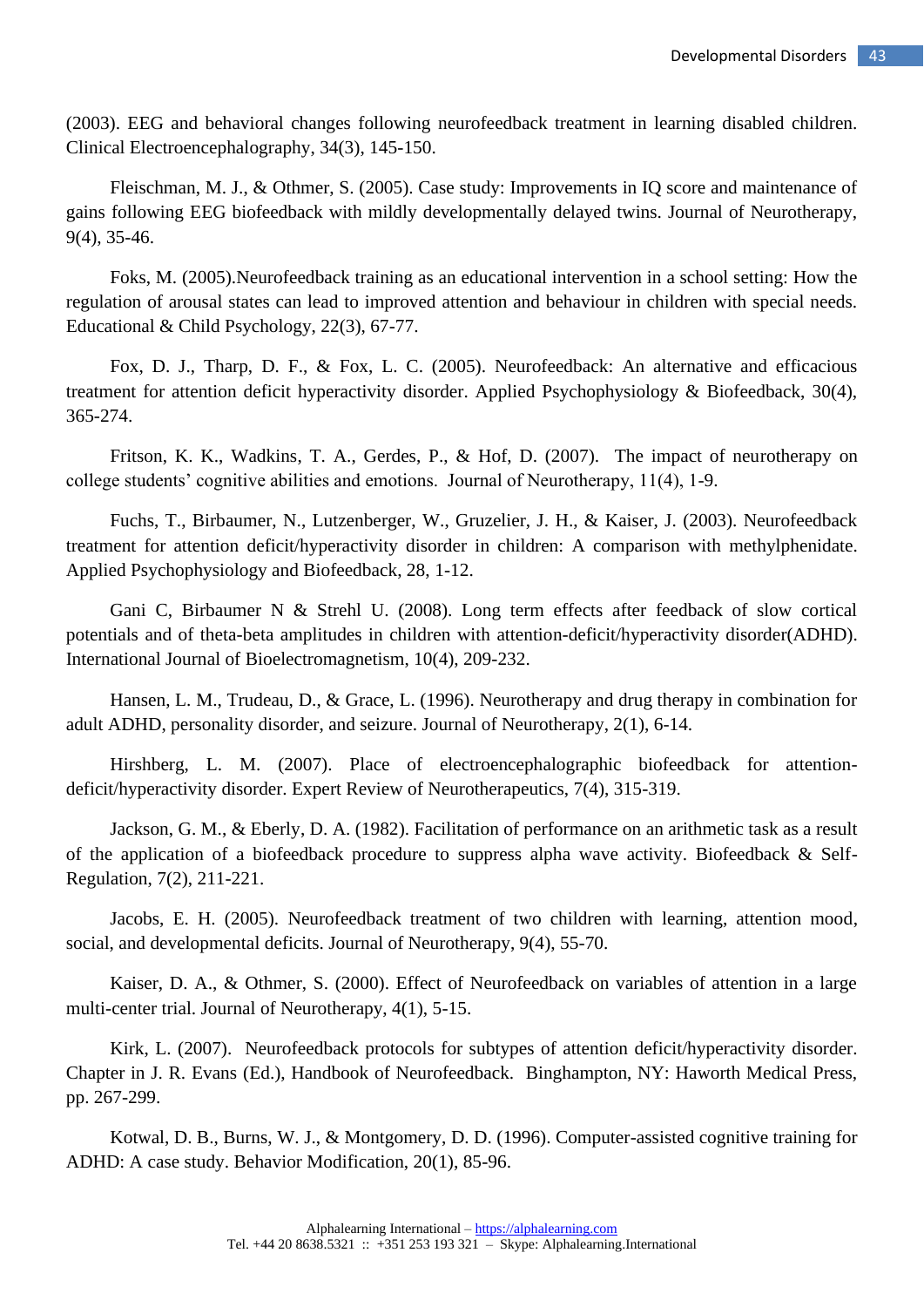(2003). EEG and behavioral changes following neurofeedback treatment in learning disabled children. Clinical Electroencephalography, 34(3), 145-150.

Fleischman, M. J., & Othmer, S. (2005). Case study: Improvements in IQ score and maintenance of gains following EEG biofeedback with mildly developmentally delayed twins. Journal of Neurotherapy, 9(4), 35-46.

Foks, M. (2005).Neurofeedback training as an educational intervention in a school setting: How the regulation of arousal states can lead to improved attention and behaviour in children with special needs. Educational & Child Psychology, 22(3), 67-77.

Fox, D. J., Tharp, D. F., & Fox, L. C. (2005). Neurofeedback: An alternative and efficacious treatment for attention deficit hyperactivity disorder. Applied Psychophysiology & Biofeedback, 30(4), 365-274.

Fritson, K. K., Wadkins, T. A., Gerdes, P., & Hof, D. (2007). The impact of neurotherapy on college students' cognitive abilities and emotions. Journal of Neurotherapy, 11(4), 1-9.

Fuchs, T., Birbaumer, N., Lutzenberger, W., Gruzelier, J. H., & Kaiser, J. (2003). Neurofeedback treatment for attention deficit/hyperactivity disorder in children: A comparison with methylphenidate. Applied Psychophysiology and Biofeedback, 28, 1-12.

Gani C, Birbaumer N & Strehl U. (2008). Long term effects after feedback of slow cortical potentials and of theta-beta amplitudes in children with attention-deficit/hyperactivity disorder(ADHD). International Journal of Bioelectromagnetism, 10(4), 209-232.

Hansen, L. M., Trudeau, D., & Grace, L. (1996). Neurotherapy and drug therapy in combination for adult ADHD, personality disorder, and seizure. Journal of Neurotherapy, 2(1), 6-14.

Hirshberg, L. M. (2007). Place of electroencephalographic biofeedback for attentiondeficit/hyperactivity disorder. Expert Review of Neurotherapeutics, 7(4), 315-319.

Jackson, G. M., & Eberly, D. A. (1982). Facilitation of performance on an arithmetic task as a result of the application of a biofeedback procedure to suppress alpha wave activity. Biofeedback & Self-Regulation, 7(2), 211-221.

Jacobs, E. H. (2005). Neurofeedback treatment of two children with learning, attention mood, social, and developmental deficits. Journal of Neurotherapy, 9(4), 55-70.

Kaiser, D. A., & Othmer, S. (2000). Effect of Neurofeedback on variables of attention in a large multi-center trial. Journal of Neurotherapy, 4(1), 5-15.

Kirk, L. (2007). Neurofeedback protocols for subtypes of attention deficit/hyperactivity disorder. Chapter in J. R. Evans (Ed.), Handbook of Neurofeedback. Binghampton, NY: Haworth Medical Press, pp. 267-299.

Kotwal, D. B., Burns, W. J., & Montgomery, D. D. (1996). Computer-assisted cognitive training for ADHD: A case study. Behavior Modification, 20(1), 85-96.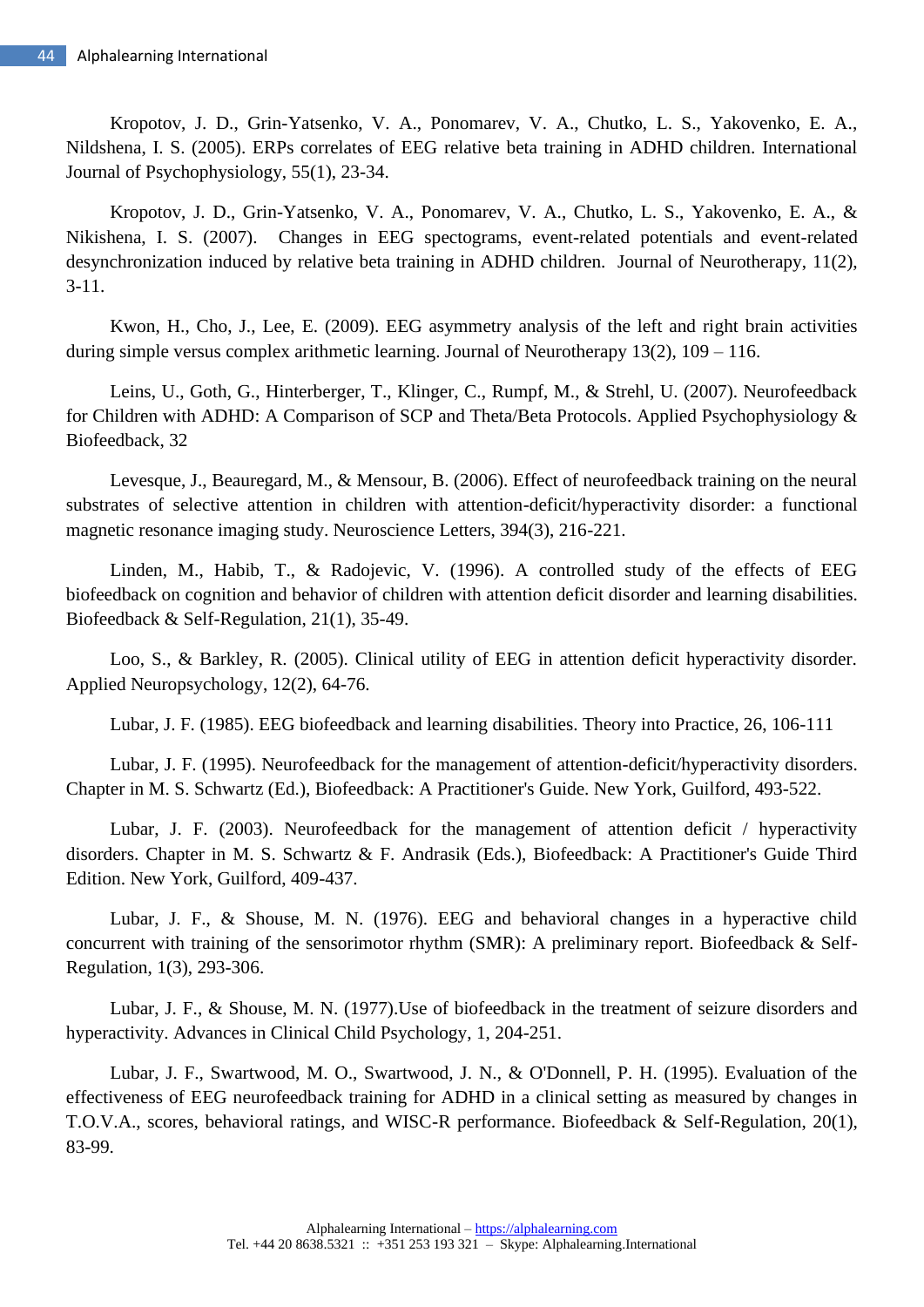Kropotov, J. D., Grin-Yatsenko, V. A., Ponomarev, V. A., Chutko, L. S., Yakovenko, E. A., Nildshena, I. S. (2005). ERPs correlates of EEG relative beta training in ADHD children. International Journal of Psychophysiology, 55(1), 23-34.

Kropotov, J. D., Grin-Yatsenko, V. A., Ponomarev, V. A., Chutko, L. S., Yakovenko, E. A., & Nikishena, I. S. (2007). Changes in EEG spectograms, event-related potentials and event-related desynchronization induced by relative beta training in ADHD children. Journal of Neurotherapy, 11(2),  $3-11.$ 

Kwon, H., Cho, J., Lee, E. (2009). EEG asymmetry analysis of the left and right brain activities during simple versus complex arithmetic learning. Journal of Neurotherapy 13(2), 109 – 116.

Leins, U., Goth, G., Hinterberger, T., Klinger, C., Rumpf, M., & Strehl, U. (2007). Neurofeedback for Children with ADHD: A Comparison of SCP and Theta/Beta Protocols. Applied Psychophysiology & Biofeedback, 32

Levesque, J., Beauregard, M., & Mensour, B. (2006). Effect of neurofeedback training on the neural substrates of selective attention in children with attention-deficit/hyperactivity disorder: a functional magnetic resonance imaging study. Neuroscience Letters, 394(3), 216-221.

Linden, M., Habib, T., & Radojevic, V. (1996). A controlled study of the effects of EEG biofeedback on cognition and behavior of children with attention deficit disorder and learning disabilities. Biofeedback & Self-Regulation, 21(1), 35-49.

Loo, S., & Barkley, R. (2005). Clinical utility of EEG in attention deficit hyperactivity disorder. Applied Neuropsychology, 12(2), 64-76.

Lubar, J. F. (1985). EEG biofeedback and learning disabilities. Theory into Practice, 26, 106-111

Lubar, J. F. (1995). Neurofeedback for the management of attention-deficit/hyperactivity disorders. Chapter in M. S. Schwartz (Ed.), Biofeedback: A Practitioner's Guide. New York, Guilford, 493-522.

Lubar, J. F. (2003). Neurofeedback for the management of attention deficit / hyperactivity disorders. Chapter in M. S. Schwartz & F. Andrasik (Eds.), Biofeedback: A Practitioner's Guide Third Edition. New York, Guilford, 409-437.

Lubar, J. F., & Shouse, M. N. (1976). EEG and behavioral changes in a hyperactive child concurrent with training of the sensorimotor rhythm (SMR): A preliminary report. Biofeedback & Self-Regulation, 1(3), 293-306.

Lubar, J. F., & Shouse, M. N. (1977).Use of biofeedback in the treatment of seizure disorders and hyperactivity. Advances in Clinical Child Psychology, 1, 204-251.

Lubar, J. F., Swartwood, M. O., Swartwood, J. N., & O'Donnell, P. H. (1995). Evaluation of the effectiveness of EEG neurofeedback training for ADHD in a clinical setting as measured by changes in T.O.V.A., scores, behavioral ratings, and WISC-R performance. Biofeedback & Self-Regulation, 20(1), 83-99.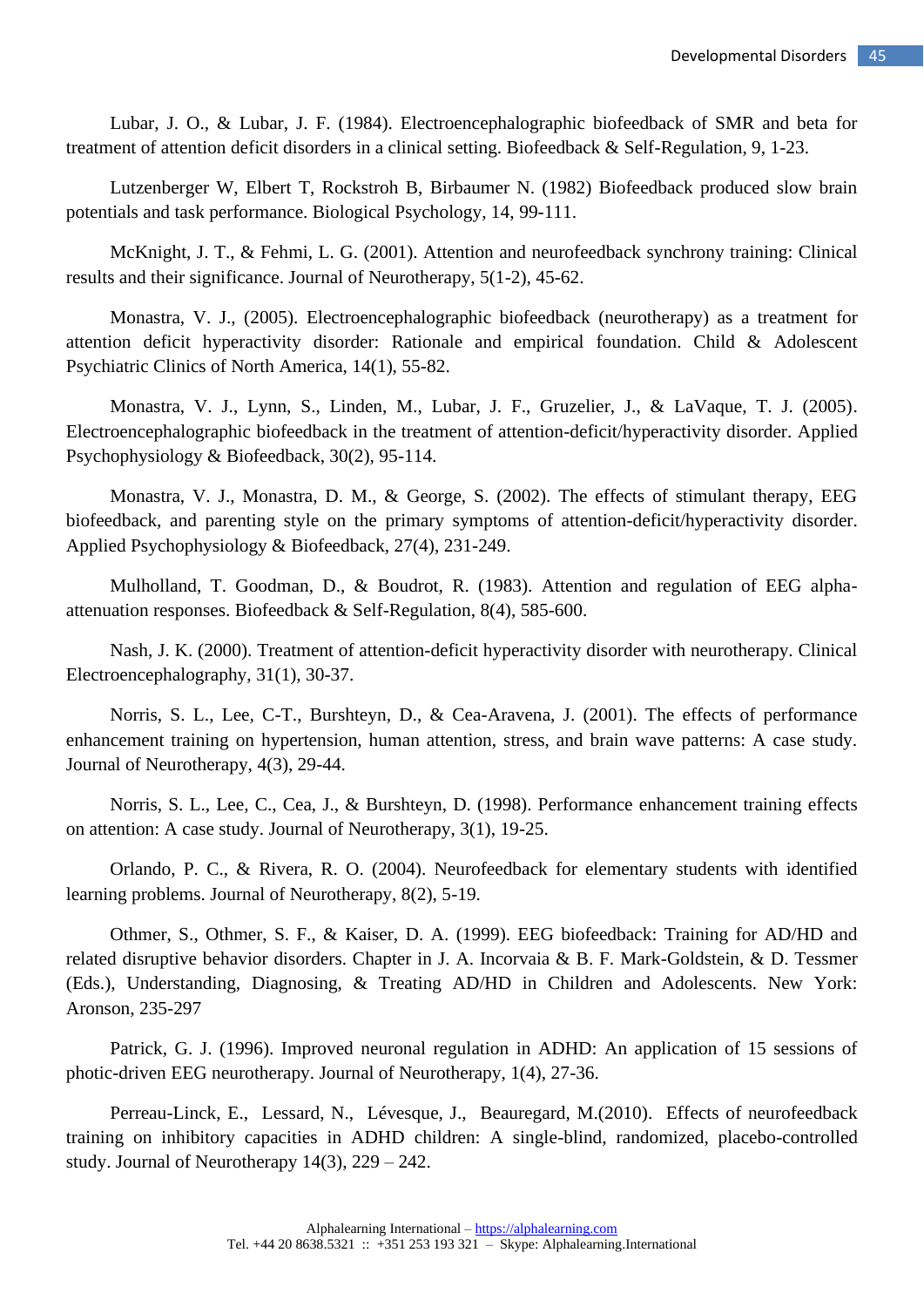Lubar, J. O., & Lubar, J. F. (1984). Electroencephalographic biofeedback of SMR and beta for treatment of attention deficit disorders in a clinical setting. Biofeedback & Self-Regulation, 9, 1-23.

Lutzenberger W, Elbert T, Rockstroh B, Birbaumer N. (1982) Biofeedback produced slow brain potentials and task performance. Biological Psychology, 14, 99-111.

McKnight, J. T., & Fehmi, L. G. (2001). Attention and neurofeedback synchrony training: Clinical results and their significance. Journal of Neurotherapy, 5(1-2), 45-62.

Monastra, V. J., (2005). Electroencephalographic biofeedback (neurotherapy) as a treatment for attention deficit hyperactivity disorder: Rationale and empirical foundation. Child & Adolescent Psychiatric Clinics of North America, 14(1), 55-82.

Monastra, V. J., Lynn, S., Linden, M., Lubar, J. F., Gruzelier, J., & LaVaque, T. J. (2005). Electroencephalographic biofeedback in the treatment of attention-deficit/hyperactivity disorder. Applied Psychophysiology & Biofeedback, 30(2), 95-114.

Monastra, V. J., Monastra, D. M., & George, S. (2002). The effects of stimulant therapy, EEG biofeedback, and parenting style on the primary symptoms of attention-deficit/hyperactivity disorder. Applied Psychophysiology & Biofeedback, 27(4), 231-249.

Mulholland, T. Goodman, D., & Boudrot, R. (1983). Attention and regulation of EEG alphaattenuation responses. Biofeedback & Self-Regulation, 8(4), 585-600.

Nash, J. K. (2000). Treatment of attention-deficit hyperactivity disorder with neurotherapy. Clinical Electroencephalography, 31(1), 30-37.

Norris, S. L., Lee, C-T., Burshteyn, D., & Cea-Aravena, J. (2001). The effects of performance enhancement training on hypertension, human attention, stress, and brain wave patterns: A case study. Journal of Neurotherapy, 4(3), 29-44.

Norris, S. L., Lee, C., Cea, J., & Burshteyn, D. (1998). Performance enhancement training effects on attention: A case study. Journal of Neurotherapy, 3(1), 19-25.

Orlando, P. C., & Rivera, R. O. (2004). Neurofeedback for elementary students with identified learning problems. Journal of Neurotherapy, 8(2), 5-19.

Othmer, S., Othmer, S. F., & Kaiser, D. A. (1999). EEG biofeedback: Training for AD/HD and related disruptive behavior disorders. Chapter in J. A. Incorvaia & B. F. Mark-Goldstein, & D. Tessmer (Eds.), Understanding, Diagnosing, & Treating AD/HD in Children and Adolescents. New York: Aronson, 235-297

Patrick, G. J. (1996). Improved neuronal regulation in ADHD: An application of 15 sessions of photic-driven EEG neurotherapy. Journal of Neurotherapy, 1(4), 27-36.

Perreau-Linck, E., Lessard, N., Lévesque, J., Beauregard, M.(2010). Effects of neurofeedback training on inhibitory capacities in ADHD children: A single-blind, randomized, placebo-controlled study. Journal of Neurotherapy 14(3), 229 – 242.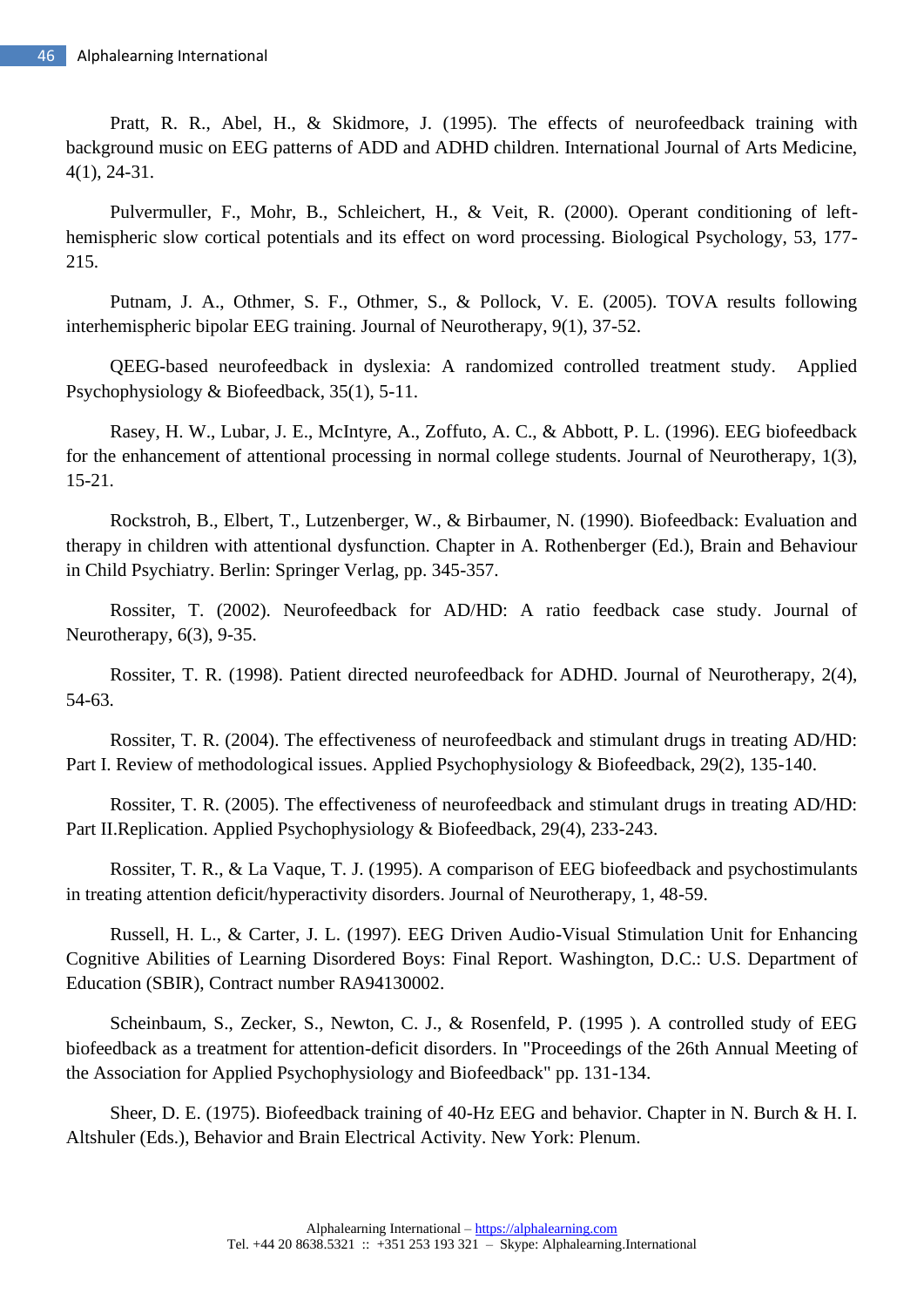Pratt, R. R., Abel, H., & Skidmore, J. (1995). The effects of neurofeedback training with background music on EEG patterns of ADD and ADHD children. International Journal of Arts Medicine, 4(1), 24-31.

Pulvermuller, F., Mohr, B., Schleichert, H., & Veit, R. (2000). Operant conditioning of lefthemispheric slow cortical potentials and its effect on word processing. Biological Psychology, 53, 177- 215.

Putnam, J. A., Othmer, S. F., Othmer, S., & Pollock, V. E. (2005). TOVA results following interhemispheric bipolar EEG training. Journal of Neurotherapy, 9(1), 37-52.

QEEG-based neurofeedback in dyslexia: A randomized controlled treatment study. Applied Psychophysiology & Biofeedback, 35(1), 5-11.

Rasey, H. W., Lubar, J. E., McIntyre, A., Zoffuto, A. C., & Abbott, P. L. (1996). EEG biofeedback for the enhancement of attentional processing in normal college students. Journal of Neurotherapy, 1(3), 15-21.

Rockstroh, B., Elbert, T., Lutzenberger, W., & Birbaumer, N. (1990). Biofeedback: Evaluation and therapy in children with attentional dysfunction. Chapter in A. Rothenberger (Ed.), Brain and Behaviour in Child Psychiatry. Berlin: Springer Verlag, pp. 345-357.

Rossiter, T. (2002). Neurofeedback for AD/HD: A ratio feedback case study. Journal of Neurotherapy, 6(3), 9-35.

Rossiter, T. R. (1998). Patient directed neurofeedback for ADHD. Journal of Neurotherapy, 2(4), 54-63.

Rossiter, T. R. (2004). The effectiveness of neurofeedback and stimulant drugs in treating AD/HD: Part I. Review of methodological issues. Applied Psychophysiology & Biofeedback, 29(2), 135-140.

Rossiter, T. R. (2005). The effectiveness of neurofeedback and stimulant drugs in treating AD/HD: Part II.Replication. Applied Psychophysiology & Biofeedback, 29(4), 233-243.

Rossiter, T. R., & La Vaque, T. J. (1995). A comparison of EEG biofeedback and psychostimulants in treating attention deficit/hyperactivity disorders. Journal of Neurotherapy, 1, 48-59.

Russell, H. L., & Carter, J. L. (1997). EEG Driven Audio-Visual Stimulation Unit for Enhancing Cognitive Abilities of Learning Disordered Boys: Final Report. Washington, D.C.: U.S. Department of Education (SBIR), Contract number RA94130002.

Scheinbaum, S., Zecker, S., Newton, C. J., & Rosenfeld, P. (1995 ). A controlled study of EEG biofeedback as a treatment for attention-deficit disorders. In "Proceedings of the 26th Annual Meeting of the Association for Applied Psychophysiology and Biofeedback" pp. 131-134.

Sheer, D. E. (1975). Biofeedback training of 40-Hz EEG and behavior. Chapter in N. Burch & H. I. Altshuler (Eds.), Behavior and Brain Electrical Activity. New York: Plenum.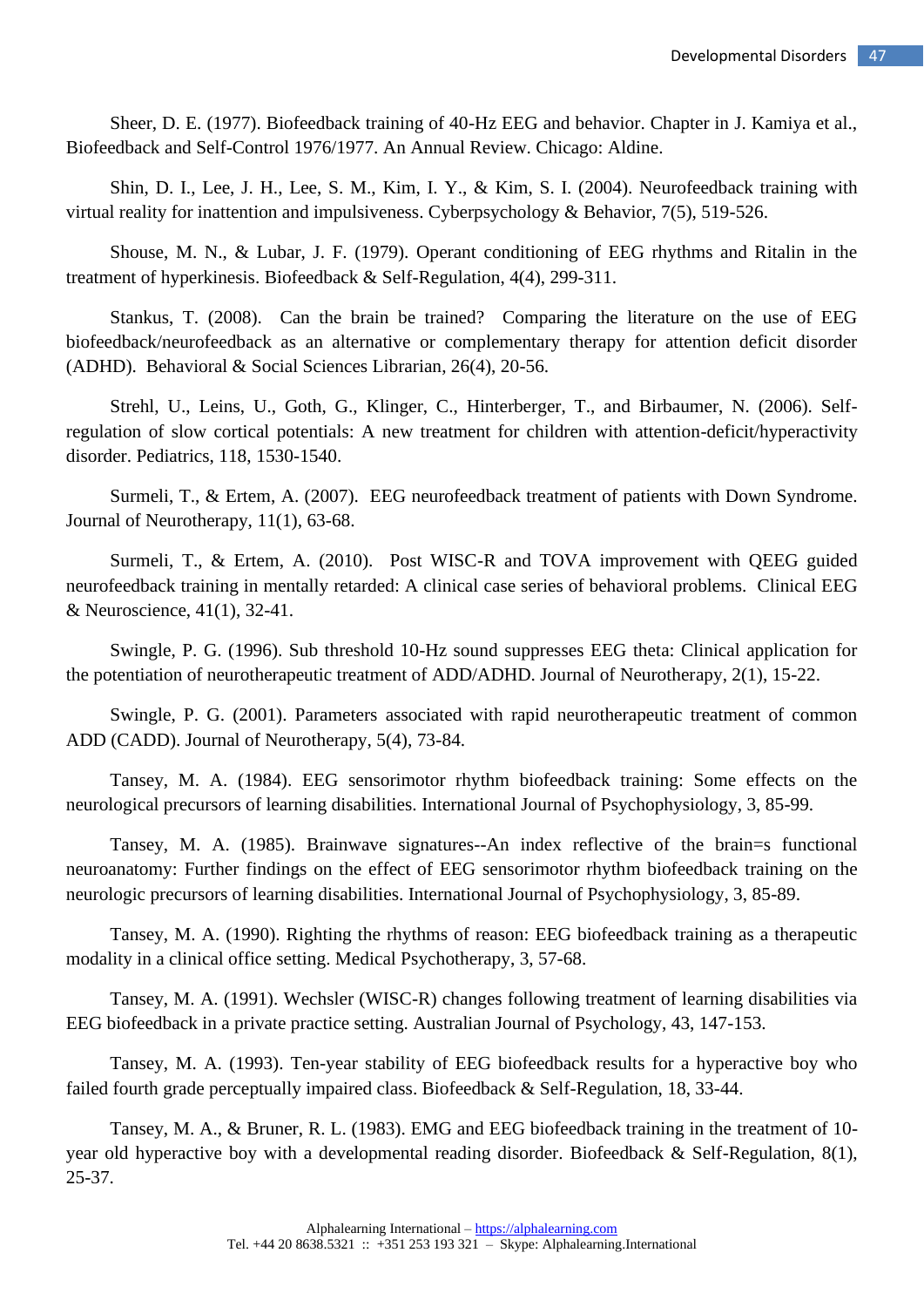Sheer, D. E. (1977). Biofeedback training of 40-Hz EEG and behavior. Chapter in J. Kamiya et al., Biofeedback and Self-Control 1976/1977. An Annual Review. Chicago: Aldine.

Shin, D. I., Lee, J. H., Lee, S. M., Kim, I. Y., & Kim, S. I. (2004). Neurofeedback training with virtual reality for inattention and impulsiveness. Cyberpsychology & Behavior, 7(5), 519-526.

Shouse, M. N., & Lubar, J. F. (1979). Operant conditioning of EEG rhythms and Ritalin in the treatment of hyperkinesis. Biofeedback & Self-Regulation, 4(4), 299-311.

Stankus, T. (2008). Can the brain be trained? Comparing the literature on the use of EEG biofeedback/neurofeedback as an alternative or complementary therapy for attention deficit disorder (ADHD). Behavioral & Social Sciences Librarian, 26(4), 20-56.

Strehl, U., Leins, U., Goth, G., Klinger, C., Hinterberger, T., and Birbaumer, N. (2006). Selfregulation of slow cortical potentials: A new treatment for children with attention-deficit/hyperactivity disorder. Pediatrics, 118, 1530-1540.

Surmeli, T., & Ertem, A. (2007). EEG neurofeedback treatment of patients with Down Syndrome. Journal of Neurotherapy, 11(1), 63-68.

Surmeli, T., & Ertem, A. (2010). Post WISC-R and TOVA improvement with QEEG guided neurofeedback training in mentally retarded: A clinical case series of behavioral problems. Clinical EEG & Neuroscience, 41(1), 32-41.

Swingle, P. G. (1996). Sub threshold 10-Hz sound suppresses EEG theta: Clinical application for the potentiation of neurotherapeutic treatment of ADD/ADHD. Journal of Neurotherapy, 2(1), 15-22.

Swingle, P. G. (2001). Parameters associated with rapid neurotherapeutic treatment of common ADD (CADD). Journal of Neurotherapy, 5(4), 73-84.

Tansey, M. A. (1984). EEG sensorimotor rhythm biofeedback training: Some effects on the neurological precursors of learning disabilities. International Journal of Psychophysiology, 3, 85-99.

Tansey, M. A. (1985). Brainwave signatures--An index reflective of the brain=s functional neuroanatomy: Further findings on the effect of EEG sensorimotor rhythm biofeedback training on the neurologic precursors of learning disabilities. International Journal of Psychophysiology, 3, 85-89.

Tansey, M. A. (1990). Righting the rhythms of reason: EEG biofeedback training as a therapeutic modality in a clinical office setting. Medical Psychotherapy, 3, 57-68.

Tansey, M. A. (1991). Wechsler (WISC-R) changes following treatment of learning disabilities via EEG biofeedback in a private practice setting. Australian Journal of Psychology, 43, 147-153.

Tansey, M. A. (1993). Ten-year stability of EEG biofeedback results for a hyperactive boy who failed fourth grade perceptually impaired class. Biofeedback & Self-Regulation, 18, 33-44.

Tansey, M. A., & Bruner, R. L. (1983). EMG and EEG biofeedback training in the treatment of 10 year old hyperactive boy with a developmental reading disorder. Biofeedback & Self-Regulation, 8(1), 25-37.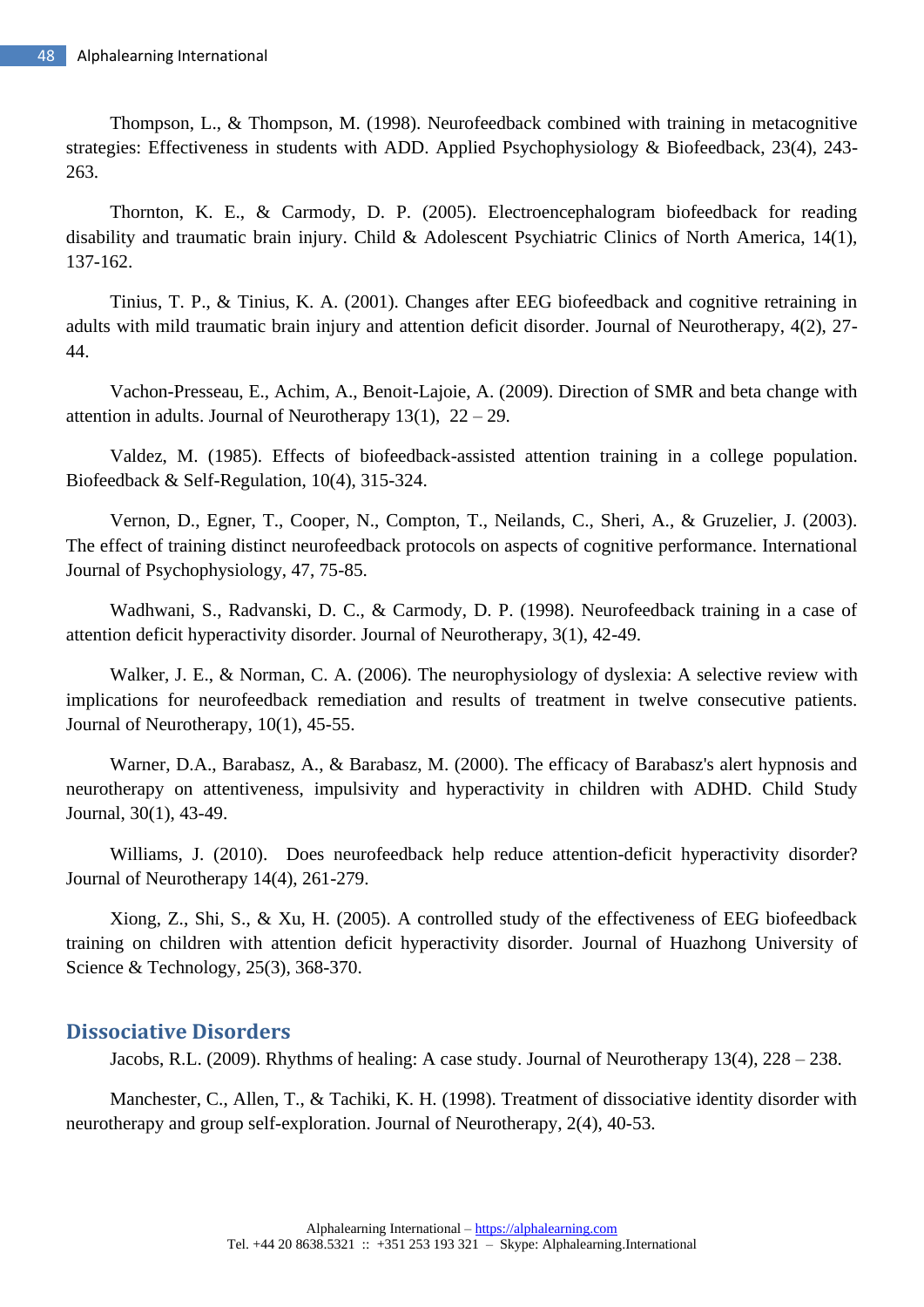Thompson, L., & Thompson, M. (1998). Neurofeedback combined with training in metacognitive strategies: Effectiveness in students with ADD. Applied Psychophysiology & Biofeedback, 23(4), 243- 263.

Thornton, K. E., & Carmody, D. P. (2005). Electroencephalogram biofeedback for reading disability and traumatic brain injury. Child & Adolescent Psychiatric Clinics of North America, 14(1), 137-162.

Tinius, T. P., & Tinius, K. A. (2001). Changes after EEG biofeedback and cognitive retraining in adults with mild traumatic brain injury and attention deficit disorder. Journal of Neurotherapy, 4(2), 27- 44.

Vachon-Presseau, E., Achim, A., Benoit-Lajoie, A. (2009). Direction of SMR and beta change with attention in adults. Journal of Neurotherapy 13(1),  $22 - 29$ .

Valdez, M. (1985). Effects of biofeedback-assisted attention training in a college population. Biofeedback & Self-Regulation, 10(4), 315-324.

Vernon, D., Egner, T., Cooper, N., Compton, T., Neilands, C., Sheri, A., & Gruzelier, J. (2003). The effect of training distinct neurofeedback protocols on aspects of cognitive performance. International Journal of Psychophysiology, 47, 75-85.

Wadhwani, S., Radvanski, D. C., & Carmody, D. P. (1998). Neurofeedback training in a case of attention deficit hyperactivity disorder. Journal of Neurotherapy, 3(1), 42-49.

Walker, J. E., & Norman, C. A. (2006). The neurophysiology of dyslexia: A selective review with implications for neurofeedback remediation and results of treatment in twelve consecutive patients. Journal of Neurotherapy, 10(1), 45-55.

Warner, D.A., Barabasz, A., & Barabasz, M. (2000). The efficacy of Barabasz's alert hypnosis and neurotherapy on attentiveness, impulsivity and hyperactivity in children with ADHD. Child Study Journal, 30(1), 43-49.

Williams, J. (2010). Does neurofeedback help reduce attention-deficit hyperactivity disorder? Journal of Neurotherapy 14(4), 261-279.

Xiong, Z., Shi, S., & Xu, H. (2005). A controlled study of the effectiveness of EEG biofeedback training on children with attention deficit hyperactivity disorder. Journal of Huazhong University of Science & Technology, 25(3), 368-370.

# **Dissociative Disorders**

Jacobs, R.L. (2009). Rhythms of healing: A case study. Journal of Neurotherapy 13(4), 228 – 238.

Manchester, C., Allen, T., & Tachiki, K. H. (1998). Treatment of dissociative identity disorder with neurotherapy and group self-exploration. Journal of Neurotherapy, 2(4), 40-53.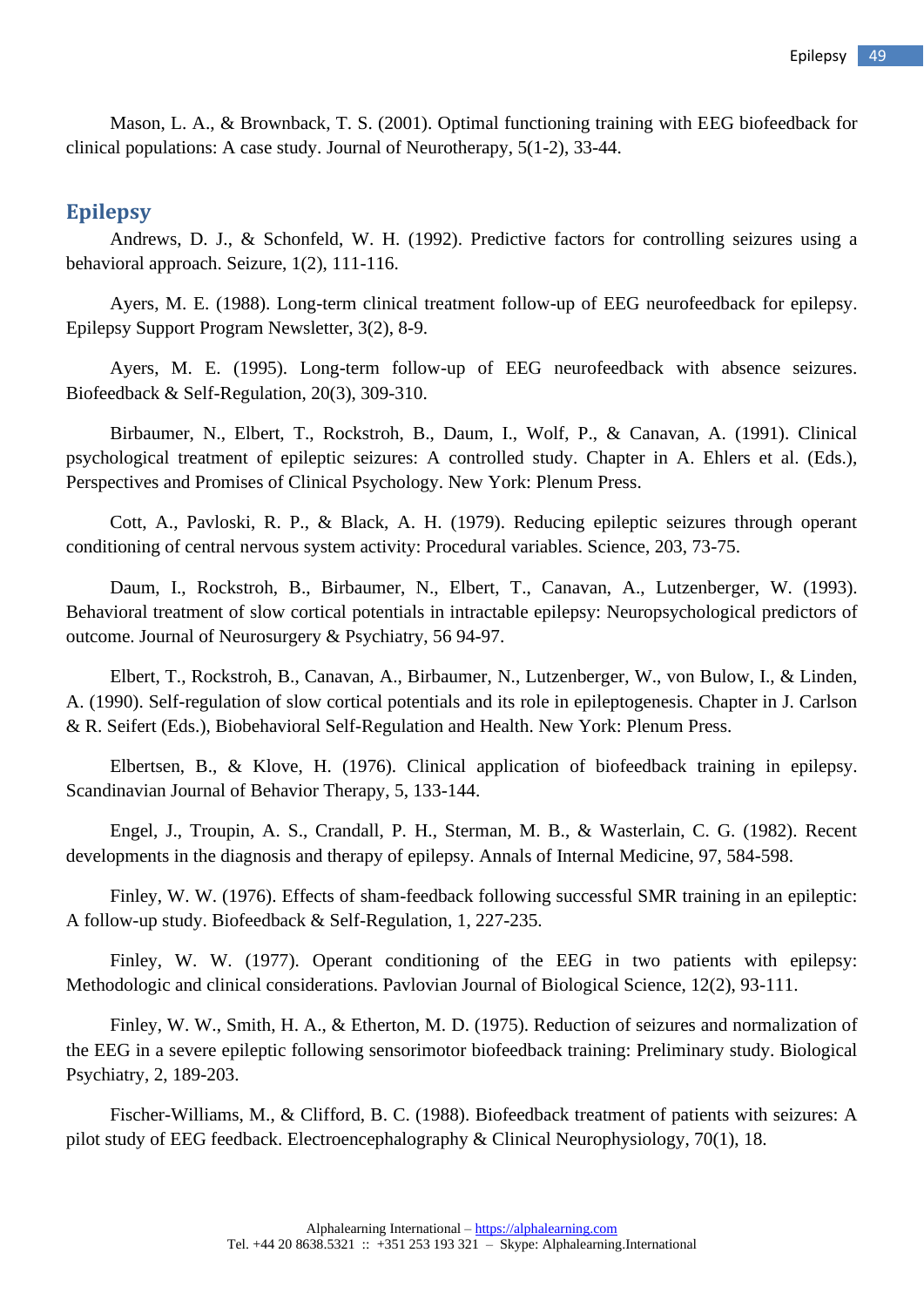Mason, L. A., & Brownback, T. S. (2001). Optimal functioning training with EEG biofeedback for clinical populations: A case study. Journal of Neurotherapy, 5(1-2), 33-44.

#### **Epilepsy**

Andrews, D. J., & Schonfeld, W. H. (1992). Predictive factors for controlling seizures using a behavioral approach. Seizure, 1(2), 111-116.

Ayers, M. E. (1988). Long-term clinical treatment follow-up of EEG neurofeedback for epilepsy. Epilepsy Support Program Newsletter, 3(2), 8-9.

Ayers, M. E. (1995). Long-term follow-up of EEG neurofeedback with absence seizures. Biofeedback & Self-Regulation, 20(3), 309-310.

Birbaumer, N., Elbert, T., Rockstroh, B., Daum, I., Wolf, P., & Canavan, A. (1991). Clinical psychological treatment of epileptic seizures: A controlled study. Chapter in A. Ehlers et al. (Eds.), Perspectives and Promises of Clinical Psychology. New York: Plenum Press.

Cott, A., Pavloski, R. P., & Black, A. H. (1979). Reducing epileptic seizures through operant conditioning of central nervous system activity: Procedural variables. Science, 203, 73-75.

Daum, I., Rockstroh, B., Birbaumer, N., Elbert, T., Canavan, A., Lutzenberger, W. (1993). Behavioral treatment of slow cortical potentials in intractable epilepsy: Neuropsychological predictors of outcome. Journal of Neurosurgery & Psychiatry, 56 94-97.

Elbert, T., Rockstroh, B., Canavan, A., Birbaumer, N., Lutzenberger, W., von Bulow, I., & Linden, A. (1990). Self-regulation of slow cortical potentials and its role in epileptogenesis. Chapter in J. Carlson & R. Seifert (Eds.), Biobehavioral Self-Regulation and Health. New York: Plenum Press.

Elbertsen, B., & Klove, H. (1976). Clinical application of biofeedback training in epilepsy. Scandinavian Journal of Behavior Therapy, 5, 133-144.

Engel, J., Troupin, A. S., Crandall, P. H., Sterman, M. B., & Wasterlain, C. G. (1982). Recent developments in the diagnosis and therapy of epilepsy. Annals of Internal Medicine, 97, 584-598.

Finley, W. W. (1976). Effects of sham-feedback following successful SMR training in an epileptic: A follow-up study. Biofeedback & Self-Regulation, 1, 227-235.

Finley, W. W. (1977). Operant conditioning of the EEG in two patients with epilepsy: Methodologic and clinical considerations. Pavlovian Journal of Biological Science, 12(2), 93-111.

Finley, W. W., Smith, H. A., & Etherton, M. D. (1975). Reduction of seizures and normalization of the EEG in a severe epileptic following sensorimotor biofeedback training: Preliminary study. Biological Psychiatry, 2, 189-203.

Fischer-Williams, M., & Clifford, B. C. (1988). Biofeedback treatment of patients with seizures: A pilot study of EEG feedback. Electroencephalography & Clinical Neurophysiology, 70(1), 18.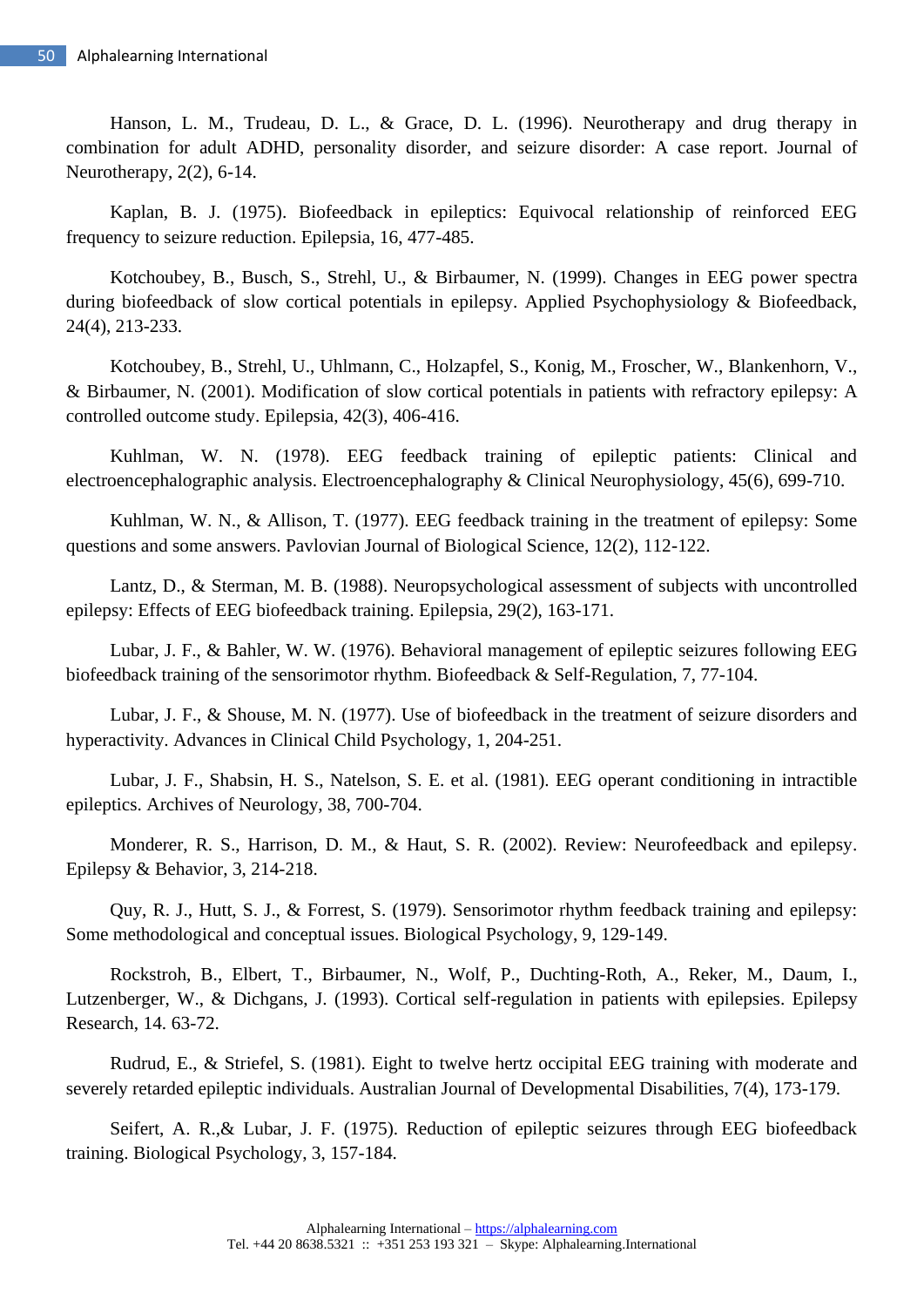Hanson, L. M., Trudeau, D. L., & Grace, D. L. (1996). Neurotherapy and drug therapy in combination for adult ADHD, personality disorder, and seizure disorder: A case report. Journal of Neurotherapy, 2(2), 6-14.

Kaplan, B. J. (1975). Biofeedback in epileptics: Equivocal relationship of reinforced EEG frequency to seizure reduction. Epilepsia, 16, 477-485.

Kotchoubey, B., Busch, S., Strehl, U., & Birbaumer, N. (1999). Changes in EEG power spectra during biofeedback of slow cortical potentials in epilepsy. Applied Psychophysiology & Biofeedback, 24(4), 213-233.

Kotchoubey, B., Strehl, U., Uhlmann, C., Holzapfel, S., Konig, M., Froscher, W., Blankenhorn, V., & Birbaumer, N. (2001). Modification of slow cortical potentials in patients with refractory epilepsy: A controlled outcome study. Epilepsia, 42(3), 406-416.

Kuhlman, W. N. (1978). EEG feedback training of epileptic patients: Clinical and electroencephalographic analysis. Electroencephalography & Clinical Neurophysiology, 45(6), 699-710.

Kuhlman, W. N., & Allison, T. (1977). EEG feedback training in the treatment of epilepsy: Some questions and some answers. Pavlovian Journal of Biological Science, 12(2), 112-122.

Lantz, D., & Sterman, M. B. (1988). Neuropsychological assessment of subjects with uncontrolled epilepsy: Effects of EEG biofeedback training. Epilepsia, 29(2), 163-171.

Lubar, J. F., & Bahler, W. W. (1976). Behavioral management of epileptic seizures following EEG biofeedback training of the sensorimotor rhythm. Biofeedback & Self-Regulation, 7, 77-104.

Lubar, J. F., & Shouse, M. N. (1977). Use of biofeedback in the treatment of seizure disorders and hyperactivity. Advances in Clinical Child Psychology, 1, 204-251.

Lubar, J. F., Shabsin, H. S., Natelson, S. E. et al. (1981). EEG operant conditioning in intractible epileptics. Archives of Neurology, 38, 700-704.

Monderer, R. S., Harrison, D. M., & Haut, S. R. (2002). Review: Neurofeedback and epilepsy. Epilepsy & Behavior, 3, 214-218.

Quy, R. J., Hutt, S. J., & Forrest, S. (1979). Sensorimotor rhythm feedback training and epilepsy: Some methodological and conceptual issues. Biological Psychology, 9, 129-149.

Rockstroh, B., Elbert, T., Birbaumer, N., Wolf, P., Duchting-Roth, A., Reker, M., Daum, I., Lutzenberger, W., & Dichgans, J. (1993). Cortical self-regulation in patients with epilepsies. Epilepsy Research, 14. 63-72.

Rudrud, E., & Striefel, S. (1981). Eight to twelve hertz occipital EEG training with moderate and severely retarded epileptic individuals. Australian Journal of Developmental Disabilities, 7(4), 173-179.

Seifert, A. R.,& Lubar, J. F. (1975). Reduction of epileptic seizures through EEG biofeedback training. Biological Psychology, 3, 157-184.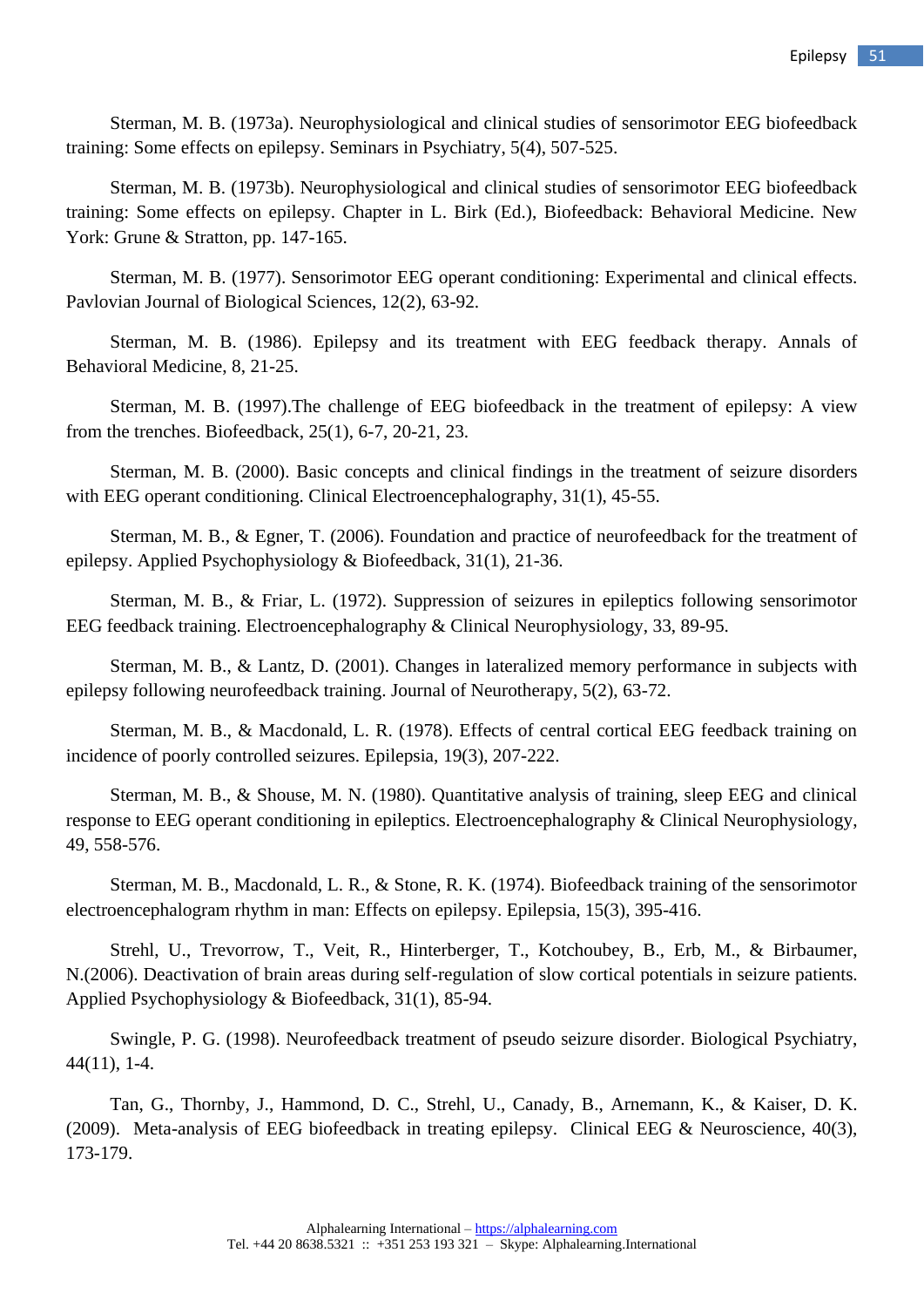Sterman, M. B. (1973a). Neurophysiological and clinical studies of sensorimotor EEG biofeedback training: Some effects on epilepsy. Seminars in Psychiatry, 5(4), 507-525.

Sterman, M. B. (1973b). Neurophysiological and clinical studies of sensorimotor EEG biofeedback training: Some effects on epilepsy. Chapter in L. Birk (Ed.), Biofeedback: Behavioral Medicine. New York: Grune & Stratton, pp. 147-165.

Sterman, M. B. (1977). Sensorimotor EEG operant conditioning: Experimental and clinical effects. Pavlovian Journal of Biological Sciences, 12(2), 63-92.

Sterman, M. B. (1986). Epilepsy and its treatment with EEG feedback therapy. Annals of Behavioral Medicine, 8, 21-25.

Sterman, M. B. (1997).The challenge of EEG biofeedback in the treatment of epilepsy: A view from the trenches. Biofeedback, 25(1), 6-7, 20-21, 23.

Sterman, M. B. (2000). Basic concepts and clinical findings in the treatment of seizure disorders with EEG operant conditioning. Clinical Electroencephalography,  $31(1)$ ,  $45-55$ .

Sterman, M. B., & Egner, T. (2006). Foundation and practice of neurofeedback for the treatment of epilepsy. Applied Psychophysiology & Biofeedback, 31(1), 21-36.

Sterman, M. B., & Friar, L. (1972). Suppression of seizures in epileptics following sensorimotor EEG feedback training. Electroencephalography & Clinical Neurophysiology, 33, 89-95.

Sterman, M. B., & Lantz, D. (2001). Changes in lateralized memory performance in subjects with epilepsy following neurofeedback training. Journal of Neurotherapy, 5(2), 63-72.

Sterman, M. B., & Macdonald, L. R. (1978). Effects of central cortical EEG feedback training on incidence of poorly controlled seizures. Epilepsia, 19(3), 207-222.

Sterman, M. B., & Shouse, M. N. (1980). Quantitative analysis of training, sleep EEG and clinical response to EEG operant conditioning in epileptics. Electroencephalography & Clinical Neurophysiology, 49, 558-576.

Sterman, M. B., Macdonald, L. R., & Stone, R. K. (1974). Biofeedback training of the sensorimotor electroencephalogram rhythm in man: Effects on epilepsy. Epilepsia, 15(3), 395-416.

Strehl, U., Trevorrow, T., Veit, R., Hinterberger, T., Kotchoubey, B., Erb, M., & Birbaumer, N.(2006). Deactivation of brain areas during self-regulation of slow cortical potentials in seizure patients. Applied Psychophysiology & Biofeedback, 31(1), 85-94.

Swingle, P. G. (1998). Neurofeedback treatment of pseudo seizure disorder. Biological Psychiatry, 44(11), 1-4.

Tan, G., Thornby, J., Hammond, D. C., Strehl, U., Canady, B., Arnemann, K., & Kaiser, D. K. (2009). Meta-analysis of EEG biofeedback in treating epilepsy. Clinical EEG & Neuroscience, 40(3), 173-179.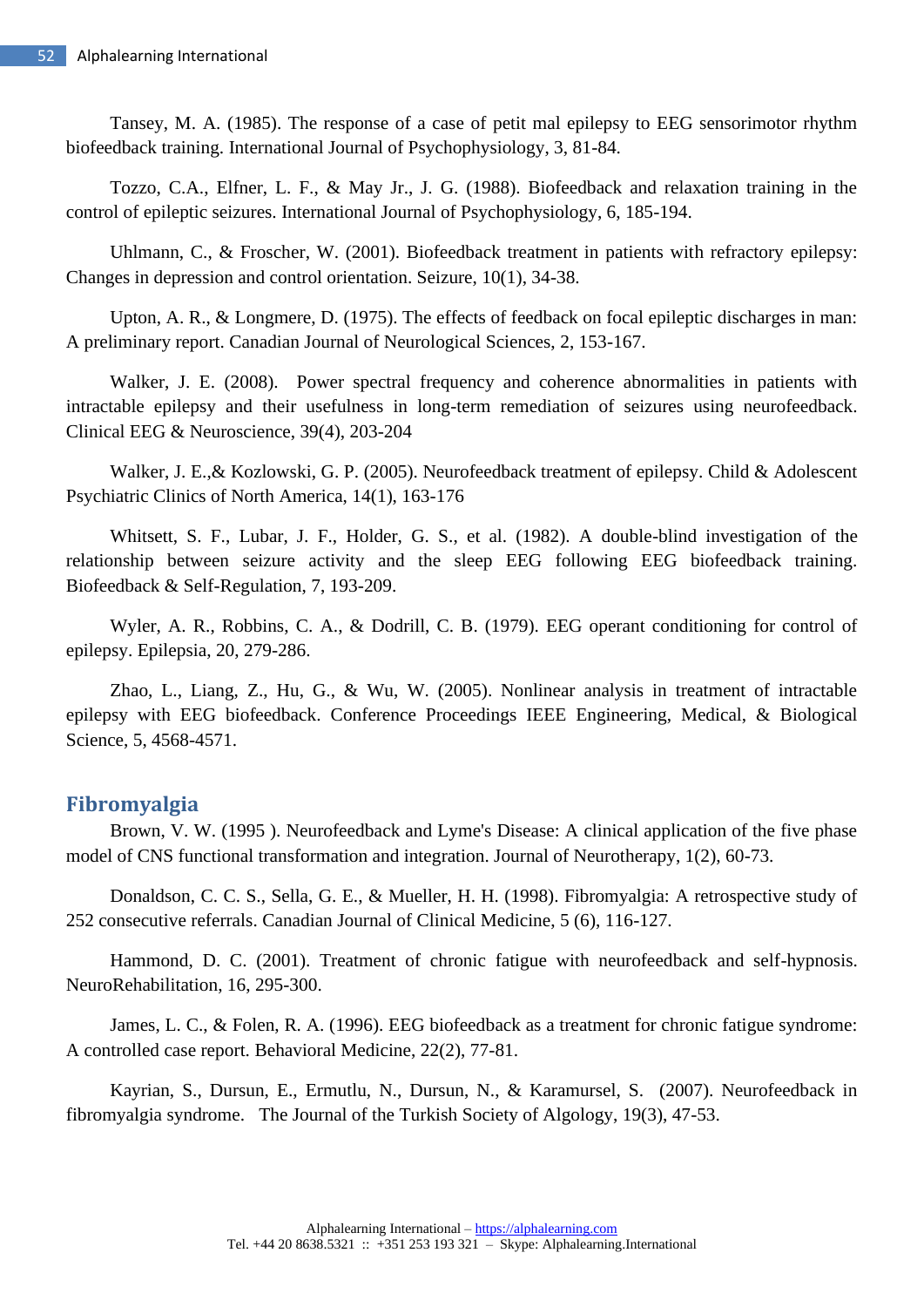Tansey, M. A. (1985). The response of a case of petit mal epilepsy to EEG sensorimotor rhythm biofeedback training. International Journal of Psychophysiology, 3, 81-84.

Tozzo, C.A., Elfner, L. F., & May Jr., J. G. (1988). Biofeedback and relaxation training in the control of epileptic seizures. International Journal of Psychophysiology, 6, 185-194.

Uhlmann, C., & Froscher, W. (2001). Biofeedback treatment in patients with refractory epilepsy: Changes in depression and control orientation. Seizure, 10(1), 34-38.

Upton, A. R., & Longmere, D. (1975). The effects of feedback on focal epileptic discharges in man: A preliminary report. Canadian Journal of Neurological Sciences, 2, 153-167.

Walker, J. E. (2008). Power spectral frequency and coherence abnormalities in patients with intractable epilepsy and their usefulness in long-term remediation of seizures using neurofeedback. Clinical EEG & Neuroscience, 39(4), 203-204

Walker, J. E.,& Kozlowski, G. P. (2005). Neurofeedback treatment of epilepsy. Child & Adolescent Psychiatric Clinics of North America, 14(1), 163-176

Whitsett, S. F., Lubar, J. F., Holder, G. S., et al. (1982). A double-blind investigation of the relationship between seizure activity and the sleep EEG following EEG biofeedback training. Biofeedback & Self-Regulation, 7, 193-209.

Wyler, A. R., Robbins, C. A., & Dodrill, C. B. (1979). EEG operant conditioning for control of epilepsy. Epilepsia, 20, 279-286.

Zhao, L., Liang, Z., Hu, G., & Wu, W. (2005). Nonlinear analysis in treatment of intractable epilepsy with EEG biofeedback. Conference Proceedings IEEE Engineering, Medical, & Biological Science, 5, 4568-4571.

# **Fibromyalgia**

Brown, V. W. (1995 ). Neurofeedback and Lyme's Disease: A clinical application of the five phase model of CNS functional transformation and integration. Journal of Neurotherapy, 1(2), 60-73.

Donaldson, C. C. S., Sella, G. E., & Mueller, H. H. (1998). Fibromyalgia: A retrospective study of 252 consecutive referrals. Canadian Journal of Clinical Medicine, 5 (6), 116-127.

Hammond, D. C. (2001). Treatment of chronic fatigue with neurofeedback and self-hypnosis. NeuroRehabilitation, 16, 295-300.

James, L. C., & Folen, R. A. (1996). EEG biofeedback as a treatment for chronic fatigue syndrome: A controlled case report. Behavioral Medicine, 22(2), 77-81.

Kayrian, S., Dursun, E., Ermutlu, N., Dursun, N., & Karamursel, S. (2007). Neurofeedback in fibromyalgia syndrome. The Journal of the Turkish Society of Algology, 19(3), 47-53.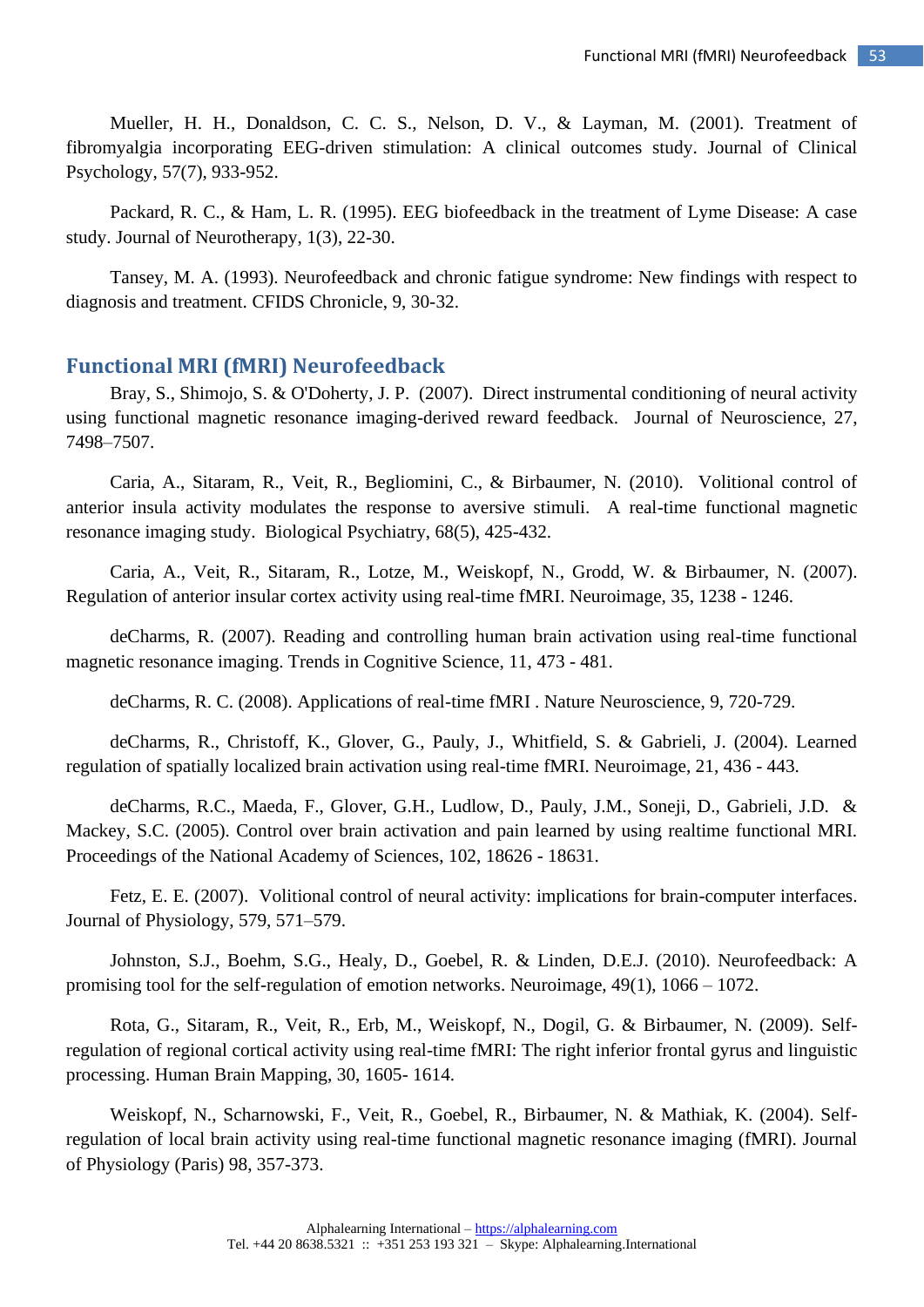Mueller, H. H., Donaldson, C. C. S., Nelson, D. V., & Layman, M. (2001). Treatment of fibromyalgia incorporating EEG-driven stimulation: A clinical outcomes study. Journal of Clinical Psychology, 57(7), 933-952.

Packard, R. C., & Ham, L. R. (1995). EEG biofeedback in the treatment of Lyme Disease: A case study. Journal of Neurotherapy, 1(3), 22-30.

Tansey, M. A. (1993). Neurofeedback and chronic fatigue syndrome: New findings with respect to diagnosis and treatment. CFIDS Chronicle, 9, 30-32.

# **Functional MRI (fMRI) Neurofeedback**

Bray, S., Shimojo, S. & O'Doherty, J. P. (2007). Direct instrumental conditioning of neural activity using functional magnetic resonance imaging-derived reward feedback. Journal of Neuroscience, 27, 7498–7507.

Caria, A., Sitaram, R., Veit, R., Begliomini, C., & Birbaumer, N. (2010). Volitional control of anterior insula activity modulates the response to aversive stimuli. A real-time functional magnetic resonance imaging study. Biological Psychiatry, 68(5), 425-432.

Caria, A., Veit, R., Sitaram, R., Lotze, M., Weiskopf, N., Grodd, W. & Birbaumer, N. (2007). Regulation of anterior insular cortex activity using real-time fMRI. Neuroimage, 35, 1238 - 1246.

deCharms, R. (2007). Reading and controlling human brain activation using real-time functional magnetic resonance imaging. Trends in Cognitive Science, 11, 473 - 481.

deCharms, R. C. (2008). Applications of real-time fMRI . Nature Neuroscience, 9, 720-729.

deCharms, R., Christoff, K., Glover, G., Pauly, J., Whitfield, S. & Gabrieli, J. (2004). Learned regulation of spatially localized brain activation using real-time fMRI. Neuroimage, 21, 436 - 443.

deCharms, R.C., Maeda, F., Glover, G.H., Ludlow, D., Pauly, J.M., Soneji, D., Gabrieli, J.D. & Mackey, S.C. (2005). Control over brain activation and pain learned by using realtime functional MRI. Proceedings of the National Academy of Sciences, 102, 18626 - 18631.

Fetz, E. E. (2007). Volitional control of neural activity: implications for brain-computer interfaces. Journal of Physiology, 579, 571–579.

Johnston, S.J., Boehm, S.G., Healy, D., Goebel, R. & Linden, D.E.J. (2010). Neurofeedback: A promising tool for the self-regulation of emotion networks. Neuroimage, 49(1), 1066 – 1072.

Rota, G., Sitaram, R., Veit, R., Erb, M., Weiskopf, N., Dogil, G. & Birbaumer, N. (2009). Selfregulation of regional cortical activity using real-time fMRI: The right inferior frontal gyrus and linguistic processing. Human Brain Mapping, 30, 1605- 1614.

Weiskopf, N., Scharnowski, F., Veit, R., Goebel, R., Birbaumer, N. & Mathiak, K. (2004). Selfregulation of local brain activity using real-time functional magnetic resonance imaging (fMRI). Journal of Physiology (Paris) 98, 357-373.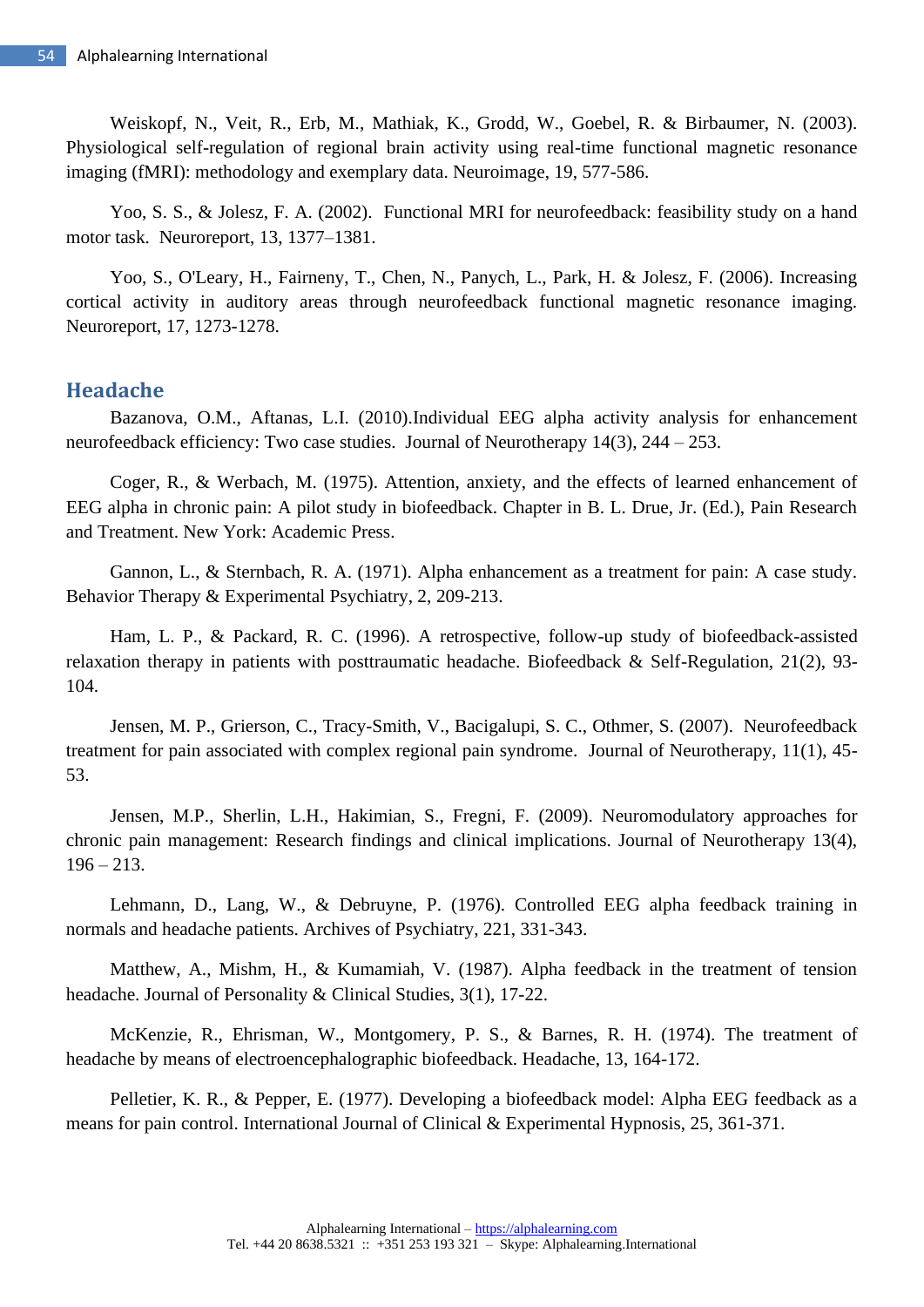Weiskopf, N., Veit, R., Erb, M., Mathiak, K., Grodd, W., Goebel, R. & Birbaumer, N. (2003). Physiological self-regulation of regional brain activity using real-time functional magnetic resonance imaging (fMRI): methodology and exemplary data. Neuroimage, 19, 577-586.

Yoo, S. S., & Jolesz, F. A. (2002). Functional MRI for neurofeedback: feasibility study on a hand motor task. Neuroreport, 13, 1377–1381.

Yoo, S., O'Leary, H., Fairneny, T., Chen, N., Panych, L., Park, H. & Jolesz, F. (2006). Increasing cortical activity in auditory areas through neurofeedback functional magnetic resonance imaging. Neuroreport, 17, 1273-1278.

# **Headache**

Bazanova, O.M., Aftanas, L.I. (2010).Individual EEG alpha activity analysis for enhancement neurofeedback efficiency: Two case studies. Journal of Neurotherapy 14(3), 244 – 253.

Coger, R., & Werbach, M. (1975). Attention, anxiety, and the effects of learned enhancement of EEG alpha in chronic pain: A pilot study in biofeedback. Chapter in B. L. Drue, Jr. (Ed.), Pain Research and Treatment. New York: Academic Press.

Gannon, L., & Sternbach, R. A. (1971). Alpha enhancement as a treatment for pain: A case study. Behavior Therapy & Experimental Psychiatry, 2, 209-213.

Ham, L. P., & Packard, R. C. (1996). A retrospective, follow-up study of biofeedback-assisted relaxation therapy in patients with posttraumatic headache. Biofeedback & Self-Regulation, 21(2), 93- 104.

Jensen, M. P., Grierson, C., Tracy-Smith, V., Bacigalupi, S. C., Othmer, S. (2007). Neurofeedback treatment for pain associated with complex regional pain syndrome. Journal of Neurotherapy, 11(1), 45- 53.

Jensen, M.P., Sherlin, L.H., Hakimian, S., Fregni, F. (2009). Neuromodulatory approaches for chronic pain management: Research findings and clinical implications. Journal of Neurotherapy 13(4),  $196 - 213.$ 

Lehmann, D., Lang, W., & Debruyne, P. (1976). Controlled EEG alpha feedback training in normals and headache patients. Archives of Psychiatry, 221, 331-343.

Matthew, A., Mishm, H., & Kumamiah, V. (1987). Alpha feedback in the treatment of tension headache. Journal of Personality & Clinical Studies, 3(1), 17-22.

McKenzie, R., Ehrisman, W., Montgomery, P. S., & Barnes, R. H. (1974). The treatment of headache by means of electroencephalographic biofeedback. Headache, 13, 164-172.

Pelletier, K. R., & Pepper, E. (1977). Developing a biofeedback model: Alpha EEG feedback as a means for pain control. International Journal of Clinical & Experimental Hypnosis, 25, 361-371.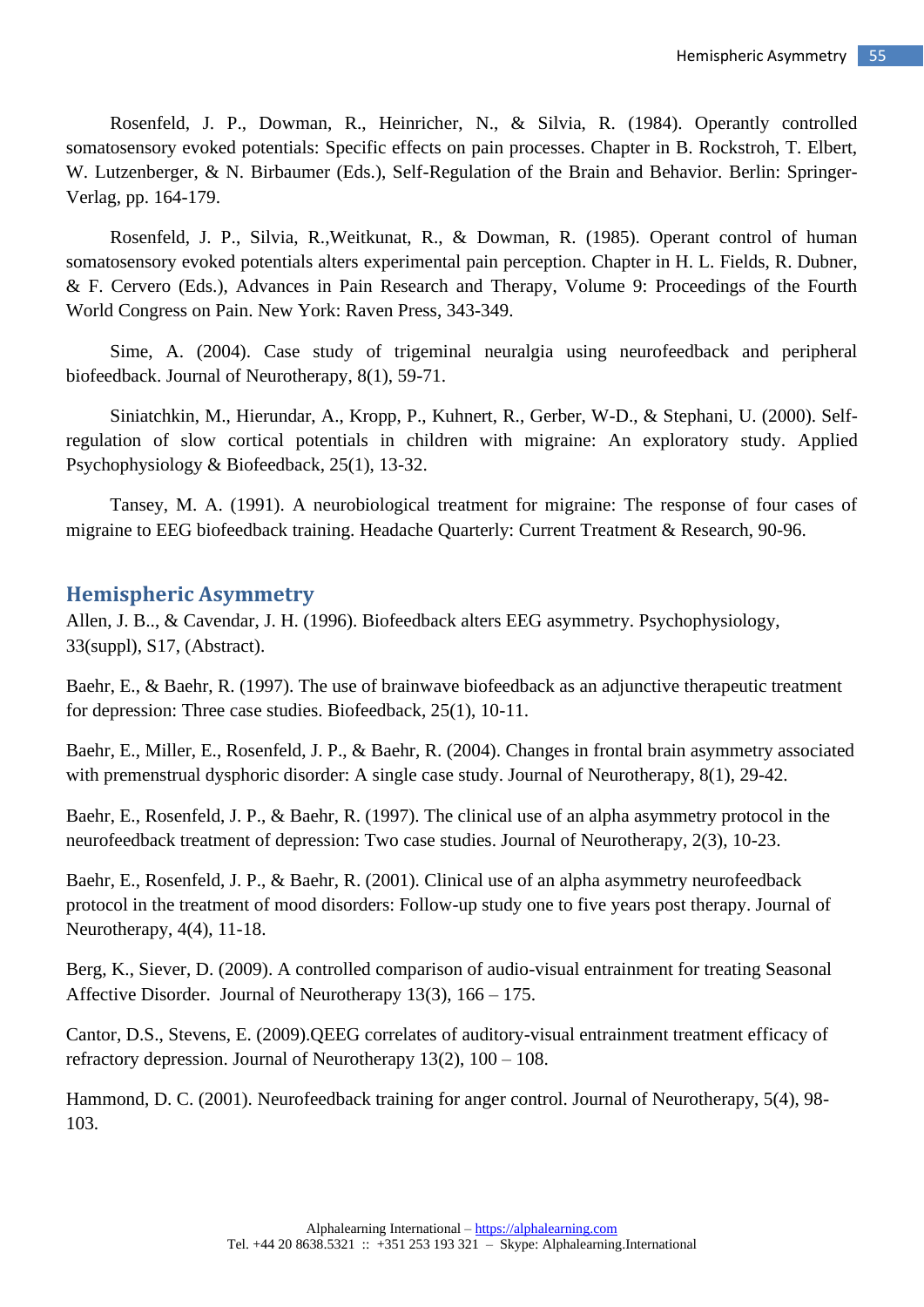Rosenfeld, J. P., Dowman, R., Heinricher, N., & Silvia, R. (1984). Operantly controlled somatosensory evoked potentials: Specific effects on pain processes. Chapter in B. Rockstroh, T. Elbert, W. Lutzenberger, & N. Birbaumer (Eds.), Self-Regulation of the Brain and Behavior. Berlin: Springer-Verlag, pp. 164-179.

Rosenfeld, J. P., Silvia, R.,Weitkunat, R., & Dowman, R. (1985). Operant control of human somatosensory evoked potentials alters experimental pain perception. Chapter in H. L. Fields, R. Dubner, & F. Cervero (Eds.), Advances in Pain Research and Therapy, Volume 9: Proceedings of the Fourth World Congress on Pain. New York: Raven Press, 343-349.

Sime, A. (2004). Case study of trigeminal neuralgia using neurofeedback and peripheral biofeedback. Journal of Neurotherapy, 8(1), 59-71.

Siniatchkin, M., Hierundar, A., Kropp, P., Kuhnert, R., Gerber, W-D., & Stephani, U. (2000). Selfregulation of slow cortical potentials in children with migraine: An exploratory study. Applied Psychophysiology & Biofeedback, 25(1), 13-32.

Tansey, M. A. (1991). A neurobiological treatment for migraine: The response of four cases of migraine to EEG biofeedback training. Headache Quarterly: Current Treatment & Research, 90-96.

#### **Hemispheric Asymmetry**

Allen, J. B.., & Cavendar, J. H. (1996). Biofeedback alters EEG asymmetry. Psychophysiology, 33(suppl), S17, (Abstract).

Baehr, E., & Baehr, R. (1997). The use of brainwave biofeedback as an adjunctive therapeutic treatment for depression: Three case studies. Biofeedback, 25(1), 10-11.

Baehr, E., Miller, E., Rosenfeld, J. P., & Baehr, R. (2004). Changes in frontal brain asymmetry associated with premenstrual dysphoric disorder: A single case study. Journal of Neurotherapy,  $8(1)$ , 29-42.

Baehr, E., Rosenfeld, J. P., & Baehr, R. (1997). The clinical use of an alpha asymmetry protocol in the neurofeedback treatment of depression: Two case studies. Journal of Neurotherapy, 2(3), 10-23.

Baehr, E., Rosenfeld, J. P., & Baehr, R. (2001). Clinical use of an alpha asymmetry neurofeedback protocol in the treatment of mood disorders: Follow-up study one to five years post therapy. Journal of Neurotherapy, 4(4), 11-18.

Berg, K., Siever, D. (2009). A controlled comparison of audio-visual entrainment for treating Seasonal Affective Disorder. Journal of Neurotherapy 13(3), 166 – 175.

Cantor, D.S., Stevens, E. (2009).QEEG correlates of auditory-visual entrainment treatment efficacy of refractory depression. Journal of Neurotherapy 13(2), 100 – 108.

Hammond, D. C. (2001). Neurofeedback training for anger control. Journal of Neurotherapy, 5(4), 98- 103.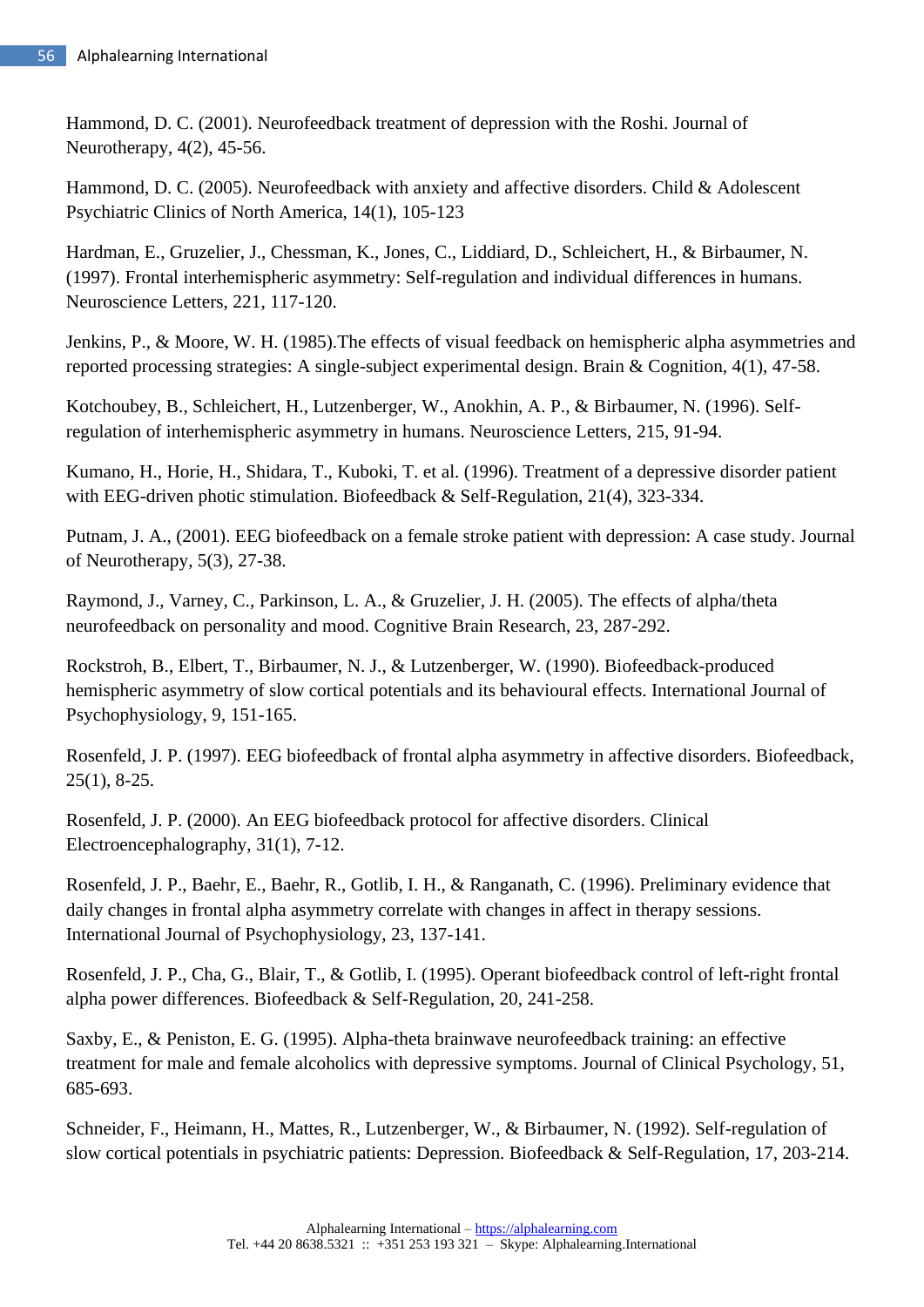Hammond, D. C. (2001). Neurofeedback treatment of depression with the Roshi. Journal of Neurotherapy, 4(2), 45-56.

Hammond, D. C. (2005). Neurofeedback with anxiety and affective disorders. Child & Adolescent Psychiatric Clinics of North America, 14(1), 105-123

Hardman, E., Gruzelier, J., Chessman, K., Jones, C., Liddiard, D., Schleichert, H., & Birbaumer, N. (1997). Frontal interhemispheric asymmetry: Self-regulation and individual differences in humans. Neuroscience Letters, 221, 117-120.

Jenkins, P., & Moore, W. H. (1985).The effects of visual feedback on hemispheric alpha asymmetries and reported processing strategies: A single-subject experimental design. Brain & Cognition, 4(1), 47-58.

Kotchoubey, B., Schleichert, H., Lutzenberger, W., Anokhin, A. P., & Birbaumer, N. (1996). Selfregulation of interhemispheric asymmetry in humans. Neuroscience Letters, 215, 91-94.

Kumano, H., Horie, H., Shidara, T., Kuboki, T. et al. (1996). Treatment of a depressive disorder patient with EEG-driven photic stimulation. Biofeedback & Self-Regulation, 21(4), 323-334.

Putnam, J. A., (2001). EEG biofeedback on a female stroke patient with depression: A case study. Journal of Neurotherapy, 5(3), 27-38.

Raymond, J., Varney, C., Parkinson, L. A., & Gruzelier, J. H. (2005). The effects of alpha/theta neurofeedback on personality and mood. Cognitive Brain Research, 23, 287-292.

Rockstroh, B., Elbert, T., Birbaumer, N. J., & Lutzenberger, W. (1990). Biofeedback-produced hemispheric asymmetry of slow cortical potentials and its behavioural effects. International Journal of Psychophysiology, 9, 151-165.

Rosenfeld, J. P. (1997). EEG biofeedback of frontal alpha asymmetry in affective disorders. Biofeedback, 25(1), 8-25.

Rosenfeld, J. P. (2000). An EEG biofeedback protocol for affective disorders. Clinical Electroencephalography, 31(1), 7-12.

Rosenfeld, J. P., Baehr, E., Baehr, R., Gotlib, I. H., & Ranganath, C. (1996). Preliminary evidence that daily changes in frontal alpha asymmetry correlate with changes in affect in therapy sessions. International Journal of Psychophysiology, 23, 137-141.

Rosenfeld, J. P., Cha, G., Blair, T., & Gotlib, I. (1995). Operant biofeedback control of left-right frontal alpha power differences. Biofeedback & Self-Regulation, 20, 241-258.

Saxby, E., & Peniston, E. G. (1995). Alpha-theta brainwave neurofeedback training: an effective treatment for male and female alcoholics with depressive symptoms. Journal of Clinical Psychology, 51, 685-693.

Schneider, F., Heimann, H., Mattes, R., Lutzenberger, W., & Birbaumer, N. (1992). Self-regulation of slow cortical potentials in psychiatric patients: Depression. Biofeedback & Self-Regulation, 17, 203-214.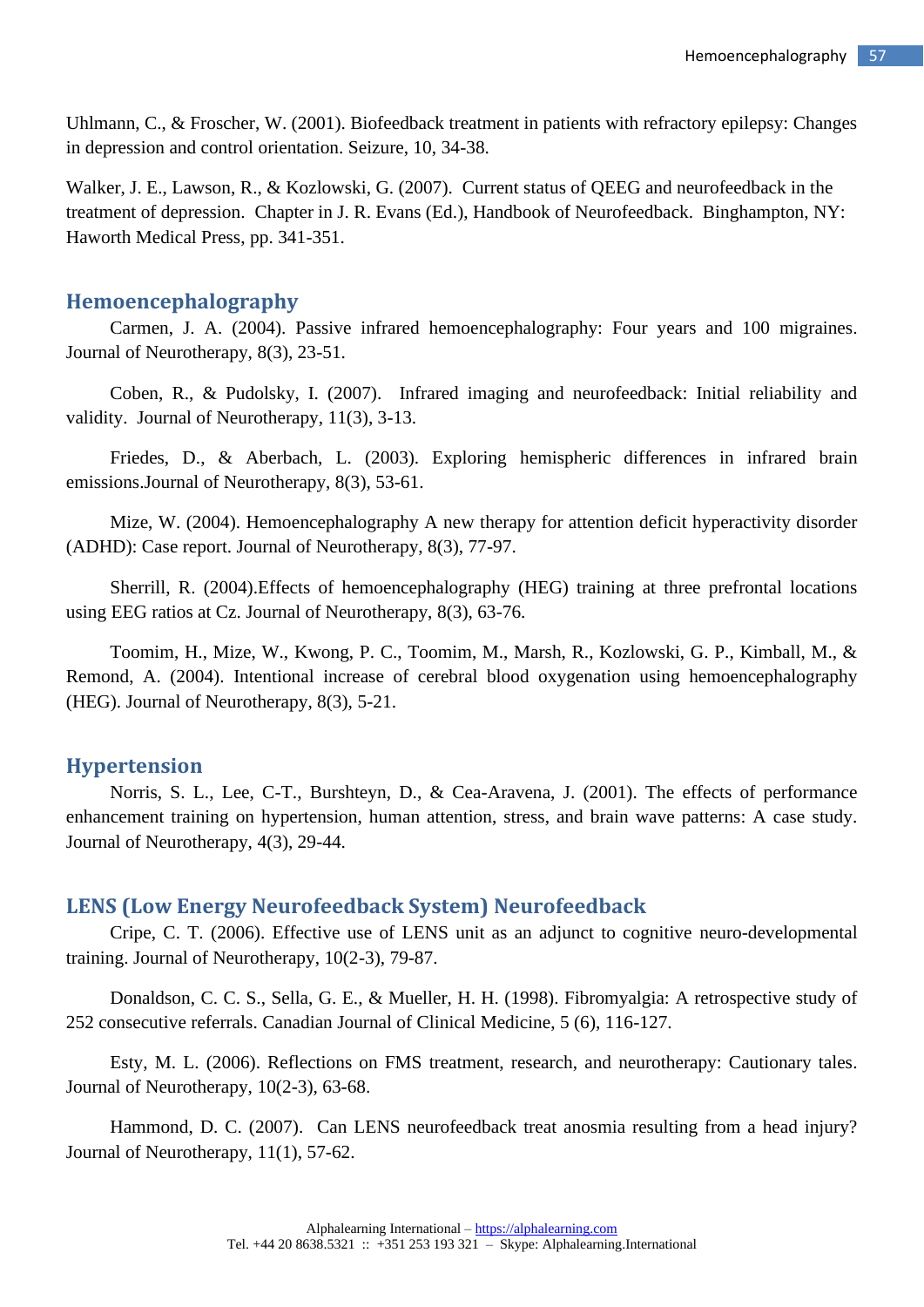Uhlmann, C., & Froscher, W. (2001). Biofeedback treatment in patients with refractory epilepsy: Changes in depression and control orientation. Seizure, 10, 34-38.

Walker, J. E., Lawson, R., & Kozlowski, G. (2007). Current status of QEEG and neurofeedback in the treatment of depression. Chapter in J. R. Evans (Ed.), Handbook of Neurofeedback. Binghampton, NY: Haworth Medical Press, pp. 341-351.

#### **Hemoencephalography**

Carmen, J. A. (2004). Passive infrared hemoencephalography: Four years and 100 migraines. Journal of Neurotherapy, 8(3), 23-51.

Coben, R., & Pudolsky, I. (2007). Infrared imaging and neurofeedback: Initial reliability and validity. Journal of Neurotherapy, 11(3), 3-13.

Friedes, D., & Aberbach, L. (2003). Exploring hemispheric differences in infrared brain emissions.Journal of Neurotherapy, 8(3), 53-61.

Mize, W. (2004). Hemoencephalography A new therapy for attention deficit hyperactivity disorder (ADHD): Case report. Journal of Neurotherapy, 8(3), 77-97.

Sherrill, R. (2004).Effects of hemoencephalography (HEG) training at three prefrontal locations using EEG ratios at Cz. Journal of Neurotherapy, 8(3), 63-76.

Toomim, H., Mize, W., Kwong, P. C., Toomim, M., Marsh, R., Kozlowski, G. P., Kimball, M., & Remond, A. (2004). Intentional increase of cerebral blood oxygenation using hemoencephalography (HEG). Journal of Neurotherapy, 8(3), 5-21.

#### **Hypertension**

Norris, S. L., Lee, C-T., Burshteyn, D., & Cea-Aravena, J. (2001). The effects of performance enhancement training on hypertension, human attention, stress, and brain wave patterns: A case study. Journal of Neurotherapy, 4(3), 29-44.

# **LENS (Low Energy Neurofeedback System) Neurofeedback**

Cripe, C. T. (2006). Effective use of LENS unit as an adjunct to cognitive neuro-developmental training. Journal of Neurotherapy, 10(2-3), 79-87.

Donaldson, C. C. S., Sella, G. E., & Mueller, H. H. (1998). Fibromyalgia: A retrospective study of 252 consecutive referrals. Canadian Journal of Clinical Medicine, 5 (6), 116-127.

Esty, M. L. (2006). Reflections on FMS treatment, research, and neurotherapy: Cautionary tales. Journal of Neurotherapy, 10(2-3), 63-68.

Hammond, D. C. (2007). Can LENS neurofeedback treat anosmia resulting from a head injury? Journal of Neurotherapy, 11(1), 57-62.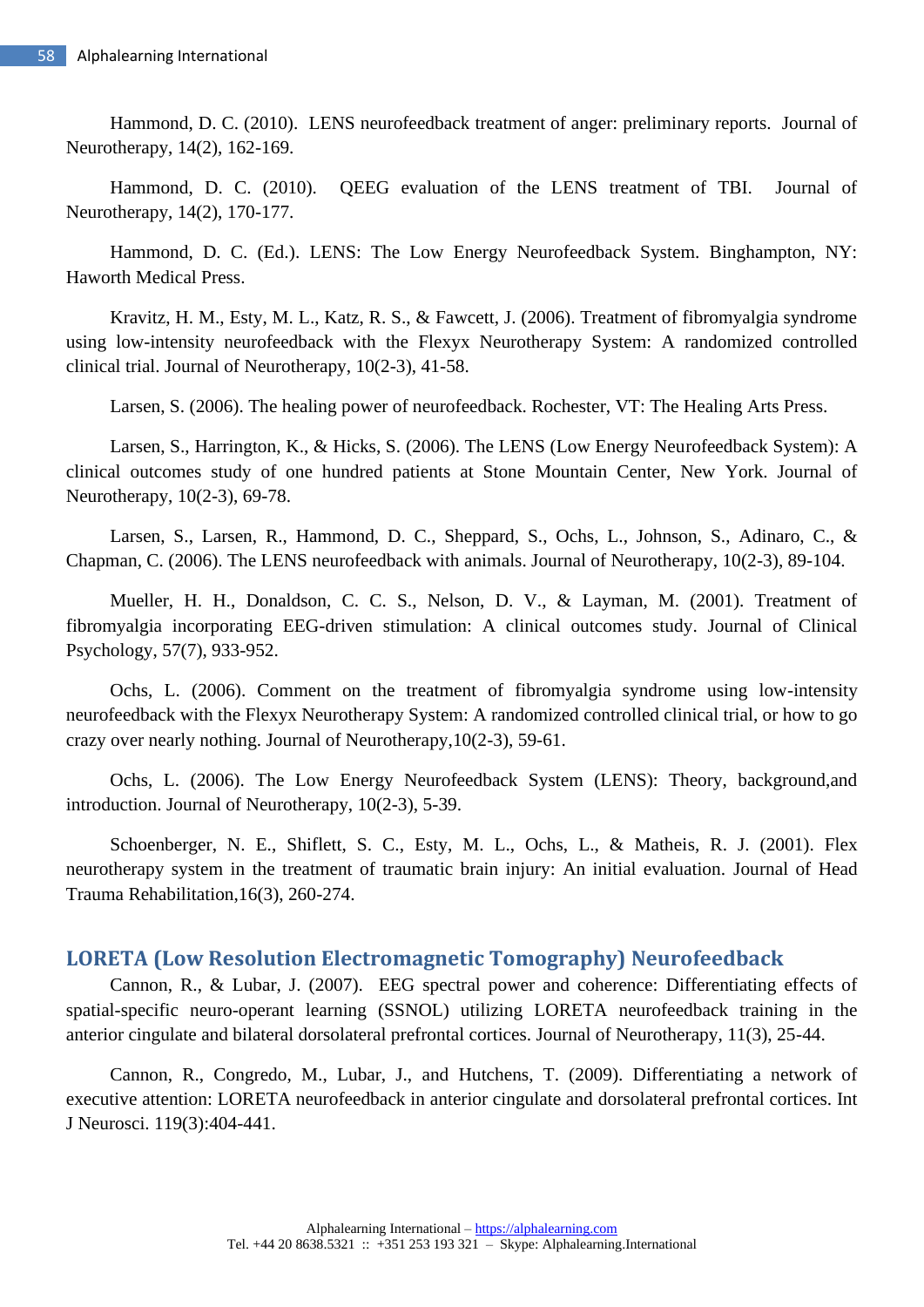Hammond, D. C. (2010). LENS neurofeedback treatment of anger: preliminary reports. Journal of Neurotherapy, 14(2), 162-169.

Hammond, D. C. (2010). QEEG evaluation of the LENS treatment of TBI. Journal of Neurotherapy, 14(2), 170-177.

Hammond, D. C. (Ed.). LENS: The Low Energy Neurofeedback System. Binghampton, NY: Haworth Medical Press.

Kravitz, H. M., Esty, M. L., Katz, R. S., & Fawcett, J. (2006). Treatment of fibromyalgia syndrome using low-intensity neurofeedback with the Flexyx Neurotherapy System: A randomized controlled clinical trial. Journal of Neurotherapy, 10(2-3), 41-58.

Larsen, S. (2006). The healing power of neurofeedback. Rochester, VT: The Healing Arts Press.

Larsen, S., Harrington, K., & Hicks, S. (2006). The LENS (Low Energy Neurofeedback System): A clinical outcomes study of one hundred patients at Stone Mountain Center, New York. Journal of Neurotherapy, 10(2-3), 69-78.

Larsen, S., Larsen, R., Hammond, D. C., Sheppard, S., Ochs, L., Johnson, S., Adinaro, C., & Chapman, C. (2006). The LENS neurofeedback with animals. Journal of Neurotherapy, 10(2-3), 89-104.

Mueller, H. H., Donaldson, C. C. S., Nelson, D. V., & Layman, M. (2001). Treatment of fibromyalgia incorporating EEG-driven stimulation: A clinical outcomes study. Journal of Clinical Psychology, 57(7), 933-952.

Ochs, L. (2006). Comment on the treatment of fibromyalgia syndrome using low-intensity neurofeedback with the Flexyx Neurotherapy System: A randomized controlled clinical trial, or how to go crazy over nearly nothing. Journal of Neurotherapy,10(2-3), 59-61.

Ochs, L. (2006). The Low Energy Neurofeedback System (LENS): Theory, background,and introduction. Journal of Neurotherapy, 10(2-3), 5-39.

Schoenberger, N. E., Shiflett, S. C., Esty, M. L., Ochs, L., & Matheis, R. J. (2001). Flex neurotherapy system in the treatment of traumatic brain injury: An initial evaluation. Journal of Head Trauma Rehabilitation,16(3), 260-274.

# **LORETA (Low Resolution Electromagnetic Tomography) Neurofeedback**

Cannon, R., & Lubar, J. (2007). EEG spectral power and coherence: Differentiating effects of spatial-specific neuro-operant learning (SSNOL) utilizing LORETA neurofeedback training in the anterior cingulate and bilateral dorsolateral prefrontal cortices. Journal of Neurotherapy, 11(3), 25-44.

Cannon, R., Congredo, M., Lubar, J., and Hutchens, T. (2009). Differentiating a network of executive attention: LORETA neurofeedback in anterior cingulate and dorsolateral prefrontal cortices. Int J Neurosci. 119(3):404-441.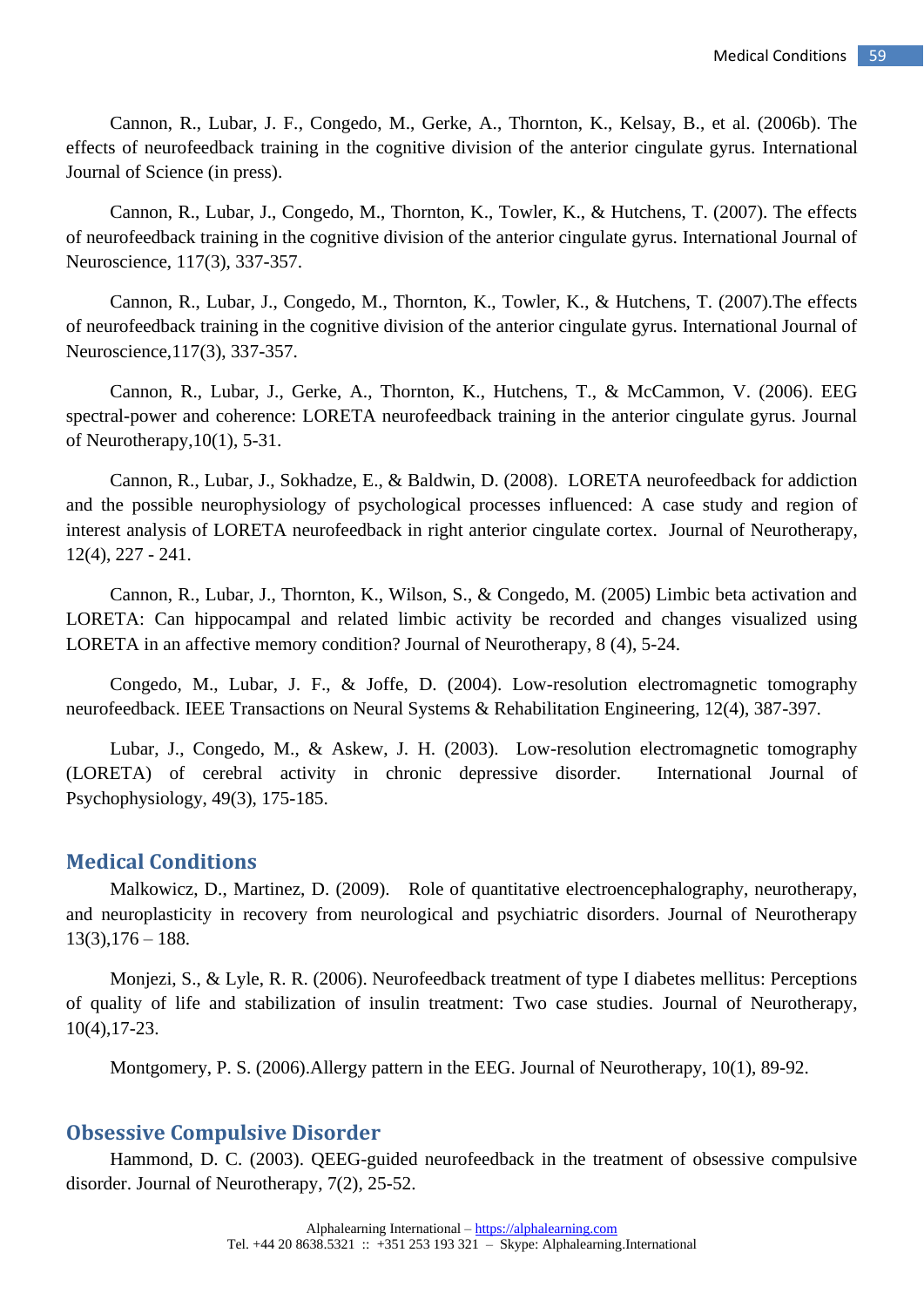Cannon, R., Lubar, J. F., Congedo, M., Gerke, A., Thornton, K., Kelsay, B., et al. (2006b). The effects of neurofeedback training in the cognitive division of the anterior cingulate gyrus. International Journal of Science (in press).

Cannon, R., Lubar, J., Congedo, M., Thornton, K., Towler, K., & Hutchens, T. (2007). The effects of neurofeedback training in the cognitive division of the anterior cingulate gyrus. International Journal of Neuroscience, 117(3), 337-357.

Cannon, R., Lubar, J., Congedo, M., Thornton, K., Towler, K., & Hutchens, T. (2007).The effects of neurofeedback training in the cognitive division of the anterior cingulate gyrus. International Journal of Neuroscience,117(3), 337-357.

Cannon, R., Lubar, J., Gerke, A., Thornton, K., Hutchens, T., & McCammon, V. (2006). EEG spectral-power and coherence: LORETA neurofeedback training in the anterior cingulate gyrus. Journal of Neurotherapy,10(1), 5-31.

Cannon, R., Lubar, J., Sokhadze, E., & Baldwin, D. (2008). LORETA neurofeedback for addiction and the possible neurophysiology of psychological processes influenced: A case study and region of interest analysis of LORETA neurofeedback in right anterior cingulate cortex. Journal of Neurotherapy, 12(4), 227 - 241.

Cannon, R., Lubar, J., Thornton, K., Wilson, S., & Congedo, M. (2005) Limbic beta activation and LORETA: Can hippocampal and related limbic activity be recorded and changes visualized using LORETA in an affective memory condition? Journal of Neurotherapy, 8 (4), 5-24.

Congedo, M., Lubar, J. F., & Joffe, D. (2004). Low-resolution electromagnetic tomography neurofeedback. IEEE Transactions on Neural Systems & Rehabilitation Engineering, 12(4), 387-397.

Lubar, J., Congedo, M., & Askew, J. H. (2003). Low-resolution electromagnetic tomography (LORETA) of cerebral activity in chronic depressive disorder. International Journal of Psychophysiology, 49(3), 175-185.

#### **Medical Conditions**

Malkowicz, D., Martinez, D. (2009). Role of quantitative electroencephalography, neurotherapy, and neuroplasticity in recovery from neurological and psychiatric disorders. Journal of Neurotherapy  $13(3)$ ,  $176 - 188$ .

Monjezi, S., & Lyle, R. R. (2006). Neurofeedback treatment of type I diabetes mellitus: Perceptions of quality of life and stabilization of insulin treatment: Two case studies. Journal of Neurotherapy, 10(4),17-23.

Montgomery, P. S. (2006).Allergy pattern in the EEG. Journal of Neurotherapy, 10(1), 89-92.

#### **Obsessive Compulsive Disorder**

Hammond, D. C. (2003). QEEG-guided neurofeedback in the treatment of obsessive compulsive disorder. Journal of Neurotherapy, 7(2), 25-52.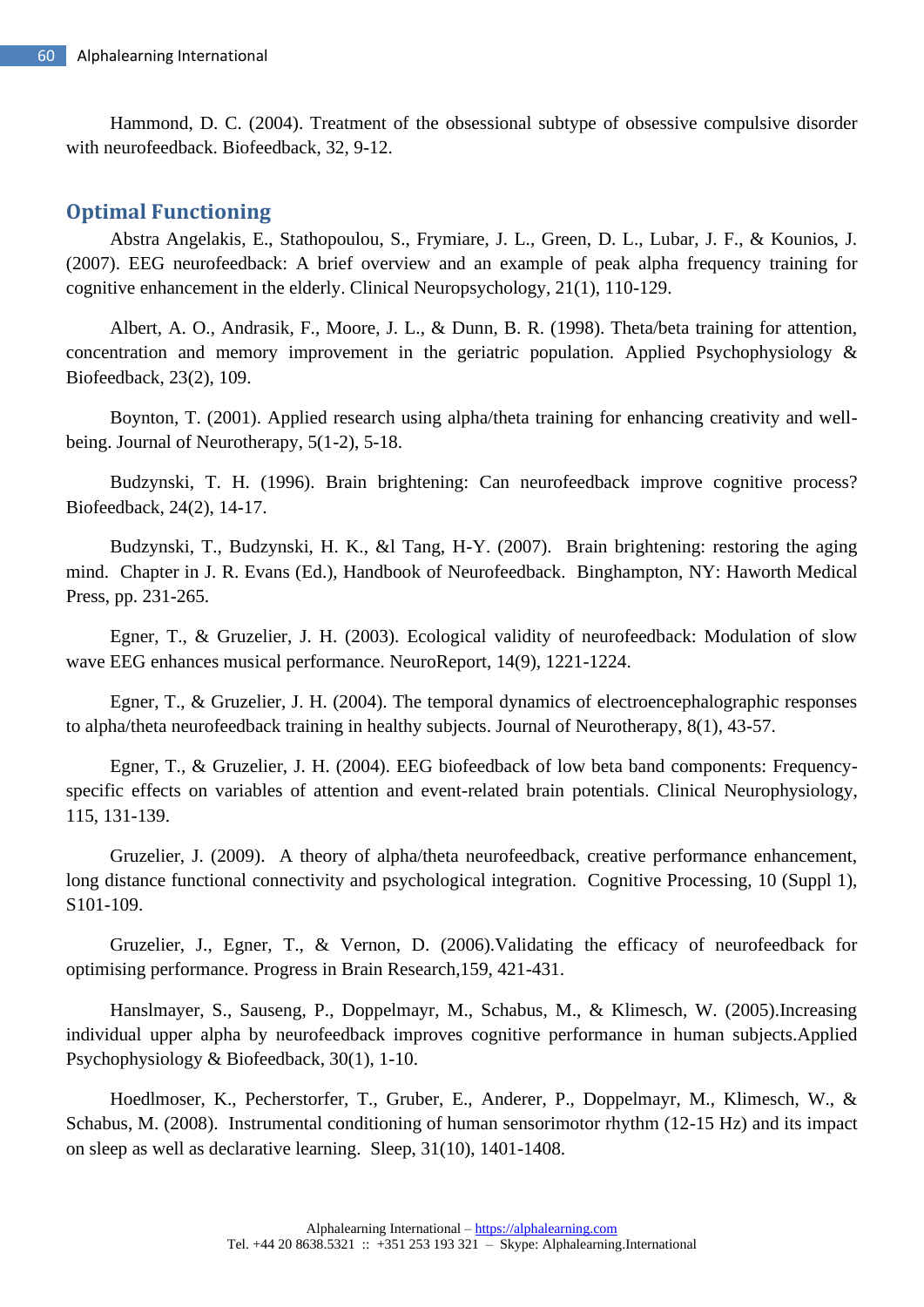Hammond, D. C. (2004). Treatment of the obsessional subtype of obsessive compulsive disorder with neurofeedback. Biofeedback, 32, 9-12.

#### **Optimal Functioning**

Abstra Angelakis, E., Stathopoulou, S., Frymiare, J. L., Green, D. L., Lubar, J. F., & Kounios, J. (2007). EEG neurofeedback: A brief overview and an example of peak alpha frequency training for cognitive enhancement in the elderly. Clinical Neuropsychology, 21(1), 110-129.

Albert, A. O., Andrasik, F., Moore, J. L., & Dunn, B. R. (1998). Theta/beta training for attention, concentration and memory improvement in the geriatric population. Applied Psychophysiology & Biofeedback, 23(2), 109.

Boynton, T. (2001). Applied research using alpha/theta training for enhancing creativity and wellbeing. Journal of Neurotherapy, 5(1-2), 5-18.

Budzynski, T. H. (1996). Brain brightening: Can neurofeedback improve cognitive process? Biofeedback, 24(2), 14-17.

Budzynski, T., Budzynski, H. K., &l Tang, H-Y. (2007). Brain brightening: restoring the aging mind. Chapter in J. R. Evans (Ed.), Handbook of Neurofeedback. Binghampton, NY: Haworth Medical Press, pp. 231-265.

Egner, T., & Gruzelier, J. H. (2003). Ecological validity of neurofeedback: Modulation of slow wave EEG enhances musical performance. NeuroReport, 14(9), 1221-1224.

Egner, T., & Gruzelier, J. H. (2004). The temporal dynamics of electroencephalographic responses to alpha/theta neurofeedback training in healthy subjects. Journal of Neurotherapy, 8(1), 43-57.

Egner, T., & Gruzelier, J. H. (2004). EEG biofeedback of low beta band components: Frequencyspecific effects on variables of attention and event-related brain potentials. Clinical Neurophysiology, 115, 131-139.

Gruzelier, J. (2009). A theory of alpha/theta neurofeedback, creative performance enhancement, long distance functional connectivity and psychological integration. Cognitive Processing, 10 (Suppl 1), S101-109.

Gruzelier, J., Egner, T., & Vernon, D. (2006).Validating the efficacy of neurofeedback for optimising performance. Progress in Brain Research,159, 421-431.

Hanslmayer, S., Sauseng, P., Doppelmayr, M., Schabus, M., & Klimesch, W. (2005).Increasing individual upper alpha by neurofeedback improves cognitive performance in human subjects.Applied Psychophysiology & Biofeedback, 30(1), 1-10.

Hoedlmoser, K., Pecherstorfer, T., Gruber, E., Anderer, P., Doppelmayr, M., Klimesch, W., & Schabus, M. (2008). Instrumental conditioning of human sensorimotor rhythm (12-15 Hz) and its impact on sleep as well as declarative learning. Sleep, 31(10), 1401-1408.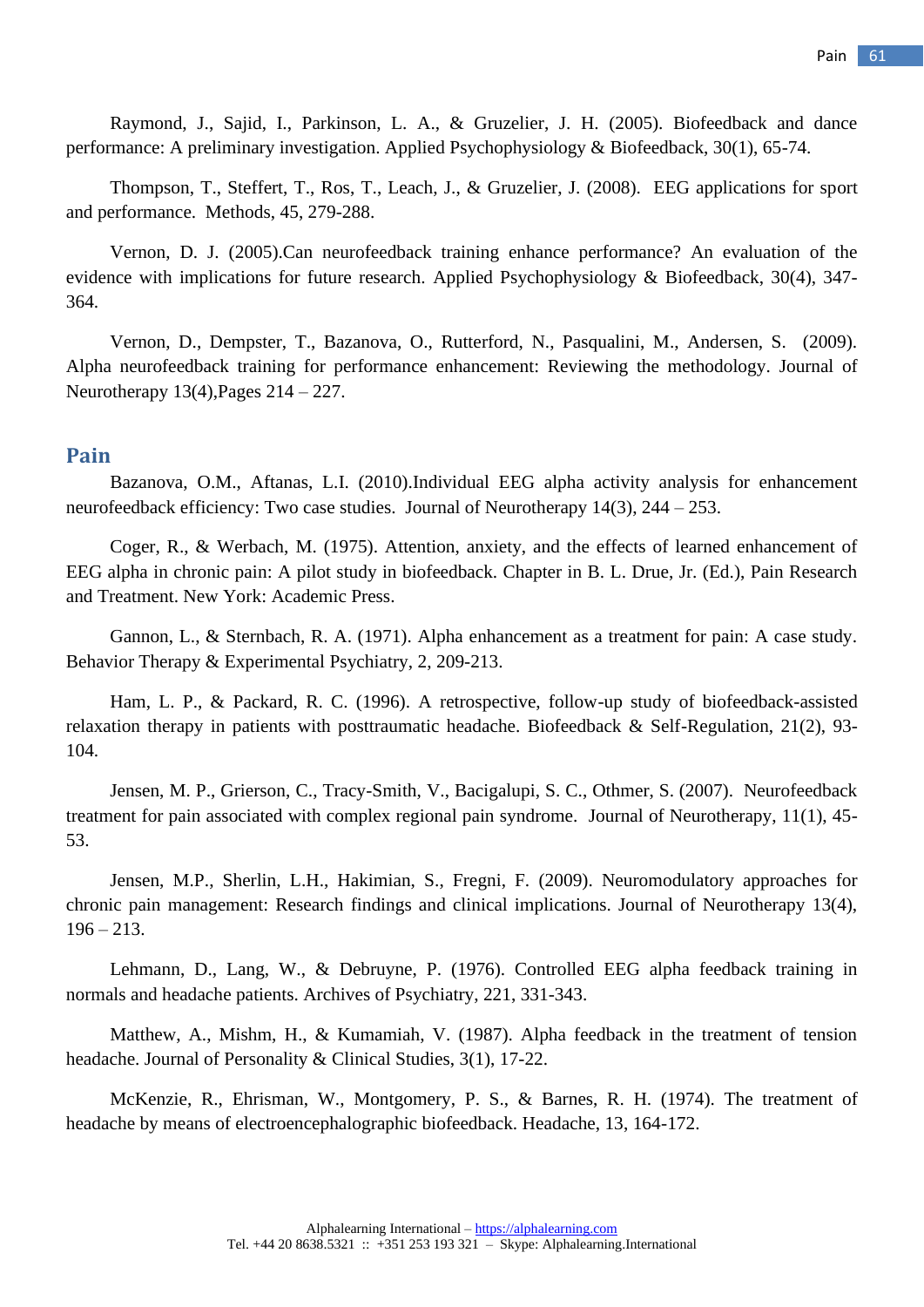Raymond, J., Sajid, I., Parkinson, L. A., & Gruzelier, J. H. (2005). Biofeedback and dance performance: A preliminary investigation. Applied Psychophysiology & Biofeedback, 30(1), 65-74.

Thompson, T., Steffert, T., Ros, T., Leach, J., & Gruzelier, J. (2008). EEG applications for sport and performance. Methods, 45, 279-288.

Vernon, D. J. (2005).Can neurofeedback training enhance performance? An evaluation of the evidence with implications for future research. Applied Psychophysiology & Biofeedback, 30(4), 347- 364.

Vernon, D., Dempster, T., Bazanova, O., Rutterford, N., Pasqualini, M., Andersen, S. (2009). Alpha neurofeedback training for performance enhancement: Reviewing the methodology. Journal of Neurotherapy 13(4),Pages 214 – 227.

#### **Pain**

Bazanova, O.M., Aftanas, L.I. (2010).Individual EEG alpha activity analysis for enhancement neurofeedback efficiency: Two case studies. Journal of Neurotherapy 14(3), 244 – 253.

Coger, R., & Werbach, M. (1975). Attention, anxiety, and the effects of learned enhancement of EEG alpha in chronic pain: A pilot study in biofeedback. Chapter in B. L. Drue, Jr. (Ed.), Pain Research and Treatment. New York: Academic Press.

Gannon, L., & Sternbach, R. A. (1971). Alpha enhancement as a treatment for pain: A case study. Behavior Therapy & Experimental Psychiatry, 2, 209-213.

Ham, L. P., & Packard, R. C. (1996). A retrospective, follow-up study of biofeedback-assisted relaxation therapy in patients with posttraumatic headache. Biofeedback & Self-Regulation, 21(2), 93- 104.

Jensen, M. P., Grierson, C., Tracy-Smith, V., Bacigalupi, S. C., Othmer, S. (2007). Neurofeedback treatment for pain associated with complex regional pain syndrome. Journal of Neurotherapy, 11(1), 45- 53.

Jensen, M.P., Sherlin, L.H., Hakimian, S., Fregni, F. (2009). Neuromodulatory approaches for chronic pain management: Research findings and clinical implications. Journal of Neurotherapy 13(4),  $196 - 213$ .

Lehmann, D., Lang, W., & Debruyne, P. (1976). Controlled EEG alpha feedback training in normals and headache patients. Archives of Psychiatry, 221, 331-343.

Matthew, A., Mishm, H., & Kumamiah, V. (1987). Alpha feedback in the treatment of tension headache. Journal of Personality & Clinical Studies, 3(1), 17-22.

McKenzie, R., Ehrisman, W., Montgomery, P. S., & Barnes, R. H. (1974). The treatment of headache by means of electroencephalographic biofeedback. Headache, 13, 164-172.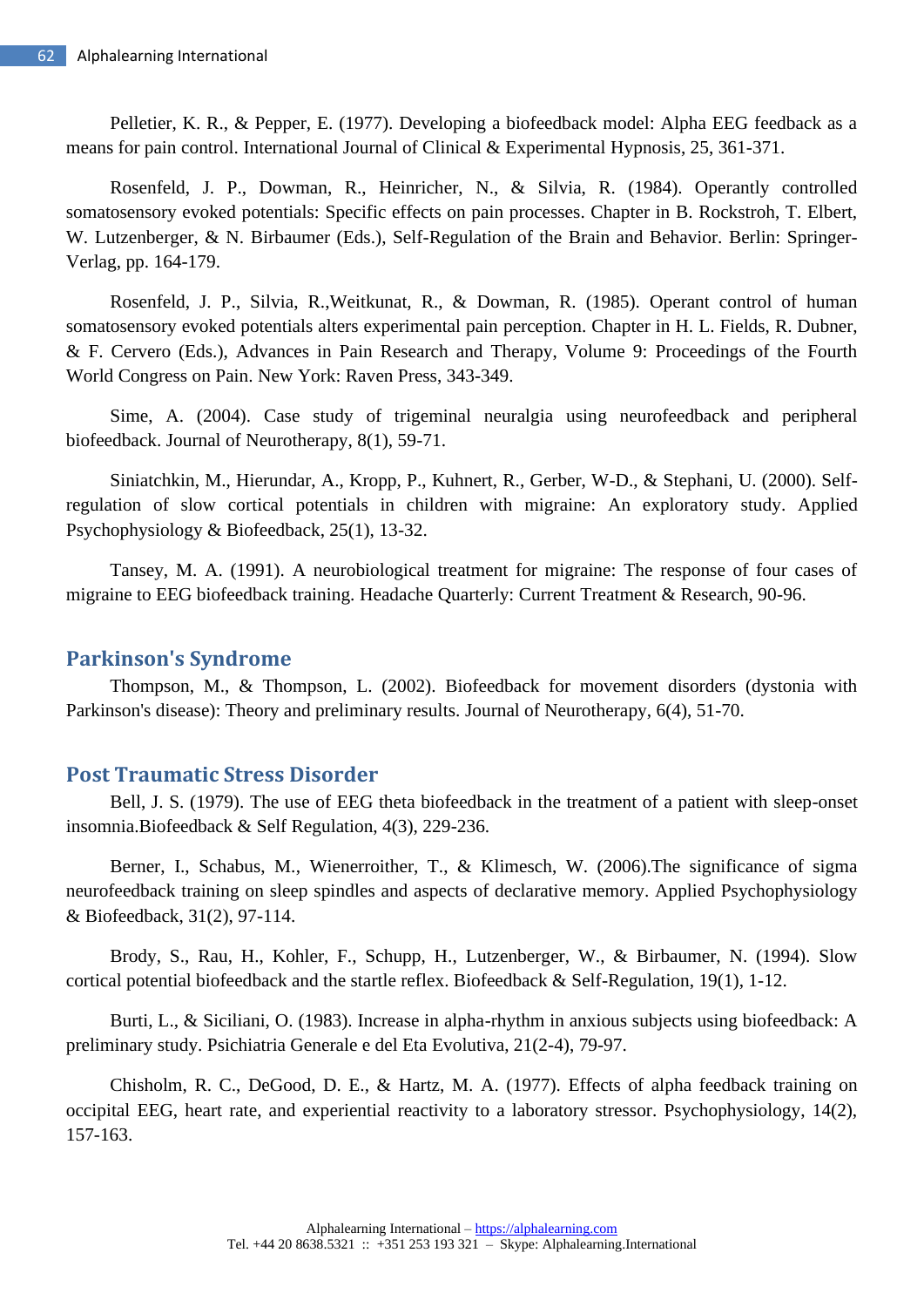Pelletier, K. R., & Pepper, E. (1977). Developing a biofeedback model: Alpha EEG feedback as a means for pain control. International Journal of Clinical & Experimental Hypnosis, 25, 361-371.

Rosenfeld, J. P., Dowman, R., Heinricher, N., & Silvia, R. (1984). Operantly controlled somatosensory evoked potentials: Specific effects on pain processes. Chapter in B. Rockstroh, T. Elbert, W. Lutzenberger, & N. Birbaumer (Eds.), Self-Regulation of the Brain and Behavior. Berlin: Springer-Verlag, pp. 164-179.

Rosenfeld, J. P., Silvia, R.,Weitkunat, R., & Dowman, R. (1985). Operant control of human somatosensory evoked potentials alters experimental pain perception. Chapter in H. L. Fields, R. Dubner, & F. Cervero (Eds.), Advances in Pain Research and Therapy, Volume 9: Proceedings of the Fourth World Congress on Pain. New York: Raven Press, 343-349.

Sime, A. (2004). Case study of trigeminal neuralgia using neurofeedback and peripheral biofeedback. Journal of Neurotherapy, 8(1), 59-71.

Siniatchkin, M., Hierundar, A., Kropp, P., Kuhnert, R., Gerber, W-D., & Stephani, U. (2000). Selfregulation of slow cortical potentials in children with migraine: An exploratory study. Applied Psychophysiology & Biofeedback, 25(1), 13-32.

Tansey, M. A. (1991). A neurobiological treatment for migraine: The response of four cases of migraine to EEG biofeedback training. Headache Quarterly: Current Treatment & Research, 90-96.

# **Parkinson's Syndrome**

Thompson, M., & Thompson, L. (2002). Biofeedback for movement disorders (dystonia with Parkinson's disease): Theory and preliminary results. Journal of Neurotherapy, 6(4), 51-70.

# **Post Traumatic Stress Disorder**

Bell, J. S. (1979). The use of EEG theta biofeedback in the treatment of a patient with sleep-onset insomnia.Biofeedback & Self Regulation, 4(3), 229-236.

Berner, I., Schabus, M., Wienerroither, T., & Klimesch, W. (2006).The significance of sigma neurofeedback training on sleep spindles and aspects of declarative memory. Applied Psychophysiology & Biofeedback, 31(2), 97-114.

Brody, S., Rau, H., Kohler, F., Schupp, H., Lutzenberger, W., & Birbaumer, N. (1994). Slow cortical potential biofeedback and the startle reflex. Biofeedback & Self-Regulation, 19(1), 1-12.

Burti, L., & Siciliani, O. (1983). Increase in alpha-rhythm in anxious subjects using biofeedback: A preliminary study. Psichiatria Generale e del Eta Evolutiva, 21(2-4), 79-97.

Chisholm, R. C., DeGood, D. E., & Hartz, M. A. (1977). Effects of alpha feedback training on occipital EEG, heart rate, and experiential reactivity to a laboratory stressor. Psychophysiology, 14(2), 157-163.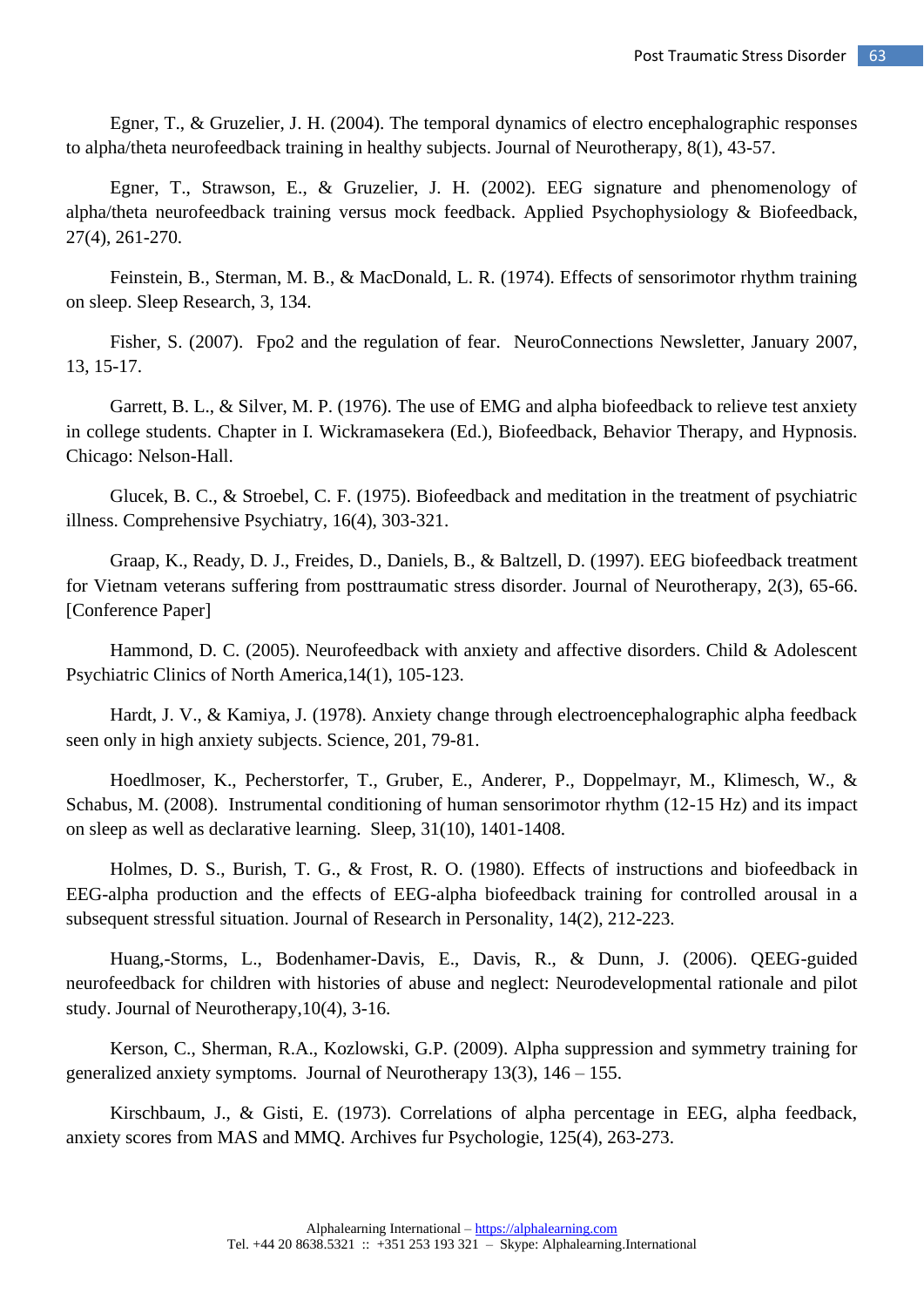Egner, T., & Gruzelier, J. H. (2004). The temporal dynamics of electro encephalographic responses to alpha/theta neurofeedback training in healthy subjects. Journal of Neurotherapy, 8(1), 43-57.

Egner, T., Strawson, E., & Gruzelier, J. H. (2002). EEG signature and phenomenology of alpha/theta neurofeedback training versus mock feedback. Applied Psychophysiology & Biofeedback, 27(4), 261-270.

Feinstein, B., Sterman, M. B., & MacDonald, L. R. (1974). Effects of sensorimotor rhythm training on sleep. Sleep Research, 3, 134.

Fisher, S. (2007). Fpo2 and the regulation of fear. NeuroConnections Newsletter, January 2007, 13, 15-17.

Garrett, B. L., & Silver, M. P. (1976). The use of EMG and alpha biofeedback to relieve test anxiety in college students. Chapter in I. Wickramasekera (Ed.), Biofeedback, Behavior Therapy, and Hypnosis. Chicago: Nelson-Hall.

Glucek, B. C., & Stroebel, C. F. (1975). Biofeedback and meditation in the treatment of psychiatric illness. Comprehensive Psychiatry, 16(4), 303-321.

Graap, K., Ready, D. J., Freides, D., Daniels, B., & Baltzell, D. (1997). EEG biofeedback treatment for Vietnam veterans suffering from posttraumatic stress disorder. Journal of Neurotherapy, 2(3), 65-66. [Conference Paper]

Hammond, D. C. (2005). Neurofeedback with anxiety and affective disorders. Child & Adolescent Psychiatric Clinics of North America,14(1), 105-123.

Hardt, J. V., & Kamiya, J. (1978). Anxiety change through electroencephalographic alpha feedback seen only in high anxiety subjects. Science, 201, 79-81.

Hoedlmoser, K., Pecherstorfer, T., Gruber, E., Anderer, P., Doppelmayr, M., Klimesch, W., & Schabus, M. (2008). Instrumental conditioning of human sensorimotor rhythm (12-15 Hz) and its impact on sleep as well as declarative learning. Sleep, 31(10), 1401-1408.

Holmes, D. S., Burish, T. G., & Frost, R. O. (1980). Effects of instructions and biofeedback in EEG-alpha production and the effects of EEG-alpha biofeedback training for controlled arousal in a subsequent stressful situation. Journal of Research in Personality, 14(2), 212-223.

Huang,-Storms, L., Bodenhamer-Davis, E., Davis, R., & Dunn, J. (2006). QEEG-guided neurofeedback for children with histories of abuse and neglect: Neurodevelopmental rationale and pilot study. Journal of Neurotherapy,10(4), 3-16.

Kerson, C., Sherman, R.A., Kozlowski, G.P. (2009). Alpha suppression and symmetry training for generalized anxiety symptoms. Journal of Neurotherapy 13(3), 146 – 155.

Kirschbaum, J., & Gisti, E. (1973). Correlations of alpha percentage in EEG, alpha feedback, anxiety scores from MAS and MMQ. Archives fur Psychologie, 125(4), 263-273.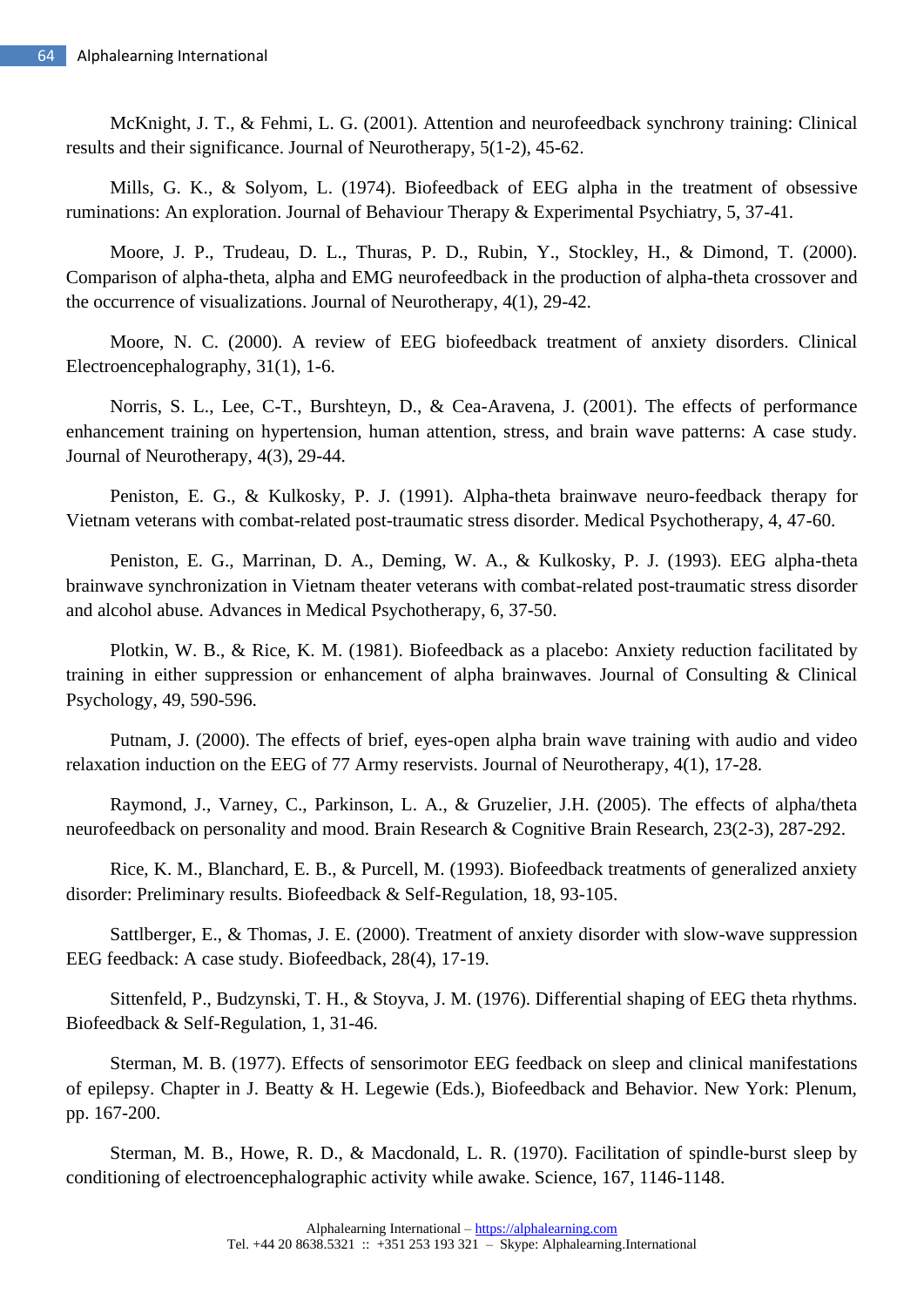McKnight, J. T., & Fehmi, L. G. (2001). Attention and neurofeedback synchrony training: Clinical results and their significance. Journal of Neurotherapy, 5(1-2), 45-62.

Mills, G. K., & Solyom, L. (1974). Biofeedback of EEG alpha in the treatment of obsessive ruminations: An exploration. Journal of Behaviour Therapy & Experimental Psychiatry, 5, 37-41.

Moore, J. P., Trudeau, D. L., Thuras, P. D., Rubin, Y., Stockley, H., & Dimond, T. (2000). Comparison of alpha-theta, alpha and EMG neurofeedback in the production of alpha-theta crossover and the occurrence of visualizations. Journal of Neurotherapy, 4(1), 29-42.

Moore, N. C. (2000). A review of EEG biofeedback treatment of anxiety disorders. Clinical Electroencephalography, 31(1), 1-6.

Norris, S. L., Lee, C-T., Burshteyn, D., & Cea-Aravena, J. (2001). The effects of performance enhancement training on hypertension, human attention, stress, and brain wave patterns: A case study. Journal of Neurotherapy, 4(3), 29-44.

Peniston, E. G., & Kulkosky, P. J. (1991). Alpha-theta brainwave neuro-feedback therapy for Vietnam veterans with combat-related post-traumatic stress disorder. Medical Psychotherapy, 4, 47-60.

Peniston, E. G., Marrinan, D. A., Deming, W. A., & Kulkosky, P. J. (1993). EEG alpha-theta brainwave synchronization in Vietnam theater veterans with combat-related post-traumatic stress disorder and alcohol abuse. Advances in Medical Psychotherapy, 6, 37-50.

Plotkin, W. B., & Rice, K. M. (1981). Biofeedback as a placebo: Anxiety reduction facilitated by training in either suppression or enhancement of alpha brainwaves. Journal of Consulting & Clinical Psychology, 49, 590-596.

Putnam, J. (2000). The effects of brief, eyes-open alpha brain wave training with audio and video relaxation induction on the EEG of 77 Army reservists. Journal of Neurotherapy, 4(1), 17-28.

Raymond, J., Varney, C., Parkinson, L. A., & Gruzelier, J.H. (2005). The effects of alpha/theta neurofeedback on personality and mood. Brain Research & Cognitive Brain Research, 23(2-3), 287-292.

Rice, K. M., Blanchard, E. B., & Purcell, M. (1993). Biofeedback treatments of generalized anxiety disorder: Preliminary results. Biofeedback & Self-Regulation, 18, 93-105.

Sattlberger, E., & Thomas, J. E. (2000). Treatment of anxiety disorder with slow-wave suppression EEG feedback: A case study. Biofeedback, 28(4), 17-19.

Sittenfeld, P., Budzynski, T. H., & Stoyva, J. M. (1976). Differential shaping of EEG theta rhythms. Biofeedback & Self-Regulation, 1, 31-46.

Sterman, M. B. (1977). Effects of sensorimotor EEG feedback on sleep and clinical manifestations of epilepsy. Chapter in J. Beatty & H. Legewie (Eds.), Biofeedback and Behavior. New York: Plenum, pp. 167-200.

Sterman, M. B., Howe, R. D., & Macdonald, L. R. (1970). Facilitation of spindle-burst sleep by conditioning of electroencephalographic activity while awake. Science, 167, 1146-1148.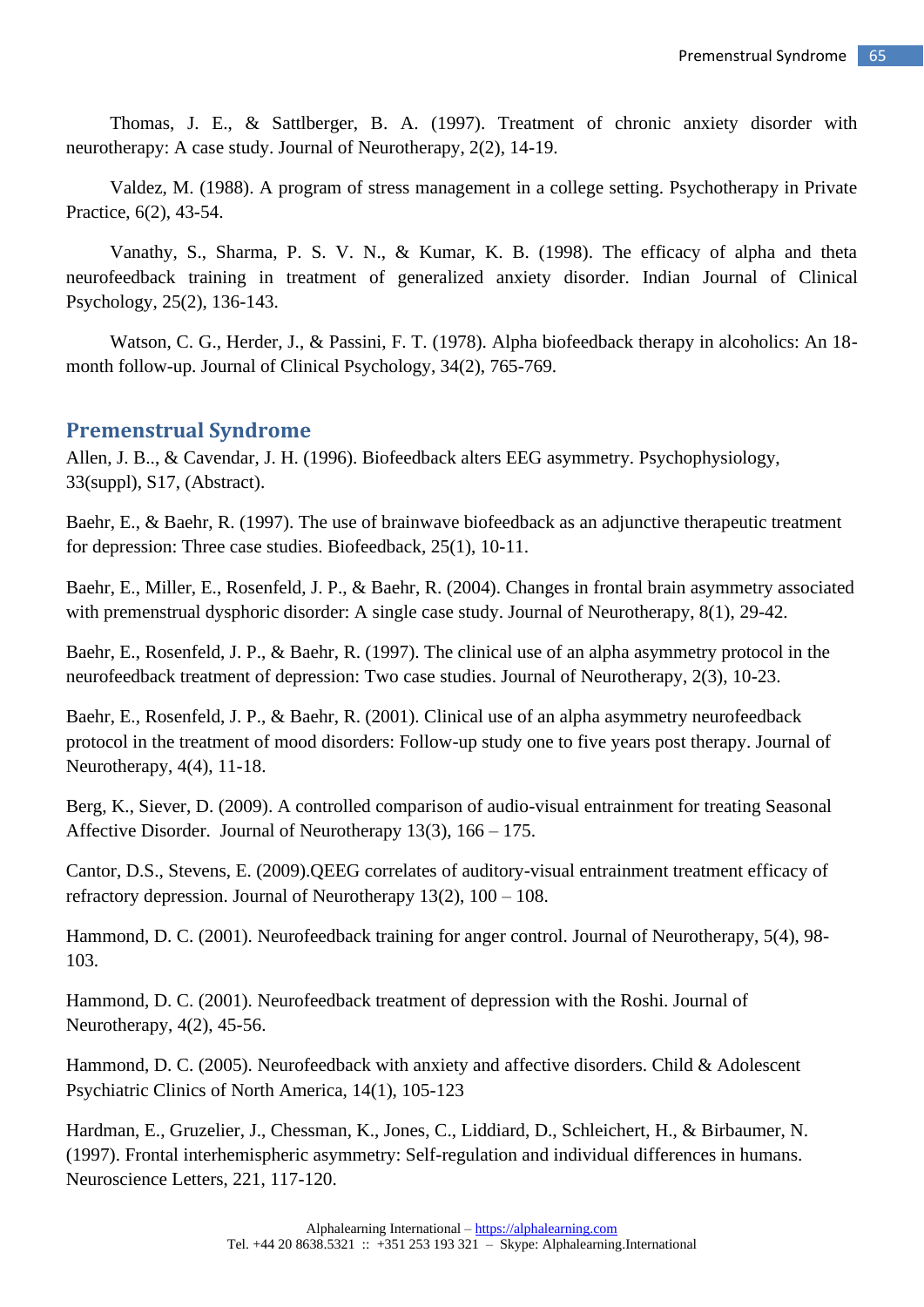Thomas, J. E., & Sattlberger, B. A. (1997). Treatment of chronic anxiety disorder with neurotherapy: A case study. Journal of Neurotherapy, 2(2), 14-19.

Valdez, M. (1988). A program of stress management in a college setting. Psychotherapy in Private Practice, 6(2), 43-54.

Vanathy, S., Sharma, P. S. V. N., & Kumar, K. B. (1998). The efficacy of alpha and theta neurofeedback training in treatment of generalized anxiety disorder. Indian Journal of Clinical Psychology, 25(2), 136-143.

Watson, C. G., Herder, J., & Passini, F. T. (1978). Alpha biofeedback therapy in alcoholics: An 18 month follow-up. Journal of Clinical Psychology, 34(2), 765-769.

#### **Premenstrual Syndrome**

Allen, J. B.., & Cavendar, J. H. (1996). Biofeedback alters EEG asymmetry. Psychophysiology, 33(suppl), S17, (Abstract).

Baehr, E., & Baehr, R. (1997). The use of brainwave biofeedback as an adjunctive therapeutic treatment for depression: Three case studies. Biofeedback, 25(1), 10-11.

Baehr, E., Miller, E., Rosenfeld, J. P., & Baehr, R. (2004). Changes in frontal brain asymmetry associated with premenstrual dysphoric disorder: A single case study. Journal of Neurotherapy, 8(1), 29-42.

Baehr, E., Rosenfeld, J. P., & Baehr, R. (1997). The clinical use of an alpha asymmetry protocol in the neurofeedback treatment of depression: Two case studies. Journal of Neurotherapy, 2(3), 10-23.

Baehr, E., Rosenfeld, J. P., & Baehr, R. (2001). Clinical use of an alpha asymmetry neurofeedback protocol in the treatment of mood disorders: Follow-up study one to five years post therapy. Journal of Neurotherapy, 4(4), 11-18.

Berg, K., Siever, D. (2009). A controlled comparison of audio-visual entrainment for treating Seasonal Affective Disorder. Journal of Neurotherapy 13(3), 166 – 175.

Cantor, D.S., Stevens, E. (2009).QEEG correlates of auditory-visual entrainment treatment efficacy of refractory depression. Journal of Neurotherapy 13(2), 100 – 108.

Hammond, D. C. (2001). Neurofeedback training for anger control. Journal of Neurotherapy, 5(4), 98- 103.

Hammond, D. C. (2001). Neurofeedback treatment of depression with the Roshi. Journal of Neurotherapy, 4(2), 45-56.

Hammond, D. C. (2005). Neurofeedback with anxiety and affective disorders. Child & Adolescent Psychiatric Clinics of North America, 14(1), 105-123

Hardman, E., Gruzelier, J., Chessman, K., Jones, C., Liddiard, D., Schleichert, H., & Birbaumer, N. (1997). Frontal interhemispheric asymmetry: Self-regulation and individual differences in humans. Neuroscience Letters, 221, 117-120.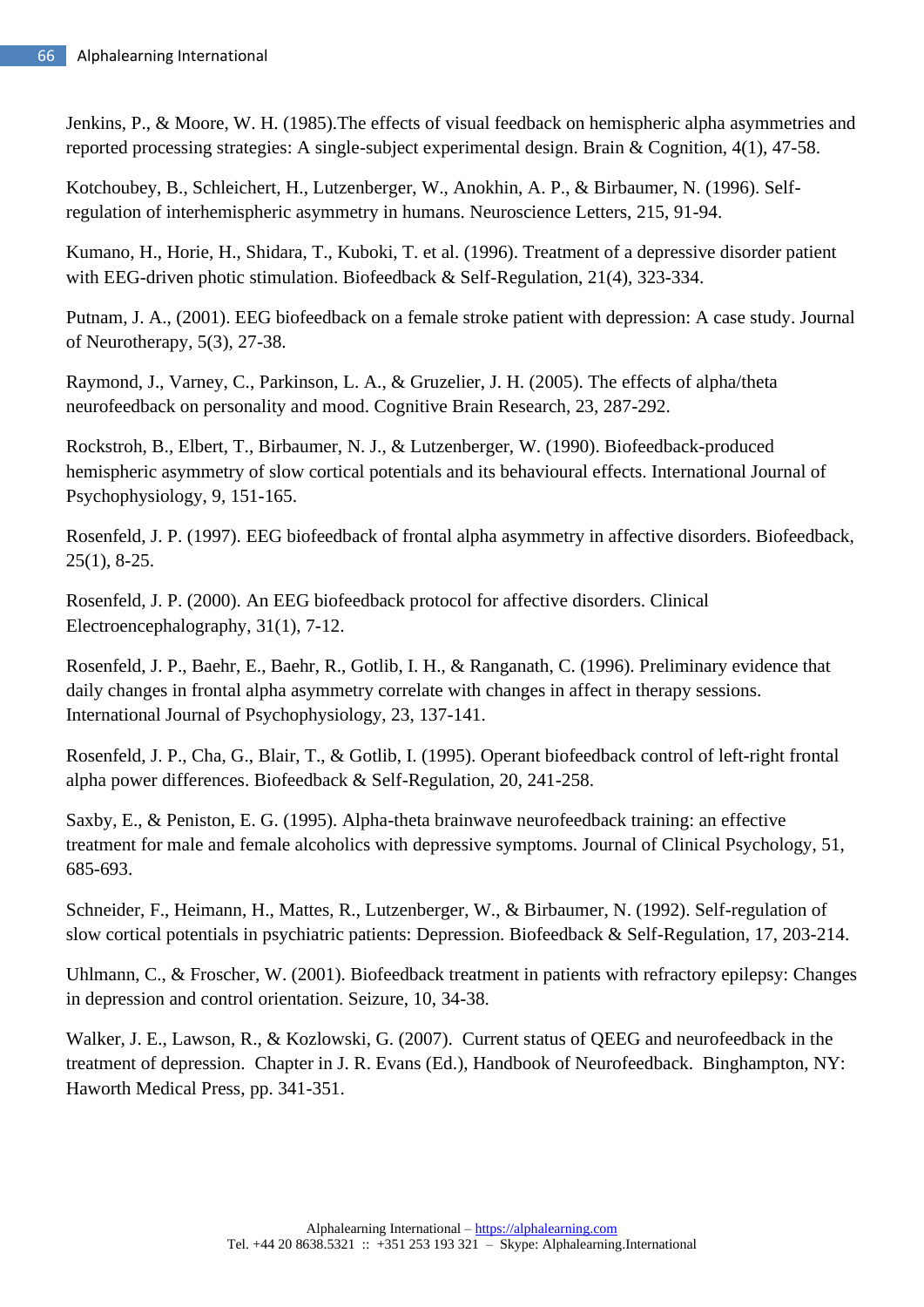Jenkins, P., & Moore, W. H. (1985).The effects of visual feedback on hemispheric alpha asymmetries and reported processing strategies: A single-subject experimental design. Brain & Cognition, 4(1), 47-58.

Kotchoubey, B., Schleichert, H., Lutzenberger, W., Anokhin, A. P., & Birbaumer, N. (1996). Selfregulation of interhemispheric asymmetry in humans. Neuroscience Letters, 215, 91-94.

Kumano, H., Horie, H., Shidara, T., Kuboki, T. et al. (1996). Treatment of a depressive disorder patient with EEG-driven photic stimulation. Biofeedback & Self-Regulation, 21(4), 323-334.

Putnam, J. A., (2001). EEG biofeedback on a female stroke patient with depression: A case study. Journal of Neurotherapy, 5(3), 27-38.

Raymond, J., Varney, C., Parkinson, L. A., & Gruzelier, J. H. (2005). The effects of alpha/theta neurofeedback on personality and mood. Cognitive Brain Research, 23, 287-292.

Rockstroh, B., Elbert, T., Birbaumer, N. J., & Lutzenberger, W. (1990). Biofeedback-produced hemispheric asymmetry of slow cortical potentials and its behavioural effects. International Journal of Psychophysiology, 9, 151-165.

Rosenfeld, J. P. (1997). EEG biofeedback of frontal alpha asymmetry in affective disorders. Biofeedback, 25(1), 8-25.

Rosenfeld, J. P. (2000). An EEG biofeedback protocol for affective disorders. Clinical Electroencephalography, 31(1), 7-12.

Rosenfeld, J. P., Baehr, E., Baehr, R., Gotlib, I. H., & Ranganath, C. (1996). Preliminary evidence that daily changes in frontal alpha asymmetry correlate with changes in affect in therapy sessions. International Journal of Psychophysiology, 23, 137-141.

Rosenfeld, J. P., Cha, G., Blair, T., & Gotlib, I. (1995). Operant biofeedback control of left-right frontal alpha power differences. Biofeedback & Self-Regulation, 20, 241-258.

Saxby, E., & Peniston, E. G. (1995). Alpha-theta brainwave neurofeedback training: an effective treatment for male and female alcoholics with depressive symptoms. Journal of Clinical Psychology, 51, 685-693.

Schneider, F., Heimann, H., Mattes, R., Lutzenberger, W., & Birbaumer, N. (1992). Self-regulation of slow cortical potentials in psychiatric patients: Depression. Biofeedback & Self-Regulation, 17, 203-214.

Uhlmann, C., & Froscher, W. (2001). Biofeedback treatment in patients with refractory epilepsy: Changes in depression and control orientation. Seizure, 10, 34-38.

Walker, J. E., Lawson, R., & Kozlowski, G. (2007). Current status of QEEG and neurofeedback in the treatment of depression. Chapter in J. R. Evans (Ed.), Handbook of Neurofeedback. Binghampton, NY: Haworth Medical Press, pp. 341-351.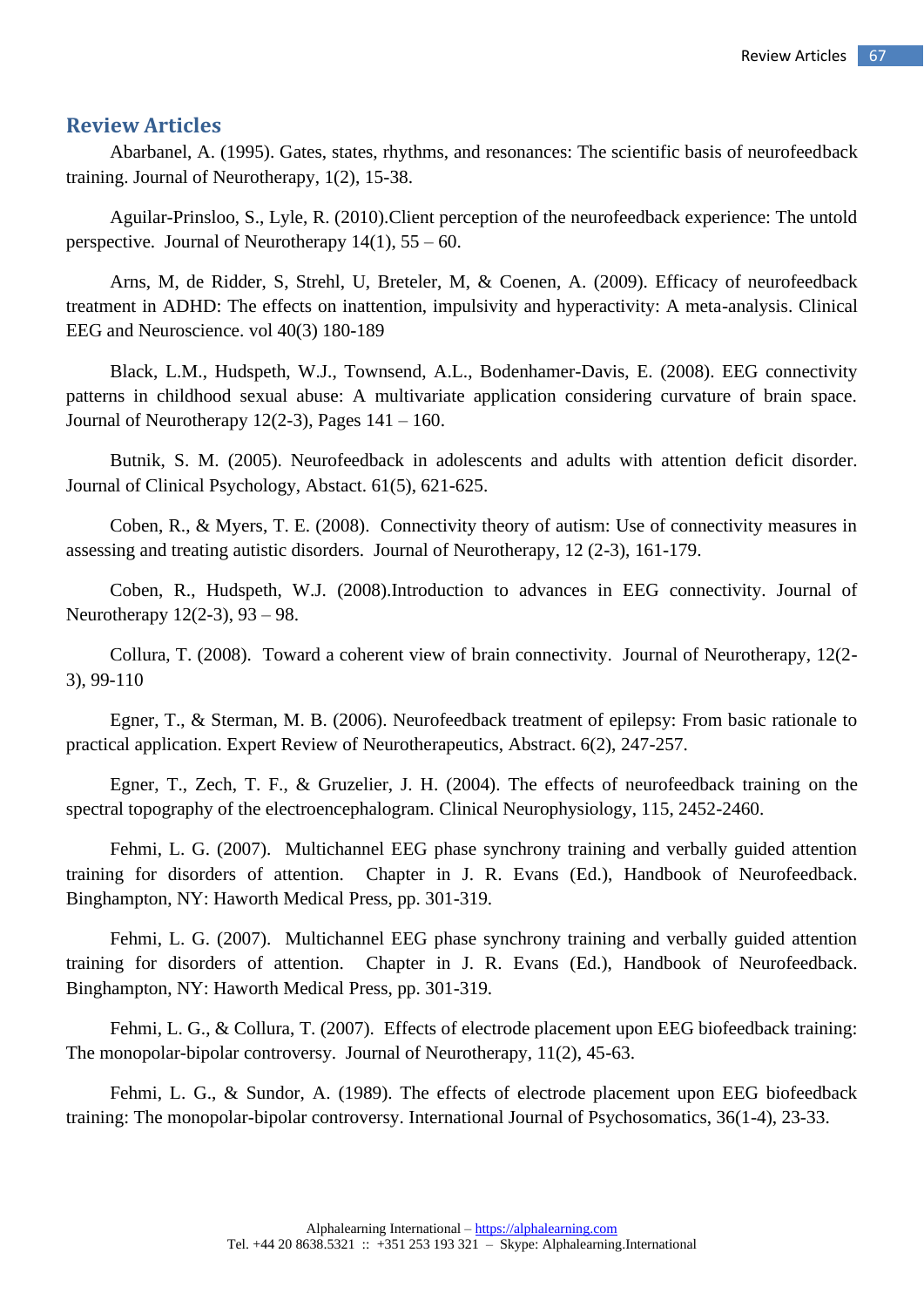# **Review Articles**

Abarbanel, A. (1995). Gates, states, rhythms, and resonances: The scientific basis of neurofeedback training. Journal of Neurotherapy, 1(2), 15-38.

Aguilar-Prinsloo, S., Lyle, R. (2010).Client perception of the neurofeedback experience: The untold perspective. Journal of Neurotherapy  $14(1)$ ,  $55 - 60$ .

Arns, M, de Ridder, S, Strehl, U, Breteler, M, & Coenen, A. (2009). Efficacy of neurofeedback treatment in ADHD: The effects on inattention, impulsivity and hyperactivity: A meta-analysis. Clinical EEG and Neuroscience. vol 40(3) 180-189

Black, L.M., Hudspeth, W.J., Townsend, A.L., Bodenhamer-Davis, E. (2008). EEG connectivity patterns in childhood sexual abuse: A multivariate application considering curvature of brain space. Journal of Neurotherapy  $12(2-3)$ , Pages  $141 - 160$ .

Butnik, S. M. (2005). Neurofeedback in adolescents and adults with attention deficit disorder. Journal of Clinical Psychology, Abstact. 61(5), 621-625.

Coben, R., & Myers, T. E. (2008). Connectivity theory of autism: Use of connectivity measures in assessing and treating autistic disorders. Journal of Neurotherapy, 12 (2-3), 161-179.

Coben, R., Hudspeth, W.J. (2008).Introduction to advances in EEG connectivity. Journal of Neurotherapy 12(2-3), 93 – 98.

Collura, T. (2008). Toward a coherent view of brain connectivity. Journal of Neurotherapy, 12(2- 3), 99-110

Egner, T., & Sterman, M. B. (2006). Neurofeedback treatment of epilepsy: From basic rationale to practical application. Expert Review of Neurotherapeutics, Abstract. 6(2), 247-257.

Egner, T., Zech, T. F., & Gruzelier, J. H. (2004). The effects of neurofeedback training on the spectral topography of the electroencephalogram. Clinical Neurophysiology, 115, 2452-2460.

Fehmi, L. G. (2007). Multichannel EEG phase synchrony training and verbally guided attention training for disorders of attention. Chapter in J. R. Evans (Ed.), Handbook of Neurofeedback. Binghampton, NY: Haworth Medical Press, pp. 301-319.

Fehmi, L. G. (2007). Multichannel EEG phase synchrony training and verbally guided attention training for disorders of attention. Chapter in J. R. Evans (Ed.), Handbook of Neurofeedback. Binghampton, NY: Haworth Medical Press, pp. 301-319.

Fehmi, L. G., & Collura, T. (2007). Effects of electrode placement upon EEG biofeedback training: The monopolar-bipolar controversy. Journal of Neurotherapy, 11(2), 45-63.

Fehmi, L. G., & Sundor, A. (1989). The effects of electrode placement upon EEG biofeedback training: The monopolar-bipolar controversy. International Journal of Psychosomatics, 36(1-4), 23-33.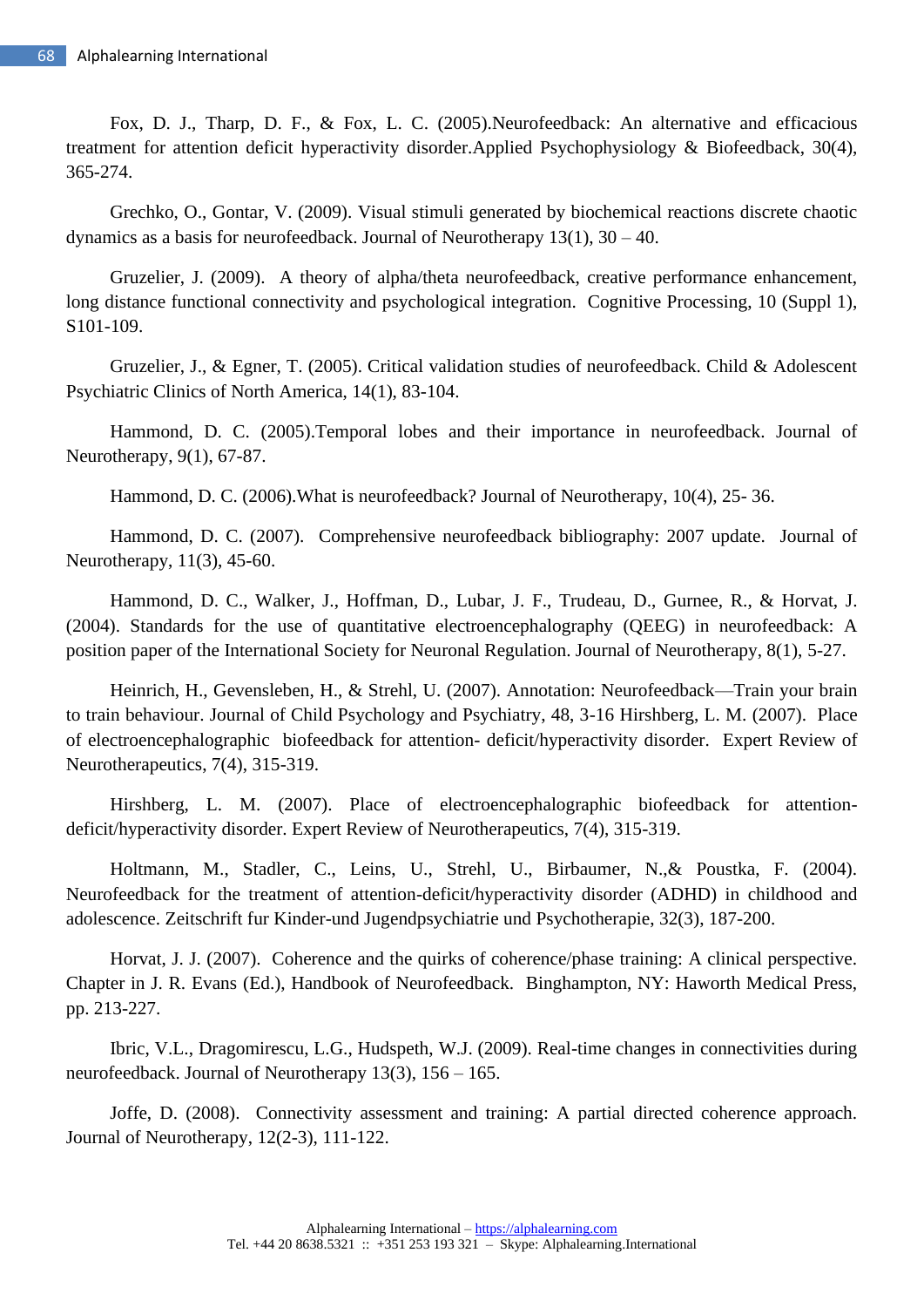Fox, D. J., Tharp, D. F., & Fox, L. C. (2005).Neurofeedback: An alternative and efficacious treatment for attention deficit hyperactivity disorder.Applied Psychophysiology & Biofeedback, 30(4), 365-274.

Grechko, O., Gontar, V. (2009). Visual stimuli generated by biochemical reactions discrete chaotic dynamics as a basis for neurofeedback. Journal of Neurotherapy 13(1), 30 – 40.

Gruzelier, J. (2009). A theory of alpha/theta neurofeedback, creative performance enhancement, long distance functional connectivity and psychological integration. Cognitive Processing, 10 (Suppl 1), S101-109.

Gruzelier, J., & Egner, T. (2005). Critical validation studies of neurofeedback. Child & Adolescent Psychiatric Clinics of North America, 14(1), 83-104.

Hammond, D. C. (2005).Temporal lobes and their importance in neurofeedback. Journal of Neurotherapy, 9(1), 67-87.

Hammond, D. C. (2006).What is neurofeedback? Journal of Neurotherapy, 10(4), 25- 36.

Hammond, D. C. (2007). Comprehensive neurofeedback bibliography: 2007 update. Journal of Neurotherapy, 11(3), 45-60.

Hammond, D. C., Walker, J., Hoffman, D., Lubar, J. F., Trudeau, D., Gurnee, R., & Horvat, J. (2004). Standards for the use of quantitative electroencephalography (QEEG) in neurofeedback: A position paper of the International Society for Neuronal Regulation. Journal of Neurotherapy, 8(1), 5-27.

Heinrich, H., Gevensleben, H., & Strehl, U. (2007). Annotation: Neurofeedback—Train your brain to train behaviour. Journal of Child Psychology and Psychiatry, 48, 3-16 Hirshberg, L. M. (2007). Place of electroencephalographic biofeedback for attention- deficit/hyperactivity disorder. Expert Review of Neurotherapeutics, 7(4), 315-319.

Hirshberg, L. M. (2007). Place of electroencephalographic biofeedback for attentiondeficit/hyperactivity disorder. Expert Review of Neurotherapeutics, 7(4), 315-319.

Holtmann, M., Stadler, C., Leins, U., Strehl, U., Birbaumer, N.,& Poustka, F. (2004). Neurofeedback for the treatment of attention-deficit/hyperactivity disorder (ADHD) in childhood and adolescence. Zeitschrift fur Kinder-und Jugendpsychiatrie und Psychotherapie, 32(3), 187-200.

Horvat, J. J. (2007). Coherence and the quirks of coherence/phase training: A clinical perspective. Chapter in J. R. Evans (Ed.), Handbook of Neurofeedback. Binghampton, NY: Haworth Medical Press, pp. 213-227.

Ibric, V.L., Dragomirescu, L.G., Hudspeth, W.J. (2009). Real-time changes in connectivities during neurofeedback. Journal of Neurotherapy 13(3), 156 – 165.

Joffe, D. (2008). Connectivity assessment and training: A partial directed coherence approach. Journal of Neurotherapy, 12(2-3), 111-122.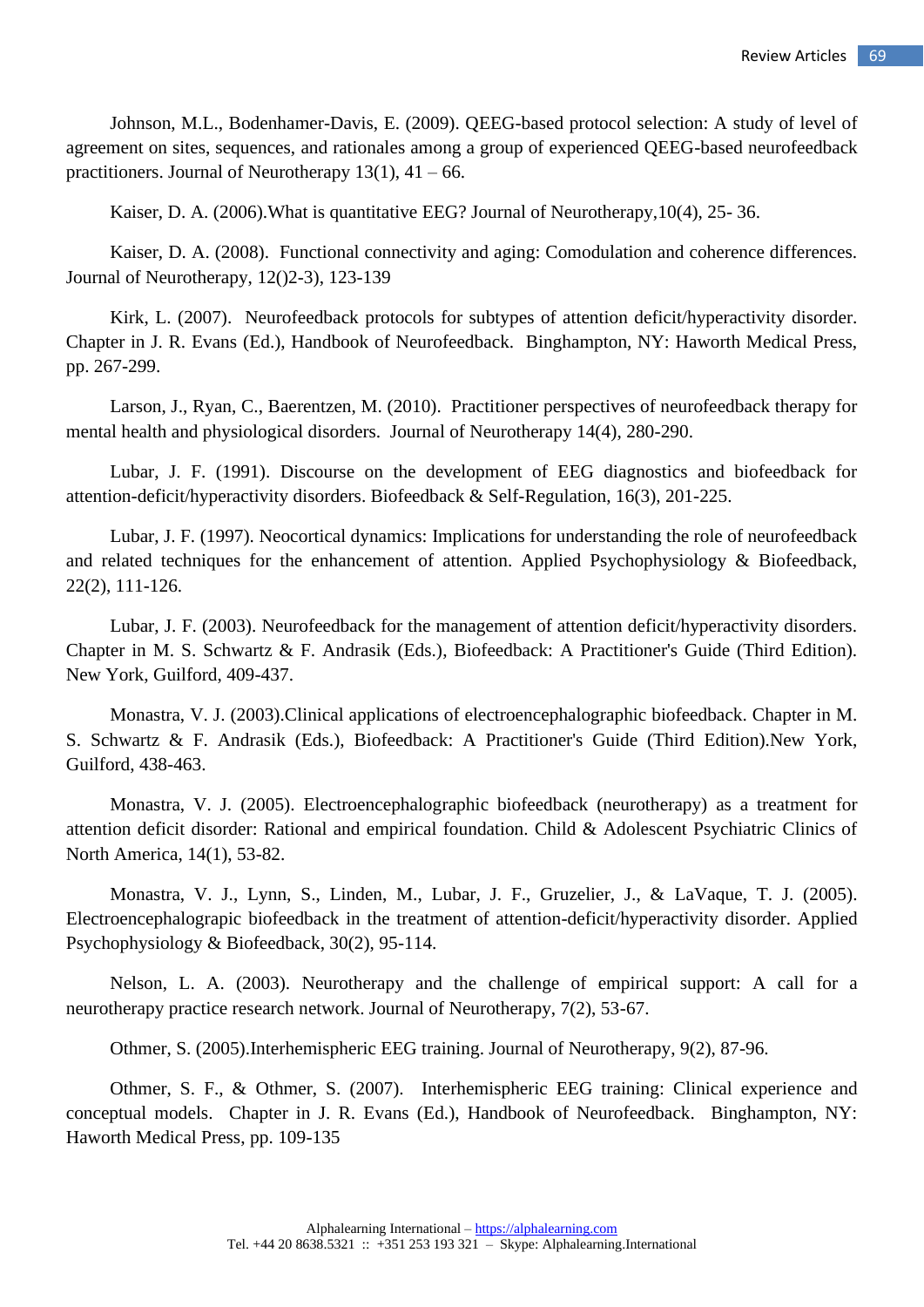Johnson, M.L., Bodenhamer-Davis, E. (2009). QEEG-based protocol selection: A study of level of agreement on sites, sequences, and rationales among a group of experienced QEEG-based neurofeedback practitioners. Journal of Neurotherapy  $13(1)$ ,  $41 - 66$ .

Kaiser, D. A. (2006).What is quantitative EEG? Journal of Neurotherapy,10(4), 25- 36.

Kaiser, D. A. (2008). Functional connectivity and aging: Comodulation and coherence differences. Journal of Neurotherapy, 12()2-3), 123-139

Kirk, L. (2007). Neurofeedback protocols for subtypes of attention deficit/hyperactivity disorder. Chapter in J. R. Evans (Ed.), Handbook of Neurofeedback. Binghampton, NY: Haworth Medical Press, pp. 267-299.

Larson, J., Ryan, C., Baerentzen, M. (2010). Practitioner perspectives of neurofeedback therapy for mental health and physiological disorders. Journal of Neurotherapy 14(4), 280-290.

Lubar, J. F. (1991). Discourse on the development of EEG diagnostics and biofeedback for attention-deficit/hyperactivity disorders. Biofeedback & Self-Regulation, 16(3), 201-225.

Lubar, J. F. (1997). Neocortical dynamics: Implications for understanding the role of neurofeedback and related techniques for the enhancement of attention. Applied Psychophysiology & Biofeedback, 22(2), 111-126.

Lubar, J. F. (2003). Neurofeedback for the management of attention deficit/hyperactivity disorders. Chapter in M. S. Schwartz & F. Andrasik (Eds.), Biofeedback: A Practitioner's Guide (Third Edition). New York, Guilford, 409-437.

Monastra, V. J. (2003).Clinical applications of electroencephalographic biofeedback. Chapter in M. S. Schwartz & F. Andrasik (Eds.), Biofeedback: A Practitioner's Guide (Third Edition).New York, Guilford, 438-463.

Monastra, V. J. (2005). Electroencephalographic biofeedback (neurotherapy) as a treatment for attention deficit disorder: Rational and empirical foundation. Child & Adolescent Psychiatric Clinics of North America, 14(1), 53-82.

Monastra, V. J., Lynn, S., Linden, M., Lubar, J. F., Gruzelier, J., & LaVaque, T. J. (2005). Electroencephalograpic biofeedback in the treatment of attention-deficit/hyperactivity disorder. Applied Psychophysiology & Biofeedback, 30(2), 95-114.

Nelson, L. A. (2003). Neurotherapy and the challenge of empirical support: A call for a neurotherapy practice research network. Journal of Neurotherapy, 7(2), 53-67.

Othmer, S. (2005).Interhemispheric EEG training. Journal of Neurotherapy, 9(2), 87-96.

Othmer, S. F., & Othmer, S. (2007). Interhemispheric EEG training: Clinical experience and conceptual models. Chapter in J. R. Evans (Ed.), Handbook of Neurofeedback. Binghampton, NY: Haworth Medical Press, pp. 109-135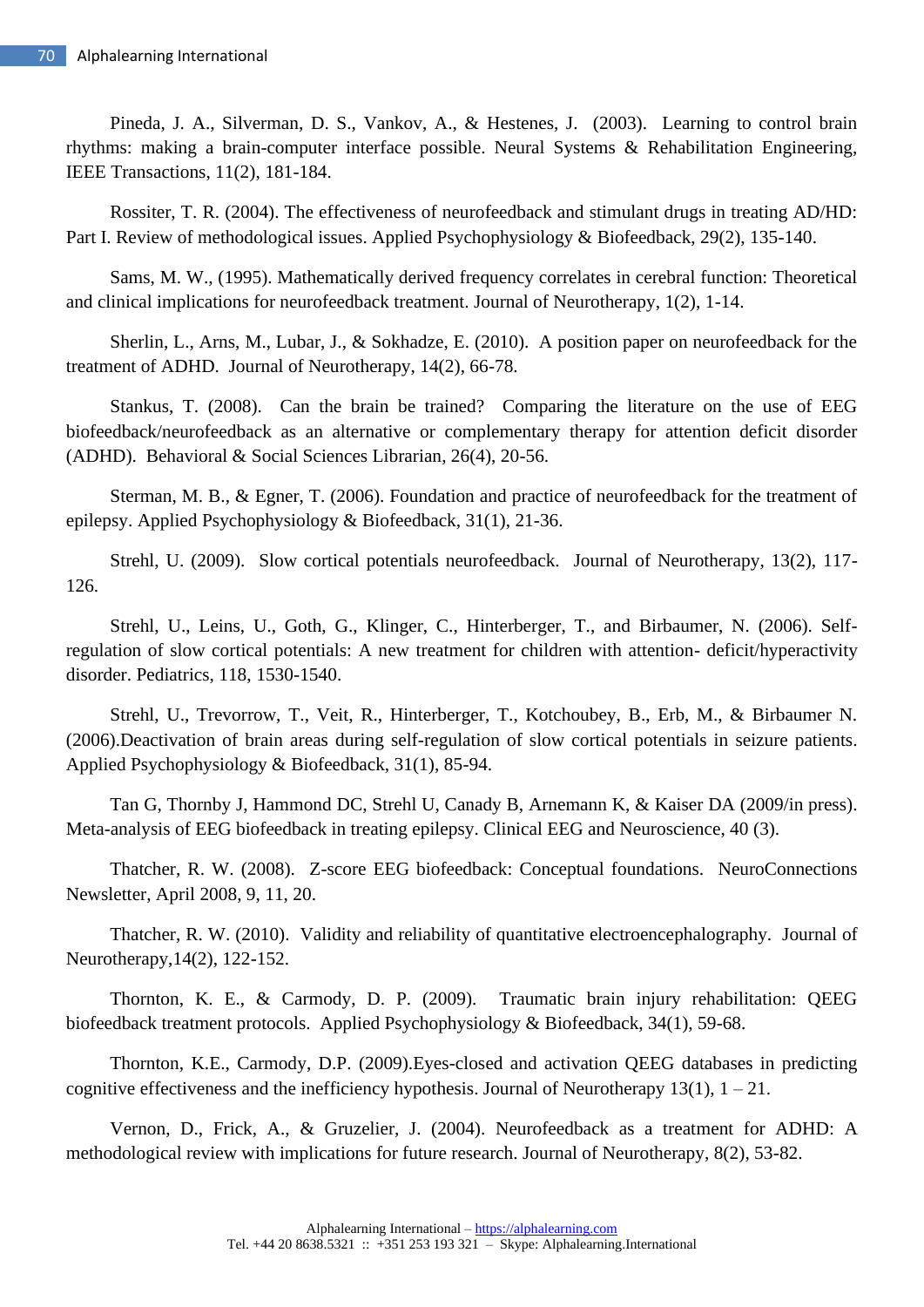Pineda, J. A., Silverman, D. S., Vankov, A., & Hestenes, J. (2003). Learning to control brain rhythms: making a brain-computer interface possible. Neural Systems & Rehabilitation Engineering, IEEE Transactions, 11(2), 181-184.

Rossiter, T. R. (2004). The effectiveness of neurofeedback and stimulant drugs in treating AD/HD: Part I. Review of methodological issues. Applied Psychophysiology & Biofeedback, 29(2), 135-140.

Sams, M. W., (1995). Mathematically derived frequency correlates in cerebral function: Theoretical and clinical implications for neurofeedback treatment. Journal of Neurotherapy, 1(2), 1-14.

Sherlin, L., Arns, M., Lubar, J., & Sokhadze, E. (2010). A position paper on neurofeedback for the treatment of ADHD. Journal of Neurotherapy, 14(2), 66-78.

Stankus, T. (2008). Can the brain be trained? Comparing the literature on the use of EEG biofeedback/neurofeedback as an alternative or complementary therapy for attention deficit disorder (ADHD). Behavioral & Social Sciences Librarian, 26(4), 20-56.

Sterman, M. B., & Egner, T. (2006). Foundation and practice of neurofeedback for the treatment of epilepsy. Applied Psychophysiology & Biofeedback, 31(1), 21-36.

Strehl, U. (2009). Slow cortical potentials neurofeedback. Journal of Neurotherapy, 13(2), 117- 126.

Strehl, U., Leins, U., Goth, G., Klinger, C., Hinterberger, T., and Birbaumer, N. (2006). Selfregulation of slow cortical potentials: A new treatment for children with attention- deficit/hyperactivity disorder. Pediatrics, 118, 1530-1540.

Strehl, U., Trevorrow, T., Veit, R., Hinterberger, T., Kotchoubey, B., Erb, M., & Birbaumer N. (2006).Deactivation of brain areas during self-regulation of slow cortical potentials in seizure patients. Applied Psychophysiology & Biofeedback, 31(1), 85-94.

Tan G, Thornby J, Hammond DC, Strehl U, Canady B, Arnemann K, & Kaiser DA (2009/in press). Meta-analysis of EEG biofeedback in treating epilepsy. Clinical EEG and Neuroscience, 40 (3).

Thatcher, R. W. (2008). Z-score EEG biofeedback: Conceptual foundations. NeuroConnections Newsletter, April 2008, 9, 11, 20.

Thatcher, R. W. (2010). Validity and reliability of quantitative electroencephalography. Journal of Neurotherapy,14(2), 122-152.

Thornton, K. E., & Carmody, D. P. (2009). Traumatic brain injury rehabilitation: QEEG biofeedback treatment protocols. Applied Psychophysiology & Biofeedback, 34(1), 59-68.

Thornton, K.E., Carmody, D.P. (2009).Eyes-closed and activation QEEG databases in predicting cognitive effectiveness and the inefficiency hypothesis. Journal of Neurotherapy  $13(1)$ ,  $1 - 21$ .

Vernon, D., Frick, A., & Gruzelier, J. (2004). Neurofeedback as a treatment for ADHD: A methodological review with implications for future research. Journal of Neurotherapy, 8(2), 53-82.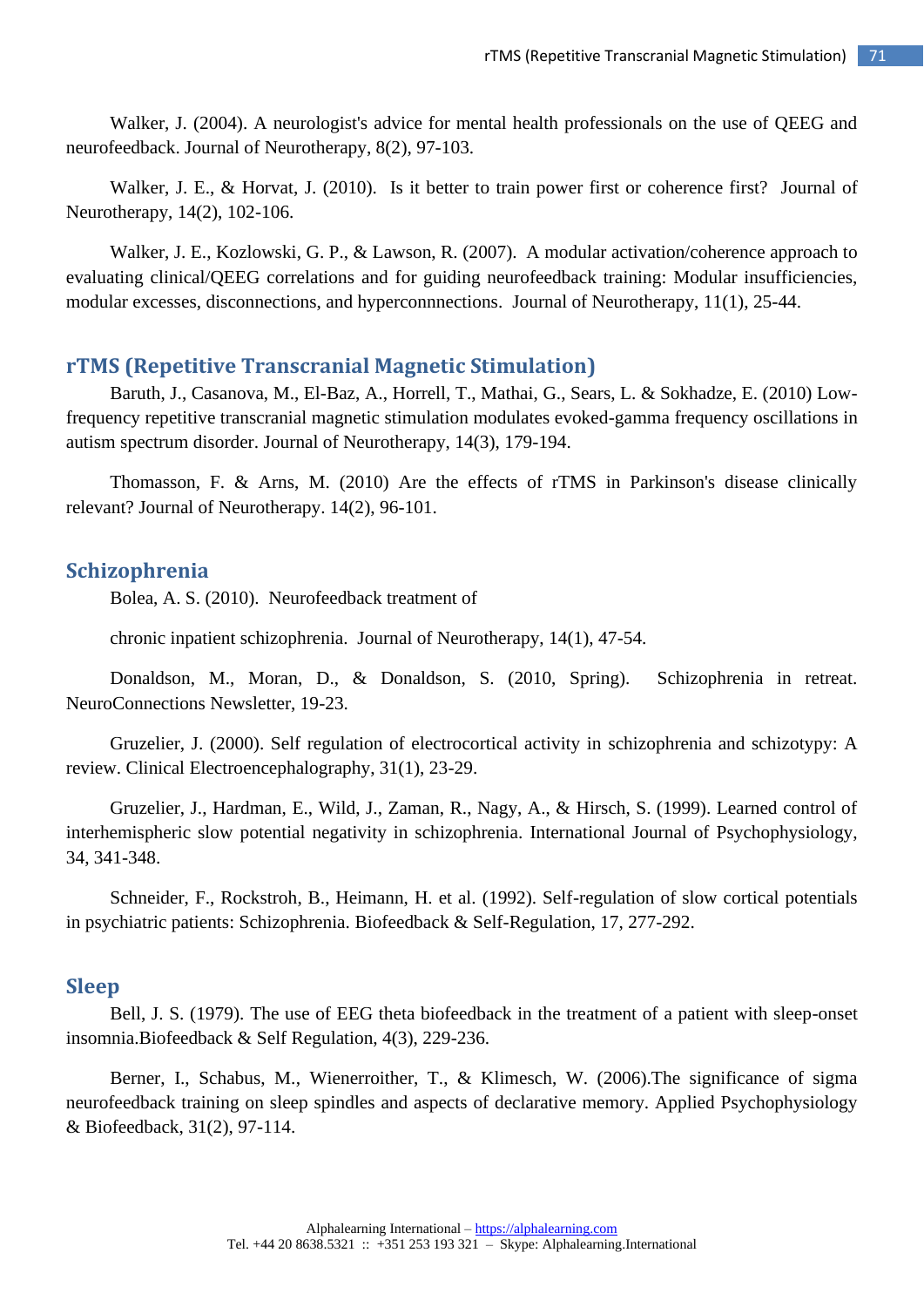Walker, J. (2004). A neurologist's advice for mental health professionals on the use of QEEG and neurofeedback. Journal of Neurotherapy, 8(2), 97-103.

Walker, J. E., & Horvat, J. (2010). Is it better to train power first or coherence first? Journal of Neurotherapy, 14(2), 102-106.

Walker, J. E., Kozlowski, G. P., & Lawson, R. (2007). A modular activation/coherence approach to evaluating clinical/QEEG correlations and for guiding neurofeedback training: Modular insufficiencies, modular excesses, disconnections, and hyperconnnections. Journal of Neurotherapy, 11(1), 25-44.

# **rTMS (Repetitive Transcranial Magnetic Stimulation)**

Baruth, J., Casanova, M., El-Baz, A., Horrell, T., Mathai, G., Sears, L. & Sokhadze, E. (2010) Lowfrequency repetitive transcranial magnetic stimulation modulates evoked-gamma frequency oscillations in autism spectrum disorder. Journal of Neurotherapy, 14(3), 179-194.

Thomasson, F. & Arns, M. (2010) Are the effects of rTMS in Parkinson's disease clinically relevant? Journal of Neurotherapy. 14(2), 96-101.

# **Schizophrenia**

Bolea, A. S. (2010). Neurofeedback treatment of

chronic inpatient schizophrenia. Journal of Neurotherapy, 14(1), 47-54.

Donaldson, M., Moran, D., & Donaldson, S. (2010, Spring). Schizophrenia in retreat. NeuroConnections Newsletter, 19-23.

Gruzelier, J. (2000). Self regulation of electrocortical activity in schizophrenia and schizotypy: A review. Clinical Electroencephalography, 31(1), 23-29.

Gruzelier, J., Hardman, E., Wild, J., Zaman, R., Nagy, A., & Hirsch, S. (1999). Learned control of interhemispheric slow potential negativity in schizophrenia. International Journal of Psychophysiology, 34, 341-348.

Schneider, F., Rockstroh, B., Heimann, H. et al. (1992). Self-regulation of slow cortical potentials in psychiatric patients: Schizophrenia. Biofeedback & Self-Regulation, 17, 277-292.

#### **Sleep**

Bell, J. S. (1979). The use of EEG theta biofeedback in the treatment of a patient with sleep-onset insomnia.Biofeedback & Self Regulation, 4(3), 229-236.

Berner, I., Schabus, M., Wienerroither, T., & Klimesch, W. (2006).The significance of sigma neurofeedback training on sleep spindles and aspects of declarative memory. Applied Psychophysiology & Biofeedback, 31(2), 97-114.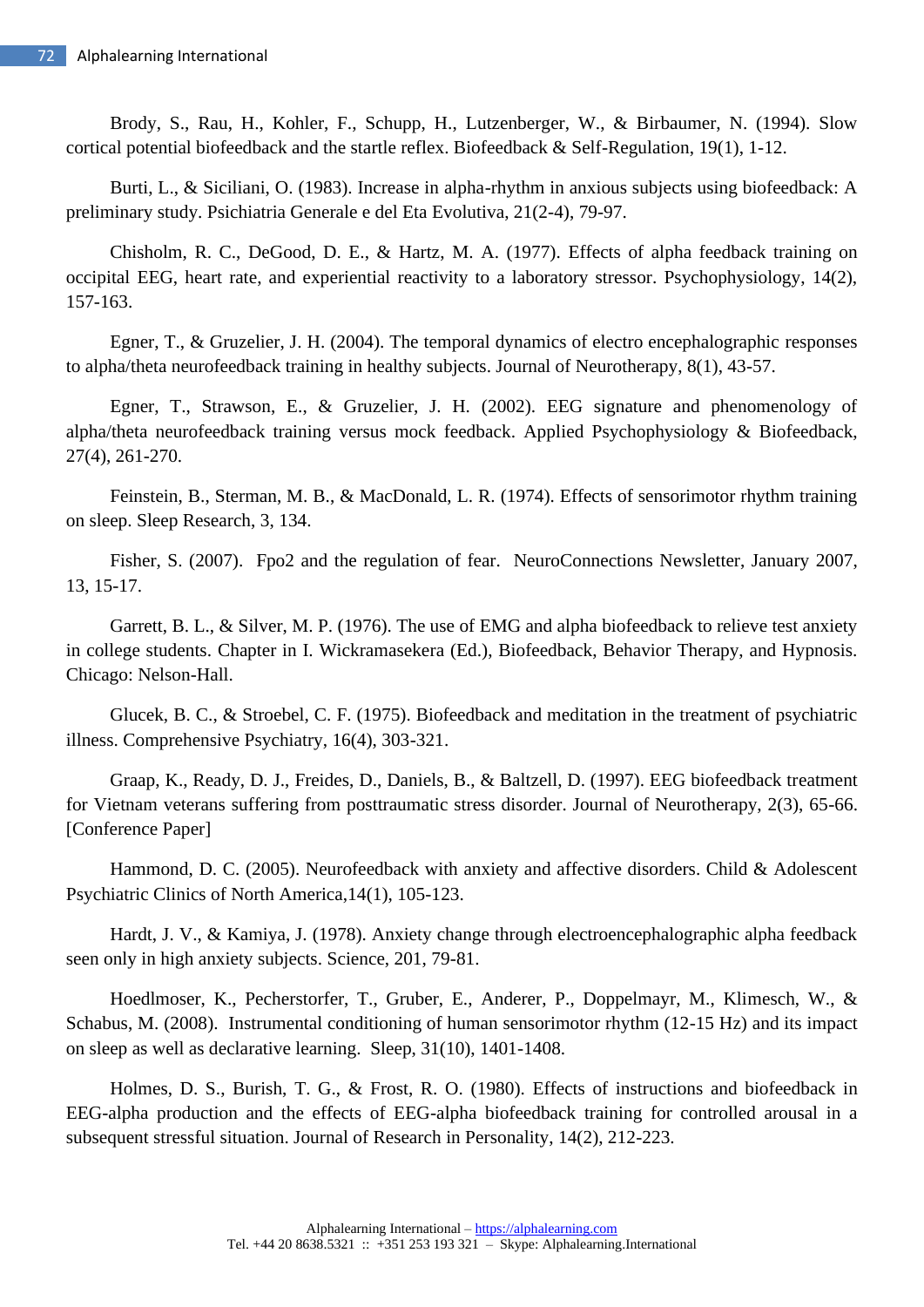Brody, S., Rau, H., Kohler, F., Schupp, H., Lutzenberger, W., & Birbaumer, N. (1994). Slow cortical potential biofeedback and the startle reflex. Biofeedback & Self-Regulation, 19(1), 1-12.

Burti, L., & Siciliani, O. (1983). Increase in alpha-rhythm in anxious subjects using biofeedback: A preliminary study. Psichiatria Generale e del Eta Evolutiva, 21(2-4), 79-97.

Chisholm, R. C., DeGood, D. E., & Hartz, M. A. (1977). Effects of alpha feedback training on occipital EEG, heart rate, and experiential reactivity to a laboratory stressor. Psychophysiology, 14(2), 157-163.

Egner, T., & Gruzelier, J. H. (2004). The temporal dynamics of electro encephalographic responses to alpha/theta neurofeedback training in healthy subjects. Journal of Neurotherapy, 8(1), 43-57.

Egner, T., Strawson, E., & Gruzelier, J. H. (2002). EEG signature and phenomenology of alpha/theta neurofeedback training versus mock feedback. Applied Psychophysiology & Biofeedback, 27(4), 261-270.

Feinstein, B., Sterman, M. B., & MacDonald, L. R. (1974). Effects of sensorimotor rhythm training on sleep. Sleep Research, 3, 134.

Fisher, S. (2007). Fpo2 and the regulation of fear. NeuroConnections Newsletter, January 2007, 13, 15-17.

Garrett, B. L., & Silver, M. P. (1976). The use of EMG and alpha biofeedback to relieve test anxiety in college students. Chapter in I. Wickramasekera (Ed.), Biofeedback, Behavior Therapy, and Hypnosis. Chicago: Nelson-Hall.

Glucek, B. C., & Stroebel, C. F. (1975). Biofeedback and meditation in the treatment of psychiatric illness. Comprehensive Psychiatry, 16(4), 303-321.

Graap, K., Ready, D. J., Freides, D., Daniels, B., & Baltzell, D. (1997). EEG biofeedback treatment for Vietnam veterans suffering from posttraumatic stress disorder. Journal of Neurotherapy, 2(3), 65-66. [Conference Paper]

Hammond, D. C. (2005). Neurofeedback with anxiety and affective disorders. Child & Adolescent Psychiatric Clinics of North America,14(1), 105-123.

Hardt, J. V., & Kamiya, J. (1978). Anxiety change through electroencephalographic alpha feedback seen only in high anxiety subjects. Science, 201, 79-81.

Hoedlmoser, K., Pecherstorfer, T., Gruber, E., Anderer, P., Doppelmayr, M., Klimesch, W., & Schabus, M. (2008). Instrumental conditioning of human sensorimotor rhythm (12-15 Hz) and its impact on sleep as well as declarative learning. Sleep, 31(10), 1401-1408.

Holmes, D. S., Burish, T. G., & Frost, R. O. (1980). Effects of instructions and biofeedback in EEG-alpha production and the effects of EEG-alpha biofeedback training for controlled arousal in a subsequent stressful situation. Journal of Research in Personality, 14(2), 212-223.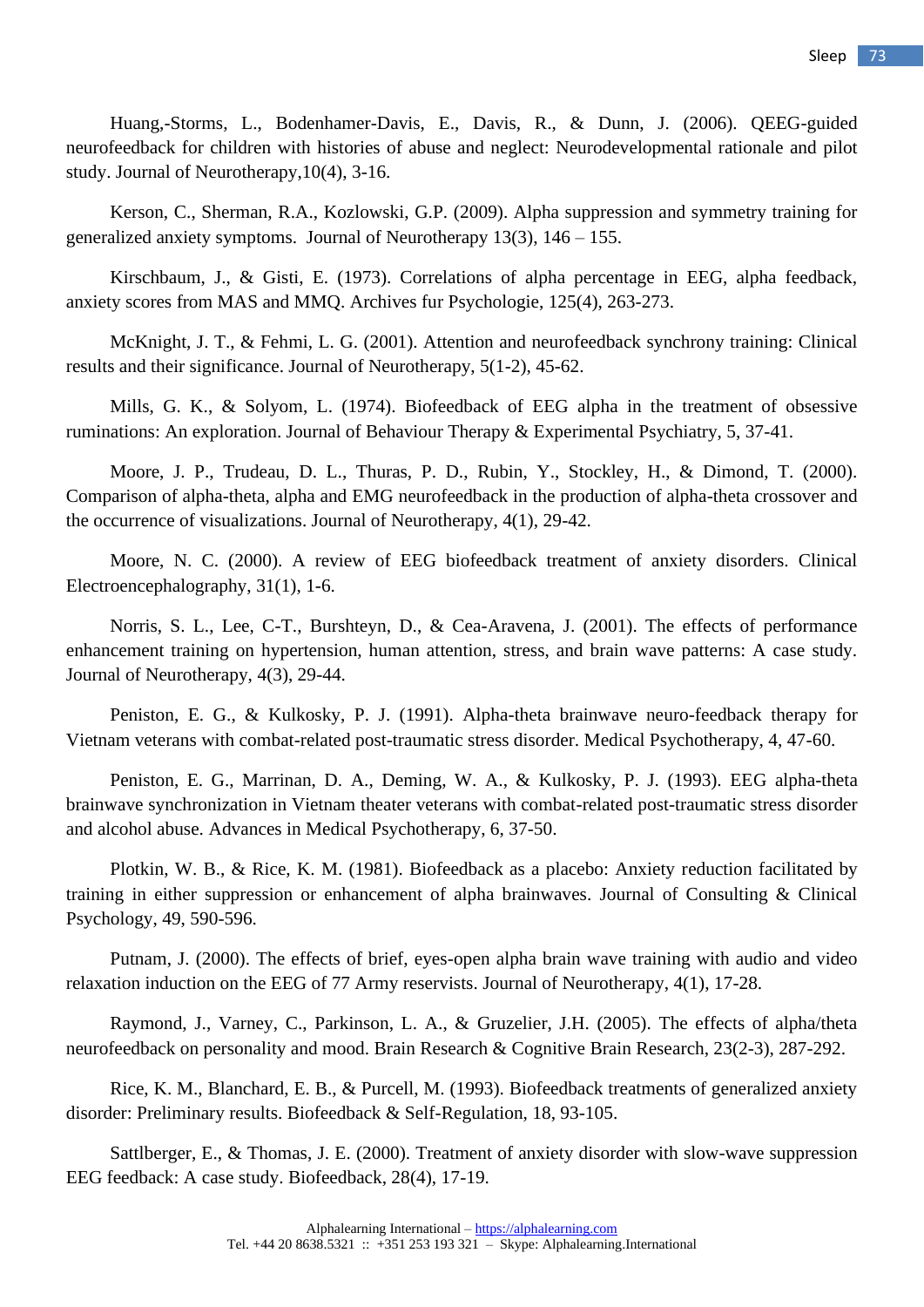Huang,-Storms, L., Bodenhamer-Davis, E., Davis, R., & Dunn, J. (2006). QEEG-guided neurofeedback for children with histories of abuse and neglect: Neurodevelopmental rationale and pilot study. Journal of Neurotherapy,10(4), 3-16.

Kerson, C., Sherman, R.A., Kozlowski, G.P. (2009). Alpha suppression and symmetry training for generalized anxiety symptoms. Journal of Neurotherapy 13(3), 146 – 155.

Kirschbaum, J., & Gisti, E. (1973). Correlations of alpha percentage in EEG, alpha feedback, anxiety scores from MAS and MMQ. Archives fur Psychologie, 125(4), 263-273.

McKnight, J. T., & Fehmi, L. G. (2001). Attention and neurofeedback synchrony training: Clinical results and their significance. Journal of Neurotherapy, 5(1-2), 45-62.

Mills, G. K., & Solyom, L. (1974). Biofeedback of EEG alpha in the treatment of obsessive ruminations: An exploration. Journal of Behaviour Therapy & Experimental Psychiatry, 5, 37-41.

Moore, J. P., Trudeau, D. L., Thuras, P. D., Rubin, Y., Stockley, H., & Dimond, T. (2000). Comparison of alpha-theta, alpha and EMG neurofeedback in the production of alpha-theta crossover and the occurrence of visualizations. Journal of Neurotherapy, 4(1), 29-42.

Moore, N. C. (2000). A review of EEG biofeedback treatment of anxiety disorders. Clinical Electroencephalography, 31(1), 1-6.

Norris, S. L., Lee, C-T., Burshteyn, D., & Cea-Aravena, J. (2001). The effects of performance enhancement training on hypertension, human attention, stress, and brain wave patterns: A case study. Journal of Neurotherapy, 4(3), 29-44.

Peniston, E. G., & Kulkosky, P. J. (1991). Alpha-theta brainwave neuro-feedback therapy for Vietnam veterans with combat-related post-traumatic stress disorder. Medical Psychotherapy, 4, 47-60.

Peniston, E. G., Marrinan, D. A., Deming, W. A., & Kulkosky, P. J. (1993). EEG alpha-theta brainwave synchronization in Vietnam theater veterans with combat-related post-traumatic stress disorder and alcohol abuse. Advances in Medical Psychotherapy, 6, 37-50.

Plotkin, W. B., & Rice, K. M. (1981). Biofeedback as a placebo: Anxiety reduction facilitated by training in either suppression or enhancement of alpha brainwaves. Journal of Consulting & Clinical Psychology, 49, 590-596.

Putnam, J. (2000). The effects of brief, eyes-open alpha brain wave training with audio and video relaxation induction on the EEG of 77 Army reservists. Journal of Neurotherapy, 4(1), 17-28.

Raymond, J., Varney, C., Parkinson, L. A., & Gruzelier, J.H. (2005). The effects of alpha/theta neurofeedback on personality and mood. Brain Research & Cognitive Brain Research, 23(2-3), 287-292.

Rice, K. M., Blanchard, E. B., & Purcell, M. (1993). Biofeedback treatments of generalized anxiety disorder: Preliminary results. Biofeedback & Self-Regulation, 18, 93-105.

Sattlberger, E., & Thomas, J. E. (2000). Treatment of anxiety disorder with slow-wave suppression EEG feedback: A case study. Biofeedback, 28(4), 17-19.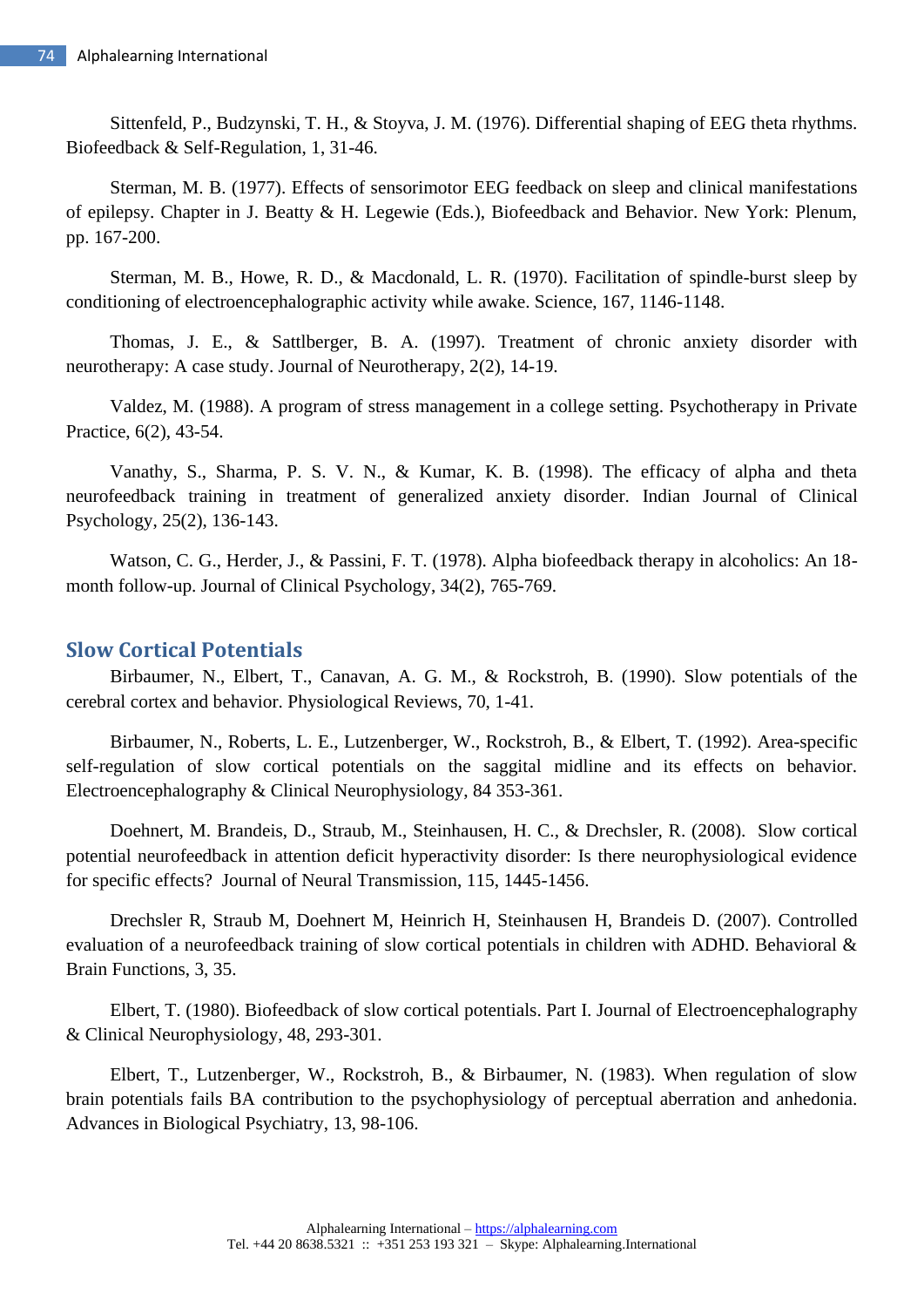Sittenfeld, P., Budzynski, T. H., & Stoyva, J. M. (1976). Differential shaping of EEG theta rhythms. Biofeedback & Self-Regulation, 1, 31-46.

Sterman, M. B. (1977). Effects of sensorimotor EEG feedback on sleep and clinical manifestations of epilepsy. Chapter in J. Beatty & H. Legewie (Eds.), Biofeedback and Behavior. New York: Plenum, pp. 167-200.

Sterman, M. B., Howe, R. D., & Macdonald, L. R. (1970). Facilitation of spindle-burst sleep by conditioning of electroencephalographic activity while awake. Science, 167, 1146-1148.

Thomas, J. E., & Sattlberger, B. A. (1997). Treatment of chronic anxiety disorder with neurotherapy: A case study. Journal of Neurotherapy, 2(2), 14-19.

Valdez, M. (1988). A program of stress management in a college setting. Psychotherapy in Private Practice, 6(2), 43-54.

Vanathy, S., Sharma, P. S. V. N., & Kumar, K. B. (1998). The efficacy of alpha and theta neurofeedback training in treatment of generalized anxiety disorder. Indian Journal of Clinical Psychology, 25(2), 136-143.

Watson, C. G., Herder, J., & Passini, F. T. (1978). Alpha biofeedback therapy in alcoholics: An 18 month follow-up. Journal of Clinical Psychology, 34(2), 765-769.

#### **Slow Cortical Potentials**

Birbaumer, N., Elbert, T., Canavan, A. G. M., & Rockstroh, B. (1990). Slow potentials of the cerebral cortex and behavior. Physiological Reviews, 70, 1-41.

Birbaumer, N., Roberts, L. E., Lutzenberger, W., Rockstroh, B., & Elbert, T. (1992). Area-specific self-regulation of slow cortical potentials on the saggital midline and its effects on behavior. Electroencephalography & Clinical Neurophysiology, 84 353-361.

Doehnert, M. Brandeis, D., Straub, M., Steinhausen, H. C., & Drechsler, R. (2008). Slow cortical potential neurofeedback in attention deficit hyperactivity disorder: Is there neurophysiological evidence for specific effects? Journal of Neural Transmission, 115, 1445-1456.

Drechsler R, Straub M, Doehnert M, Heinrich H, Steinhausen H, Brandeis D. (2007). Controlled evaluation of a neurofeedback training of slow cortical potentials in children with ADHD. Behavioral & Brain Functions, 3, 35.

Elbert, T. (1980). Biofeedback of slow cortical potentials. Part I. Journal of Electroencephalography & Clinical Neurophysiology, 48, 293-301.

Elbert, T., Lutzenberger, W., Rockstroh, B., & Birbaumer, N. (1983). When regulation of slow brain potentials fails BA contribution to the psychophysiology of perceptual aberration and anhedonia. Advances in Biological Psychiatry, 13, 98-106.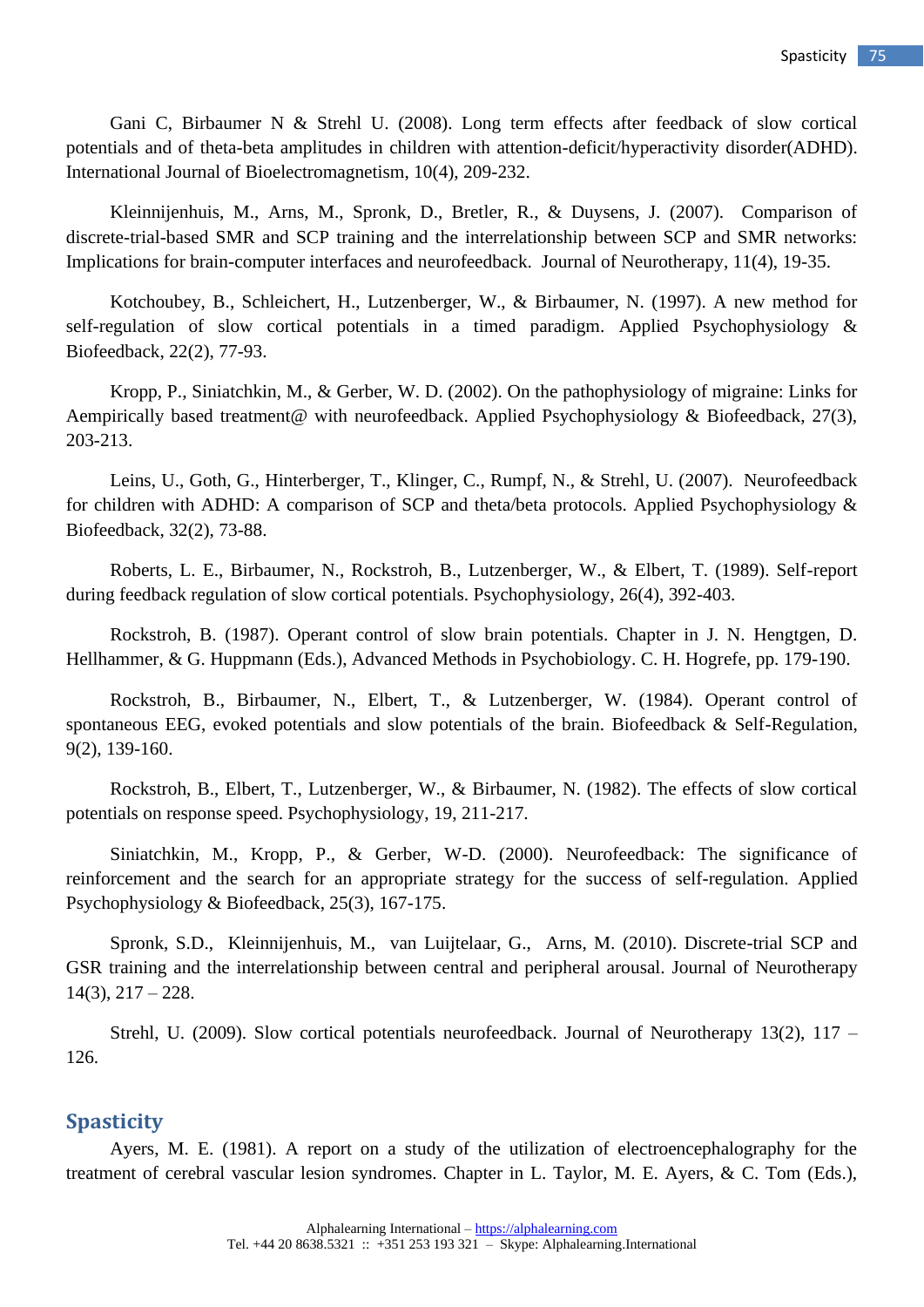Gani C, Birbaumer N & Strehl U. (2008). Long term effects after feedback of slow cortical potentials and of theta-beta amplitudes in children with attention-deficit/hyperactivity disorder(ADHD). International Journal of Bioelectromagnetism, 10(4), 209-232.

Kleinnijenhuis, M., Arns, M., Spronk, D., Bretler, R., & Duysens, J. (2007). Comparison of discrete-trial-based SMR and SCP training and the interrelationship between SCP and SMR networks: Implications for brain-computer interfaces and neurofeedback. Journal of Neurotherapy, 11(4), 19-35.

Kotchoubey, B., Schleichert, H., Lutzenberger, W., & Birbaumer, N. (1997). A new method for self-regulation of slow cortical potentials in a timed paradigm. Applied Psychophysiology & Biofeedback, 22(2), 77-93.

Kropp, P., Siniatchkin, M., & Gerber, W. D. (2002). On the pathophysiology of migraine: Links for Aempirically based treatment@ with neurofeedback. Applied Psychophysiology & Biofeedback, 27(3), 203-213.

Leins, U., Goth, G., Hinterberger, T., Klinger, C., Rumpf, N., & Strehl, U. (2007). Neurofeedback for children with ADHD: A comparison of SCP and theta/beta protocols. Applied Psychophysiology & Biofeedback, 32(2), 73-88.

Roberts, L. E., Birbaumer, N., Rockstroh, B., Lutzenberger, W., & Elbert, T. (1989). Self-report during feedback regulation of slow cortical potentials. Psychophysiology, 26(4), 392-403.

Rockstroh, B. (1987). Operant control of slow brain potentials. Chapter in J. N. Hengtgen, D. Hellhammer, & G. Huppmann (Eds.), Advanced Methods in Psychobiology. C. H. Hogrefe, pp. 179-190.

Rockstroh, B., Birbaumer, N., Elbert, T., & Lutzenberger, W. (1984). Operant control of spontaneous EEG, evoked potentials and slow potentials of the brain. Biofeedback & Self-Regulation, 9(2), 139-160.

Rockstroh, B., Elbert, T., Lutzenberger, W., & Birbaumer, N. (1982). The effects of slow cortical potentials on response speed. Psychophysiology, 19, 211-217.

Siniatchkin, M., Kropp, P., & Gerber, W-D. (2000). Neurofeedback: The significance of reinforcement and the search for an appropriate strategy for the success of self-regulation. Applied Psychophysiology & Biofeedback, 25(3), 167-175.

Spronk, S.D., Kleinnijenhuis, M., van Luijtelaar, G., Arns, M. (2010). Discrete-trial SCP and GSR training and the interrelationship between central and peripheral arousal. Journal of Neurotherapy  $14(3), 217 - 228.$ 

Strehl, U. (2009). Slow cortical potentials neurofeedback. Journal of Neurotherapy 13(2), 117 – 126.

#### **Spasticity**

Ayers, M. E. (1981). A report on a study of the utilization of electroencephalography for the treatment of cerebral vascular lesion syndromes. Chapter in L. Taylor, M. E. Ayers, & C. Tom (Eds.),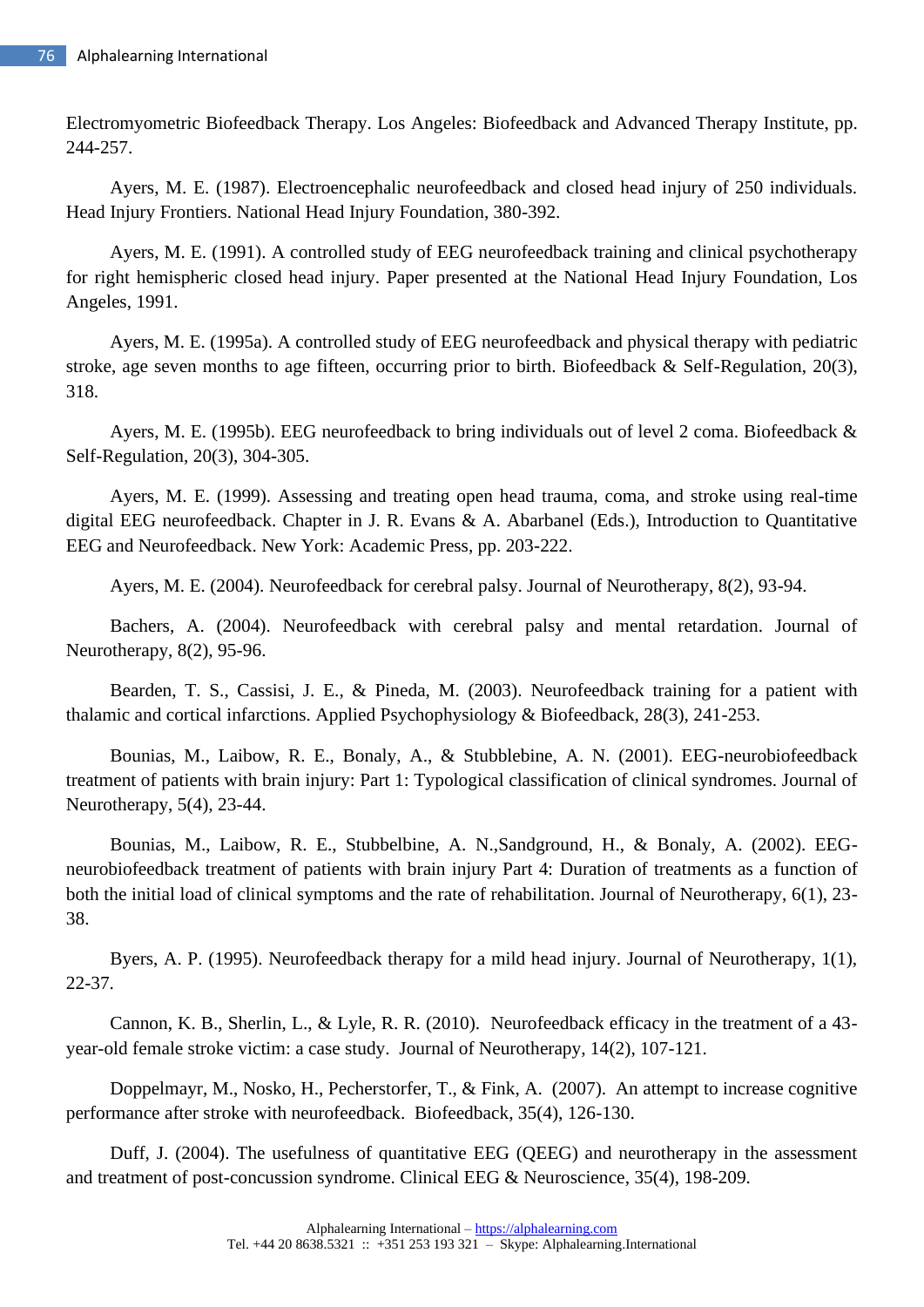Electromyometric Biofeedback Therapy. Los Angeles: Biofeedback and Advanced Therapy Institute, pp. 244-257.

Ayers, M. E. (1987). Electroencephalic neurofeedback and closed head injury of 250 individuals. Head Injury Frontiers. National Head Injury Foundation, 380-392.

Ayers, M. E. (1991). A controlled study of EEG neurofeedback training and clinical psychotherapy for right hemispheric closed head injury. Paper presented at the National Head Injury Foundation, Los Angeles, 1991.

Ayers, M. E. (1995a). A controlled study of EEG neurofeedback and physical therapy with pediatric stroke, age seven months to age fifteen, occurring prior to birth. Biofeedback & Self-Regulation, 20(3), 318.

Ayers, M. E. (1995b). EEG neurofeedback to bring individuals out of level 2 coma. Biofeedback & Self-Regulation, 20(3), 304-305.

Ayers, M. E. (1999). Assessing and treating open head trauma, coma, and stroke using real-time digital EEG neurofeedback. Chapter in J. R. Evans & A. Abarbanel (Eds.), Introduction to Quantitative EEG and Neurofeedback. New York: Academic Press, pp. 203-222.

Ayers, M. E. (2004). Neurofeedback for cerebral palsy. Journal of Neurotherapy, 8(2), 93-94.

Bachers, A. (2004). Neurofeedback with cerebral palsy and mental retardation. Journal of Neurotherapy, 8(2), 95-96.

Bearden, T. S., Cassisi, J. E., & Pineda, M. (2003). Neurofeedback training for a patient with thalamic and cortical infarctions. Applied Psychophysiology & Biofeedback, 28(3), 241-253.

Bounias, M., Laibow, R. E., Bonaly, A., & Stubblebine, A. N. (2001). EEG-neurobiofeedback treatment of patients with brain injury: Part 1: Typological classification of clinical syndromes. Journal of Neurotherapy, 5(4), 23-44.

Bounias, M., Laibow, R. E., Stubbelbine, A. N.,Sandground, H., & Bonaly, A. (2002). EEGneurobiofeedback treatment of patients with brain injury Part 4: Duration of treatments as a function of both the initial load of clinical symptoms and the rate of rehabilitation. Journal of Neurotherapy, 6(1), 23- 38.

Byers, A. P. (1995). Neurofeedback therapy for a mild head injury. Journal of Neurotherapy, 1(1), 22-37.

Cannon, K. B., Sherlin, L., & Lyle, R. R. (2010). Neurofeedback efficacy in the treatment of a 43 year-old female stroke victim: a case study. Journal of Neurotherapy, 14(2), 107-121.

Doppelmayr, M., Nosko, H., Pecherstorfer, T., & Fink, A. (2007). An attempt to increase cognitive performance after stroke with neurofeedback. Biofeedback, 35(4), 126-130.

Duff, J. (2004). The usefulness of quantitative EEG (QEEG) and neurotherapy in the assessment and treatment of post-concussion syndrome. Clinical EEG & Neuroscience, 35(4), 198-209.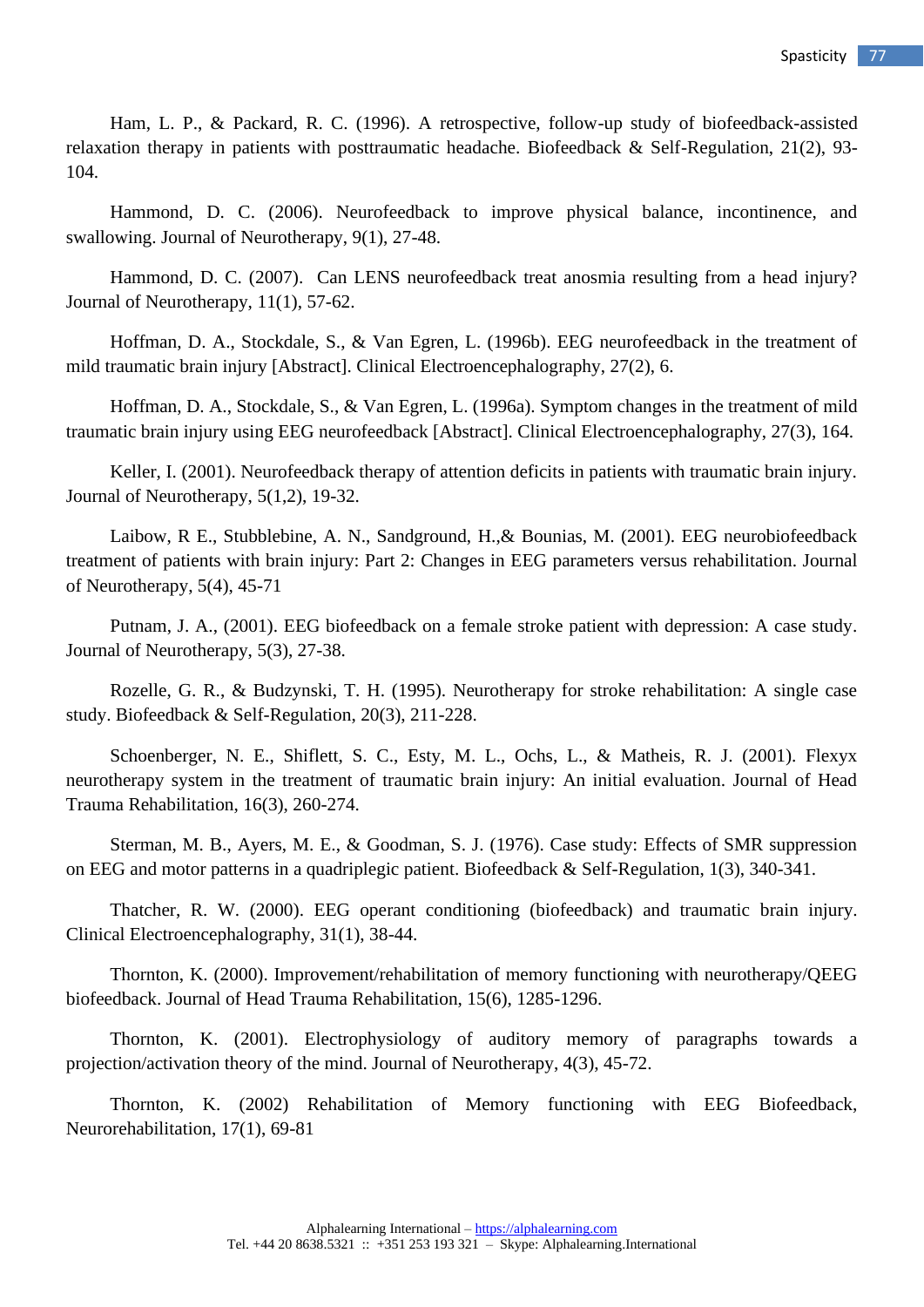Ham, L. P., & Packard, R. C. (1996). A retrospective, follow-up study of biofeedback-assisted relaxation therapy in patients with posttraumatic headache. Biofeedback & Self-Regulation, 21(2), 93- 104.

Hammond, D. C. (2006). Neurofeedback to improve physical balance, incontinence, and swallowing. Journal of Neurotherapy, 9(1), 27-48.

Hammond, D. C. (2007). Can LENS neurofeedback treat anosmia resulting from a head injury? Journal of Neurotherapy, 11(1), 57-62.

Hoffman, D. A., Stockdale, S., & Van Egren, L. (1996b). EEG neurofeedback in the treatment of mild traumatic brain injury [Abstract]. Clinical Electroencephalography, 27(2), 6.

Hoffman, D. A., Stockdale, S., & Van Egren, L. (1996a). Symptom changes in the treatment of mild traumatic brain injury using EEG neurofeedback [Abstract]. Clinical Electroencephalography, 27(3), 164.

Keller, I. (2001). Neurofeedback therapy of attention deficits in patients with traumatic brain injury. Journal of Neurotherapy, 5(1,2), 19-32.

Laibow, R E., Stubblebine, A. N., Sandground, H.,& Bounias, M. (2001). EEG neurobiofeedback treatment of patients with brain injury: Part 2: Changes in EEG parameters versus rehabilitation. Journal of Neurotherapy, 5(4), 45-71

Putnam, J. A., (2001). EEG biofeedback on a female stroke patient with depression: A case study. Journal of Neurotherapy, 5(3), 27-38.

Rozelle, G. R., & Budzynski, T. H. (1995). Neurotherapy for stroke rehabilitation: A single case study. Biofeedback & Self-Regulation, 20(3), 211-228.

Schoenberger, N. E., Shiflett, S. C., Esty, M. L., Ochs, L., & Matheis, R. J. (2001). Flexyx neurotherapy system in the treatment of traumatic brain injury: An initial evaluation. Journal of Head Trauma Rehabilitation, 16(3), 260-274.

Sterman, M. B., Ayers, M. E., & Goodman, S. J. (1976). Case study: Effects of SMR suppression on EEG and motor patterns in a quadriplegic patient. Biofeedback & Self-Regulation, 1(3), 340-341.

Thatcher, R. W. (2000). EEG operant conditioning (biofeedback) and traumatic brain injury. Clinical Electroencephalography, 31(1), 38-44.

Thornton, K. (2000). Improvement/rehabilitation of memory functioning with neurotherapy/QEEG biofeedback. Journal of Head Trauma Rehabilitation, 15(6), 1285-1296.

Thornton, K. (2001). Electrophysiology of auditory memory of paragraphs towards a projection/activation theory of the mind. Journal of Neurotherapy, 4(3), 45-72.

Thornton, K. (2002) Rehabilitation of Memory functioning with EEG Biofeedback, Neurorehabilitation, 17(1), 69-81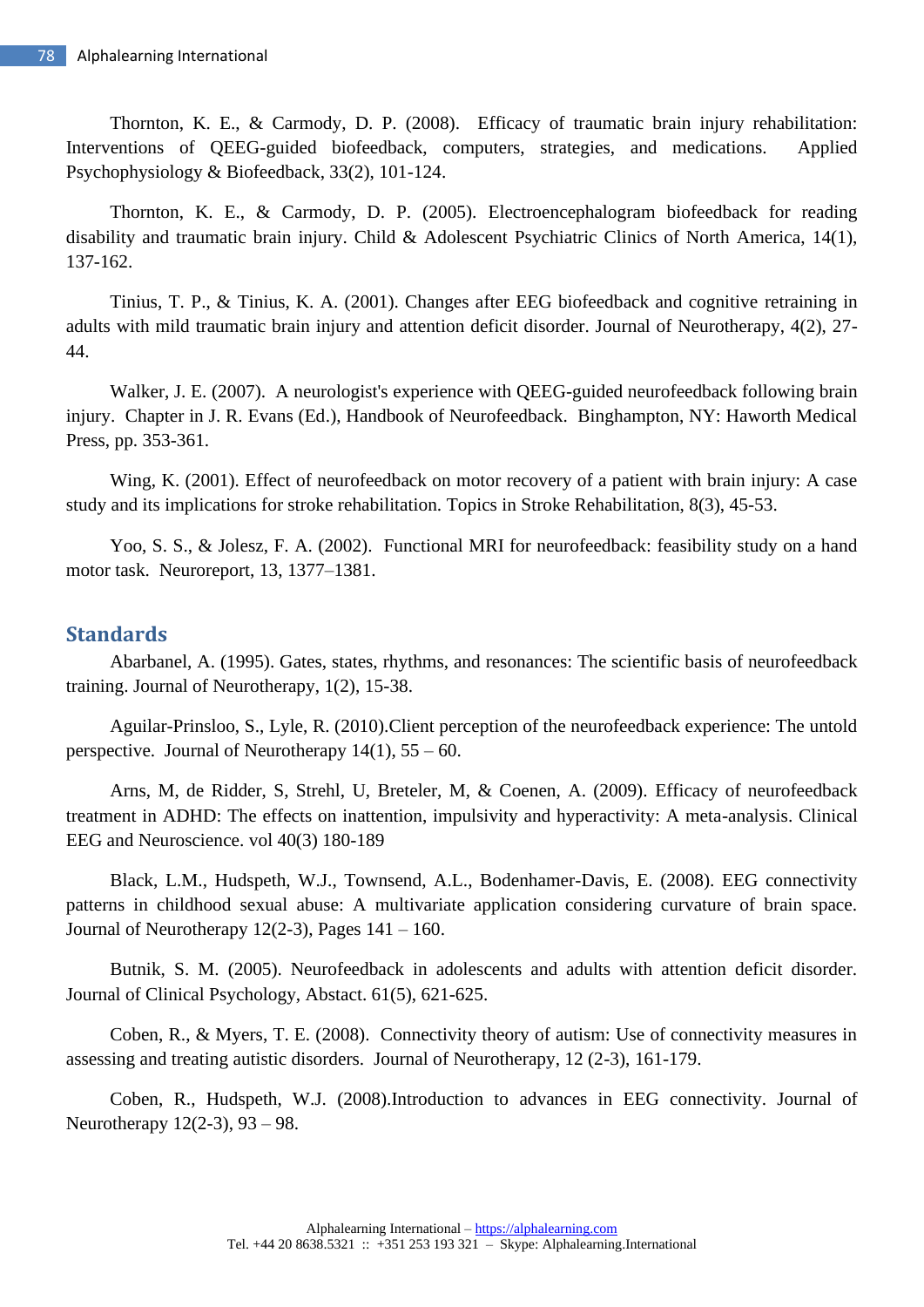Thornton, K. E., & Carmody, D. P. (2008). Efficacy of traumatic brain injury rehabilitation: Interventions of QEEG-guided biofeedback, computers, strategies, and medications. Applied Psychophysiology & Biofeedback, 33(2), 101-124.

Thornton, K. E., & Carmody, D. P. (2005). Electroencephalogram biofeedback for reading disability and traumatic brain injury. Child & Adolescent Psychiatric Clinics of North America, 14(1), 137-162.

Tinius, T. P., & Tinius, K. A. (2001). Changes after EEG biofeedback and cognitive retraining in adults with mild traumatic brain injury and attention deficit disorder. Journal of Neurotherapy, 4(2), 27- 44.

Walker, J. E. (2007). A neurologist's experience with QEEG-guided neurofeedback following brain injury. Chapter in J. R. Evans (Ed.), Handbook of Neurofeedback. Binghampton, NY: Haworth Medical Press, pp. 353-361.

Wing, K. (2001). Effect of neurofeedback on motor recovery of a patient with brain injury: A case study and its implications for stroke rehabilitation. Topics in Stroke Rehabilitation, 8(3), 45-53.

Yoo, S. S., & Jolesz, F. A. (2002). Functional MRI for neurofeedback: feasibility study on a hand motor task. Neuroreport, 13, 1377–1381.

## **Standards**

Abarbanel, A. (1995). Gates, states, rhythms, and resonances: The scientific basis of neurofeedback training. Journal of Neurotherapy, 1(2), 15-38.

Aguilar-Prinsloo, S., Lyle, R. (2010).Client perception of the neurofeedback experience: The untold perspective. Journal of Neurotherapy  $14(1)$ ,  $55 - 60$ .

Arns, M, de Ridder, S, Strehl, U, Breteler, M, & Coenen, A. (2009). Efficacy of neurofeedback treatment in ADHD: The effects on inattention, impulsivity and hyperactivity: A meta-analysis. Clinical EEG and Neuroscience. vol 40(3) 180-189

Black, L.M., Hudspeth, W.J., Townsend, A.L., Bodenhamer-Davis, E. (2008). EEG connectivity patterns in childhood sexual abuse: A multivariate application considering curvature of brain space. Journal of Neurotherapy  $12(2-3)$ , Pages  $141 - 160$ .

Butnik, S. M. (2005). Neurofeedback in adolescents and adults with attention deficit disorder. Journal of Clinical Psychology, Abstact. 61(5), 621-625.

Coben, R., & Myers, T. E. (2008). Connectivity theory of autism: Use of connectivity measures in assessing and treating autistic disorders. Journal of Neurotherapy, 12 (2-3), 161-179.

Coben, R., Hudspeth, W.J. (2008).Introduction to advances in EEG connectivity. Journal of Neurotherapy 12(2-3), 93 – 98.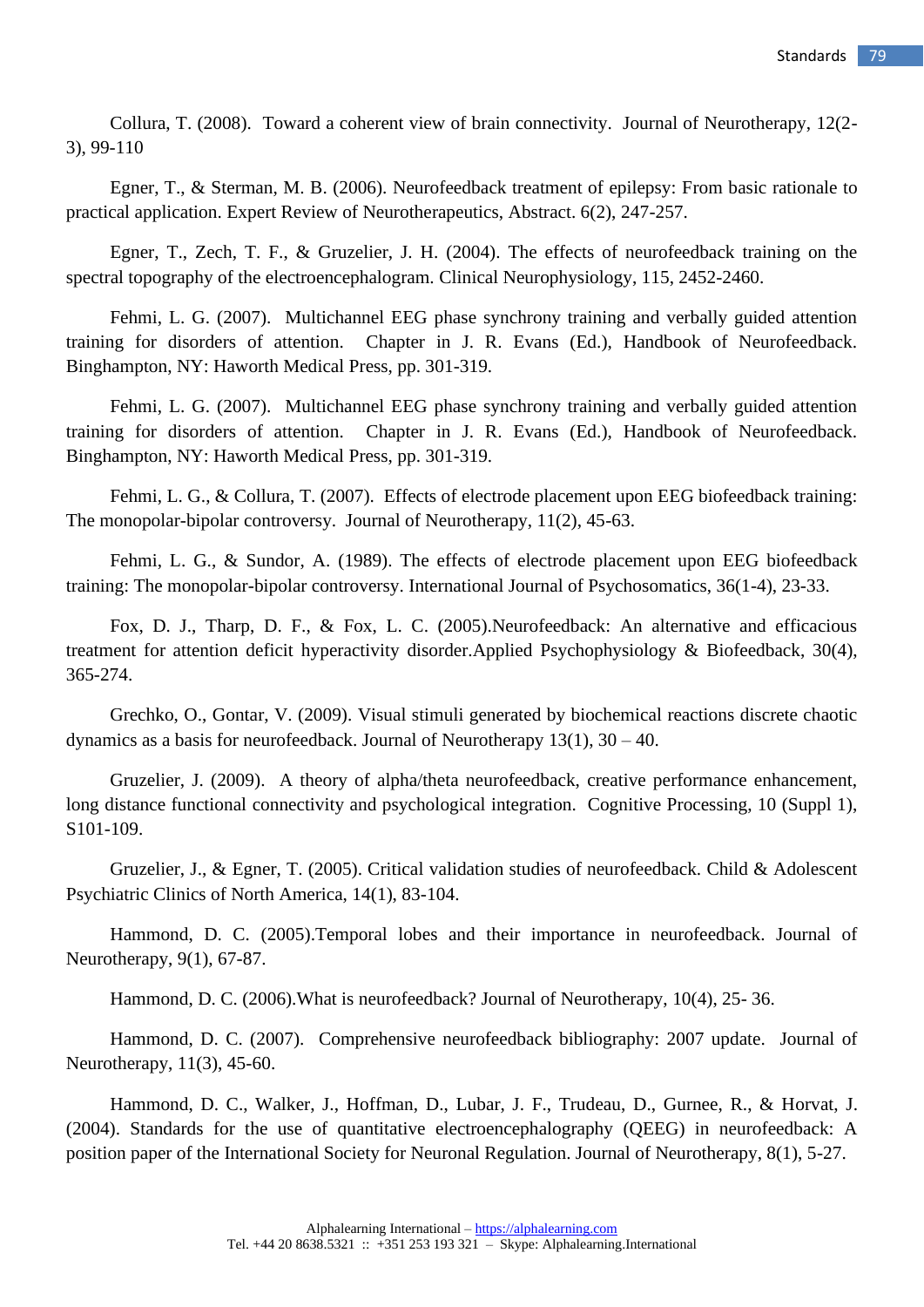Collura, T. (2008). Toward a coherent view of brain connectivity. Journal of Neurotherapy, 12(2- 3), 99-110

Egner, T., & Sterman, M. B. (2006). Neurofeedback treatment of epilepsy: From basic rationale to practical application. Expert Review of Neurotherapeutics, Abstract. 6(2), 247-257.

Egner, T., Zech, T. F., & Gruzelier, J. H. (2004). The effects of neurofeedback training on the spectral topography of the electroencephalogram. Clinical Neurophysiology, 115, 2452-2460.

Fehmi, L. G. (2007). Multichannel EEG phase synchrony training and verbally guided attention training for disorders of attention. Chapter in J. R. Evans (Ed.), Handbook of Neurofeedback. Binghampton, NY: Haworth Medical Press, pp. 301-319.

Fehmi, L. G. (2007). Multichannel EEG phase synchrony training and verbally guided attention training for disorders of attention. Chapter in J. R. Evans (Ed.), Handbook of Neurofeedback. Binghampton, NY: Haworth Medical Press, pp. 301-319.

Fehmi, L. G., & Collura, T. (2007). Effects of electrode placement upon EEG biofeedback training: The monopolar-bipolar controversy. Journal of Neurotherapy, 11(2), 45-63.

Fehmi, L. G., & Sundor, A. (1989). The effects of electrode placement upon EEG biofeedback training: The monopolar-bipolar controversy. International Journal of Psychosomatics, 36(1-4), 23-33.

Fox, D. J., Tharp, D. F., & Fox, L. C. (2005).Neurofeedback: An alternative and efficacious treatment for attention deficit hyperactivity disorder.Applied Psychophysiology & Biofeedback, 30(4), 365-274.

Grechko, O., Gontar, V. (2009). Visual stimuli generated by biochemical reactions discrete chaotic dynamics as a basis for neurofeedback. Journal of Neurotherapy 13(1), 30 – 40.

Gruzelier, J. (2009). A theory of alpha/theta neurofeedback, creative performance enhancement, long distance functional connectivity and psychological integration. Cognitive Processing, 10 (Suppl 1), S101-109.

Gruzelier, J., & Egner, T. (2005). Critical validation studies of neurofeedback. Child & Adolescent Psychiatric Clinics of North America, 14(1), 83-104.

Hammond, D. C. (2005).Temporal lobes and their importance in neurofeedback. Journal of Neurotherapy, 9(1), 67-87.

Hammond, D. C. (2006).What is neurofeedback? Journal of Neurotherapy, 10(4), 25- 36.

Hammond, D. C. (2007). Comprehensive neurofeedback bibliography: 2007 update. Journal of Neurotherapy, 11(3), 45-60.

Hammond, D. C., Walker, J., Hoffman, D., Lubar, J. F., Trudeau, D., Gurnee, R., & Horvat, J. (2004). Standards for the use of quantitative electroencephalography (QEEG) in neurofeedback: A position paper of the International Society for Neuronal Regulation. Journal of Neurotherapy, 8(1), 5-27.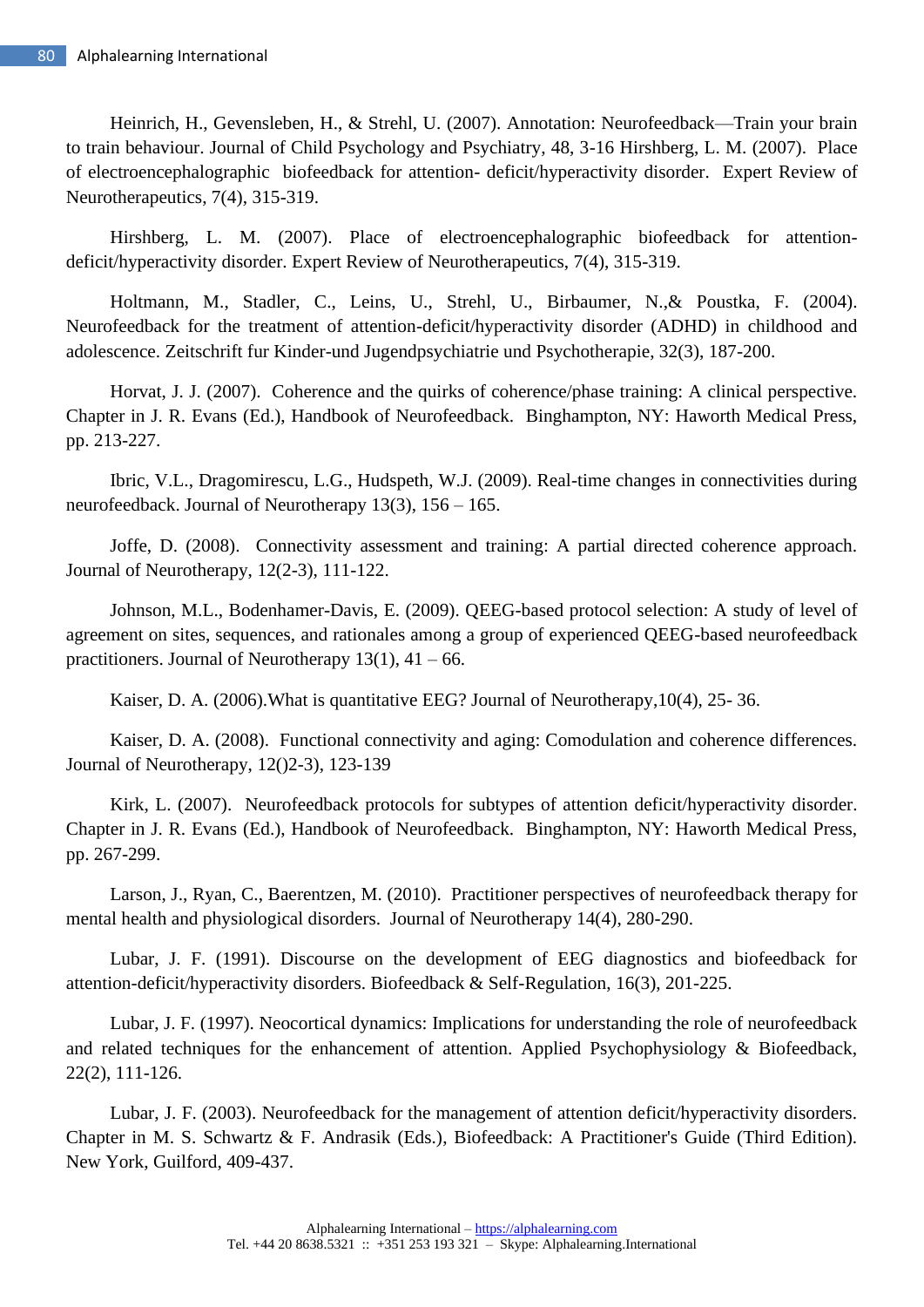Heinrich, H., Gevensleben, H., & Strehl, U. (2007). Annotation: Neurofeedback—Train your brain to train behaviour. Journal of Child Psychology and Psychiatry, 48, 3-16 Hirshberg, L. M. (2007). Place of electroencephalographic biofeedback for attention- deficit/hyperactivity disorder. Expert Review of Neurotherapeutics, 7(4), 315-319.

Hirshberg, L. M. (2007). Place of electroencephalographic biofeedback for attentiondeficit/hyperactivity disorder. Expert Review of Neurotherapeutics, 7(4), 315-319.

Holtmann, M., Stadler, C., Leins, U., Strehl, U., Birbaumer, N.,& Poustka, F. (2004). Neurofeedback for the treatment of attention-deficit/hyperactivity disorder (ADHD) in childhood and adolescence. Zeitschrift fur Kinder-und Jugendpsychiatrie und Psychotherapie, 32(3), 187-200.

Horvat, J. J. (2007). Coherence and the quirks of coherence/phase training: A clinical perspective. Chapter in J. R. Evans (Ed.), Handbook of Neurofeedback. Binghampton, NY: Haworth Medical Press, pp. 213-227.

Ibric, V.L., Dragomirescu, L.G., Hudspeth, W.J. (2009). Real-time changes in connectivities during neurofeedback. Journal of Neurotherapy 13(3), 156 – 165.

Joffe, D. (2008). Connectivity assessment and training: A partial directed coherence approach. Journal of Neurotherapy, 12(2-3), 111-122.

Johnson, M.L., Bodenhamer-Davis, E. (2009). QEEG-based protocol selection: A study of level of agreement on sites, sequences, and rationales among a group of experienced QEEG-based neurofeedback practitioners. Journal of Neurotherapy  $13(1)$ ,  $41 - 66$ .

Kaiser, D. A. (2006).What is quantitative EEG? Journal of Neurotherapy,10(4), 25- 36.

Kaiser, D. A. (2008). Functional connectivity and aging: Comodulation and coherence differences. Journal of Neurotherapy, 12()2-3), 123-139

Kirk, L. (2007). Neurofeedback protocols for subtypes of attention deficit/hyperactivity disorder. Chapter in J. R. Evans (Ed.), Handbook of Neurofeedback. Binghampton, NY: Haworth Medical Press, pp. 267-299.

Larson, J., Ryan, C., Baerentzen, M. (2010). Practitioner perspectives of neurofeedback therapy for mental health and physiological disorders. Journal of Neurotherapy 14(4), 280-290.

Lubar, J. F. (1991). Discourse on the development of EEG diagnostics and biofeedback for attention-deficit/hyperactivity disorders. Biofeedback & Self-Regulation, 16(3), 201-225.

Lubar, J. F. (1997). Neocortical dynamics: Implications for understanding the role of neurofeedback and related techniques for the enhancement of attention. Applied Psychophysiology & Biofeedback, 22(2), 111-126.

Lubar, J. F. (2003). Neurofeedback for the management of attention deficit/hyperactivity disorders. Chapter in M. S. Schwartz & F. Andrasik (Eds.), Biofeedback: A Practitioner's Guide (Third Edition). New York, Guilford, 409-437.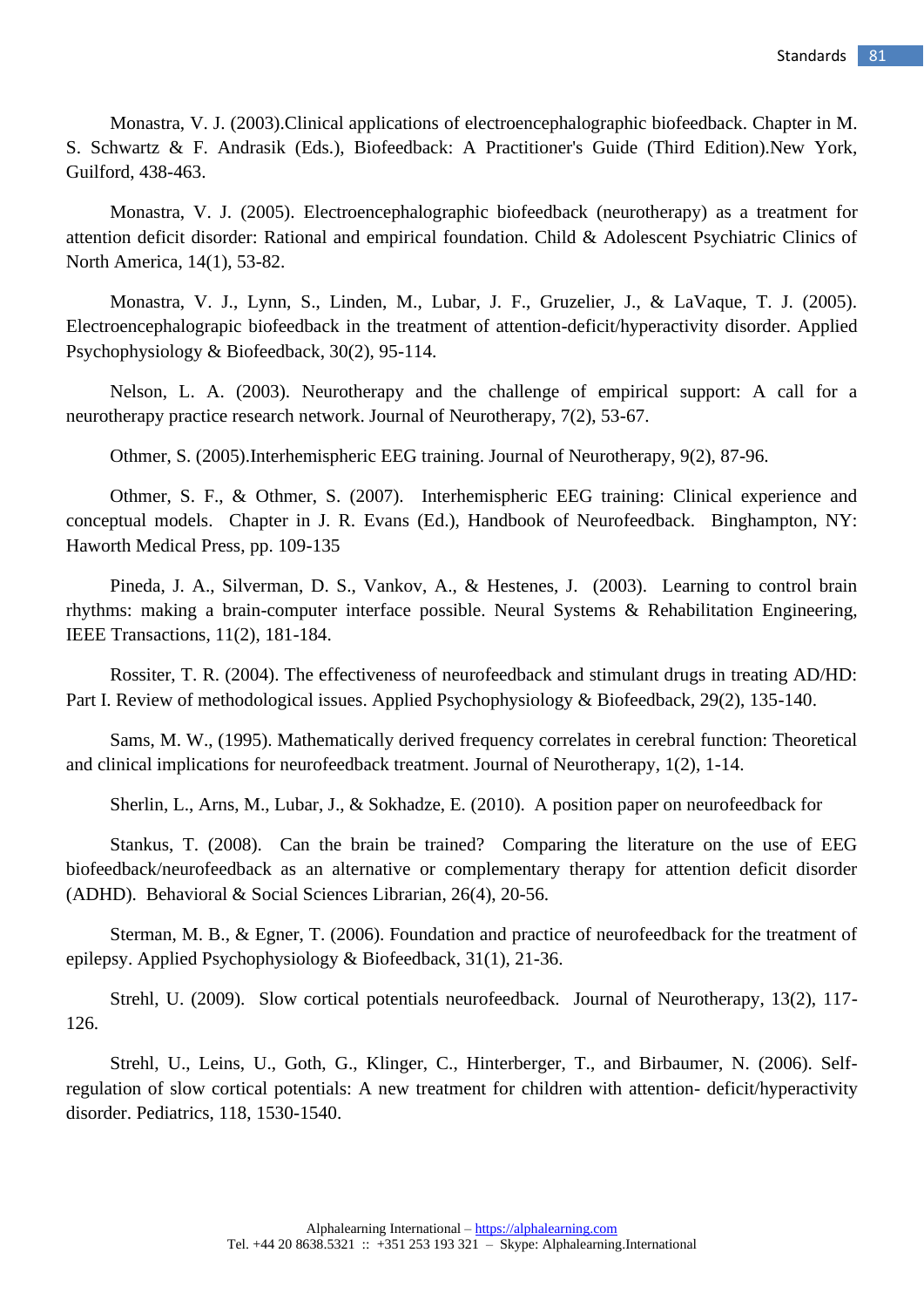Monastra, V. J. (2003).Clinical applications of electroencephalographic biofeedback. Chapter in M. S. Schwartz & F. Andrasik (Eds.), Biofeedback: A Practitioner's Guide (Third Edition).New York, Guilford, 438-463.

Monastra, V. J. (2005). Electroencephalographic biofeedback (neurotherapy) as a treatment for attention deficit disorder: Rational and empirical foundation. Child & Adolescent Psychiatric Clinics of North America, 14(1), 53-82.

Monastra, V. J., Lynn, S., Linden, M., Lubar, J. F., Gruzelier, J., & LaVaque, T. J. (2005). Electroencephalograpic biofeedback in the treatment of attention-deficit/hyperactivity disorder. Applied Psychophysiology & Biofeedback, 30(2), 95-114.

Nelson, L. A. (2003). Neurotherapy and the challenge of empirical support: A call for a neurotherapy practice research network. Journal of Neurotherapy, 7(2), 53-67.

Othmer, S. (2005).Interhemispheric EEG training. Journal of Neurotherapy, 9(2), 87-96.

Othmer, S. F., & Othmer, S. (2007). Interhemispheric EEG training: Clinical experience and conceptual models. Chapter in J. R. Evans (Ed.), Handbook of Neurofeedback. Binghampton, NY: Haworth Medical Press, pp. 109-135

Pineda, J. A., Silverman, D. S., Vankov, A., & Hestenes, J. (2003). Learning to control brain rhythms: making a brain-computer interface possible. Neural Systems & Rehabilitation Engineering, IEEE Transactions, 11(2), 181-184.

Rossiter, T. R. (2004). The effectiveness of neurofeedback and stimulant drugs in treating AD/HD: Part I. Review of methodological issues. Applied Psychophysiology & Biofeedback, 29(2), 135-140.

Sams, M. W., (1995). Mathematically derived frequency correlates in cerebral function: Theoretical and clinical implications for neurofeedback treatment. Journal of Neurotherapy, 1(2), 1-14.

Sherlin, L., Arns, M., Lubar, J., & Sokhadze, E. (2010). A position paper on neurofeedback for

Stankus, T. (2008). Can the brain be trained? Comparing the literature on the use of EEG biofeedback/neurofeedback as an alternative or complementary therapy for attention deficit disorder (ADHD). Behavioral & Social Sciences Librarian, 26(4), 20-56.

Sterman, M. B., & Egner, T. (2006). Foundation and practice of neurofeedback for the treatment of epilepsy. Applied Psychophysiology & Biofeedback, 31(1), 21-36.

Strehl, U. (2009). Slow cortical potentials neurofeedback. Journal of Neurotherapy, 13(2), 117- 126.

Strehl, U., Leins, U., Goth, G., Klinger, C., Hinterberger, T., and Birbaumer, N. (2006). Selfregulation of slow cortical potentials: A new treatment for children with attention- deficit/hyperactivity disorder. Pediatrics, 118, 1530-1540.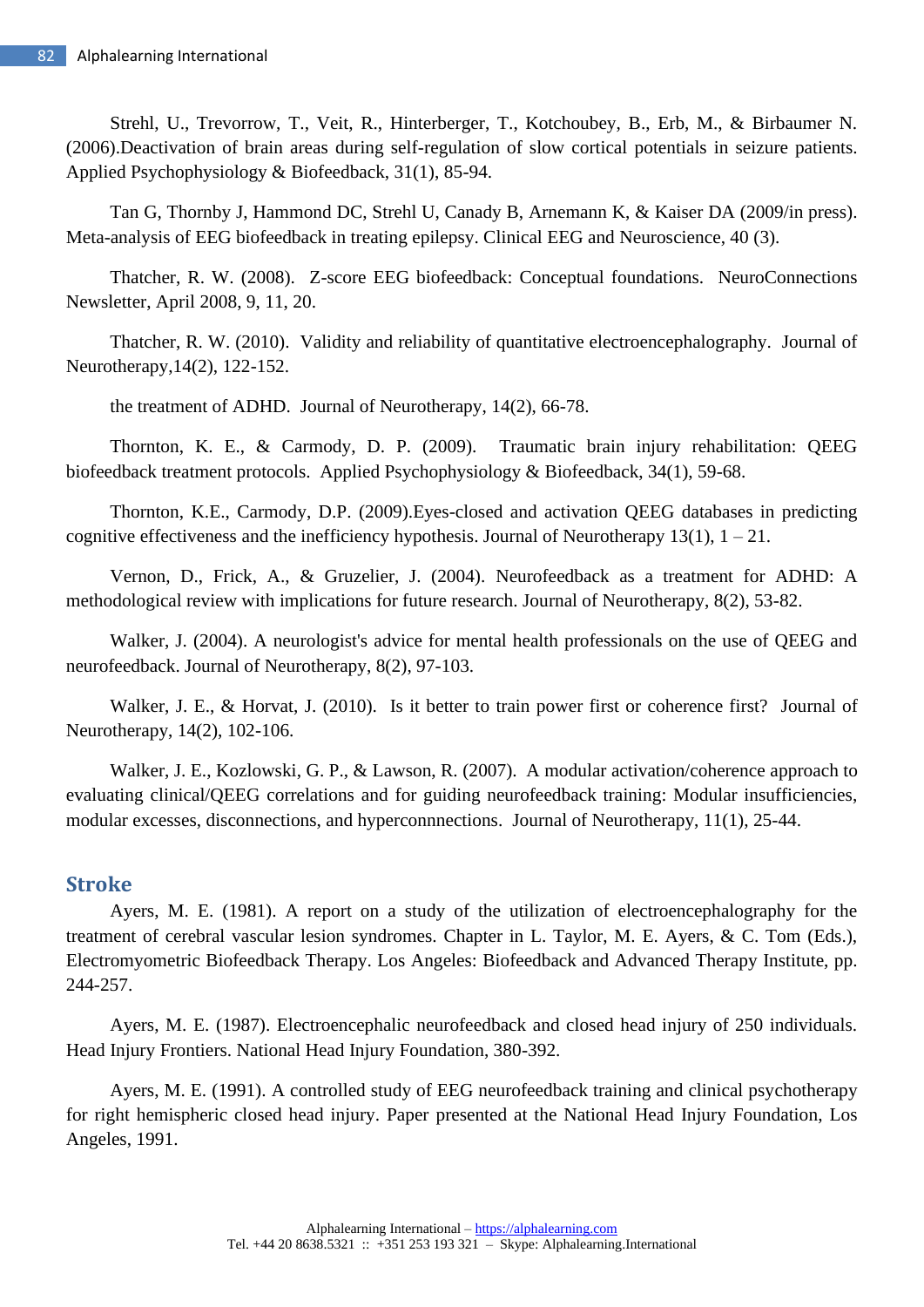Strehl, U., Trevorrow, T., Veit, R., Hinterberger, T., Kotchoubey, B., Erb, M., & Birbaumer N. (2006).Deactivation of brain areas during self-regulation of slow cortical potentials in seizure patients. Applied Psychophysiology & Biofeedback, 31(1), 85-94.

Tan G, Thornby J, Hammond DC, Strehl U, Canady B, Arnemann K, & Kaiser DA (2009/in press). Meta-analysis of EEG biofeedback in treating epilepsy. Clinical EEG and Neuroscience, 40 (3).

Thatcher, R. W. (2008). Z-score EEG biofeedback: Conceptual foundations. NeuroConnections Newsletter, April 2008, 9, 11, 20.

Thatcher, R. W. (2010). Validity and reliability of quantitative electroencephalography. Journal of Neurotherapy,14(2), 122-152.

the treatment of ADHD. Journal of Neurotherapy, 14(2), 66-78.

Thornton, K. E., & Carmody, D. P. (2009). Traumatic brain injury rehabilitation: QEEG biofeedback treatment protocols. Applied Psychophysiology & Biofeedback, 34(1), 59-68.

Thornton, K.E., Carmody, D.P. (2009).Eyes-closed and activation QEEG databases in predicting cognitive effectiveness and the inefficiency hypothesis. Journal of Neurotherapy 13(1),  $1 - 21$ .

Vernon, D., Frick, A., & Gruzelier, J. (2004). Neurofeedback as a treatment for ADHD: A methodological review with implications for future research. Journal of Neurotherapy, 8(2), 53-82.

Walker, J. (2004). A neurologist's advice for mental health professionals on the use of QEEG and neurofeedback. Journal of Neurotherapy, 8(2), 97-103.

Walker, J. E., & Horvat, J. (2010). Is it better to train power first or coherence first? Journal of Neurotherapy, 14(2), 102-106.

Walker, J. E., Kozlowski, G. P., & Lawson, R. (2007). A modular activation/coherence approach to evaluating clinical/QEEG correlations and for guiding neurofeedback training: Modular insufficiencies, modular excesses, disconnections, and hyperconnnections. Journal of Neurotherapy, 11(1), 25-44.

## **Stroke**

Ayers, M. E. (1981). A report on a study of the utilization of electroencephalography for the treatment of cerebral vascular lesion syndromes. Chapter in L. Taylor, M. E. Ayers, & C. Tom (Eds.), Electromyometric Biofeedback Therapy. Los Angeles: Biofeedback and Advanced Therapy Institute, pp. 244-257.

Ayers, M. E. (1987). Electroencephalic neurofeedback and closed head injury of 250 individuals. Head Injury Frontiers. National Head Injury Foundation, 380-392.

Ayers, M. E. (1991). A controlled study of EEG neurofeedback training and clinical psychotherapy for right hemispheric closed head injury. Paper presented at the National Head Injury Foundation, Los Angeles, 1991.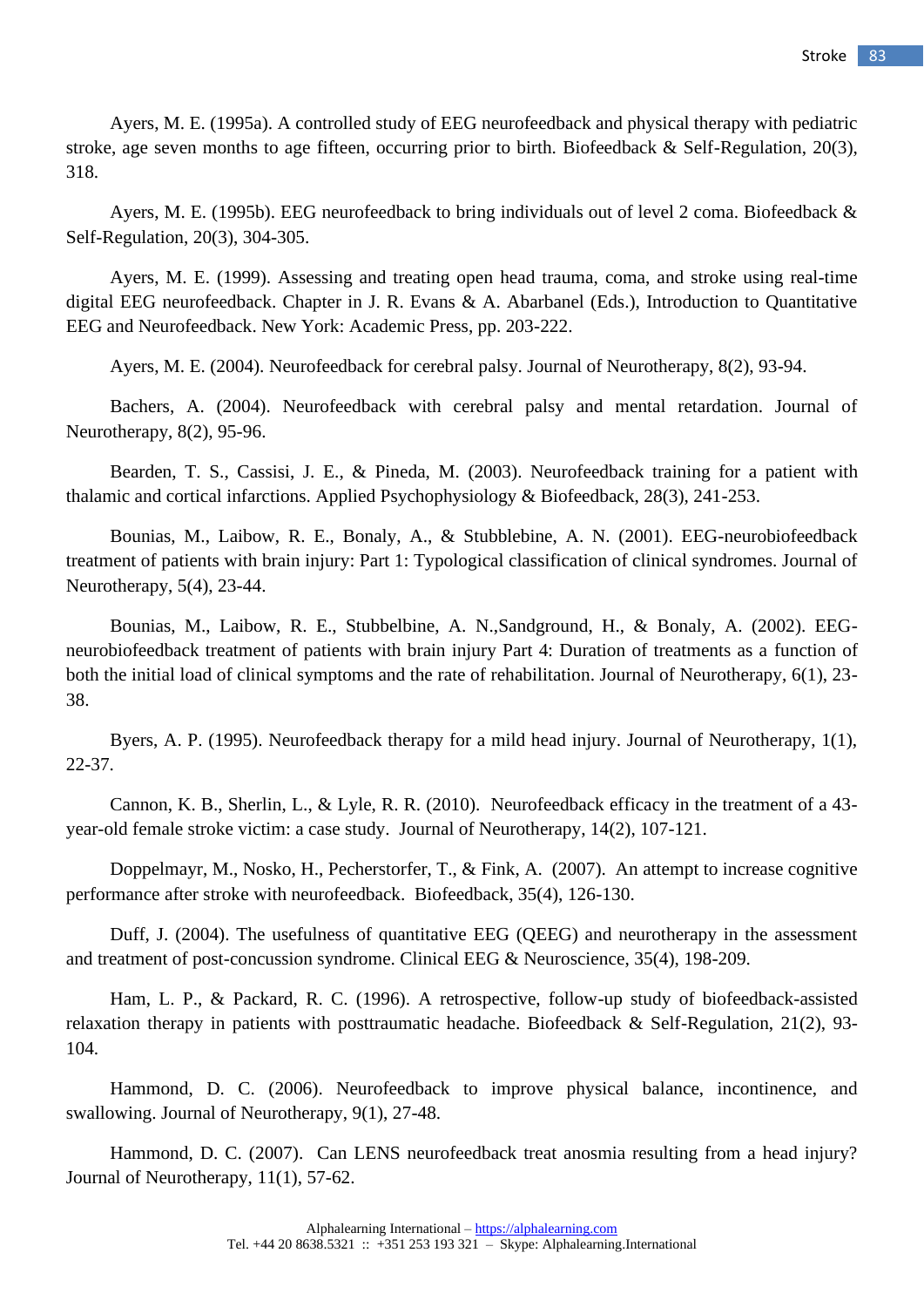Ayers, M. E. (1995a). A controlled study of EEG neurofeedback and physical therapy with pediatric stroke, age seven months to age fifteen, occurring prior to birth. Biofeedback & Self-Regulation, 20(3), 318.

Ayers, M. E. (1995b). EEG neurofeedback to bring individuals out of level 2 coma. Biofeedback & Self-Regulation, 20(3), 304-305.

Ayers, M. E. (1999). Assessing and treating open head trauma, coma, and stroke using real-time digital EEG neurofeedback. Chapter in J. R. Evans & A. Abarbanel (Eds.), Introduction to Quantitative EEG and Neurofeedback. New York: Academic Press, pp. 203-222.

Ayers, M. E. (2004). Neurofeedback for cerebral palsy. Journal of Neurotherapy, 8(2), 93-94.

Bachers, A. (2004). Neurofeedback with cerebral palsy and mental retardation. Journal of Neurotherapy, 8(2), 95-96.

Bearden, T. S., Cassisi, J. E., & Pineda, M. (2003). Neurofeedback training for a patient with thalamic and cortical infarctions. Applied Psychophysiology & Biofeedback, 28(3), 241-253.

Bounias, M., Laibow, R. E., Bonaly, A., & Stubblebine, A. N. (2001). EEG-neurobiofeedback treatment of patients with brain injury: Part 1: Typological classification of clinical syndromes. Journal of Neurotherapy, 5(4), 23-44.

Bounias, M., Laibow, R. E., Stubbelbine, A. N.,Sandground, H., & Bonaly, A. (2002). EEGneurobiofeedback treatment of patients with brain injury Part 4: Duration of treatments as a function of both the initial load of clinical symptoms and the rate of rehabilitation. Journal of Neurotherapy, 6(1), 23- 38.

Byers, A. P. (1995). Neurofeedback therapy for a mild head injury. Journal of Neurotherapy, 1(1), 22-37.

Cannon, K. B., Sherlin, L., & Lyle, R. R. (2010). Neurofeedback efficacy in the treatment of a 43 year-old female stroke victim: a case study. Journal of Neurotherapy, 14(2), 107-121.

Doppelmayr, M., Nosko, H., Pecherstorfer, T., & Fink, A. (2007). An attempt to increase cognitive performance after stroke with neurofeedback. Biofeedback, 35(4), 126-130.

Duff, J. (2004). The usefulness of quantitative EEG (QEEG) and neurotherapy in the assessment and treatment of post-concussion syndrome. Clinical EEG & Neuroscience, 35(4), 198-209.

Ham, L. P., & Packard, R. C. (1996). A retrospective, follow-up study of biofeedback-assisted relaxation therapy in patients with posttraumatic headache. Biofeedback & Self-Regulation, 21(2), 93- 104.

Hammond, D. C. (2006). Neurofeedback to improve physical balance, incontinence, and swallowing. Journal of Neurotherapy, 9(1), 27-48.

Hammond, D. C. (2007). Can LENS neurofeedback treat anosmia resulting from a head injury? Journal of Neurotherapy, 11(1), 57-62.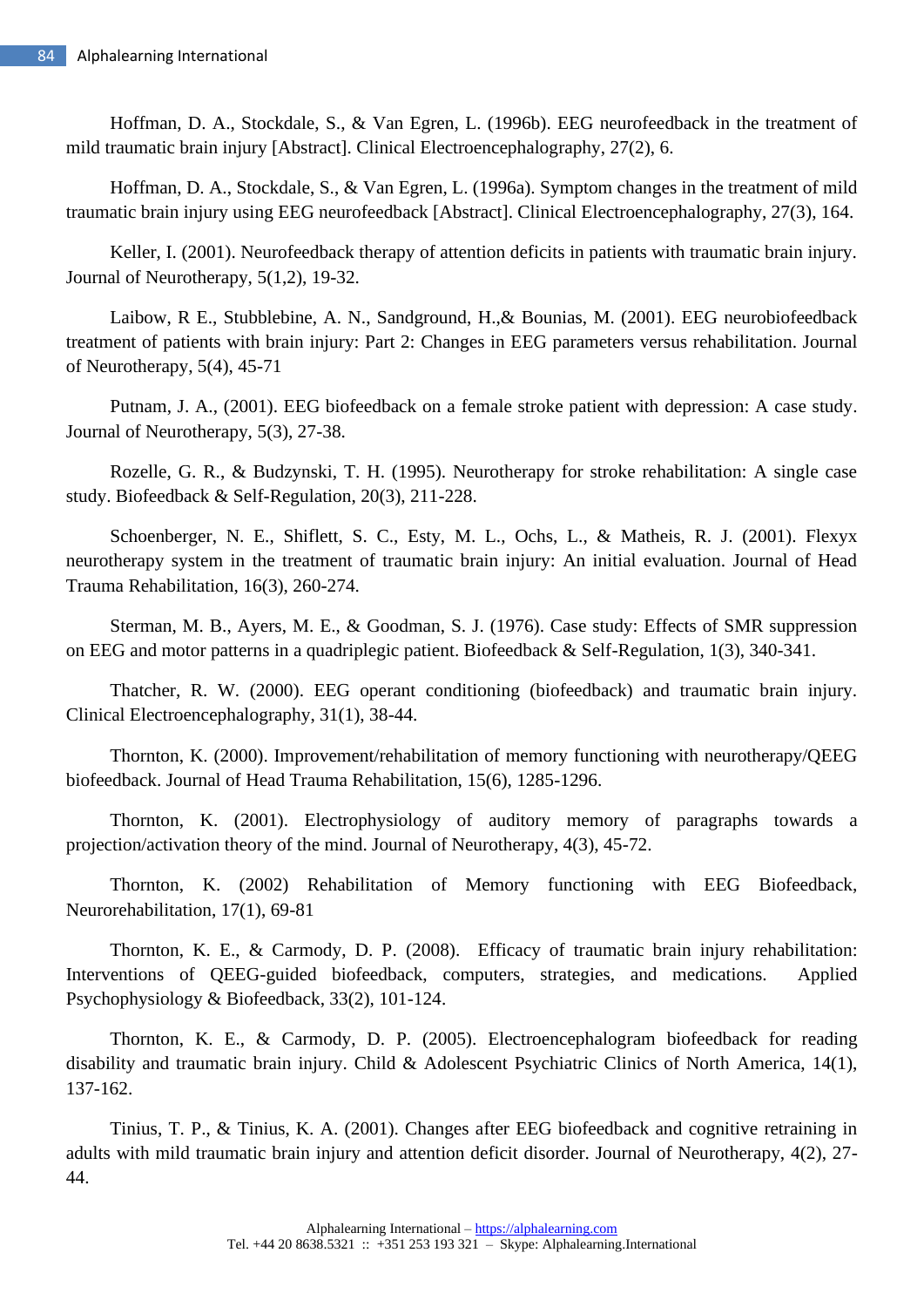Hoffman, D. A., Stockdale, S., & Van Egren, L. (1996b). EEG neurofeedback in the treatment of mild traumatic brain injury [Abstract]. Clinical Electroencephalography, 27(2), 6.

Hoffman, D. A., Stockdale, S., & Van Egren, L. (1996a). Symptom changes in the treatment of mild traumatic brain injury using EEG neurofeedback [Abstract]. Clinical Electroencephalography, 27(3), 164.

Keller, I. (2001). Neurofeedback therapy of attention deficits in patients with traumatic brain injury. Journal of Neurotherapy, 5(1,2), 19-32.

Laibow, R E., Stubblebine, A. N., Sandground, H.,& Bounias, M. (2001). EEG neurobiofeedback treatment of patients with brain injury: Part 2: Changes in EEG parameters versus rehabilitation. Journal of Neurotherapy, 5(4), 45-71

Putnam, J. A., (2001). EEG biofeedback on a female stroke patient with depression: A case study. Journal of Neurotherapy, 5(3), 27-38.

Rozelle, G. R., & Budzynski, T. H. (1995). Neurotherapy for stroke rehabilitation: A single case study. Biofeedback & Self-Regulation, 20(3), 211-228.

Schoenberger, N. E., Shiflett, S. C., Esty, M. L., Ochs, L., & Matheis, R. J. (2001). Flexyx neurotherapy system in the treatment of traumatic brain injury: An initial evaluation. Journal of Head Trauma Rehabilitation, 16(3), 260-274.

Sterman, M. B., Ayers, M. E., & Goodman, S. J. (1976). Case study: Effects of SMR suppression on EEG and motor patterns in a quadriplegic patient. Biofeedback & Self-Regulation, 1(3), 340-341.

Thatcher, R. W. (2000). EEG operant conditioning (biofeedback) and traumatic brain injury. Clinical Electroencephalography, 31(1), 38-44.

Thornton, K. (2000). Improvement/rehabilitation of memory functioning with neurotherapy/QEEG biofeedback. Journal of Head Trauma Rehabilitation, 15(6), 1285-1296.

Thornton, K. (2001). Electrophysiology of auditory memory of paragraphs towards a projection/activation theory of the mind. Journal of Neurotherapy, 4(3), 45-72.

Thornton, K. (2002) Rehabilitation of Memory functioning with EEG Biofeedback, Neurorehabilitation, 17(1), 69-81

Thornton, K. E., & Carmody, D. P. (2008). Efficacy of traumatic brain injury rehabilitation: Interventions of QEEG-guided biofeedback, computers, strategies, and medications. Applied Psychophysiology & Biofeedback, 33(2), 101-124.

Thornton, K. E., & Carmody, D. P. (2005). Electroencephalogram biofeedback for reading disability and traumatic brain injury. Child & Adolescent Psychiatric Clinics of North America, 14(1), 137-162.

Tinius, T. P., & Tinius, K. A. (2001). Changes after EEG biofeedback and cognitive retraining in adults with mild traumatic brain injury and attention deficit disorder. Journal of Neurotherapy, 4(2), 27- 44.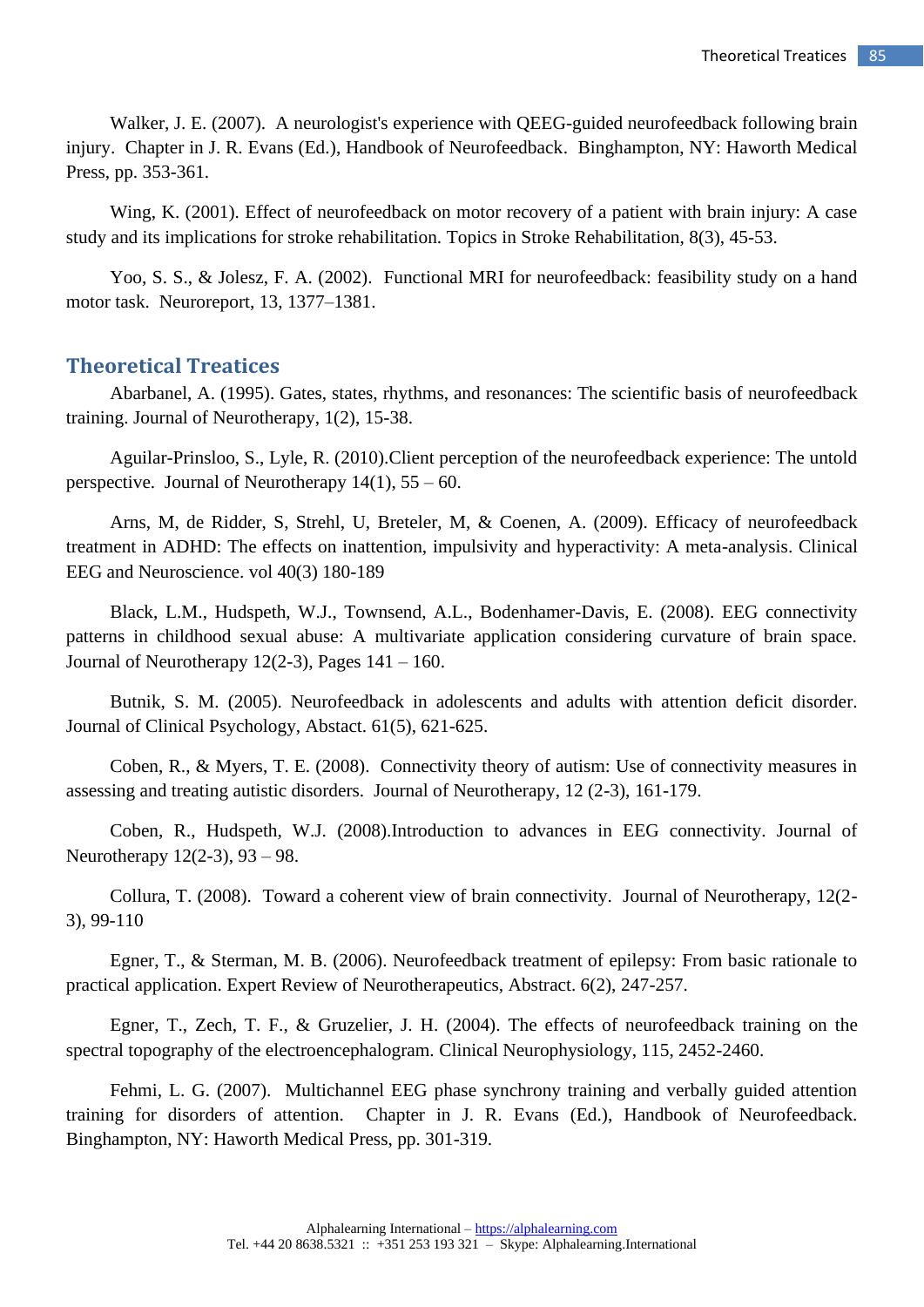Walker, J. E. (2007). A neurologist's experience with QEEG-guided neurofeedback following brain injury. Chapter in J. R. Evans (Ed.), Handbook of Neurofeedback. Binghampton, NY: Haworth Medical Press, pp. 353-361.

Wing, K. (2001). Effect of neurofeedback on motor recovery of a patient with brain injury: A case study and its implications for stroke rehabilitation. Topics in Stroke Rehabilitation, 8(3), 45-53.

Yoo, S. S., & Jolesz, F. A. (2002). Functional MRI for neurofeedback: feasibility study on a hand motor task. Neuroreport, 13, 1377–1381.

## **Theoretical Treatices**

Abarbanel, A. (1995). Gates, states, rhythms, and resonances: The scientific basis of neurofeedback training. Journal of Neurotherapy, 1(2), 15-38.

Aguilar-Prinsloo, S., Lyle, R. (2010).Client perception of the neurofeedback experience: The untold perspective. Journal of Neurotherapy  $14(1)$ ,  $55 - 60$ .

Arns, M, de Ridder, S, Strehl, U, Breteler, M, & Coenen, A. (2009). Efficacy of neurofeedback treatment in ADHD: The effects on inattention, impulsivity and hyperactivity: A meta-analysis. Clinical EEG and Neuroscience. vol 40(3) 180-189

Black, L.M., Hudspeth, W.J., Townsend, A.L., Bodenhamer-Davis, E. (2008). EEG connectivity patterns in childhood sexual abuse: A multivariate application considering curvature of brain space. Journal of Neurotherapy 12(2-3), Pages  $141 - 160$ .

Butnik, S. M. (2005). Neurofeedback in adolescents and adults with attention deficit disorder. Journal of Clinical Psychology, Abstact. 61(5), 621-625.

Coben, R., & Myers, T. E. (2008). Connectivity theory of autism: Use of connectivity measures in assessing and treating autistic disorders. Journal of Neurotherapy, 12 (2-3), 161-179.

Coben, R., Hudspeth, W.J. (2008).Introduction to advances in EEG connectivity. Journal of Neurotherapy 12(2-3), 93 – 98.

Collura, T. (2008). Toward a coherent view of brain connectivity. Journal of Neurotherapy, 12(2- 3), 99-110

Egner, T., & Sterman, M. B. (2006). Neurofeedback treatment of epilepsy: From basic rationale to practical application. Expert Review of Neurotherapeutics, Abstract. 6(2), 247-257.

Egner, T., Zech, T. F., & Gruzelier, J. H. (2004). The effects of neurofeedback training on the spectral topography of the electroencephalogram. Clinical Neurophysiology, 115, 2452-2460.

Fehmi, L. G. (2007). Multichannel EEG phase synchrony training and verbally guided attention training for disorders of attention. Chapter in J. R. Evans (Ed.), Handbook of Neurofeedback. Binghampton, NY: Haworth Medical Press, pp. 301-319.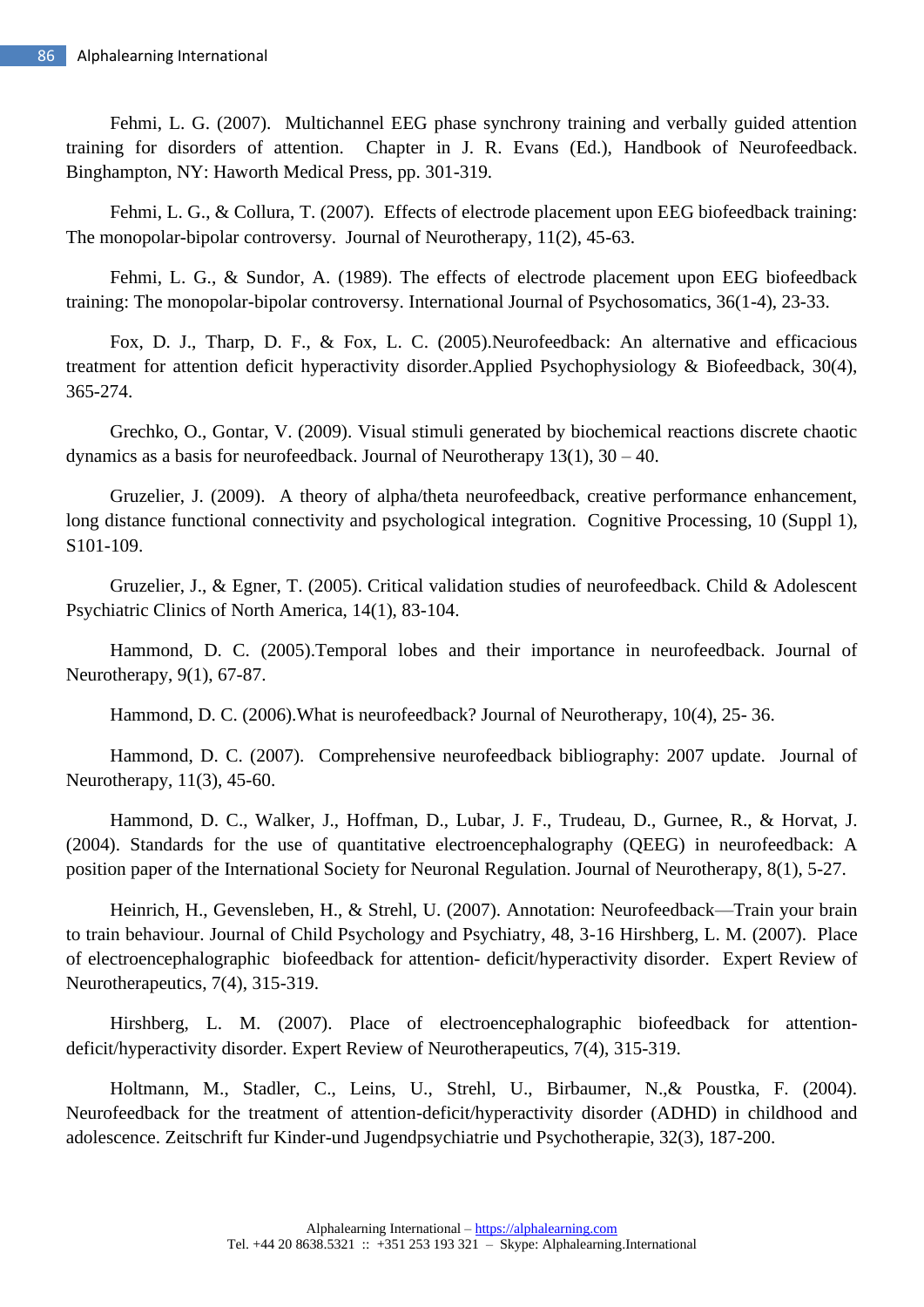Fehmi, L. G. (2007). Multichannel EEG phase synchrony training and verbally guided attention training for disorders of attention. Chapter in J. R. Evans (Ed.), Handbook of Neurofeedback. Binghampton, NY: Haworth Medical Press, pp. 301-319.

Fehmi, L. G., & Collura, T. (2007). Effects of electrode placement upon EEG biofeedback training: The monopolar-bipolar controversy. Journal of Neurotherapy, 11(2), 45-63.

Fehmi, L. G., & Sundor, A. (1989). The effects of electrode placement upon EEG biofeedback training: The monopolar-bipolar controversy. International Journal of Psychosomatics, 36(1-4), 23-33.

Fox, D. J., Tharp, D. F., & Fox, L. C. (2005).Neurofeedback: An alternative and efficacious treatment for attention deficit hyperactivity disorder.Applied Psychophysiology & Biofeedback, 30(4), 365-274.

Grechko, O., Gontar, V. (2009). Visual stimuli generated by biochemical reactions discrete chaotic dynamics as a basis for neurofeedback. Journal of Neurotherapy 13(1), 30 – 40.

Gruzelier, J. (2009). A theory of alpha/theta neurofeedback, creative performance enhancement, long distance functional connectivity and psychological integration. Cognitive Processing, 10 (Suppl 1), S101-109.

Gruzelier, J., & Egner, T. (2005). Critical validation studies of neurofeedback. Child & Adolescent Psychiatric Clinics of North America, 14(1), 83-104.

Hammond, D. C. (2005).Temporal lobes and their importance in neurofeedback. Journal of Neurotherapy, 9(1), 67-87.

Hammond, D. C. (2006).What is neurofeedback? Journal of Neurotherapy, 10(4), 25- 36.

Hammond, D. C. (2007). Comprehensive neurofeedback bibliography: 2007 update. Journal of Neurotherapy, 11(3), 45-60.

Hammond, D. C., Walker, J., Hoffman, D., Lubar, J. F., Trudeau, D., Gurnee, R., & Horvat, J. (2004). Standards for the use of quantitative electroencephalography (QEEG) in neurofeedback: A position paper of the International Society for Neuronal Regulation. Journal of Neurotherapy, 8(1), 5-27.

Heinrich, H., Gevensleben, H., & Strehl, U. (2007). Annotation: Neurofeedback—Train your brain to train behaviour. Journal of Child Psychology and Psychiatry, 48, 3-16 Hirshberg, L. M. (2007). Place of electroencephalographic biofeedback for attention- deficit/hyperactivity disorder. Expert Review of Neurotherapeutics, 7(4), 315-319.

Hirshberg, L. M. (2007). Place of electroencephalographic biofeedback for attentiondeficit/hyperactivity disorder. Expert Review of Neurotherapeutics, 7(4), 315-319.

Holtmann, M., Stadler, C., Leins, U., Strehl, U., Birbaumer, N.,& Poustka, F. (2004). Neurofeedback for the treatment of attention-deficit/hyperactivity disorder (ADHD) in childhood and adolescence. Zeitschrift fur Kinder-und Jugendpsychiatrie und Psychotherapie, 32(3), 187-200.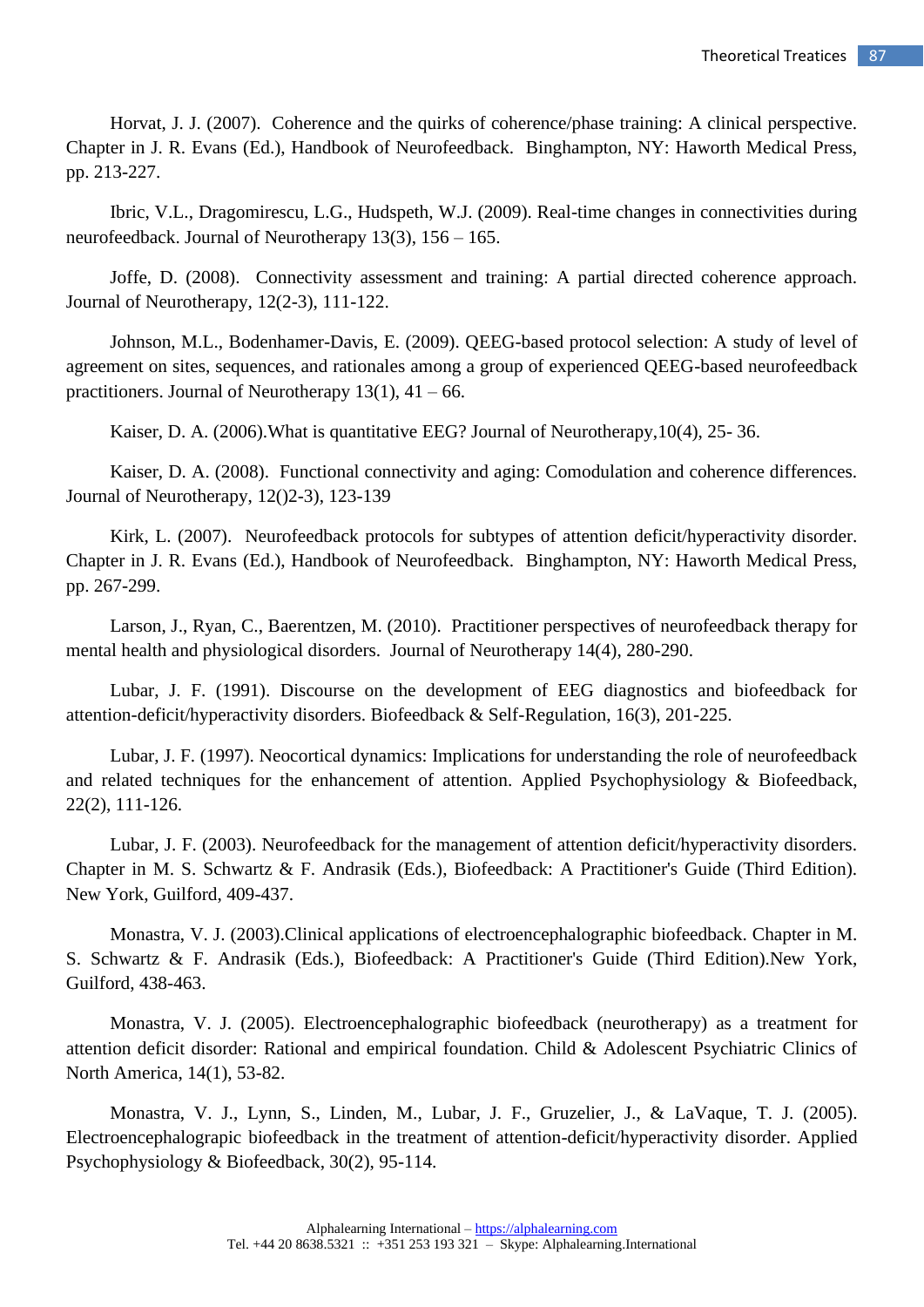Horvat, J. J. (2007). Coherence and the quirks of coherence/phase training: A clinical perspective. Chapter in J. R. Evans (Ed.), Handbook of Neurofeedback. Binghampton, NY: Haworth Medical Press, pp. 213-227.

Ibric, V.L., Dragomirescu, L.G., Hudspeth, W.J. (2009). Real-time changes in connectivities during neurofeedback. Journal of Neurotherapy 13(3), 156 – 165.

Joffe, D. (2008). Connectivity assessment and training: A partial directed coherence approach. Journal of Neurotherapy, 12(2-3), 111-122.

Johnson, M.L., Bodenhamer-Davis, E. (2009). QEEG-based protocol selection: A study of level of agreement on sites, sequences, and rationales among a group of experienced QEEG-based neurofeedback practitioners. Journal of Neurotherapy  $13(1)$ ,  $41 - 66$ .

Kaiser, D. A. (2006).What is quantitative EEG? Journal of Neurotherapy,10(4), 25- 36.

Kaiser, D. A. (2008). Functional connectivity and aging: Comodulation and coherence differences. Journal of Neurotherapy, 12()2-3), 123-139

Kirk, L. (2007). Neurofeedback protocols for subtypes of attention deficit/hyperactivity disorder. Chapter in J. R. Evans (Ed.), Handbook of Neurofeedback. Binghampton, NY: Haworth Medical Press, pp. 267-299.

Larson, J., Ryan, C., Baerentzen, M. (2010). Practitioner perspectives of neurofeedback therapy for mental health and physiological disorders. Journal of Neurotherapy 14(4), 280-290.

Lubar, J. F. (1991). Discourse on the development of EEG diagnostics and biofeedback for attention-deficit/hyperactivity disorders. Biofeedback & Self-Regulation, 16(3), 201-225.

Lubar, J. F. (1997). Neocortical dynamics: Implications for understanding the role of neurofeedback and related techniques for the enhancement of attention. Applied Psychophysiology & Biofeedback, 22(2), 111-126.

Lubar, J. F. (2003). Neurofeedback for the management of attention deficit/hyperactivity disorders. Chapter in M. S. Schwartz & F. Andrasik (Eds.), Biofeedback: A Practitioner's Guide (Third Edition). New York, Guilford, 409-437.

Monastra, V. J. (2003).Clinical applications of electroencephalographic biofeedback. Chapter in M. S. Schwartz & F. Andrasik (Eds.), Biofeedback: A Practitioner's Guide (Third Edition).New York, Guilford, 438-463.

Monastra, V. J. (2005). Electroencephalographic biofeedback (neurotherapy) as a treatment for attention deficit disorder: Rational and empirical foundation. Child & Adolescent Psychiatric Clinics of North America, 14(1), 53-82.

Monastra, V. J., Lynn, S., Linden, M., Lubar, J. F., Gruzelier, J., & LaVaque, T. J. (2005). Electroencephalograpic biofeedback in the treatment of attention-deficit/hyperactivity disorder. Applied Psychophysiology & Biofeedback, 30(2), 95-114.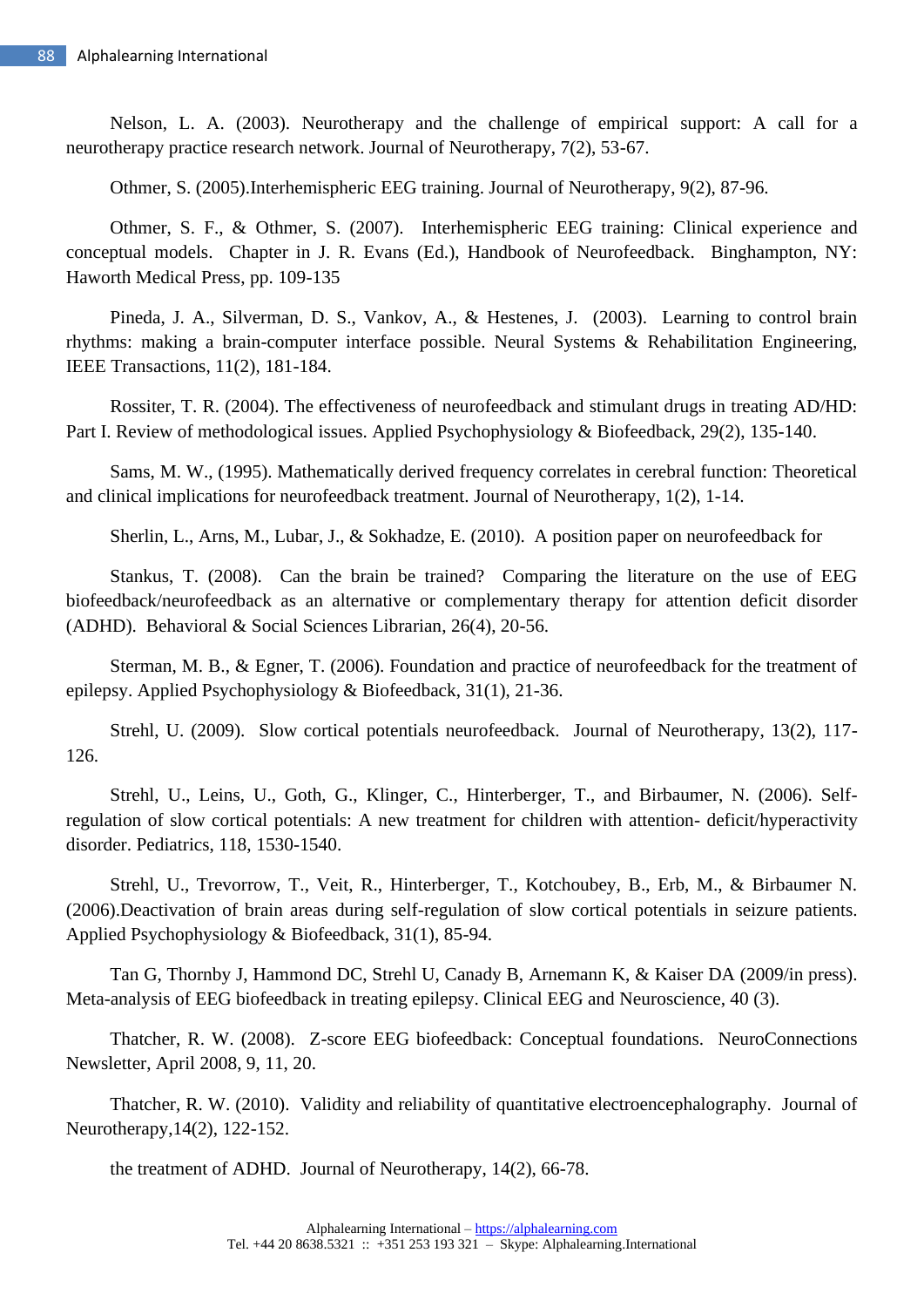Nelson, L. A. (2003). Neurotherapy and the challenge of empirical support: A call for a neurotherapy practice research network. Journal of Neurotherapy, 7(2), 53-67.

Othmer, S. (2005).Interhemispheric EEG training. Journal of Neurotherapy, 9(2), 87-96.

Othmer, S. F., & Othmer, S. (2007). Interhemispheric EEG training: Clinical experience and conceptual models. Chapter in J. R. Evans (Ed.), Handbook of Neurofeedback. Binghampton, NY: Haworth Medical Press, pp. 109-135

Pineda, J. A., Silverman, D. S., Vankov, A., & Hestenes, J. (2003). Learning to control brain rhythms: making a brain-computer interface possible. Neural Systems & Rehabilitation Engineering, IEEE Transactions, 11(2), 181-184.

Rossiter, T. R. (2004). The effectiveness of neurofeedback and stimulant drugs in treating AD/HD: Part I. Review of methodological issues. Applied Psychophysiology & Biofeedback, 29(2), 135-140.

Sams, M. W., (1995). Mathematically derived frequency correlates in cerebral function: Theoretical and clinical implications for neurofeedback treatment. Journal of Neurotherapy, 1(2), 1-14.

Sherlin, L., Arns, M., Lubar, J., & Sokhadze, E. (2010). A position paper on neurofeedback for

Stankus, T. (2008). Can the brain be trained? Comparing the literature on the use of EEG biofeedback/neurofeedback as an alternative or complementary therapy for attention deficit disorder (ADHD). Behavioral & Social Sciences Librarian, 26(4), 20-56.

Sterman, M. B., & Egner, T. (2006). Foundation and practice of neurofeedback for the treatment of epilepsy. Applied Psychophysiology & Biofeedback, 31(1), 21-36.

Strehl, U. (2009). Slow cortical potentials neurofeedback. Journal of Neurotherapy, 13(2), 117- 126.

Strehl, U., Leins, U., Goth, G., Klinger, C., Hinterberger, T., and Birbaumer, N. (2006). Selfregulation of slow cortical potentials: A new treatment for children with attention- deficit/hyperactivity disorder. Pediatrics, 118, 1530-1540.

Strehl, U., Trevorrow, T., Veit, R., Hinterberger, T., Kotchoubey, B., Erb, M., & Birbaumer N. (2006).Deactivation of brain areas during self-regulation of slow cortical potentials in seizure patients. Applied Psychophysiology & Biofeedback, 31(1), 85-94.

Tan G, Thornby J, Hammond DC, Strehl U, Canady B, Arnemann K, & Kaiser DA (2009/in press). Meta-analysis of EEG biofeedback in treating epilepsy. Clinical EEG and Neuroscience, 40 (3).

Thatcher, R. W. (2008). Z-score EEG biofeedback: Conceptual foundations. NeuroConnections Newsletter, April 2008, 9, 11, 20.

Thatcher, R. W. (2010). Validity and reliability of quantitative electroencephalography. Journal of Neurotherapy,14(2), 122-152.

the treatment of ADHD. Journal of Neurotherapy, 14(2), 66-78.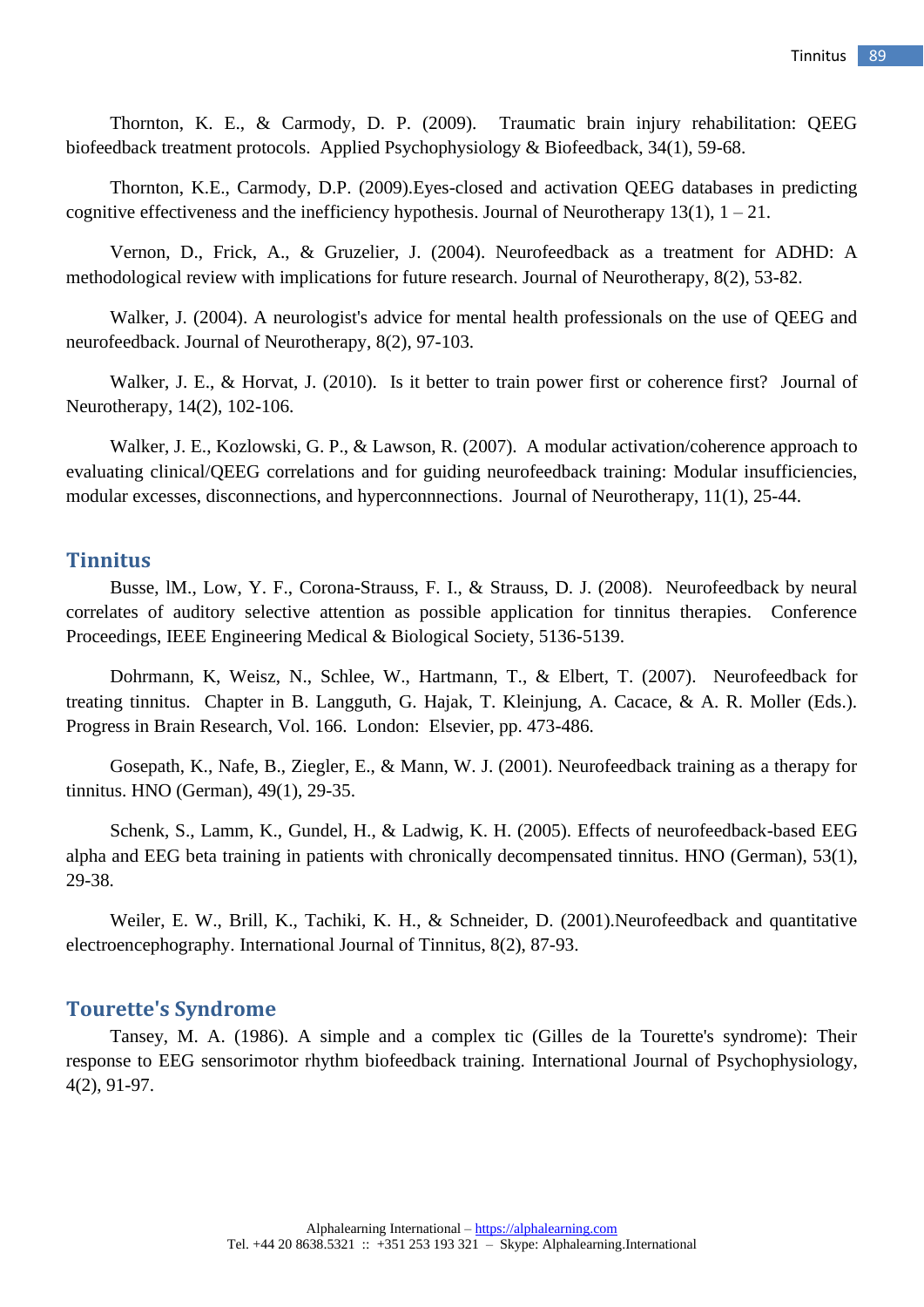Thornton, K. E., & Carmody, D. P. (2009). Traumatic brain injury rehabilitation: QEEG biofeedback treatment protocols. Applied Psychophysiology & Biofeedback, 34(1), 59-68.

Thornton, K.E., Carmody, D.P. (2009).Eyes-closed and activation QEEG databases in predicting cognitive effectiveness and the inefficiency hypothesis. Journal of Neurotherapy 13(1),  $1 - 21$ .

Vernon, D., Frick, A., & Gruzelier, J. (2004). Neurofeedback as a treatment for ADHD: A methodological review with implications for future research. Journal of Neurotherapy, 8(2), 53-82.

Walker, J. (2004). A neurologist's advice for mental health professionals on the use of QEEG and neurofeedback. Journal of Neurotherapy, 8(2), 97-103.

Walker, J. E., & Horvat, J. (2010). Is it better to train power first or coherence first? Journal of Neurotherapy, 14(2), 102-106.

Walker, J. E., Kozlowski, G. P., & Lawson, R. (2007). A modular activation/coherence approach to evaluating clinical/QEEG correlations and for guiding neurofeedback training: Modular insufficiencies, modular excesses, disconnections, and hyperconnnections. Journal of Neurotherapy, 11(1), 25-44.

### **Tinnitus**

Busse, lM., Low, Y. F., Corona-Strauss, F. I., & Strauss, D. J. (2008). Neurofeedback by neural correlates of auditory selective attention as possible application for tinnitus therapies. Conference Proceedings, IEEE Engineering Medical & Biological Society, 5136-5139.

Dohrmann, K, Weisz, N., Schlee, W., Hartmann, T., & Elbert, T. (2007). Neurofeedback for treating tinnitus. Chapter in B. Langguth, G. Hajak, T. Kleinjung, A. Cacace, & A. R. Moller (Eds.). Progress in Brain Research, Vol. 166. London: Elsevier, pp. 473-486.

Gosepath, K., Nafe, B., Ziegler, E., & Mann, W. J. (2001). Neurofeedback training as a therapy for tinnitus. HNO (German), 49(1), 29-35.

Schenk, S., Lamm, K., Gundel, H., & Ladwig, K. H. (2005). Effects of neurofeedback-based EEG alpha and EEG beta training in patients with chronically decompensated tinnitus. HNO (German), 53(1), 29-38.

Weiler, E. W., Brill, K., Tachiki, K. H., & Schneider, D. (2001).Neurofeedback and quantitative electroencephography. International Journal of Tinnitus, 8(2), 87-93.

#### **Tourette's Syndrome**

Tansey, M. A. (1986). A simple and a complex tic (Gilles de la Tourette's syndrome): Their response to EEG sensorimotor rhythm biofeedback training. International Journal of Psychophysiology, 4(2), 91-97.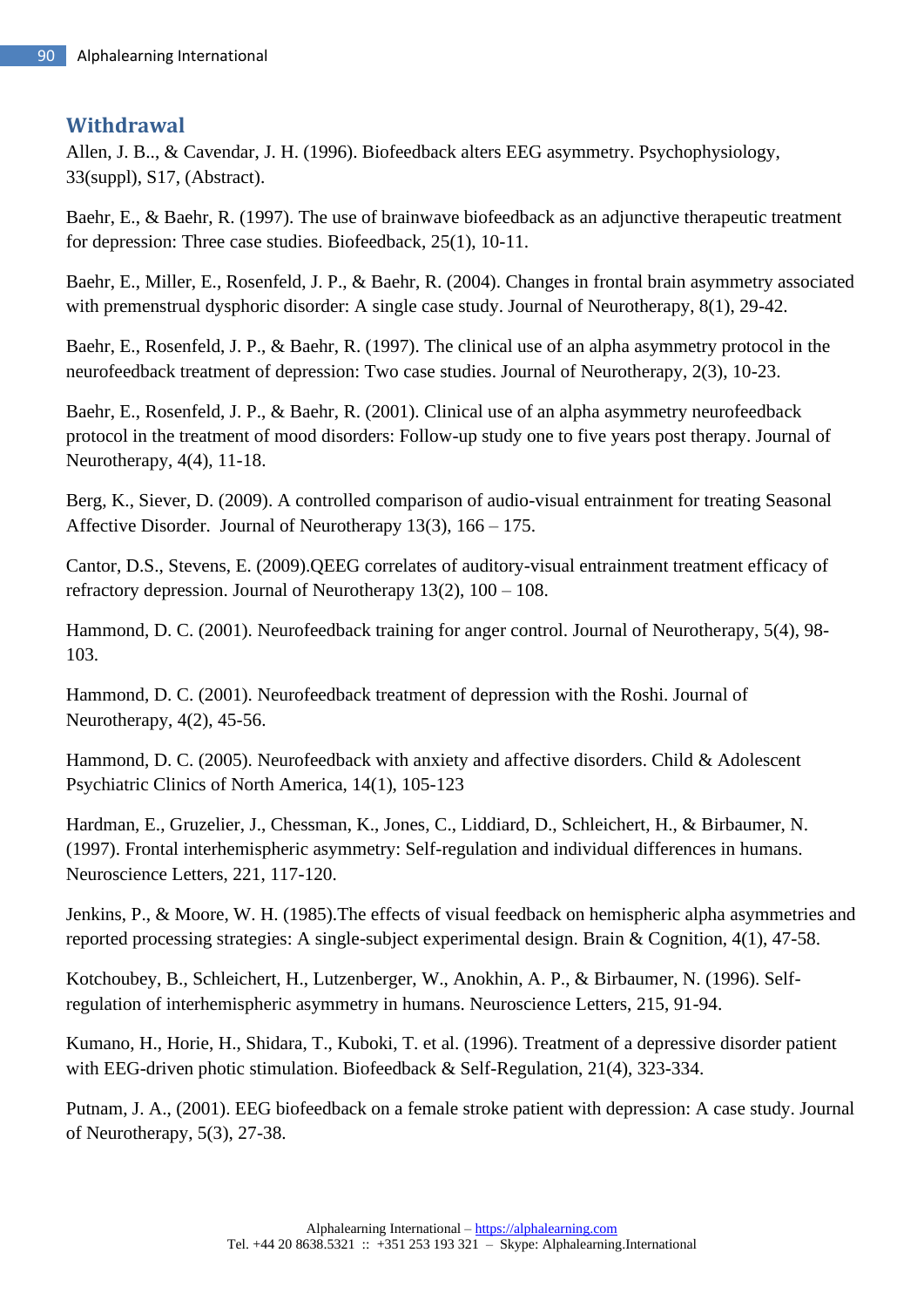# **Withdrawal**

Allen, J. B.., & Cavendar, J. H. (1996). Biofeedback alters EEG asymmetry. Psychophysiology, 33(suppl), S17, (Abstract).

Baehr, E., & Baehr, R. (1997). The use of brainwave biofeedback as an adjunctive therapeutic treatment for depression: Three case studies. Biofeedback, 25(1), 10-11.

Baehr, E., Miller, E., Rosenfeld, J. P., & Baehr, R. (2004). Changes in frontal brain asymmetry associated with premenstrual dysphoric disorder: A single case study. Journal of Neurotherapy, 8(1), 29-42.

Baehr, E., Rosenfeld, J. P., & Baehr, R. (1997). The clinical use of an alpha asymmetry protocol in the neurofeedback treatment of depression: Two case studies. Journal of Neurotherapy, 2(3), 10-23.

Baehr, E., Rosenfeld, J. P., & Baehr, R. (2001). Clinical use of an alpha asymmetry neurofeedback protocol in the treatment of mood disorders: Follow-up study one to five years post therapy. Journal of Neurotherapy, 4(4), 11-18.

Berg, K., Siever, D. (2009). A controlled comparison of audio-visual entrainment for treating Seasonal Affective Disorder. Journal of Neurotherapy 13(3), 166 – 175.

Cantor, D.S., Stevens, E. (2009).QEEG correlates of auditory-visual entrainment treatment efficacy of refractory depression. Journal of Neurotherapy 13(2), 100 – 108.

Hammond, D. C. (2001). Neurofeedback training for anger control. Journal of Neurotherapy, 5(4), 98- 103.

Hammond, D. C. (2001). Neurofeedback treatment of depression with the Roshi. Journal of Neurotherapy, 4(2), 45-56.

Hammond, D. C. (2005). Neurofeedback with anxiety and affective disorders. Child & Adolescent Psychiatric Clinics of North America, 14(1), 105-123

Hardman, E., Gruzelier, J., Chessman, K., Jones, C., Liddiard, D., Schleichert, H., & Birbaumer, N. (1997). Frontal interhemispheric asymmetry: Self-regulation and individual differences in humans. Neuroscience Letters, 221, 117-120.

Jenkins, P., & Moore, W. H. (1985).The effects of visual feedback on hemispheric alpha asymmetries and reported processing strategies: A single-subject experimental design. Brain & Cognition, 4(1), 47-58.

Kotchoubey, B., Schleichert, H., Lutzenberger, W., Anokhin, A. P., & Birbaumer, N. (1996). Selfregulation of interhemispheric asymmetry in humans. Neuroscience Letters, 215, 91-94.

Kumano, H., Horie, H., Shidara, T., Kuboki, T. et al. (1996). Treatment of a depressive disorder patient with EEG-driven photic stimulation. Biofeedback & Self-Regulation, 21(4), 323-334.

Putnam, J. A., (2001). EEG biofeedback on a female stroke patient with depression: A case study. Journal of Neurotherapy, 5(3), 27-38.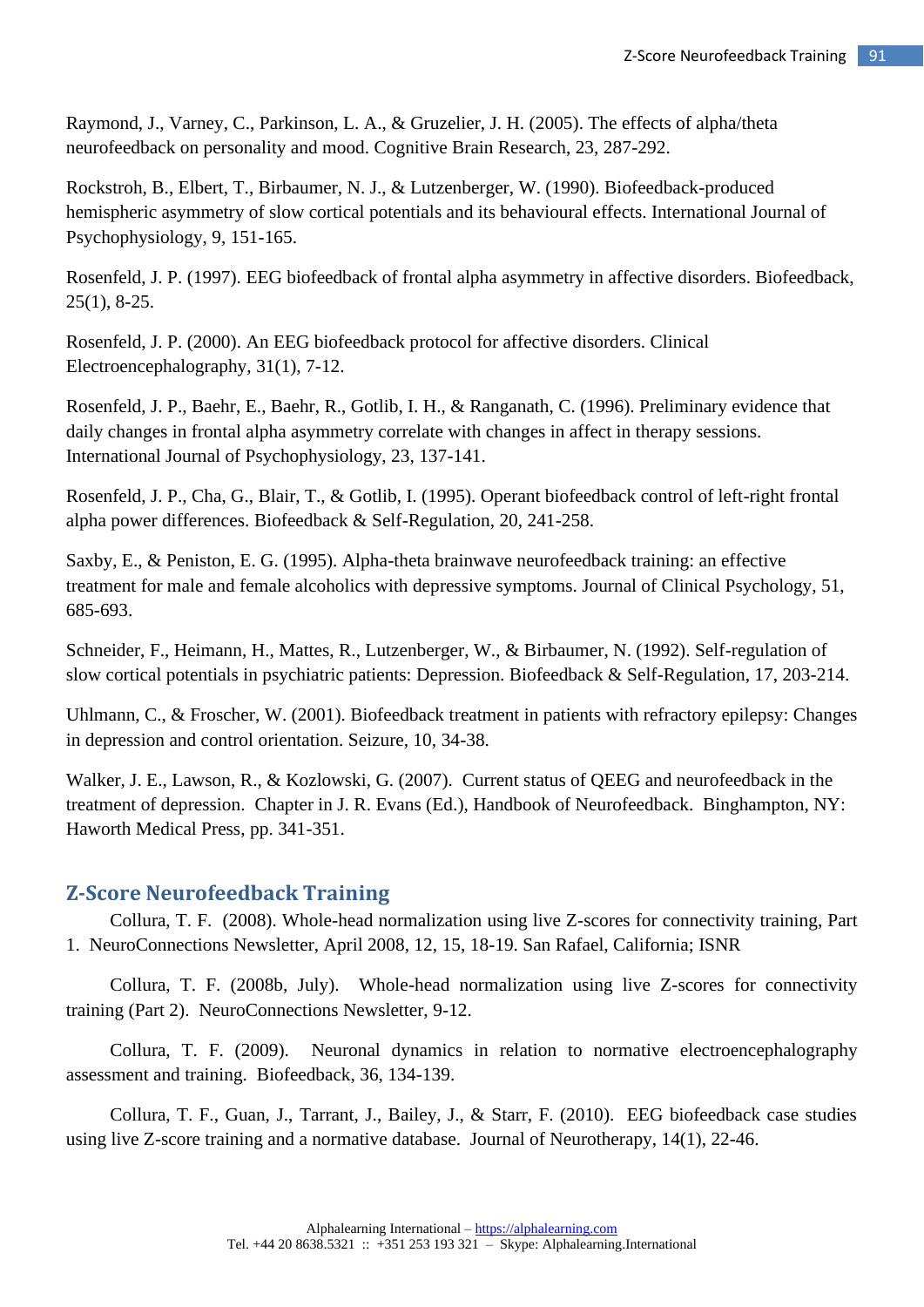Raymond, J., Varney, C., Parkinson, L. A., & Gruzelier, J. H. (2005). The effects of alpha/theta neurofeedback on personality and mood. Cognitive Brain Research, 23, 287-292.

Rockstroh, B., Elbert, T., Birbaumer, N. J., & Lutzenberger, W. (1990). Biofeedback-produced hemispheric asymmetry of slow cortical potentials and its behavioural effects. International Journal of Psychophysiology, 9, 151-165.

Rosenfeld, J. P. (1997). EEG biofeedback of frontal alpha asymmetry in affective disorders. Biofeedback, 25(1), 8-25.

Rosenfeld, J. P. (2000). An EEG biofeedback protocol for affective disorders. Clinical Electroencephalography, 31(1), 7-12.

Rosenfeld, J. P., Baehr, E., Baehr, R., Gotlib, I. H., & Ranganath, C. (1996). Preliminary evidence that daily changes in frontal alpha asymmetry correlate with changes in affect in therapy sessions. International Journal of Psychophysiology, 23, 137-141.

Rosenfeld, J. P., Cha, G., Blair, T., & Gotlib, I. (1995). Operant biofeedback control of left-right frontal alpha power differences. Biofeedback & Self-Regulation, 20, 241-258.

Saxby, E., & Peniston, E. G. (1995). Alpha-theta brainwave neurofeedback training: an effective treatment for male and female alcoholics with depressive symptoms. Journal of Clinical Psychology, 51, 685-693.

Schneider, F., Heimann, H., Mattes, R., Lutzenberger, W., & Birbaumer, N. (1992). Self-regulation of slow cortical potentials in psychiatric patients: Depression. Biofeedback & Self-Regulation, 17, 203-214.

Uhlmann, C., & Froscher, W. (2001). Biofeedback treatment in patients with refractory epilepsy: Changes in depression and control orientation. Seizure, 10, 34-38.

Walker, J. E., Lawson, R., & Kozlowski, G. (2007). Current status of QEEG and neurofeedback in the treatment of depression. Chapter in J. R. Evans (Ed.), Handbook of Neurofeedback. Binghampton, NY: Haworth Medical Press, pp. 341-351.

# **Z-Score Neurofeedback Training**

Collura, T. F. (2008). Whole-head normalization using live Z-scores for connectivity training, Part 1. NeuroConnections Newsletter, April 2008, 12, 15, 18-19. San Rafael, California; ISNR

Collura, T. F. (2008b, July). Whole-head normalization using live Z-scores for connectivity training (Part 2). NeuroConnections Newsletter, 9-12.

Collura, T. F. (2009). Neuronal dynamics in relation to normative electroencephalography assessment and training. Biofeedback, 36, 134-139.

Collura, T. F., Guan, J., Tarrant, J., Bailey, J., & Starr, F. (2010). EEG biofeedback case studies using live Z-score training and a normative database. Journal of Neurotherapy, 14(1), 22-46.